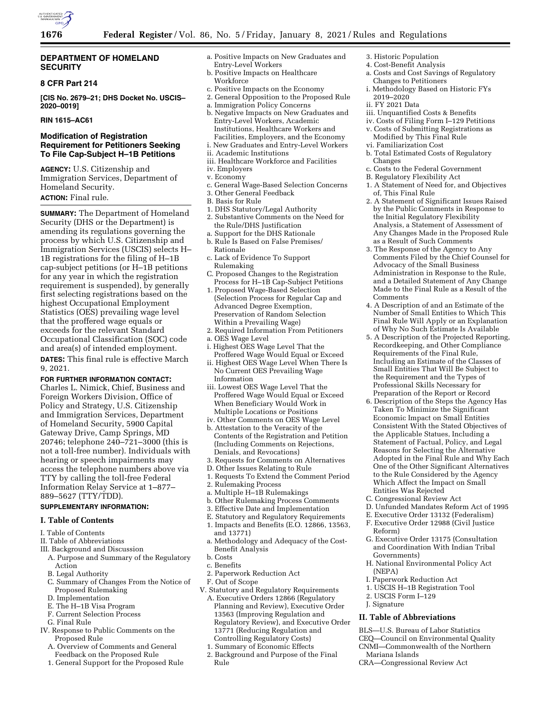

## **DEPARTMENT OF HOMELAND SECURITY**

## **8 CFR Part 214**

**[CIS No. 2679–21; DHS Docket No. USCIS– 2020–0019]** 

## **RIN 1615–AC61**

## **Modification of Registration Requirement for Petitioners Seeking To File Cap-Subject H–1B Petitions**

**AGENCY:** U.S. Citizenship and Immigration Services, Department of Homeland Security.

# **ACTION:** Final rule.

**SUMMARY:** The Department of Homeland Security (DHS or the Department) is amending its regulations governing the process by which U.S. Citizenship and Immigration Services (USCIS) selects H– 1B registrations for the filing of H–1B cap-subject petitions (or H–1B petitions for any year in which the registration requirement is suspended), by generally first selecting registrations based on the highest Occupational Employment Statistics (OES) prevailing wage level that the proffered wage equals or exceeds for the relevant Standard Occupational Classification (SOC) code and area(s) of intended employment. **DATES:** This final rule is effective March 9, 2021.

## **FOR FURTHER INFORMATION CONTACT:**

Charles L. Nimick, Chief, Business and Foreign Workers Division, Office of Policy and Strategy, U.S. Citizenship and Immigration Services, Department of Homeland Security, 5900 Capital Gateway Drive, Camp Springs, MD 20746; telephone 240–721–3000 (this is not a toll-free number). Individuals with hearing or speech impairments may access the telephone numbers above via TTY by calling the toll-free Federal Information Relay Service at 1–877– 889–5627 (TTY/TDD).

# **SUPPLEMENTARY INFORMATION:**

## **I. Table of Contents**

- I. Table of Contents
- II. Table of Abbreviations
- III. Background and Discussion
- A. Purpose and Summary of the Regulatory Action
- B. Legal Authority
- C. Summary of Changes From the Notice of Proposed Rulemaking
- D. Implementation
- E. The H–1B Visa Program
- F. Current Selection Process
- G. Final Rule
- IV. Response to Public Comments on the Proposed Rule
	- A. Overview of Comments and General Feedback on the Proposed Rule
	- 1. General Support for the Proposed Rule
- a. Positive Impacts on New Graduates and Entry-Level Workers
- b. Positive Impacts on Healthcare Workforce
- c. Positive Impacts on the Economy
- 2. General Opposition to the Proposed Rule
- a. Immigration Policy Concerns
- b. Negative Impacts on New Graduates and Entry-Level Workers, Academic Institutions, Healthcare Workers and Facilities, Employers, and the Economy i. New Graduates and Entry-Level Workers
- ii. Academic Institutions
- 
- iii. Healthcare Workforce and Facilities iv. Employers
- v. Economy
- c. General Wage-Based Selection Concerns
- 3. Other General Feedback
- B. Basis for Rule
- 1. DHS Statutory/Legal Authority
- 2. Substantive Comments on the Need for the Rule/DHS Justification
- a. Support for the DHS Rationale b. Rule Is Based on False Premises/
- Rationale c. Lack of Evidence To Support Rulemaking
- C. Proposed Changes to the Registration Process for H–1B Cap-Subject Petitions
- 1. Proposed Wage-Based Selection (Selection Process for Regular Cap and Advanced Degree Exemption, Preservation of Random Selection Within a Prevailing Wage)
- 2. Required Information From Petitioners
- a. OES Wage Level
- i. Highest OES Wage Level That the Proffered Wage Would Equal or Exceed
- ii. Highest OES Wage Level When There Is No Current OES Prevailing Wage Information
- iii. Lowest OES Wage Level That the Proffered Wage Would Equal or Exceed When Beneficiary Would Work in Multiple Locations or Positions
- iv. Other Comments on OES Wage Level
- b. Attestation to the Veracity of the Contents of the Registration and Petition (Including Comments on Rejections, Denials, and Revocations)
- 3. Requests for Comments on Alternatives
- D. Other Issues Relating to Rule
- 1. Requests To Extend the Comment Period
- 2. Rulemaking Process
- a. Multiple H–1B Rulemakings
- b. Other Rulemaking Process Comments
- 3. Effective Date and Implementation
- E. Statutory and Regulatory Requirements 1. Impacts and Benefits (E.O. 12866, 13563,
- and 13771)
- a. Methodology and Adequacy of the Cost-Benefit Analysis
- b. Costs
- c. Benefits
- 2. Paperwork Reduction Act
- F. Out of Scope
- V. Statutory and Regulatory Requirements
	- A. Executive Orders 12866 (Regulatory Planning and Review), Executive Order 13563 (Improving Regulation and Regulatory Review), and Executive Order 13771 (Reducing Regulation and Controlling Regulatory Costs)
	- 1. Summary of Economic Effects
	- 2. Background and Purpose of the Final Rule
- 3. Historic Population
- 4. Cost-Benefit Analysis
- a. Costs and Cost Savings of Regulatory Changes to Petitioners
- i. Methodology Based on Historic FYs 2019–2020
- ii. FY 2021 Data
- iii. Unquantified Costs & Benefits
- iv. Costs of Filing Form I–129 Petitions
- v. Costs of Submitting Registrations as Modified by This Final Rule vi. Familiarization Cost
- b. Total Estimated Costs of Regulatory Changes
- c. Costs to the Federal Government
- B. Regulatory Flexibility Act
- 1. A Statement of Need for, and Objectives of, This Final Rule
- 2. A Statement of Significant Issues Raised by the Public Comments in Response to the Initial Regulatory Flexibility Analysis, a Statement of Assessment of Any Changes Made in the Proposed Rule as a Result of Such Comments
- 3. The Response of the Agency to Any Comments Filed by the Chief Counsel for Advocacy of the Small Business Administration in Response to the Rule, and a Detailed Statement of Any Change Made to the Final Rule as a Result of the Comments
- 4. A Description of and an Estimate of the Number of Small Entities to Which This Final Rule Will Apply or an Explanation of Why No Such Estimate Is Available
- 5. A Description of the Projected Reporting, Recordkeeping, and Other Compliance Requirements of the Final Rule, Including an Estimate of the Classes of Small Entities That Will Be Subject to the Requirement and the Types of Professional Skills Necessary for Preparation of the Report or Record
- 6. Description of the Steps the Agency Has Taken To Minimize the Significant Economic Impact on Small Entities Consistent With the Stated Objectives of the Applicable Statues, Including a Statement of Factual, Policy, and Legal Reasons for Selecting the Alternative Adopted in the Final Rule and Why Each One of the Other Significant Alternatives to the Rule Considered by the Agency Which Affect the Impact on Small Entities Was Rejected
- C. Congressional Review Act
- D. Unfunded Mandates Reform Act of 1995
- E. Executive Order 13132 (Federalism)
- F. Executive Order 12988 (Civil Justice Reform)
- G. Executive Order 13175 (Consultation and Coordination With Indian Tribal Governments)
- H. National Environmental Policy Act (NEPA)
- I. Paperwork Reduction Act
- 1. USCIS H–1B Registration Tool
- 2. USCIS Form I–129
- J. Signature

Mariana Islands

#### **II. Table of Abbreviations**

BLS—U.S. Bureau of Labor Statistics

CRA—Congressional Review Act

CEQ—Council on Environmental Quality CNMI—Commonwealth of the Northern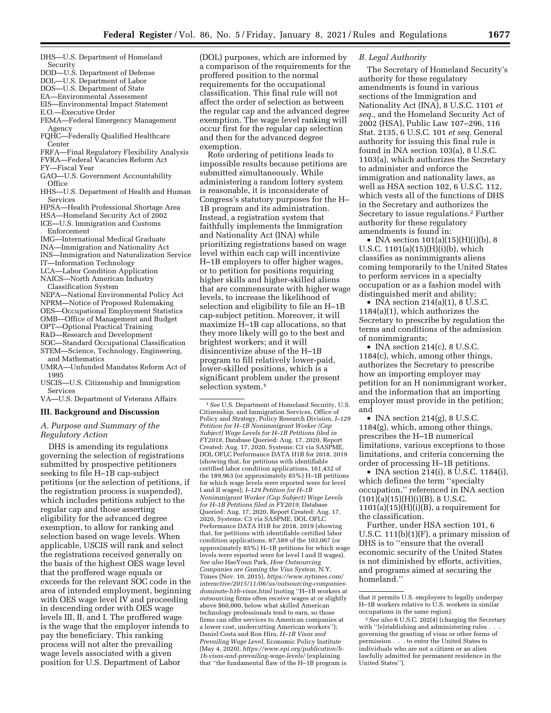- DHS—U.S. Department of Homeland Security
- DOD—U.S. Department of Defense
- DOL—U.S. Department of Labor
- DOS—U.S. Department of State
- EA—Environmental Assessment
- EIS—Environmental Impact Statement E.O.—Executive Order
- 
- FEMA—Federal Emergency Management Agency
- FQHC—Federally Qualified Healthcare Center
- FRFA—Final Regulatory Flexibility Analysis FVRA—Federal Vacancies Reform Act
- FY—Fiscal Year
- GAO—U.S. Government Accountability **Office**
- HHS—U.S. Department of Health and Human Services
- HPSA—Health Professional Shortage Area
- HSA—Homeland Security Act of 2002 ICE—U.S. Immigration and Customs
- Enforcement
- IMG—International Medical Graduate
- INA—Immigration and Nationality Act
- INS—Immigration and Naturalization Service
- IT—Information Technology
- LCA—Labor Condition Application
- NAICS—North American Industry
- Classification System
- NEPA—National Environmental Policy Act
- NPRM—Notice of Proposed Rulemaking
- OES—Occupational Employment Statistics
- OMB—Office of Management and Budget OPT—Optional Practical Training
- R&D—Research and Development
- SOC—Standard Occupational Classification
- STEM—Science, Technology, Engineering, and Mathematics
- UMRA—Unfunded Mandates Reform Act of 1995
- USCIS—U.S. Citizenship and Immigration Services
- VA—U.S. Department of Veterans Affairs

#### **III. Background and Discussion**

## *A. Purpose and Summary of the Regulatory Action*

DHS is amending its regulations governing the selection of registrations submitted by prospective petitioners seeking to file H–1B cap-subject petitions (or the selection of petitions, if the registration process is suspended), which includes petitions subject to the regular cap and those asserting eligibility for the advanced degree exemption, to allow for ranking and selection based on wage levels. When applicable, USCIS will rank and select the registrations received generally on the basis of the highest OES wage level that the proffered wage equals or exceeds for the relevant SOC code in the area of intended employment, beginning with OES wage level IV and proceeding in descending order with OES wage levels III, II, and I. The proffered wage is the wage that the employer intends to pay the beneficiary. This ranking process will not alter the prevailing wage levels associated with a given position for U.S. Department of Labor

(DOL) purposes, which are informed by a comparison of the requirements for the proffered position to the normal requirements for the occupational classification. This final rule will not affect the order of selection as between the regular cap and the advanced degree exemption. The wage level ranking will occur first for the regular cap selection and then for the advanced degree exemption.

Rote ordering of petitions leads to impossible results because petitions are submitted simultaneously. While administering a random lottery system is reasonable, it is inconsiderate of Congress's statutory purposes for the H– 1B program and its administration. Instead, a registration system that faithfully implements the Immigration and Nationality Act (INA) while prioritizing registrations based on wage level within each cap will incentivize H–1B employers to offer higher wages, or to petition for positions requiring higher skills and higher-skilled aliens that are commensurate with higher wage levels, to increase the likelihood of selection and eligibility to file an H–1B cap-subject petition. Moreover, it will maximize H–1B cap allocations, so that they more likely will go to the best and brightest workers; and it will disincentivize abuse of the H–1B program to fill relatively lower-paid, lower-skilled positions, which is a significant problem under the present selection system.1

1*See* U.S. Department of Homeland Security, U.S. Citizenship, and Immigration Services, Office of Policy and Strategy, Policy Research Division, *I–129 Petition for H–1B Nonimmigrant Worker (Cap Subject) Wage Levels for H–1B Petitions filed in FY2018,* Database Queried: Aug. 17, 2020, Report Created: Aug. 17, 2020, Systems: C3 via SASPME, DOL OFLC Performance DATA H1B for 2018, 2019 (showing that, for petitions with identifiable certified labor condition applications, 161,432 of the 189,963 (or approximately 85%) H–1B petitions for which wage levels were reported were for level I and II wages); *I–129 Petition for H–1B Nonimmigrant Worker (Cap Subject) Wage Levels for H–1B Petitions filed in FY2019,* Database Queried: Aug. 17, 2020, Report Created: Aug. 17, 2020, Systems: C3 via SASPME, DOL OFLC Performance DATA H1B for 2018, 2019 (showing that, for petitions with identifiable certified labor condition applications, 87,589 of the 103,067 (or approximately 85%) H–1B petitions for which wage levels were reported were for level I and II wages). *See also* HaeYoun Park, *How Outsourcing Companies are Gaming the Visa System,* N.Y. Times (Nov. 10, 2015), *[https://www.nytimes.com/](https://www.nytimes.com/interactive/2015/11/06/us/outsourcing-companies-dominate-h1b-visas.html)  [interactive/2015/11/06/us/outsourcing-companies](https://www.nytimes.com/interactive/2015/11/06/us/outsourcing-companies-dominate-h1b-visas.html)[dominate-h1b-visas.html](https://www.nytimes.com/interactive/2015/11/06/us/outsourcing-companies-dominate-h1b-visas.html)* (noting ''H–1B workers at outsourcing firms often receive wages at or slightly above \$60,000, below what skilled American technology professionals tend to earn, so those firms can offer services to American companies at a lower cost, undercutting American workers''); Daniel Costa and Ron Hira, *H–1B Visas and Prevailing Wage Level,* Economic Policy Institute (May 4, 2020), *[https://www.epi.org/publication/h-](https://www.epi.org/publication/h-1b-visas-and-prevailing-wage-levels/)[1b-visas-and-prevailing-wage-levels/](https://www.epi.org/publication/h-1b-visas-and-prevailing-wage-levels/)* (explaining that ''the fundamental flaw of the H–1B program is

## *B. Legal Authority*

The Secretary of Homeland Security's authority for these regulatory amendments is found in various sections of the Immigration and Nationality Act (INA), 8 U.S.C. 1101 *et seq.,* and the Homeland Security Act of 2002 (HSA), Public Law 107–296, 116 Stat. 2135, 6 U.S.C. 101 *et seq.* General authority for issuing this final rule is found in INA section 103(a), 8 U.S.C. 1103(a), which authorizes the Secretary to administer and enforce the immigration and nationality laws, as well as HSA section 102, 6 U.S.C. 112, which vests all of the functions of DHS in the Secretary and authorizes the Secretary to issue regulations.2 Further authority for these regulatory amendments is found in:

• INA section 101(a)(15)(H)(i)(b), 8 U.S.C. 1101(a)(15)(H)(i)(b), which classifies as nonimmigrants aliens coming temporarily to the United States to perform services in a specialty occupation or as a fashion model with distinguished merit and ability;

• INA section  $214(a)(1)$ , 8 U.S.C. 1184(a)(1), which authorizes the Secretary to prescribe by regulation the terms and conditions of the admission of nonimmigrants;

• INA section 214(c), 8 U.S.C. 1184(c), which, among other things, authorizes the Secretary to prescribe how an importing employer may petition for an H nonimmigrant worker, and the information that an importing employer must provide in the petition; and

• INA section 214(g), 8 U.S.C. 1184(g), which, among other things, prescribes the H–1B numerical limitations, various exceptions to those limitations, and criteria concerning the order of processing H–1B petitions.

• INA section 214(i), 8 U.S.C. 1184(i), which defines the term ''specialty occupation,'' referenced in INA section  $(101)(a)(15)(H)(i)(B)$ , 8 U.S.C.  $1101(a)(15)(H)(i)(B)$ , a requirement for the classification.

Further, under HSA section 101, 6 U.S.C.  $111(b)(1)(F)$ , a primary mission of DHS is to ''ensure that the overall economic security of the United States is not diminished by efforts, activities, and programs aimed at securing the homeland.''

that it permits U.S. employers to legally underpay H–1B workers relative to U.S. workers in similar occupations in the same region).

<sup>2</sup>*See also* 6 U.S.C. 202(4) (charging the Secretary with ''[e]stablishing and administering rules . . . governing the granting of visas or other forms of permission . . . to enter the United States to individuals who are not a citizen or an alien lawfully admitted for permanent residence in the United States'').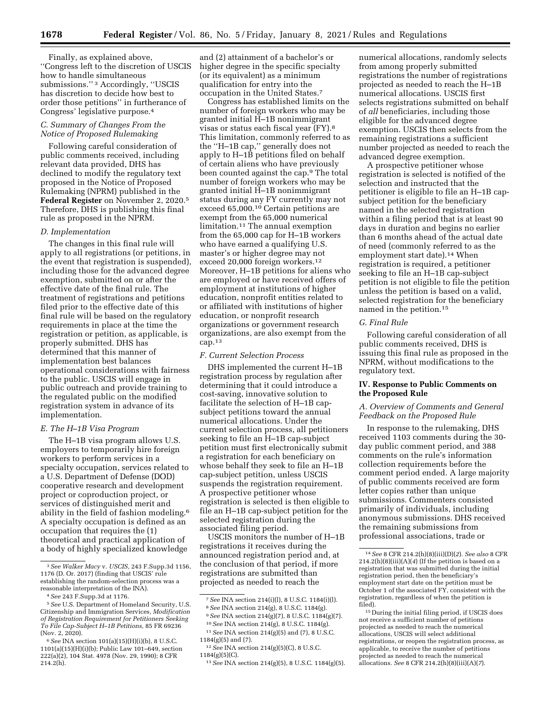Finally, as explained above, ''Congress left to the discretion of USCIS how to handle simultaneous submissions.'' 3 Accordingly, ''USCIS has discretion to decide how best to order those petitions'' in furtherance of Congress' legislative purpose.4

# *C. Summary of Changes From the Notice of Proposed Rulemaking*

Following careful consideration of public comments received, including relevant data provided, DHS has declined to modify the regulatory text proposed in the Notice of Proposed Rulemaking (NPRM) published in the **Federal Register** on November 2, 2020.5 Therefore, DHS is publishing this final rule as proposed in the NPRM.

#### *D. Implementation*

The changes in this final rule will apply to all registrations (or petitions, in the event that registration is suspended), including those for the advanced degree exemption, submitted on or after the effective date of the final rule. The treatment of registrations and petitions filed prior to the effective date of this final rule will be based on the regulatory requirements in place at the time the registration or petition, as applicable, is properly submitted. DHS has determined that this manner of implementation best balances operational considerations with fairness to the public. USCIS will engage in public outreach and provide training to the regulated public on the modified registration system in advance of its implementation.

#### *E. The H–1B Visa Program*

The H–1B visa program allows U.S. employers to temporarily hire foreign workers to perform services in a specialty occupation, services related to a U.S. Department of Defense (DOD) cooperative research and development project or coproduction project, or services of distinguished merit and ability in the field of fashion modeling.6 A specialty occupation is defined as an occupation that requires the (1) theoretical and practical application of a body of highly specialized knowledge

and (2) attainment of a bachelor's or higher degree in the specific specialty (or its equivalent) as a minimum qualification for entry into the occupation in the United States.7

Congress has established limits on the number of foreign workers who may be granted initial H–1B nonimmigrant visas or status each fiscal year (FY).8 This limitation, commonly referred to as the ''H–1B cap,'' generally does not apply to H–1B petitions filed on behalf of certain aliens who have previously been counted against the cap.9 The total number of foreign workers who may be granted initial H–1B nonimmigrant status during any FY currently may not exceed 65,000.10 Certain petitions are exempt from the 65,000 numerical limitation.11 The annual exemption from the 65,000 cap for H–1B workers who have earned a qualifying U.S. master's or higher degree may not exceed 20,000 foreign workers.12 Moreover, H–1B petitions for aliens who are employed or have received offers of employment at institutions of higher education, nonprofit entities related to or affiliated with institutions of higher education, or nonprofit research organizations or government research organizations, are also exempt from the cap.13

#### *F. Current Selection Process*

DHS implemented the current H–1B registration process by regulation after determining that it could introduce a cost-saving, innovative solution to facilitate the selection of H–1B capsubject petitions toward the annual numerical allocations. Under the current selection process, all petitioners seeking to file an H–1B cap-subject petition must first electronically submit a registration for each beneficiary on whose behalf they seek to file an H–1B cap-subject petition, unless USCIS suspends the registration requirement. A prospective petitioner whose registration is selected is then eligible to file an H–1B cap-subject petition for the selected registration during the associated filing period.

USCIS monitors the number of H–1B registrations it receives during the announced registration period and, at the conclusion of that period, if more registrations are submitted than projected as needed to reach the

numerical allocations, randomly selects from among properly submitted registrations the number of registrations projected as needed to reach the H–1B numerical allocations. USCIS first selects registrations submitted on behalf of *all* beneficiaries, including those eligible for the advanced degree exemption. USCIS then selects from the remaining registrations a sufficient number projected as needed to reach the advanced degree exemption.

A prospective petitioner whose registration is selected is notified of the selection and instructed that the petitioner is eligible to file an H–1B capsubject petition for the beneficiary named in the selected registration within a filing period that is at least 90 days in duration and begins no earlier than 6 months ahead of the actual date of need (commonly referred to as the employment start date).<sup>14</sup> When registration is required, a petitioner seeking to file an H–1B cap-subject petition is not eligible to file the petition unless the petition is based on a valid, selected registration for the beneficiary named in the petition.15

#### *G. Final Rule*

Following careful consideration of all public comments received, DHS is issuing this final rule as proposed in the NPRM, without modifications to the regulatory text.

## **IV. Response to Public Comments on the Proposed Rule**

## *A. Overview of Comments and General Feedback on the Proposed Rule*

In response to the rulemaking, DHS received 1103 comments during the 30 day public comment period, and 388 comments on the rule's information collection requirements before the comment period ended. A large majority of public comments received are form letter copies rather than unique submissions. Commenters consisted primarily of individuals, including anonymous submissions. DHS received the remaining submissions from professional associations, trade or

<sup>3</sup>*See Walker Macy* v. *USCIS,* 243 F.Supp.3d 1156, 1176 (D. Or. 2017) (finding that USCIS' rule establishing the random-selection process was a reasonable interpretation of the INA).

<sup>4</sup>*See* 243 F.Supp.3d at 1176.

<sup>5</sup>*See* U.S. Department of Homeland Security, U.S. Citizenship and Immigration Services, *Modification of Registration Requirement for Petitioners Seeking To File Cap-Subject H–1B Petitions,* 85 FR 69236 (Nov. 2, 2020).

<sup>6</sup>*See* INA section 101(a)(15)(H)(i)(b), 8 U.S.C. 1101(a)(15)(H)(i)(b); Public Law 101–649, section 222(a)(2), 104 Stat. 4978 (Nov. 29, 1990); 8 CFR 214.2(h).

<sup>7</sup>*See* INA section 214(i)(l), 8 U.S.C. 1184(i)(l).

<sup>8</sup>*See* INA section 214(g), 8 U.S.C. 1184(g). 9*See* INA section 214(g)(7), 8 U.S.C. 1184(g)(7).

<sup>10</sup>*See* INA section 214(g), 8 U.S.C. 1184(g). 11*See* INA section 214(g)(5) and (7), 8 U.S.C.

<sup>1184(</sup>g)(5) and (7).

<sup>12</sup>*See* INA section 214(g)(5)(C), 8 U.S.C. 1184(g)(5)(C).

<sup>13</sup>*See* INA section 214(g)(5), 8 U.S.C. 1184(g)(5).

<sup>14</sup>*See* 8 CFR 214.2(h)(8)(iii)(D)(*2*). *See also* 8 CFR 214.2(h)(8)(iii)(A)(*4*) (If the petition is based on a registration that was submitted during the initial registration period, then the beneficiary's employment start date on the petition must be October 1 of the associated FY, consistent with the registration, regardless of when the petition is filed).

<sup>15</sup> During the initial filing period, if USCIS does not receive a sufficient number of petitions projected as needed to reach the numerical allocations, USCIS will select additional registrations, or reopen the registration process, as applicable, to receive the number of petitions projected as needed to reach the numerical allocations. *See* 8 CFR 214.2(h)(8)(iii)(A)(*7*).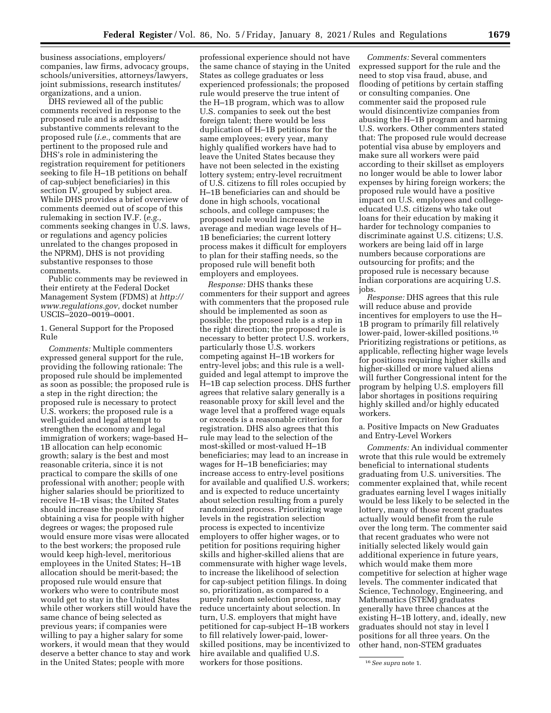business associations, employers/ companies, law firms, advocacy groups, schools/universities, attorneys/lawyers, joint submissions, research institutes/ organizations, and a union.

DHS reviewed all of the public comments received in response to the proposed rule and is addressing substantive comments relevant to the proposed rule (*i.e.,* comments that are pertinent to the proposed rule and DHS's role in administering the registration requirement for petitioners seeking to file H–1B petitions on behalf of cap-subject beneficiaries) in this section IV, grouped by subject area. While DHS provides a brief overview of comments deemed out of scope of this rulemaking in section IV.F. (*e.g.,*  comments seeking changes in U.S. laws, or regulations and agency policies unrelated to the changes proposed in the NPRM), DHS is not providing substantive responses to those comments.

Public comments may be reviewed in their entirety at the Federal Docket Management System (FDMS) at *[http://](http://www.regulations.gov) [www.regulations.gov,](http://www.regulations.gov)* docket number USCIS–2020–0019–0001.

## 1. General Support for the Proposed Rule

*Comments:* Multiple commenters expressed general support for the rule, providing the following rationale: The proposed rule should be implemented as soon as possible; the proposed rule is a step in the right direction; the proposed rule is necessary to protect U.S. workers; the proposed rule is a well-guided and legal attempt to strengthen the economy and legal immigration of workers; wage-based H– 1B allocation can help economic growth; salary is the best and most reasonable criteria, since it is not practical to compare the skills of one professional with another; people with higher salaries should be prioritized to receive H–1B visas; the United States should increase the possibility of obtaining a visa for people with higher degrees or wages; the proposed rule would ensure more visas were allocated to the best workers; the proposed rule would keep high-level, meritorious employees in the United States; H–1B allocation should be merit-based; the proposed rule would ensure that workers who were to contribute most would get to stay in the United States while other workers still would have the same chance of being selected as previous years; if companies were willing to pay a higher salary for some workers, it would mean that they would deserve a better chance to stay and work in the United States; people with more

professional experience should not have the same chance of staying in the United States as college graduates or less experienced professionals; the proposed rule would preserve the true intent of the H–1B program, which was to allow U.S. companies to seek out the best foreign talent; there would be less duplication of H–1B petitions for the same employees; every year, many highly qualified workers have had to leave the United States because they have not been selected in the existing lottery system; entry-level recruitment of U.S. citizens to fill roles occupied by H–1B beneficiaries can and should be done in high schools, vocational schools, and college campuses; the proposed rule would increase the average and median wage levels of H– 1B beneficiaries; the current lottery process makes it difficult for employers to plan for their staffing needs, so the proposed rule will benefit both employers and employees.

*Response:* DHS thanks these commenters for their support and agrees with commenters that the proposed rule should be implemented as soon as possible; the proposed rule is a step in the right direction; the proposed rule is necessary to better protect U.S. workers, particularly those U.S. workers competing against H–1B workers for entry-level jobs; and this rule is a wellguided and legal attempt to improve the H–1B cap selection process. DHS further agrees that relative salary generally is a reasonable proxy for skill level and the wage level that a proffered wage equals or exceeds is a reasonable criterion for registration. DHS also agrees that this rule may lead to the selection of the most-skilled or most-valued H–1B beneficiaries; may lead to an increase in wages for H–1B beneficiaries; may increase access to entry-level positions for available and qualified U.S. workers; and is expected to reduce uncertainty about selection resulting from a purely randomized process. Prioritizing wage levels in the registration selection process is expected to incentivize employers to offer higher wages, or to petition for positions requiring higher skills and higher-skilled aliens that are commensurate with higher wage levels, to increase the likelihood of selection for cap-subject petition filings. In doing so, prioritization, as compared to a purely random selection process, may reduce uncertainty about selection. In turn, U.S. employers that might have petitioned for cap-subject H–1B workers to fill relatively lower-paid, lowerskilled positions, may be incentivized to hire available and qualified U.S. workers for those positions.

*Comments:* Several commenters expressed support for the rule and the need to stop visa fraud, abuse, and flooding of petitions by certain staffing or consulting companies. One commenter said the proposed rule would disincentivize companies from abusing the H–1B program and harming U.S. workers. Other commenters stated that: The proposed rule would decrease potential visa abuse by employers and make sure all workers were paid according to their skillset as employers no longer would be able to lower labor expenses by hiring foreign workers; the proposed rule would have a positive impact on U.S. employees and collegeeducated U.S. citizens who take out loans for their education by making it harder for technology companies to discriminate against U.S. citizens; U.S. workers are being laid off in large numbers because corporations are outsourcing for profits; and the proposed rule is necessary because Indian corporations are acquiring U.S. jobs.

*Response:* DHS agrees that this rule will reduce abuse and provide incentives for employers to use the H– 1B program to primarily fill relatively lower-paid, lower-skilled positions.16 Prioritizing registrations or petitions, as applicable, reflecting higher wage levels for positions requiring higher skills and higher-skilled or more valued aliens will further Congressional intent for the program by helping U.S. employers fill labor shortages in positions requiring highly skilled and/or highly educated workers.

a. Positive Impacts on New Graduates and Entry-Level Workers

*Comments:* An individual commenter wrote that this rule would be extremely beneficial to international students graduating from U.S. universities. The commenter explained that, while recent graduates earning level I wages initially would be less likely to be selected in the lottery, many of those recent graduates actually would benefit from the rule over the long term. The commenter said that recent graduates who were not initially selected likely would gain additional experience in future years, which would make them more competitive for selection at higher wage levels. The commenter indicated that Science, Technology, Engineering, and Mathematics (STEM) graduates generally have three chances at the existing H–1B lottery, and, ideally, new graduates should not stay in level I positions for all three years. On the other hand, non-STEM graduates

<sup>16</sup>*See supra* note 1.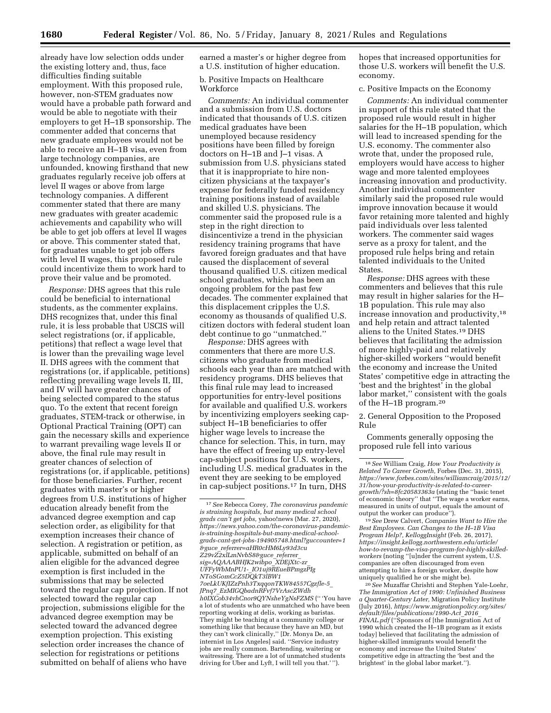already have low selection odds under the existing lottery and, thus, face difficulties finding suitable employment. With this proposed rule, however, non-STEM graduates now would have a probable path forward and would be able to negotiate with their employers to get H–1B sponsorship. The commenter added that concerns that new graduate employees would not be able to receive an H–1B visa, even from large technology companies, are unfounded, knowing firsthand that new graduates regularly receive job offers at level II wages or above from large technology companies. A different commenter stated that there are many new graduates with greater academic achievements and capability who will be able to get job offers at level II wages or above. This commenter stated that, for graduates unable to get job offers with level II wages, this proposed rule could incentivize them to work hard to prove their value and be promoted.

*Response:* DHS agrees that this rule could be beneficial to international students, as the commenter explains. DHS recognizes that, under this final rule, it is less probable that USCIS will select registrations (or, if applicable, petitions) that reflect a wage level that is lower than the prevailing wage level II. DHS agrees with the comment that registrations (or, if applicable, petitions) reflecting prevailing wage levels II, III, and IV will have greater chances of being selected compared to the status quo. To the extent that recent foreign graduates, STEM-track or otherwise, in Optional Practical Training (OPT) can gain the necessary skills and experience to warrant prevailing wage levels II or above, the final rule may result in greater chances of selection of registrations (or, if applicable, petitions) for those beneficiaries. Further, recent graduates with master's or higher degrees from U.S. institutions of higher education already benefit from the advanced degree exemption and cap selection order, as eligibility for that exemption increases their chance of selection. A registration or petition, as applicable, submitted on behalf of an alien eligible for the advanced degree exemption is first included in the submissions that may be selected toward the regular cap projection. If not selected toward the regular cap projection, submissions eligible for the advanced degree exemption may be selected toward the advanced degree exemption projection. This existing selection order increases the chance of selection for registrations or petitions submitted on behalf of aliens who have

earned a master's or higher degree from a U.S. institution of higher education.

## b. Positive Impacts on Healthcare **Workforce**

*Comments:* An individual commenter and a submission from U.S. doctors indicated that thousands of U.S. citizen medical graduates have been unemployed because residency positions have been filled by foreign doctors on H–1B and J–1 visas. A submission from U.S. physicians stated that it is inappropriate to hire noncitizen physicians at the taxpayer's expense for federally funded residency training positions instead of available and skilled U.S. physicians. The commenter said the proposed rule is a step in the right direction to disincentivize a trend in the physician residency training programs that have favored foreign graduates and that have caused the displacement of several thousand qualified U.S. citizen medical school graduates, which has been an ongoing problem for the past few decades. The commenter explained that this displacement cripples the U.S. economy as thousands of qualified U.S. citizen doctors with federal student loan debt continue to go ''unmatched.''

*Response:* DHS agrees with commenters that there are more U.S. citizens who graduate from medical schools each year than are matched with residency programs. DHS believes that this final rule may lead to increased opportunities for entry-level positions for available and qualified U.S. workers by incentivizing employers seeking capsubject H–1B beneficiaries to offer higher wage levels to increase the chance for selection. This, in turn, may have the effect of freeing up entry-level cap-subject positions for U.S. workers, including U.S. medical graduates in the event they are seeking to be employed in cap-subject positions.17 In turn, DHS

hopes that increased opportunities for those U.S. workers will benefit the U.S. economy.

#### c. Positive Impacts on the Economy

*Comments:* An individual commenter in support of this rule stated that the proposed rule would result in higher salaries for the H–1B population, which will lead to increased spending for the U.S. economy. The commenter also wrote that, under the proposed rule, employers would have access to higher wage and more talented employees increasing innovation and productivity. Another individual commenter similarly said the proposed rule would improve innovation because it would favor retaining more talented and highly paid individuals over less talented workers. The commenter said wages serve as a proxy for talent, and the proposed rule helps bring and retain talented individuals to the United States.

*Response:* DHS agrees with these commenters and believes that this rule may result in higher salaries for the H– 1B population. This rule may also increase innovation and productivity,18 and help retain and attract talented aliens to the United States.19 DHS believes that facilitating the admission of more highly-paid and relatively higher-skilled workers ''would benefit the economy and increase the United States' competitive edge in attracting the 'best and the brightest' in the global labor market,'' consistent with the goals of the H–1B program.20

2. General Opposition to the Proposed Rule

Comments generally opposing the proposed rule fell into various

<sup>19</sup> See Drew Calvert, *Companies Want to Hire the Best Employees. Can Changes to the H–1B Visa Program Help?, KelloggInsight* (Feb. 26, 2017), *[https://insight.kellogg.northwestern.edu/article/](https://insight.kellogg.northwestern.edu/article/how-to-revamp-the-visa-program-for-highly-skilled-workers) [how-to-revamp-the-visa-program-for-highly-skilled](https://insight.kellogg.northwestern.edu/article/how-to-revamp-the-visa-program-for-highly-skilled-workers)[workers](https://insight.kellogg.northwestern.edu/article/how-to-revamp-the-visa-program-for-highly-skilled-workers)* (noting ''[u]nder the current system, U.S. companies are often discouraged from even attempting to hire a foreign worker, despite how uniquely qualified he or she might be).

20*See* Muzaffar Chrishti and Stephen Yale-Loehr, *The Immigration Act of 1990: Unfinished Business a Quarter-Century Later,* Migration Policy Institute (July 2016), *[https://www.migrationpolicy.org/sites/](https://www.migrationpolicy.org/sites/default/files/publications/1990-Act_2016_FINAL.pdf) [default/files/publications/1990-Act](https://www.migrationpolicy.org/sites/default/files/publications/1990-Act_2016_FINAL.pdf)*\_*2016*\_ *[FINAL.pdf](https://www.migrationpolicy.org/sites/default/files/publications/1990-Act_2016_FINAL.pdf)* (''Sponsors of [the Immigration Act of 1990 which created the H–1B program as it exists today] believed that facilitating the admission of higher-skilled immigrants would benefit the economy and increase the United States' competitive edge in attracting the 'best and the brightest' in the global labor market.'').

<sup>17</sup>*See* Rebecca Corey, *The coronavirus pandemic is straining hospitals, but many medical school grads can't get jobs,* yahoo!news (Mar. 27, 2020), *[https://news.yahoo.com/the-coronavirus-pandemic](https://news.yahoo.com/the-coronavirus-pandemic-is-straining-hospitals-but-many-medical-school-grads-cant-get-jobs-194905748.html?guccounter=1&guce_referrer=aHR0cHM6Ly93d3cuZ29vZ2xlLmNvbS8&guce_referrer_sig=AQAAABHJK2wibpo_XDEjXtc-zr_UFFyWbMnPU1-_IO1uj9REueBPmgzPIgNToSGomCcZ5DQkT3lBW17oeLkUKfIZzPnh3TxqqonTKW84557Cgzfle-5_JPnq7_EzMIGQbadnRFvf7VrAscZWdhh0IXCob34vhCnor9QYNsheYgNsFZMS)[is-straining-hospitals-but-many-medical-school](https://news.yahoo.com/the-coronavirus-pandemic-is-straining-hospitals-but-many-medical-school-grads-cant-get-jobs-194905748.html?guccounter=1&guce_referrer=aHR0cHM6Ly93d3cuZ29vZ2xlLmNvbS8&guce_referrer_sig=AQAAABHJK2wibpo_XDEjXtc-zr_UFFyWbMnPU1-_IO1uj9REueBPmgzPIgNToSGomCcZ5DQkT3lBW17oeLkUKfIZzPnh3TxqqonTKW84557Cgzfle-5_JPnq7_EzMIGQbadnRFvf7VrAscZWdhh0IXCob34vhCnor9QYNsheYgNsFZMS)[grads-cant-get-jobs-194905748.html?guccounter=1](https://news.yahoo.com/the-coronavirus-pandemic-is-straining-hospitals-but-many-medical-school-grads-cant-get-jobs-194905748.html?guccounter=1&guce_referrer=aHR0cHM6Ly93d3cuZ29vZ2xlLmNvbS8&guce_referrer_sig=AQAAABHJK2wibpo_XDEjXtc-zr_UFFyWbMnPU1-_IO1uj9REueBPmgzPIgNToSGomCcZ5DQkT3lBW17oeLkUKfIZzPnh3TxqqonTKW84557Cgzfle-5_JPnq7_EzMIGQbadnRFvf7VrAscZWdhh0IXCob34vhCnor9QYNsheYgNsFZMS) &guce*\_*[referrer=aHR0cHM6Ly93d3cu](https://news.yahoo.com/the-coronavirus-pandemic-is-straining-hospitals-but-many-medical-school-grads-cant-get-jobs-194905748.html?guccounter=1&guce_referrer=aHR0cHM6Ly93d3cuZ29vZ2xlLmNvbS8&guce_referrer_sig=AQAAABHJK2wibpo_XDEjXtc-zr_UFFyWbMnPU1-_IO1uj9REueBPmgzPIgNToSGomCcZ5DQkT3lBW17oeLkUKfIZzPnh3TxqqonTKW84557Cgzfle-5_JPnq7_EzMIGQbadnRFvf7VrAscZWdhh0IXCob34vhCnor9QYNsheYgNsFZMS) Z29vZ2xlLmNvbS8&guce*\_*referrer*\_ *sig=AQAAABHJK2wibpo*\_*XDEjXtc-zr*\_ *UFFyWbMnPU1-*\_*IO1uj9REueBPmgzPIg [NToSGomCcZ5DQkT3lBW1](https://news.yahoo.com/the-coronavirus-pandemic-is-straining-hospitals-but-many-medical-school-grads-cant-get-jobs-194905748.html?guccounter=1&guce_referrer=aHR0cHM6Ly93d3cuZ29vZ2xlLmNvbS8&guce_referrer_sig=AQAAABHJK2wibpo_XDEjXtc-zr_UFFyWbMnPU1-_IO1uj9REueBPmgzPIgNToSGomCcZ5DQkT3lBW17oeLkUKfIZzPnh3TxqqonTKW84557Cgzfle-5_JPnq7_EzMIGQbadnRFvf7VrAscZWdhh0IXCob34vhCnor9QYNsheYgNsFZMS) [7oeLkUKfIZzPnh3TxqqonTKW84557Cgzfle-5](https://news.yahoo.com/the-coronavirus-pandemic-is-straining-hospitals-but-many-medical-school-grads-cant-get-jobs-194905748.html?guccounter=1&guce_referrer=aHR0cHM6Ly93d3cuZ29vZ2xlLmNvbS8&guce_referrer_sig=AQAAABHJK2wibpo_XDEjXtc-zr_UFFyWbMnPU1-_IO1uj9REueBPmgzPIgNToSGomCcZ5DQkT3lBW17oeLkUKfIZzPnh3TxqqonTKW84557Cgzfle-5_JPnq7_EzMIGQbadnRFvf7VrAscZWdhh0IXCob34vhCnor9QYNsheYgNsFZMS)*\_ *JPnq7*\_*[EzMIGQbadnRFvf7VrAscZWdh](https://news.yahoo.com/the-coronavirus-pandemic-is-straining-hospitals-but-many-medical-school-grads-cant-get-jobs-194905748.html?guccounter=1&guce_referrer=aHR0cHM6Ly93d3cuZ29vZ2xlLmNvbS8&guce_referrer_sig=AQAAABHJK2wibpo_XDEjXtc-zr_UFFyWbMnPU1-_IO1uj9REueBPmgzPIgNToSGomCcZ5DQkT3lBW17oeLkUKfIZzPnh3TxqqonTKW84557Cgzfle-5_JPnq7_EzMIGQbadnRFvf7VrAscZWdhh0IXCob34vhCnor9QYNsheYgNsFZMS) [h0IXCob34vhCnor9QYNsheYgNsFZMS](https://news.yahoo.com/the-coronavirus-pandemic-is-straining-hospitals-but-many-medical-school-grads-cant-get-jobs-194905748.html?guccounter=1&guce_referrer=aHR0cHM6Ly93d3cuZ29vZ2xlLmNvbS8&guce_referrer_sig=AQAAABHJK2wibpo_XDEjXtc-zr_UFFyWbMnPU1-_IO1uj9REueBPmgzPIgNToSGomCcZ5DQkT3lBW17oeLkUKfIZzPnh3TxqqonTKW84557Cgzfle-5_JPnq7_EzMIGQbadnRFvf7VrAscZWdhh0IXCob34vhCnor9QYNsheYgNsFZMS)* ('' 'You have a lot of students who are unmatched who have been reporting working at delis, working as baristas. They might be teaching at a community college or something like that because they have an MD, but they can't work clinically,'' [Dr. Monya De, an internist in Los Angeles] said. ''Service industry jobs are really common. Bartending, waitering or waitressing. There are a lot of unmatched students driving for Uber and Lyft, I will tell you that.' '').

<sup>18</sup>*See* William Craig, *How Your Productivity is Related To Career Growth,* Forbes (Dec. 31, 2015), *[https://www.forbes.com/sites/williamcraig/2015/12/](https://www.forbes.com/sites/williamcraig/2015/12/31/how-your-productivity-is-related-to-career-growth/?sh=8fc20583363a) [31/how-your-productivity-is-related-to-career](https://www.forbes.com/sites/williamcraig/2015/12/31/how-your-productivity-is-related-to-career-growth/?sh=8fc20583363a)[growth/?sh=8fc20583363a](https://www.forbes.com/sites/williamcraig/2015/12/31/how-your-productivity-is-related-to-career-growth/?sh=8fc20583363a)* (stating the ''basic tenet of economic theory'' that ''The wage a worker earns, measured in units of output, equals the amount of<br>output the worker can produce").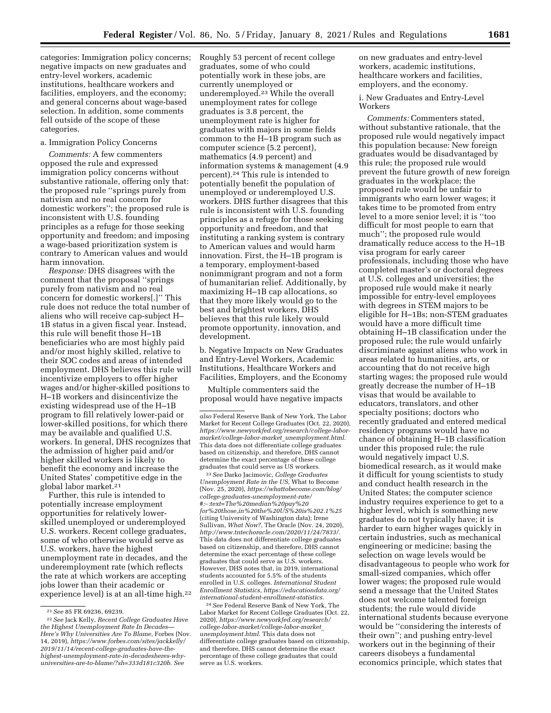categories: Immigration policy concerns; negative impacts on new graduates and entry-level workers, academic institutions, healthcare workers and facilities, employers, and the economy; and general concerns about wage-based selection. In addition, some comments fell outside of the scope of these categories.

## a. Immigration Policy Concerns

*Comments:* A few commenters opposed the rule and expressed immigration policy concerns without substantive rationale, offering only that: the proposed rule ''springs purely from nativism and no real concern for domestic workers''; the proposed rule is inconsistent with U.S. founding principles as a refuge for those seeking opportunity and freedom; and imposing a wage-based prioritization system is contrary to American values and would harm innovation.

*Response:* DHS disagrees with the comment that the proposal ''springs purely from nativism and no real concern for domestic workers[.]'' This rule does not reduce the total number of aliens who will receive cap-subject H– 1B status in a given fiscal year. Instead, this rule will benefit those H–1B beneficiaries who are most highly paid and/or most highly skilled, relative to their SOC codes and areas of intended employment. DHS believes this rule will incentivize employers to offer higher wages and/or higher-skilled positions to H–1B workers and disincentivize the existing widespread use of the H–1B program to fill relatively lower-paid or lower-skilled positions, for which there may be available and qualified U.S. workers. In general, DHS recognizes that the admission of higher paid and/or higher skilled workers is likely to benefit the economy and increase the United States' competitive edge in the global labor market.21

Further, this rule is intended to potentially increase employment opportunities for relatively lowerskilled unemployed or underemployed U.S. workers. Recent college graduates, some of who otherwise would serve as U.S. workers, have the highest unemployment rate in decades, and the underemployment rate (which reflects the rate at which workers are accepting jobs lower than their academic or experience level) is at an all-time high.<sup>22</sup> Roughly 53 percent of recent college graduates, some of who could potentially work in these jobs, are currently unemployed or underemployed.23 While the overall unemployment rates for college graduates is 3.8 percent, the unemployment rate is higher for graduates with majors in some fields common to the H–1B program such as computer science (5.2 percent), mathematics (4.9 percent) and information systems & management (4.9 percent).24 This rule is intended to potentially benefit the population of unemployed or underemployed U.S. workers. DHS further disagrees that this rule is inconsistent with U.S. founding principles as a refuge for those seeking opportunity and freedom, and that instituting a ranking system is contrary to American values and would harm innovation. First, the H–1B program is a temporary, employment-based nonimmigrant program and not a form of humanitarian relief. Additionally, by maximizing H–1B cap allocations, so that they more likely would go to the best and brightest workers, DHS believes that this rule likely would promote opportunity, innovation, and development.

b. Negative Impacts on New Graduates and Entry-Level Workers, Academic Institutions, Healthcare Workers and Facilities, Employers, and the Economy

Multiple commenters said the proposal would have negative impacts

23*See* Darko Jacimovic, *College Graduates Unemployment Rate in the US,* What to Become (Nov. 25, 2020), *[https://whattobecome.com/blog/](https://whattobecome.com/blog/college-graduates-unemployment-rate/#:%E2%88%BC:text=The%20median%20pay%20%0Afor%20those,in%20the%20US%20is%202.1%25) [college-graduates-unemployment-rate/](https://whattobecome.com/blog/college-graduates-unemployment-rate/#:%E2%88%BC:text=The%20median%20pay%20%0Afor%20those,in%20the%20US%20is%202.1%25)  #:*∼*[:text=The%20median%20pay%20](https://whattobecome.com/blog/college-graduates-unemployment-rate/#:%E2%88%BC:text=The%20median%20pay%20%0Afor%20those,in%20the%20US%20is%202.1%25) [for%20those,in%20the%20US%20is%202.1%25](https://whattobecome.com/blog/college-graduates-unemployment-rate/#:%E2%88%BC:text=The%20median%20pay%20%0Afor%20those,in%20the%20US%20is%202.1%25)*  (citing University of Washington data); Irene Sullivan, *What Now?,* The Oracle (Nov. 24, 2020), *[http://www.tntechoracle.com/2020/11/24/7833/.](http://www.tntechoracle.com/2020/11/24/7833/)*  This data does not differentiate college graduates based on citizenship, and therefore, DHS cannot determine the exact percentage of these college graduates that could serve as U.S. workers. However, DHS notes that, in 2019, international students accounted for 5.5% of the students enrolled in U.S. colleges. *International Student Enrollment Statistics, [https://educationdata.org/](https://educationdata.org/international-student-enrollment-statistics) [international-student-enrollment-statistics.](https://educationdata.org/international-student-enrollment-statistics)* 

24*See* Federal Reserve Bank of New York, The Labor Market for Recent College Graduates (Oct. 22, 2020), *[https://www.newyorkfed.org/research/](https://www.newyorkfed.org/research/college-labor-market/college-labor-market_unemployment.html) [college-labor-market/college-labor-market](https://www.newyorkfed.org/research/college-labor-market/college-labor-market_unemployment.html)*\_ *[unemployment.html.](https://www.newyorkfed.org/research/college-labor-market/college-labor-market_unemployment.html)* This data does not differentiate college graduates based on citizenship, and therefore, DHS cannot determine the exact percentage of these college graduates that could serve as U.S. workers.

on new graduates and entry-level workers, academic institutions, healthcare workers and facilities, employers, and the economy.

i. New Graduates and Entry-Level Workers

*Comments:* Commenters stated, without substantive rationale, that the proposed rule would negatively impact this population because: New foreign graduates would be disadvantaged by this rule; the proposed rule would prevent the future growth of new foreign graduates in the workplace; the proposed rule would be unfair to immigrants who earn lower wages; it takes time to be promoted from entry level to a more senior level; it is ''too difficult for most people to earn that much''; the proposed rule would dramatically reduce access to the H–1B visa program for early career professionals, including those who have completed master's or doctoral degrees at U.S. colleges and universities; the proposed rule would make it nearly impossible for entry-level employees with degrees in STEM majors to be eligible for H–1Bs; non-STEM graduates would have a more difficult time obtaining H–1B classification under the proposed rule; the rule would unfairly discriminate against aliens who work in areas related to humanities, arts, or accounting that do not receive high starting wages; the proposed rule would greatly decrease the number of H–1B visas that would be available to educators, translators, and other specialty positions; doctors who recently graduated and entered medical residency programs would have no chance of obtaining H–1B classification under this proposed rule; the rule would negatively impact U.S. biomedical research, as it would make it difficult for young scientists to study and conduct health research in the United States; the computer science industry requires experience to get to a higher level, which is something new graduates do not typically have; it is harder to earn higher wages quickly in certain industries, such as mechanical engineering or medicine; basing the selection on wage levels would be disadvantageous to people who work for small-sized companies, which offer lower wages; the proposed rule would send a message that the United States does not welcome talented foreign students; the rule would divide international students because everyone would be ''considering the interests of their own''; and pushing entry-level workers out in the beginning of their careers disobeys a fundamental economics principle, which states that

<sup>21</sup>*See* 85 FR 69236, 69239.

<sup>22</sup>*See* Jack Kelly, *Recent College Graduates Have the Highest Unemployment Rate In Decades— Here's Why Universities Are To Blame,* Forbes (Nov. 14, 2019), *[https://www.forbes.com/sites/jackkelly/](https://www.forbes.com/sites/jackkelly/2019/11/14/recent-college-graduates-have-the-highest-unemployment-rate-in-decadesheres-why-universities-are-to-blame/?sh=333d181c320b)  [2019/11/14/recent-college-graduates-have-the](https://www.forbes.com/sites/jackkelly/2019/11/14/recent-college-graduates-have-the-highest-unemployment-rate-in-decadesheres-why-universities-are-to-blame/?sh=333d181c320b)[highest-unemployment-rate-in-decadesheres-why](https://www.forbes.com/sites/jackkelly/2019/11/14/recent-college-graduates-have-the-highest-unemployment-rate-in-decadesheres-why-universities-are-to-blame/?sh=333d181c320b)[universities-are-to-blame/?sh=333d181c320b.](https://www.forbes.com/sites/jackkelly/2019/11/14/recent-college-graduates-have-the-highest-unemployment-rate-in-decadesheres-why-universities-are-to-blame/?sh=333d181c320b) See* 

*also* Federal Reserve Bank of New York, The Labor Market for Recent College Graduates (Oct. 22, 2020), *[https://www.newyorkfed.org/research/college-labor](https://www.newyorkfed.org/research/college-labor-market/college-labor-market_unemployment.html)[market/college-labor-market](https://www.newyorkfed.org/research/college-labor-market/college-labor-market_unemployment.html)*\_*unemployment.html.*  This data does not differentiate college graduates based on citizenship, and therefore, DHS cannot determine the exact percentage of these college graduates that could serve as US workers.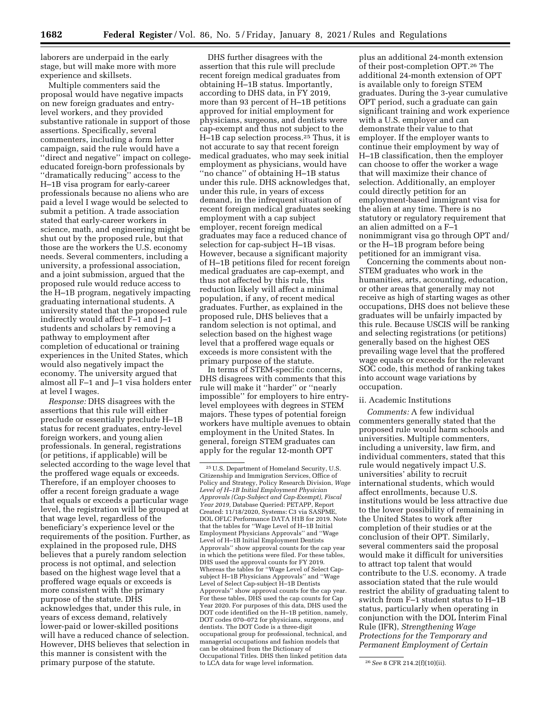laborers are underpaid in the early stage, but will make more with more experience and skillsets.

Multiple commenters said the proposal would have negative impacts on new foreign graduates and entrylevel workers, and they provided substantive rationale in support of those assertions. Specifically, several commenters, including a form letter campaign, said the rule would have a "direct and negative" impact on collegeeducated foreign-born professionals by ''dramatically reducing'' access to the H–1B visa program for early-career professionals because no aliens who are paid a level I wage would be selected to submit a petition. A trade association stated that early-career workers in science, math, and engineering might be shut out by the proposed rule, but that those are the workers the U.S. economy needs. Several commenters, including a university, a professional association, and a joint submission, argued that the proposed rule would reduce access to the H–1B program, negatively impacting graduating international students. A university stated that the proposed rule indirectly would affect F–1 and J–1 students and scholars by removing a pathway to employment after completion of educational or training experiences in the United States, which would also negatively impact the economy. The university argued that almost all F–1 and J–1 visa holders enter at level I wages.

*Response:* DHS disagrees with the assertions that this rule will either preclude or essentially preclude H–1B status for recent graduates, entry-level foreign workers, and young alien professionals. In general, registrations (or petitions, if applicable) will be selected according to the wage level that the proffered wage equals or exceeds. Therefore, if an employer chooses to offer a recent foreign graduate a wage that equals or exceeds a particular wage level, the registration will be grouped at that wage level, regardless of the beneficiary's experience level or the requirements of the position. Further, as explained in the proposed rule, DHS believes that a purely random selection process is not optimal, and selection based on the highest wage level that a proffered wage equals or exceeds is more consistent with the primary purpose of the statute. DHS acknowledges that, under this rule, in years of excess demand, relatively lower-paid or lower-skilled positions will have a reduced chance of selection. However, DHS believes that selection in this manner is consistent with the primary purpose of the statute.

DHS further disagrees with the assertion that this rule will preclude recent foreign medical graduates from obtaining H–1B status. Importantly, according to DHS data, in FY 2019, more than 93 percent of H–1B petitions approved for initial employment for physicians, surgeons, and dentists were cap-exempt and thus not subject to the H–1B cap selection process.25 Thus, it is not accurate to say that recent foreign medical graduates, who may seek initial employment as physicians, would have ''no chance'' of obtaining H–1B status under this rule. DHS acknowledges that, under this rule, in years of excess demand, in the infrequent situation of recent foreign medical graduates seeking employment with a cap subject employer, recent foreign medical graduates may face a reduced chance of selection for cap-subject H–1B visas. However, because a significant majority of H–1B petitions filed for recent foreign medical graduates are cap-exempt, and thus not affected by this rule, this reduction likely will affect a minimal population, if any, of recent medical graduates. Further, as explained in the proposed rule, DHS believes that a random selection is not optimal, and selection based on the highest wage level that a proffered wage equals or exceeds is more consistent with the primary purpose of the statute.

In terms of STEM-specific concerns, DHS disagrees with comments that this rule will make it ''harder'' or ''nearly impossible'' for employers to hire entrylevel employees with degrees in STEM majors. These types of potential foreign workers have multiple avenues to obtain employment in the United States. In general, foreign STEM graduates can apply for the regular 12-month OPT

plus an additional 24-month extension of their post-completion OPT.26 The additional 24-month extension of OPT is available only to foreign STEM graduates. During the 3-year cumulative OPT period, such a graduate can gain significant training and work experience with a U.S. employer and can demonstrate their value to that employer. If the employer wants to continue their employment by way of H–1B classification, then the employer can choose to offer the worker a wage that will maximize their chance of selection. Additionally, an employer could directly petition for an employment-based immigrant visa for the alien at any time. There is no statutory or regulatory requirement that an alien admitted on a F–1 nonimmigrant visa go through OPT and/ or the H–1B program before being petitioned for an immigrant visa.

Concerning the comments about non-STEM graduates who work in the humanities, arts, accounting, education, or other areas that generally may not receive as high of starting wages as other occupations, DHS does not believe these graduates will be unfairly impacted by this rule. Because USCIS will be ranking and selecting registrations (or petitions) generally based on the highest OES prevailing wage level that the proffered wage equals or exceeds for the relevant SOC code, this method of ranking takes into account wage variations by occupation.

## ii. Academic Institutions

*Comments:* A few individual commenters generally stated that the proposed rule would harm schools and universities. Multiple commenters, including a university, law firm, and individual commenters, stated that this rule would negatively impact U.S. universities' ability to recruit international students, which would affect enrollments, because U.S. institutions would be less attractive due to the lower possibility of remaining in the United States to work after completion of their studies or at the conclusion of their OPT. Similarly, several commenters said the proposal would make it difficult for universities to attract top talent that would contribute to the U.S. economy. A trade association stated that the rule would restrict the ability of graduating talent to switch from F–1 student status to H–1B status, particularly when operating in conjunction with the DOL Interim Final Rule (IFR), *Strengthening Wage Protections for the Temporary and Permanent Employment of Certain* 

<sup>25</sup>U.S. Department of Homeland Security, U.S. Citizenship and Immigration Services, Office of Policy and Strategy, Policy Research Division, *Wage Level of H–1B Initial Employment Physician Approvals (Cap-Subject and Cap-Exempt), Fiscal Year 2019,* Database Queried: PETAPP, Report Created: 11/18/2020, Systems: C3 via SASPME, DOL OFLC Performance DATA H1B for 2019. Note that the tables for ''Wage Level of H–1B Initial Employment Physicians Approvals'' and ''Wage Level of H–1B Initial Employment Dentists Approvals'' show approval counts for the cap year in which the petitions were filed. For these tables, DHS used the approval counts for FY 2019. Whereas the tables for ''Wage Level of Select Capsubject H–1B Physicians Approvals'' and ''Wage Level of Select Cap-subject H–1B Dentists Approvals'' show approval counts for the cap year. For these tables, DHS used the cap counts for Cap Year 2020. For purposes of this data, DHS used the DOT code identified on the H–1B petition, namely, DOT codes 070–072 for physicians, surgeons, and dentists. The DOT Code is a three-digit occupational group for professional, technical, and managerial occupations and fashion models that can be obtained from the Dictionary of Occupational Titles. DHS then linked petition data to LCA data for wage level information. 26*See* 8 CFR 214.2(f)(10)(ii).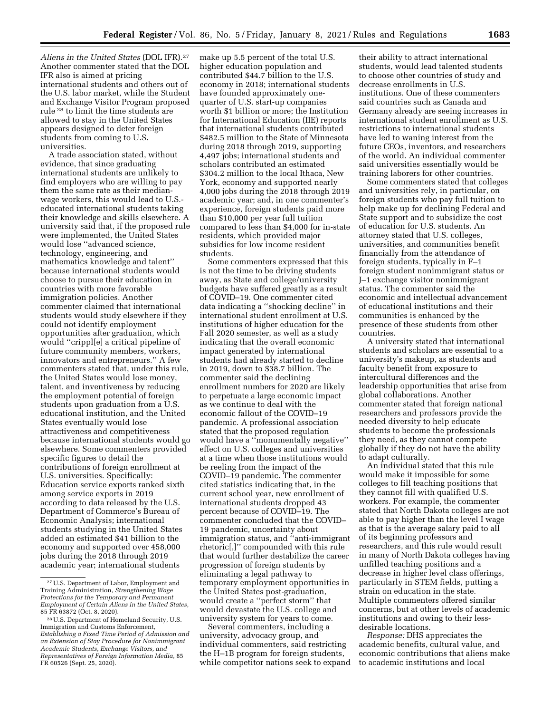*Aliens in the United States* (DOL IFR).27 Another commenter stated that the DOL IFR also is aimed at pricing international students and others out of the U.S. labor market, while the Student and Exchange Visitor Program proposed rule 28 to limit the time students are allowed to stay in the United States appears designed to deter foreign students from coming to U.S. universities.

A trade association stated, without evidence, that since graduating international students are unlikely to find employers who are willing to pay them the same rate as their medianwage workers, this would lead to U.S. educated international students taking their knowledge and skills elsewhere. A university said that, if the proposed rule were implemented, the United States would lose ''advanced science, technology, engineering, and mathematics knowledge and talent'' because international students would choose to pursue their education in countries with more favorable immigration policies. Another commenter claimed that international students would study elsewhere if they could not identify employment opportunities after graduation, which would ''crippl[e] a critical pipeline of future community members, workers, innovators and entrepreneurs.'' A few commenters stated that, under this rule, the United States would lose money, talent, and inventiveness by reducing the employment potential of foreign students upon graduation from a U.S. educational institution, and the United States eventually would lose attractiveness and competitiveness because international students would go elsewhere. Some commenters provided specific figures to detail the contributions of foreign enrollment at U.S. universities. Specifically: Education service exports ranked sixth among service exports in 2019 according to data released by the U.S. Department of Commerce's Bureau of Economic Analysis; international students studying in the United States added an estimated \$41 billion to the economy and supported over 458,000 jobs during the 2018 through 2019 academic year; international students

make up 5.5 percent of the total U.S. higher education population and contributed \$44.7 billion to the U.S. economy in 2018; international students have founded approximately onequarter of U.S. start-up companies worth \$1 billion or more; the Institution for International Education (IIE) reports that international students contributed \$482.5 million to the State of Minnesota during 2018 through 2019, supporting 4,497 jobs; international students and scholars contributed an estimated \$304.2 million to the local Ithaca, New York, economy and supported nearly 4,000 jobs during the 2018 through 2019 academic year; and, in one commenter's experience, foreign students paid more than \$10,000 per year full tuition compared to less than \$4,000 for in-state residents, which provided major subsidies for low income resident students.

Some commenters expressed that this is not the time to be driving students away, as State and college/university budgets have suffered greatly as a result of COVID–19. One commenter cited data indicating a ''shocking decline'' in international student enrollment at U.S. institutions of higher education for the Fall 2020 semester, as well as a study indicating that the overall economic impact generated by international students had already started to decline in 2019, down to \$38.7 billion. The commenter said the declining enrollment numbers for 2020 are likely to perpetuate a large economic impact as we continue to deal with the economic fallout of the COVID–19 pandemic. A professional association stated that the proposed regulation would have a ''monumentally negative'' effect on U.S. colleges and universities at a time when those institutions would be reeling from the impact of the COVID–19 pandemic. The commenter cited statistics indicating that, in the current school year, new enrollment of international students dropped 43 percent because of COVID–19. The commenter concluded that the COVID– 19 pandemic, uncertainty about immigration status, and ''anti-immigrant rhetoric[,]'' compounded with this rule that would further destabilize the career progression of foreign students by eliminating a legal pathway to temporary employment opportunities in the United States post-graduation, would create a ''perfect storm'' that would devastate the U.S. college and university system for years to come.

Several commenters, including a university, advocacy group, and individual commenters, said restricting the H–1B program for foreign students, while competitor nations seek to expand

their ability to attract international students, would lead talented students to choose other countries of study and decrease enrollments in U.S. institutions. One of these commenters said countries such as Canada and Germany already are seeing increases in international student enrollment as U.S. restrictions to international students have led to waning interest from the future CEOs, inventors, and researchers of the world. An individual commenter said universities essentially would be training laborers for other countries.

Some commenters stated that colleges and universities rely, in particular, on foreign students who pay full tuition to help make up for declining Federal and State support and to subsidize the cost of education for U.S. students. An attorney stated that U.S. colleges, universities, and communities benefit financially from the attendance of foreign students, typically in F–1 foreign student nonimmigrant status or J–1 exchange visitor nonimmigrant status. The commenter said the economic and intellectual advancement of educational institutions and their communities is enhanced by the presence of these students from other countries.

A university stated that international students and scholars are essential to a university's makeup, as students and faculty benefit from exposure to intercultural differences and the leadership opportunities that arise from global collaborations. Another commenter stated that foreign national researchers and professors provide the needed diversity to help educate students to become the professionals they need, as they cannot compete globally if they do not have the ability to adapt culturally.

An individual stated that this rule would make it impossible for some colleges to fill teaching positions that they cannot fill with qualified U.S. workers. For example, the commenter stated that North Dakota colleges are not able to pay higher than the level I wage as that is the average salary paid to all of its beginning professors and researchers, and this rule would result in many of North Dakota colleges having unfilled teaching positions and a decrease in higher level class offerings, particularly in STEM fields, putting a strain on education in the state. Multiple commenters offered similar concerns, but at other levels of academic institutions and owing to their lessdesirable locations.

*Response:* DHS appreciates the academic benefits, cultural value, and economic contributions that aliens make to academic institutions and local

<sup>27</sup>U.S. Department of Labor, Employment and Training Administration, *Strengthening Wage Protections for the Temporary and Permanent Employment of Certain Aliens in the United States,*  85 FR 63872 (Oct. 8, 2020)*.* 

<sup>28</sup>U.S. Department of Homeland Security, U.S. Immigration and Customs Enforcement, *Establishing a Fixed Time Period of Admission and an Extension of Stay Procedure for Nonimmigrant Academic Students, Exchange Visitors, and Representatives of Foreign Information Media,* 85 FR 60526 (Sept. 25, 2020).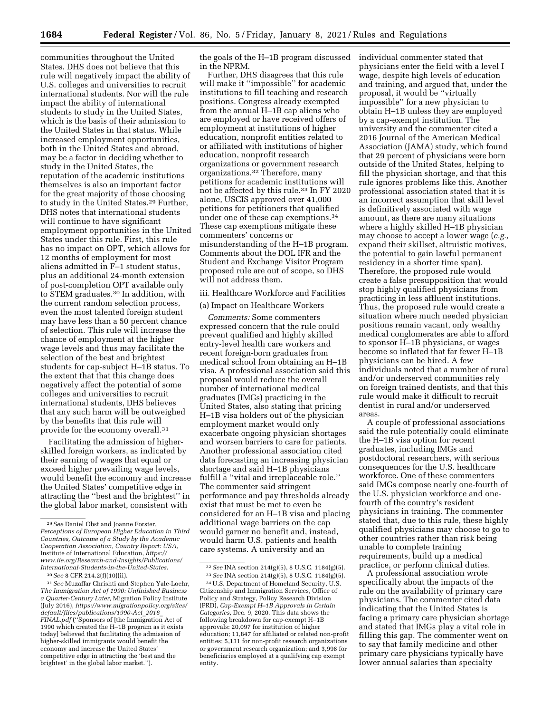communities throughout the United States. DHS does not believe that this rule will negatively impact the ability of U.S. colleges and universities to recruit international students. Nor will the rule impact the ability of international students to study in the United States, which is the basis of their admission to the United States in that status. While increased employment opportunities, both in the United States and abroad, may be a factor in deciding whether to study in the United States, the reputation of the academic institutions themselves is also an important factor for the great majority of those choosing to study in the United States.29 Further, DHS notes that international students will continue to have significant employment opportunities in the United States under this rule. First, this rule has no impact on OPT, which allows for 12 months of employment for most aliens admitted in F–1 student status, plus an additional 24-month extension of post-completion OPT available only to STEM graduates.30 In addition, with the current random selection process, even the most talented foreign student may have less than a 50 percent chance of selection. This rule will increase the chance of employment at the higher wage levels and thus may facilitate the selection of the best and brightest students for cap-subject H–1B status. To the extent that that this change does negatively affect the potential of some colleges and universities to recruit international students, DHS believes that any such harm will be outweighed by the benefits that this rule will provide for the economy overall.31

Facilitating the admission of higherskilled foreign workers, as indicated by their earning of wages that equal or exceed higher prevailing wage levels, would benefit the economy and increase the United States' competitive edge in attracting the ''best and the brightest'' in the global labor market, consistent with

the goals of the H–1B program discussed in the NPRM.

Further, DHS disagrees that this rule will make it ''impossible'' for academic institutions to fill teaching and research positions. Congress already exempted from the annual H–1B cap aliens who are employed or have received offers of employment at institutions of higher education, nonprofit entities related to or affiliated with institutions of higher education, nonprofit research organizations or government research organizations.32 Therefore, many petitions for academic institutions will not be affected by this rule.33 In FY 2020 alone, USCIS approved over 41,000 petitions for petitioners that qualified under one of these cap exemptions.34 These cap exemptions mitigate these commenters' concerns or misunderstanding of the H–1B program. Comments about the DOL IFR and the Student and Exchange Visitor Program proposed rule are out of scope, so DHS will not address them.

## iii. Healthcare Workforce and Facilities

#### (a) Impact on Healthcare Workers

*Comments:* Some commenters expressed concern that the rule could prevent qualified and highly skilled entry-level health care workers and recent foreign-born graduates from medical school from obtaining an H–1B visa. A professional association said this proposal would reduce the overall number of international medical graduates (IMGs) practicing in the United States, also stating that pricing H–1B visa holders out of the physician employment market would only exacerbate ongoing physician shortages and worsen barriers to care for patients. Another professional association cited data forecasting an increasing physician shortage and said H–1B physicians fulfill a ''vital and irreplaceable role.'' The commenter said stringent performance and pay thresholds already exist that must be met to even be considered for an H–1B visa and placing additional wage barriers on the cap would garner no benefit and, instead, would harm U.S. patients and health care systems. A university and an

individual commenter stated that physicians enter the field with a level I wage, despite high levels of education and training, and argued that, under the proposal, it would be ''virtually impossible'' for a new physician to obtain H–1B unless they are employed by a cap-exempt institution. The university and the commenter cited a 2016 Journal of the American Medical Association (JAMA) study, which found that 29 percent of physicians were born outside of the United States, helping to fill the physician shortage, and that this rule ignores problems like this. Another professional association stated that it is an incorrect assumption that skill level is definitively associated with wage amount, as there are many situations where a highly skilled H–1B physician may choose to accept a lower wage (*e.g.,*  expand their skillset, altruistic motives, the potential to gain lawful permanent residency in a shorter time span). Therefore, the proposed rule would create a false presupposition that would stop highly qualified physicians from practicing in less affluent institutions. Thus, the proposed rule would create a situation where much needed physician positions remain vacant, only wealthy medical conglomerates are able to afford to sponsor H–1B physicians, or wages become so inflated that far fewer H–1B physicians can be hired. A few individuals noted that a number of rural and/or underserved communities rely on foreign trained dentists, and that this rule would make it difficult to recruit dentist in rural and/or underserved areas.

A couple of professional associations said the rule potentially could eliminate the H–1B visa option for recent graduates, including IMGs and postdoctoral researchers, with serious consequences for the U.S. healthcare workforce. One of these commenters said IMGs compose nearly one-fourth of the U.S. physician workforce and onefourth of the country's resident physicians in training. The commenter stated that, due to this rule, these highly qualified physicians may choose to go to other countries rather than risk being unable to complete training requirements, build up a medical practice, or perform clinical duties.

A professional association wrote specifically about the impacts of the rule on the availability of primary care physicians. The commenter cited data indicating that the United States is facing a primary care physician shortage and stated that IMGs play a vital role in filling this gap. The commenter went on to say that family medicine and other primary care physicians typically have lower annual salaries than specialty

<sup>29</sup>*See* Daniel Obst and Joanne Forster, *Perceptions of European Higher Education in Third Countries, Outcome of a Study by the Academic Cooperation Association, Country Report: USA,*  Institute of International Education, *[https://](https://www.iie.org/Research-and-Insights/Publications/International-Students-in-the-United-States) [www.iie.org/Research-and-Insights/Publications/](https://www.iie.org/Research-and-Insights/Publications/International-Students-in-the-United-States) [International-Students-in-the-United-States](https://www.iie.org/Research-and-Insights/Publications/International-Students-in-the-United-States)*.

<sup>30</sup>*See* 8 CFR 214.2(f)(10)(ii).

<sup>31</sup>*See* Muzaffar Chrishti and Stephen Yale-Loehr, *The Immigration Act of 1990: Unfinished Business a Quarter-Century Later,* Migration Policy Institute (July 2016), *[https://www.migrationpolicy.org/sites/](https://www.migrationpolicy.org/sites/default/files/publications/1990-Act_2016_FINAL.pdf) [default/files/publications/1990-Act](https://www.migrationpolicy.org/sites/default/files/publications/1990-Act_2016_FINAL.pdf)*\_*2016*\_ *[FINAL.pdf](https://www.migrationpolicy.org/sites/default/files/publications/1990-Act_2016_FINAL.pdf)* (''Sponsors of [the Immigration Act of 1990 which created the H–1B program as it exists today] believed that facilitating the admission of higher-skilled immigrants would benefit the economy and increase the United States' competitive edge in attracting the 'best and the brightest' in the global labor market.'').

<sup>32</sup>*See* INA section 214(g)(5), 8 U.S.C. 1184(g)(5).

<sup>33</sup>*See* INA section 214(g)(5), 8 U.S.C. 1184(g)(5).

<sup>34</sup>U.S. Department of Homeland Security, U.S. Citizenship and Immigration Services, Office of Policy and Strategy, Policy Research Division (PRD), *Cap-Exempt H–1B Approvals in Certain Categories,* Dec. 9, 2020. This data shows the following breakdown for cap-exempt H–1B approvals: 20,097 for institution of higher education; 11,847 for affiliated or related non-profit entities; 5,131 for non-profit research organizations or government research organization; and 3,998 for beneficiaries employed at a qualifying cap exempt entity.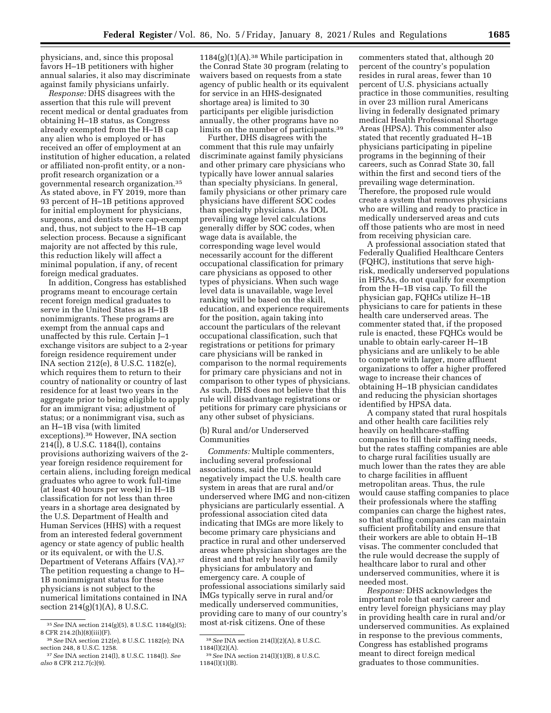physicians, and, since this proposal favors H–1B petitioners with higher annual salaries, it also may discriminate against family physicians unfairly.

*Response:* DHS disagrees with the assertion that this rule will prevent recent medical or dental graduates from obtaining H–1B status, as Congress already exempted from the H–1B cap any alien who is employed or has received an offer of employment at an institution of higher education, a related or affiliated non-profit entity, or a nonprofit research organization or a governmental research organization.35 As stated above, in FY 2019, more than 93 percent of H–1B petitions approved for initial employment for physicians, surgeons, and dentists were cap-exempt and, thus, not subject to the H–1B cap selection process. Because a significant majority are not affected by this rule, this reduction likely will affect a minimal population, if any, of recent foreign medical graduates.

In addition, Congress has established programs meant to encourage certain recent foreign medical graduates to serve in the United States as H–1B nonimmigrants. These programs are exempt from the annual caps and unaffected by this rule. Certain J–1 exchange visitors are subject to a 2-year foreign residence requirement under INA section 212(e), 8 U.S.C. 1182(e), which requires them to return to their country of nationality or country of last residence for at least two years in the aggregate prior to being eligible to apply for an immigrant visa; adjustment of status; or a nonimmigrant visa, such as an H–1B visa (with limited exceptions).36 However, INA section 214(l), 8 U.S.C. 1184(l), contains provisions authorizing waivers of the 2 year foreign residence requirement for certain aliens, including foreign medical graduates who agree to work full-time (at least 40 hours per week) in H–1B classification for not less than three years in a shortage area designated by the U.S. Department of Health and Human Services (HHS) with a request from an interested federal government agency or state agency of public health or its equivalent, or with the U.S. Department of Veterans Affairs (VA).37 The petition requesting a change to H– 1B nonimmigrant status for these physicians is not subject to the numerical limitations contained in INA section 214(g)(1)(A), 8 U.S.C.

 $1184(g)(1)(A).<sup>38</sup>$  While participation in the Conrad State 30 program (relating to waivers based on requests from a state agency of public health or its equivalent for service in an HHS-designated shortage area) is limited to 30 participants per eligible jurisdiction annually, the other programs have no limits on the number of participants.39

Further, DHS disagrees with the comment that this rule may unfairly discriminate against family physicians and other primary care physicians who typically have lower annual salaries than specialty physicians. In general, family physicians or other primary care physicians have different SOC codes than specialty physicians. As DOL prevailing wage level calculations generally differ by SOC codes, when wage data is available, the corresponding wage level would necessarily account for the different occupational classification for primary care physicians as opposed to other types of physicians. When such wage level data is unavailable, wage level ranking will be based on the skill, education, and experience requirements for the position, again taking into account the particulars of the relevant occupational classification, such that registrations or petitions for primary care physicians will be ranked in comparison to the normal requirements for primary care physicians and not in comparison to other types of physicians. As such, DHS does not believe that this rule will disadvantage registrations or petitions for primary care physicians or any other subset of physicians.

(b) Rural and/or Underserved Communities

*Comments:* Multiple commenters, including several professional associations, said the rule would negatively impact the U.S. health care system in areas that are rural and/or underserved where IMG and non-citizen physicians are particularly essential. A professional association cited data indicating that IMGs are more likely to become primary care physicians and practice in rural and other underserved areas where physician shortages are the direst and that rely heavily on family physicians for ambulatory and emergency care. A couple of professional associations similarly said IMGs typically serve in rural and/or medically underserved communities, providing care to many of our country's most at-risk citizens. One of these

commenters stated that, although 20 percent of the country's population resides in rural areas, fewer than 10 percent of U.S. physicians actually practice in those communities, resulting in over 23 million rural Americans living in federally designated primary medical Health Professional Shortage Areas (HPSA). This commenter also stated that recently graduated H–1B physicians participating in pipeline programs in the beginning of their careers, such as Conrad State 30, fall within the first and second tiers of the prevailing wage determination. Therefore, the proposed rule would create a system that removes physicians who are willing and ready to practice in medically underserved areas and cuts off those patients who are most in need from receiving physician care.

A professional association stated that Federally Qualified Healthcare Centers (FQHC), institutions that serve highrisk, medically underserved populations in HPSAs, do not qualify for exemption from the H–1B visa cap. To fill the physician gap, FQHCs utilize H–1B physicians to care for patients in these health care underserved areas. The commenter stated that, if the proposed rule is enacted, these FQHCs would be unable to obtain early-career H–1B physicians and are unlikely to be able to compete with larger, more affluent organizations to offer a higher proffered wage to increase their chances of obtaining H–1B physician candidates and reducing the physician shortages identified by HPSA data.

A company stated that rural hospitals and other health care facilities rely heavily on healthcare-staffing companies to fill their staffing needs, but the rates staffing companies are able to charge rural facilities usually are much lower than the rates they are able to charge facilities in affluent metropolitan areas. Thus, the rule would cause staffing companies to place their professionals where the staffing companies can charge the highest rates, so that staffing companies can maintain sufficient profitability and ensure that their workers are able to obtain H–1B visas. The commenter concluded that the rule would decrease the supply of healthcare labor to rural and other underserved communities, where it is needed most.

*Response:* DHS acknowledges the important role that early career and entry level foreign physicians may play in providing health care in rural and/or underserved communities. As explained in response to the previous comments, Congress has established programs meant to direct foreign medical graduates to those communities.

<sup>35</sup>*See* INA section 214(g)(5), 8 U.S.C. 1184(g)(5); 8 CFR 214.2(h)(8)(iii)(F).

<sup>36</sup>*See* INA section 212(e), 8 U.S.C. 1182(e); INA section 248, 8 U.S.C. 1258.

<sup>37</sup>*See* INA section 214(l), 8 U.S.C. 1184(l). *See also* 8 CFR 212.7(c)(9).

<sup>38</sup>*See* INA section 214(l)(2)(A), 8 U.S.C. 1184(l)(2)(A).

<sup>39</sup>*See* INA section 214(l)(1)(B), 8 U.S.C. 1184(l)(1)(B).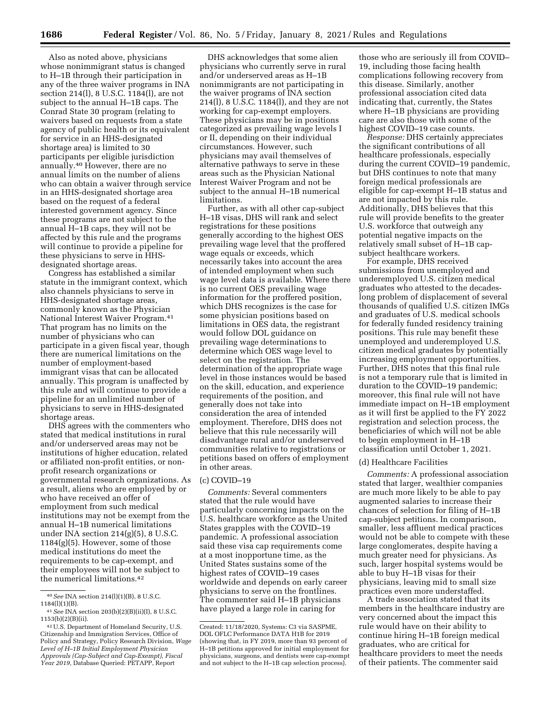Also as noted above, physicians whose nonimmigrant status is changed to H–1B through their participation in any of the three waiver programs in INA section 214(l), 8 U.S.C. 1184(l), are not subject to the annual H–1B caps. The Conrad State 30 program (relating to waivers based on requests from a state agency of public health or its equivalent for service in an HHS-designated shortage area) is limited to 30 participants per eligible jurisdiction annually.40 However, there are no annual limits on the number of aliens who can obtain a waiver through service in an HHS-designated shortage area based on the request of a federal interested government agency. Since these programs are not subject to the annual H–1B caps, they will not be affected by this rule and the programs will continue to provide a pipeline for these physicians to serve in HHSdesignated shortage areas.

Congress has established a similar statute in the immigrant context, which also channels physicians to serve in HHS-designated shortage areas, commonly known as the Physician National Interest Waiver Program.41 That program has no limits on the number of physicians who can participate in a given fiscal year, though there are numerical limitations on the number of employment-based immigrant visas that can be allocated annually. This program is unaffected by this rule and will continue to provide a pipeline for an unlimited number of physicians to serve in HHS-designated shortage areas.

DHS agrees with the commenters who stated that medical institutions in rural and/or underserved areas may not be institutions of higher education, related or affiliated non-profit entities, or nonprofit research organizations or governmental research organizations. As a result, aliens who are employed by or who have received an offer of employment from such medical institutions may not be exempt from the annual H–1B numerical limitations under INA section 214(g)(5), 8 U.S.C. 1184(g)(5). However, some of those medical institutions do meet the requirements to be cap-exempt, and their employees will not be subject to the numerical limitations.42

DHS acknowledges that some alien physicians who currently serve in rural and/or underserved areas as H–1B nonimmigrants are not participating in the waiver programs of INA section 214(l), 8 U.S.C. 1184(l), and they are not working for cap-exempt employers. These physicians may be in positions categorized as prevailing wage levels I or II, depending on their individual circumstances. However, such physicians may avail themselves of alternative pathways to serve in these areas such as the Physician National Interest Waiver Program and not be subject to the annual H–1B numerical limitations.

Further, as with all other cap-subject H–1B visas, DHS will rank and select registrations for these positions generally according to the highest OES prevailing wage level that the proffered wage equals or exceeds, which necessarily takes into account the area of intended employment when such wage level data is available. Where there is no current OES prevailing wage information for the proffered position, which DHS recognizes is the case for some physician positions based on limitations in OES data, the registrant would follow DOL guidance on prevailing wage determinations to determine which OES wage level to select on the registration. The determination of the appropriate wage level in those instances would be based on the skill, education, and experience requirements of the position, and generally does not take into consideration the area of intended employment. Therefore, DHS does not believe that this rule necessarily will disadvantage rural and/or underserved communities relative to registrations or petitions based on offers of employment in other areas.

#### (c) COVID–19

*Comments:* Several commenters stated that the rule would have particularly concerning impacts on the U.S. healthcare workforce as the United States grapples with the COVID–19 pandemic. A professional association said these visa cap requirements come at a most inopportune time, as the United States sustains some of the highest rates of COVID–19 cases worldwide and depends on early career physicians to serve on the frontlines. The commenter said H–1B physicians have played a large role in caring for

those who are seriously ill from COVID– 19, including those facing health complications following recovery from this disease. Similarly, another professional association cited data indicating that, currently, the States where H–1B physicians are providing care are also those with some of the highest COVID–19 case counts.

*Response:* DHS certainly appreciates the significant contributions of all healthcare professionals, especially during the current COVID–19 pandemic, but DHS continues to note that many foreign medical professionals are eligible for cap-exempt H–1B status and are not impacted by this rule. Additionally, DHS believes that this rule will provide benefits to the greater U.S. workforce that outweigh any potential negative impacts on the relatively small subset of H–1B capsubject healthcare workers.

For example, DHS received submissions from unemployed and underemployed U.S. citizen medical graduates who attested to the decadeslong problem of displacement of several thousands of qualified U.S. citizen IMGs and graduates of U.S. medical schools for federally funded residency training positions. This rule may benefit these unemployed and underemployed U.S. citizen medical graduates by potentially increasing employment opportunities. Further, DHS notes that this final rule is not a temporary rule that is limited in duration to the COVID–19 pandemic; moreover, this final rule will not have immediate impact on H–1B employment as it will first be applied to the FY 2022 registration and selection process, the beneficiaries of which will not be able to begin employment in H–1B classification until October 1, 2021.

#### (d) Healthcare Facilities

*Comments:* A professional association stated that larger, wealthier companies are much more likely to be able to pay augmented salaries to increase their chances of selection for filing of H–1B cap-subject petitions. In comparison, smaller, less affluent medical practices would not be able to compete with these large conglomerates, despite having a much greater need for physicians. As such, larger hospital systems would be able to buy H–1B visas for their physicians, leaving mid to small size practices even more understaffed.

A trade association stated that its members in the healthcare industry are very concerned about the impact this rule would have on their ability to continue hiring H–1B foreign medical graduates, who are critical for healthcare providers to meet the needs of their patients. The commenter said

<sup>40</sup>*See* INA section 214(l)(1)(B), 8 U.S.C. 1184(l)(1)(B).

<sup>41</sup>*See* INA section 203(b)(2)(B)(ii)(I), 8 U.S.C. 1153(b)(2)(B)(ii).

<sup>42</sup>U.S. Department of Homeland Security, U.S. Citizenship and Immigration Services, Office of Policy and Strategy, Policy Research Division, *Wage Level of H–1B Initial Employment Physician Approvals (Cap-Subject and Cap-Exempt), Fiscal Year 2019,* Database Queried: PETAPP, Report

Created: 11/18/2020, Systems: C3 via SASPME, DOL OFLC Performance DATA H1B for 2019 (showing that, in FY 2019, more than 93 percent of H–1B petitions approved for initial employment for physicians, surgeons, and dentists were cap-exempt and not subject to the H–1B cap selection process).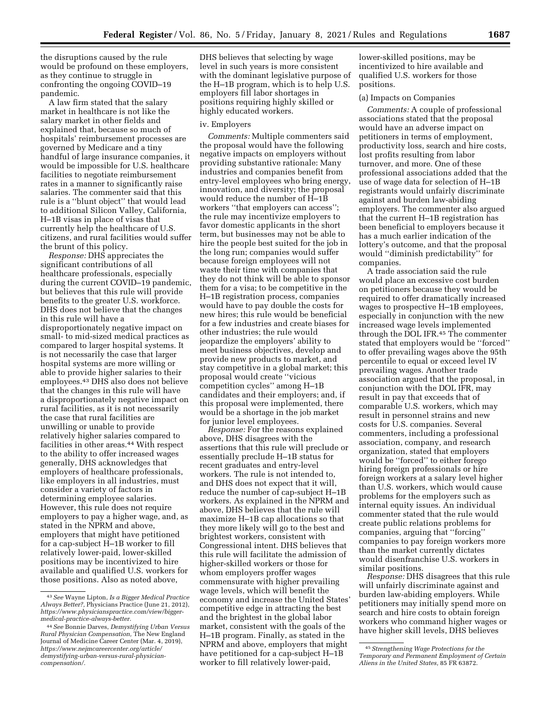the disruptions caused by the rule would be profound on these employers, as they continue to struggle in confronting the ongoing COVID–19 pandemic.

A law firm stated that the salary market in healthcare is not like the salary market in other fields and explained that, because so much of hospitals' reimbursement processes are governed by Medicare and a tiny handful of large insurance companies, it would be impossible for U.S. healthcare facilities to negotiate reimbursement rates in a manner to significantly raise salaries. The commenter said that this rule is a ''blunt object'' that would lead to additional Silicon Valley, California, H–1B visas in place of visas that currently help the healthcare of U.S. citizens, and rural facilities would suffer the brunt of this policy.

*Response:* DHS appreciates the significant contributions of all healthcare professionals, especially during the current COVID–19 pandemic, but believes that this rule will provide benefits to the greater U.S. workforce. DHS does not believe that the changes in this rule will have a disproportionately negative impact on small- to mid-sized medical practices as compared to larger hospital systems. It is not necessarily the case that larger hospital systems are more willing or able to provide higher salaries to their employees.43 DHS also does not believe that the changes in this rule will have a disproportionately negative impact on rural facilities, as it is not necessarily the case that rural facilities are unwilling or unable to provide relatively higher salaries compared to facilities in other areas.44 With respect to the ability to offer increased wages generally, DHS acknowledges that employers of healthcare professionals, like employers in all industries, must consider a variety of factors in determining employee salaries. However, this rule does not require employers to pay a higher wage, and, as stated in the NPRM and above, employers that might have petitioned for a cap-subject H–1B worker to fill relatively lower-paid, lower-skilled positions may be incentivized to hire available and qualified U.S. workers for those positions. Also as noted above,

DHS believes that selecting by wage level in such years is more consistent with the dominant legislative purpose of the H–1B program, which is to help U.S. employers fill labor shortages in positions requiring highly skilled or highly educated workers.

# iv. Employers

*Comments:* Multiple commenters said the proposal would have the following negative impacts on employers without providing substantive rationale: Many industries and companies benefit from entry-level employees who bring energy, innovation, and diversity; the proposal would reduce the number of H–1B workers ''that employers can access''; the rule may incentivize employers to favor domestic applicants in the short term, but businesses may not be able to hire the people best suited for the job in the long run; companies would suffer because foreign employees will not waste their time with companies that they do not think will be able to sponsor them for a visa; to be competitive in the H–1B registration process, companies would have to pay double the costs for new hires; this rule would be beneficial for a few industries and create biases for other industries; the rule would jeopardize the employers' ability to meet business objectives, develop and provide new products to market, and stay competitive in a global market; this proposal would create ''vicious competition cycles'' among H–1B candidates and their employers; and, if this proposal were implemented, there would be a shortage in the job market for junior level employees.

*Response:* For the reasons explained above, DHS disagrees with the assertions that this rule will preclude or essentially preclude H–1B status for recent graduates and entry-level workers. The rule is not intended to, and DHS does not expect that it will, reduce the number of cap-subject H–1B workers. As explained in the NPRM and above, DHS believes that the rule will maximize H–1B cap allocations so that they more likely will go to the best and brightest workers, consistent with Congressional intent. DHS believes that this rule will facilitate the admission of higher-skilled workers or those for whom employers proffer wages commensurate with higher prevailing wage levels, which will benefit the economy and increase the United States' competitive edge in attracting the best and the brightest in the global labor market, consistent with the goals of the H–1B program. Finally, as stated in the NPRM and above, employers that might have petitioned for a cap-subject H–1B worker to fill relatively lower-paid,

lower-skilled positions, may be incentivized to hire available and qualified U.S. workers for those positions.

## (a) Impacts on Companies

*Comments:* A couple of professional associations stated that the proposal would have an adverse impact on petitioners in terms of employment, productivity loss, search and hire costs, lost profits resulting from labor turnover, and more. One of these professional associations added that the use of wage data for selection of H–1B registrants would unfairly discriminate against and burden law-abiding employers. The commenter also argued that the current H–1B registration has been beneficial to employers because it has a much earlier indication of the lottery's outcome, and that the proposal would ''diminish predictability'' for companies.

A trade association said the rule would place an excessive cost burden on petitioners because they would be required to offer dramatically increased wages to prospective H–1B employees, especially in conjunction with the new increased wage levels implemented through the DOL IFR.45 The commenter stated that employers would be ''forced'' to offer prevailing wages above the 95th percentile to equal or exceed level IV prevailing wages. Another trade association argued that the proposal, in conjunction with the DOL IFR, may result in pay that exceeds that of comparable U.S. workers, which may result in personnel strains and new costs for U.S. companies. Several commenters, including a professional association, company, and research organization, stated that employers would be ''forced'' to either forego hiring foreign professionals or hire foreign workers at a salary level higher than U.S. workers, which would cause problems for the employers such as internal equity issues. An individual commenter stated that the rule would create public relations problems for companies, arguing that ''forcing'' companies to pay foreign workers more than the market currently dictates would disenfranchise U.S. workers in similar positions.

*Response:* DHS disagrees that this rule will unfairly discriminate against and burden law-abiding employers. While petitioners may initially spend more on search and hire costs to obtain foreign workers who command higher wages or have higher skill levels, DHS believes

<sup>43</sup>*See* Wayne Lipton, *Is a Bigger Medical Practice Always Better?,* Physicians Practice (June 21, 2012), *[https://www.physicianspractice.com/view/bigger](https://www.physicianspractice.com/view/bigger-medical-practice-always-better)[medical-practice-always-better.](https://www.physicianspractice.com/view/bigger-medical-practice-always-better)* 

<sup>44</sup>*See* Bonnie Darves, *Demystifying Urban Versus Rural Physician Compensation,* The New England Journal of Medicine Career Center (Mar. 4, 2019), *https://www.nejmcareercenter.org/article/ [demystifying-urban-versus-rural-physician](https://www.nejmcareercenter.org/article/demystifying-urban-versus-rural-physician-compensation/)[compensation/.](https://www.nejmcareercenter.org/article/demystifying-urban-versus-rural-physician-compensation/)* 

<sup>45</sup>*Strengthening Wage Protections for the Temporary and Permanent Employment of Certain Aliens in the United States,* 85 FR 63872.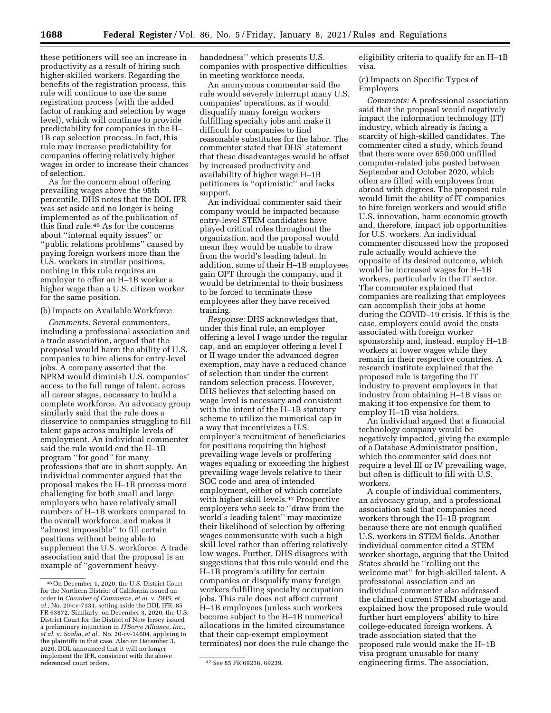these petitioners will see an increase in productivity as a result of hiring such higher-skilled workers. Regarding the benefits of the registration process, this rule will continue to use the same registration process (with the added factor of ranking and selection by wage level), which will continue to provide predictability for companies in the H– 1B cap selection process. In fact, this rule may increase predictability for companies offering relatively higher wages in order to increase their chances of selection.

As for the concern about offering prevailing wages above the 95th percentile, DHS notes that the DOL IFR was set aside and no longer is being implemented as of the publication of this final rule.46 As for the concerns about ''internal equity issues'' or ''public relations problems'' caused by paying foreign workers more than the U.S. workers in similar positions, nothing in this rule requires an employer to offer an H–1B worker a higher wage than a U.S. citizen worker for the same position.

# (b) Impacts on Available Workforce

*Comments:* Several commenters, including a professional association and a trade association, argued that the proposal would harm the ability of U.S. companies to hire aliens for entry-level jobs. A company asserted that the NPRM would diminish U.S. companies' access to the full range of talent, across all career stages, necessary to build a complete workforce. An advocacy group similarly said that the rule does a disservice to companies struggling to fill talent gaps across multiple levels of employment. An individual commenter said the rule would end the H–1B program ''for good'' for many professions that are in short supply. An individual commenter argued that the proposal makes the H–1B process more challenging for both small and large employers who have relatively small numbers of H–1B workers compared to the overall workforce, and makes it ''almost impossible'' to fill certain positions without being able to supplement the U.S. workforce. A trade association said that the proposal is an example of ''government heavyhandedness'' which presents U.S. companies with prospective difficulties in meeting workforce needs.

An anonymous commenter said the rule would severely interrupt many U.S. companies' operations, as it would disqualify many foreign workers fulfilling specialty jobs and make it difficult for companies to find reasonable substitutes for the labor. The commenter stated that DHS' statement that these disadvantages would be offset by increased productivity and availability of higher wage H–1B petitioners is ''optimistic'' and lacks support.

An individual commenter said their company would be impacted because entry-level STEM candidates have played critical roles throughout the organization, and the proposal would mean they would be unable to draw from the world's leading talent. In addition, some of their H–1B employees gain OPT through the company, and it would be detrimental to their business to be forced to terminate these employees after they have received training.

*Response:* DHS acknowledges that, under this final rule, an employer offering a level I wage under the regular cap, and an employer offering a level I or II wage under the advanced degree exemption, may have a reduced chance of selection than under the current random selection process. However, DHS believes that selecting based on wage level is necessary and consistent with the intent of the H–1B statutory scheme to utilize the numerical cap in a way that incentivizes a U.S. employer's recruitment of beneficiaries for positions requiring the highest prevailing wage levels or proffering wages equaling or exceeding the highest prevailing wage levels relative to their SOC code and area of intended employment, either of which correlate with higher skill levels.47 Prospective employers who seek to ''draw from the world's leading talent'' may maximize their likelihood of selection by offering wages commensurate with such a high skill level rather than offering relatively low wages. Further, DHS disagrees with suggestions that this rule would end the H–1B program's utility for certain companies or disqualify many foreign workers fulfilling specialty occupation jobs. This rule does not affect current H–1B employees (unless such workers become subject to the H–1B numerical allocations in the limited circumstance that their cap-exempt employment terminates) nor does the rule change the

eligibility criteria to qualify for an H–1B visa.

(c) Impacts on Specific Types of Employers

*Comments:* A professional association said that the proposal would negatively impact the information technology (IT) industry, which already is facing a scarcity of high-skilled candidates. The commenter cited a study, which found that there were over 650,000 unfilled computer-related jobs posted between September and October 2020, which often are filled with employees from abroad with degrees. The proposed rule would limit the ability of IT companies to hire foreign workers and would stifle U.S. innovation, harm economic growth and, therefore, impact job opportunities for U.S. workers. An individual commenter discussed how the proposed rule actually would achieve the opposite of its desired outcome, which would be increased wages for H–1B workers, particularly in the IT sector. The commenter explained that companies are realizing that employees can accomplish their jobs at home during the COVID–19 crisis. If this is the case, employers could avoid the costs associated with foreign worker sponsorship and, instead, employ H–1B workers at lower wages while they remain in their respective countries. A research institute explained that the proposed rule is targeting the IT industry to prevent employers in that industry from obtaining H–1B visas or making it too expensive for them to employ H–1B visa holders.

An individual argued that a financial technology company would be negatively impacted, giving the example of a Database Administrator position, which the commenter said does not require a level III or IV prevailing wage, but often is difficult to fill with U.S. workers.

A couple of individual commenters, an advocacy group, and a professional association said that companies need workers through the H–1B program because there are not enough qualified U.S. workers in STEM fields. Another individual commenter cited a STEM worker shortage, arguing that the United States should be ''rolling out the welcome mat'' for high-skilled talent. A professional association and an individual commenter also addressed the claimed current STEM shortage and explained how the proposed rule would further hurt employers' ability to hire college-educated foreign workers. A trade association stated that the proposed rule would make the H–1B visa program unusable for many engineering firms. The association,

<sup>46</sup>On December 1, 2020, the U.S. District Court for the Northern District of California issued an order in *Chamber of Commerce, et al.* v. *DHS, et al.,* No. 20-cv-7331, setting aside the DOL IFR, 85 FR 63872. Similarly, on December 3, 2020, the U.S. District Court for the District of New Jersey issued a preliminary injunction in *ITServe Alliance, Inc., et al.* v. *Scalia, et al.,* No. 20-cv-14604, applying to the plaintiffs in that case. Also on December 3, 2020, DOL announced that it will no longer implement the IFR, consistent with the above

referenced court orders. 47*See* 85 FR 69236, 69239.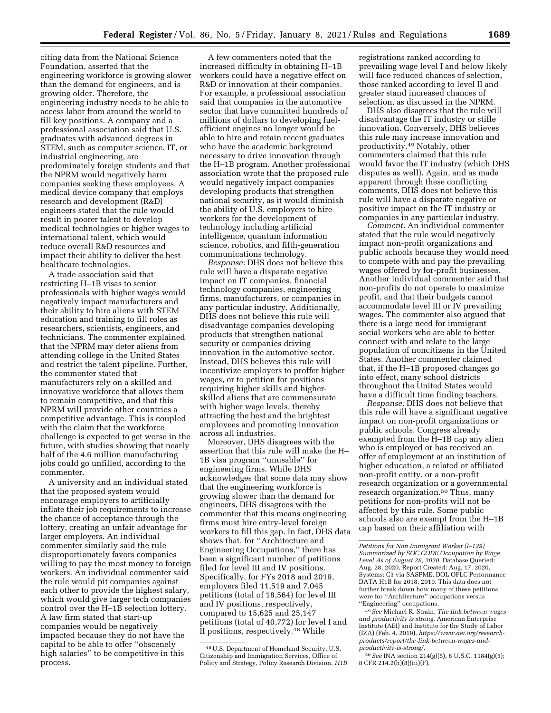citing data from the National Science Foundation, asserted that the engineering workforce is growing slower than the demand for engineers, and is growing older. Therefore, the engineering industry needs to be able to access labor from around the world to fill key positions. A company and a professional association said that U.S. graduates with advanced degrees in STEM, such as computer science, IT, or industrial engineering, are predominately foreign students and that the NPRM would negatively harm companies seeking these employees. A medical device company that employs research and development (R&D) engineers stated that the rule would result in poorer talent to develop medical technologies or higher wages to international talent, which would reduce overall R&D resources and impact their ability to deliver the best healthcare technologies.

A trade association said that restricting H–1B visas to senior professionals with higher wages would negatively impact manufacturers and their ability to hire aliens with STEM education and training to fill roles as researchers, scientists, engineers, and technicians. The commenter explained that the NPRM may deter aliens from attending college in the United States and restrict the talent pipeline. Further, the commenter stated that manufacturers rely on a skilled and innovative workforce that allows them to remain competitive, and that this NPRM will provide other countries a competitive advantage. This is coupled with the claim that the workforce challenge is expected to get worse in the future, with studies showing that nearly half of the 4.6 million manufacturing jobs could go unfilled, according to the commenter.

A university and an individual stated that the proposed system would encourage employers to artificially inflate their job requirements to increase the chance of acceptance through the lottery, creating an unfair advantage for larger employers. An individual commenter similarly said the rule disproportionately favors companies willing to pay the most money to foreign workers. An individual commenter said the rule would pit companies against each other to provide the highest salary, which would give larger tech companies control over the H–1B selection lottery. A law firm stated that start-up companies would be negatively impacted because they do not have the capital to be able to offer ''obscenely high salaries'' to be competitive in this process.

A few commenters noted that the increased difficulty in obtaining H–1B workers could have a negative effect on R&D or innovation at their companies. For example, a professional association said that companies in the automotive sector that have committed hundreds of millions of dollars to developing fuelefficient engines no longer would be able to hire and retain recent graduates who have the academic background necessary to drive innovation through the H–1B program. Another professional association wrote that the proposed rule would negatively impact companies developing products that strengthen national security, as it would diminish the ability of U.S. employers to hire workers for the development of technology including artificial intelligence, quantum information science, robotics, and fifth-generation communications technology.

*Response:* DHS does not believe this rule will have a disparate negative impact on IT companies, financial technology companies, engineering firms, manufacturers, or companies in any particular industry. Additionally, DHS does not believe this rule will disadvantage companies developing products that strengthen national security or companies driving innovation in the automotive sector. Instead, DHS believes this rule will incentivize employers to proffer higher wages, or to petition for positions requiring higher skills and higherskilled aliens that are commensurate with higher wage levels, thereby attracting the best and the brightest employees and promoting innovation across all industries.

Moreover, DHS disagrees with the assertion that this rule will make the H– 1B visa program ''unusable'' for engineering firms. While DHS acknowledges that some data may show that the engineering workforce is growing slower than the demand for engineers, DHS disagrees with the commenter that this means engineering firms must hire entry-level foreign workers to fill this gap. In fact, DHS data shows that, for ''Architecture and Engineering Occupations,'' there has been a significant number of petitions filed for level III and IV positions. Specifically, for FYs 2018 and 2019, employers filed 11,519 and 7,045 petitions (total of 18,564) for level III and IV positions, respectively, compared to 15,625 and 25,147 petitions (total of 40,772) for level I and II positions, respectively.48 While

registrations ranked according to prevailing wage level I and below likely will face reduced chances of selection, those ranked according to level II and greater stand increased chances of selection, as discussed in the NPRM.

DHS also disagrees that the rule will disadvantage the IT industry or stifle innovation. Conversely, DHS believes this rule may increase innovation and productivity.49 Notably, other commenters claimed that this rule would favor the IT industry (which DHS disputes as well). Again, and as made apparent through these conflicting comments, DHS does not believe this rule will have a disparate negative or positive impact on the IT industry or companies in any particular industry.

*Comment:* An individual commenter stated that the rule would negatively impact non-profit organizations and public schools because they would need to compete with and pay the prevailing wages offered by for-profit businesses. Another individual commenter said that non-profits do not operate to maximize profit, and that their budgets cannot accommodate level III or IV prevailing wages. The commenter also argued that there is a large need for immigrant social workers who are able to better connect with and relate to the large population of noncitizens in the United States. Another commenter claimed that, if the H–1B proposed changes go into effect, many school districts throughout the United States would have a difficult time finding teachers.

*Response:* DHS does not believe that this rule will have a significant negative impact on non-profit organizations or public schools. Congress already exempted from the H–1B cap any alien who is employed or has received an offer of employment at an institution of higher education, a related or affiliated non-profit entity, or a non-profit research organization or a governmental research organization.<sup>50</sup> Thus, many petitions for non-profits will not be affected by this rule. Some public schools also are exempt from the H–1B cap based on their affiliation with

<sup>48</sup>U.S. Department of Homeland Security, U.S. Citizenship and Immigration Services, Office of Policy and Strategy, Policy Research Division, *H1B* 

*Petitions for Non Immigrant Worker (I–129) Summarized by SOC CODE Occupation by Wage Level As of August 28, 2020,* Database Queried: Aug. 28, 2020, Report Created: Aug. 17, 2020, Systems: C3 via SASPME, DOL OFLC Performance DATA H1B for 2018, 2019. This data does not further break down how many of these petitions were for ''Architecture'' occupations versus ''Engineering'' occupations.

<sup>49</sup>*See* Michael R. Strain, *The link between wages and productivity is strong,* American Enterprise Institute (AEI) and Institute for the Study of Labor (IZA) (Feb. 4, 2019), *[https://www.aei.org/research](https://www.aei.org/research-products/report/the-link-between-wages-and-productivity-is-strong/)[products/report/the-link-between-wages-and](https://www.aei.org/research-products/report/the-link-between-wages-and-productivity-is-strong/)[productivity-is-strong/.](https://www.aei.org/research-products/report/the-link-between-wages-and-productivity-is-strong/)* 

<sup>50</sup>*See* INA section 214(g)(5), 8 U.S.C. 1184(g)(5); 8 CFR 214.2(h)(8)(iii)(F).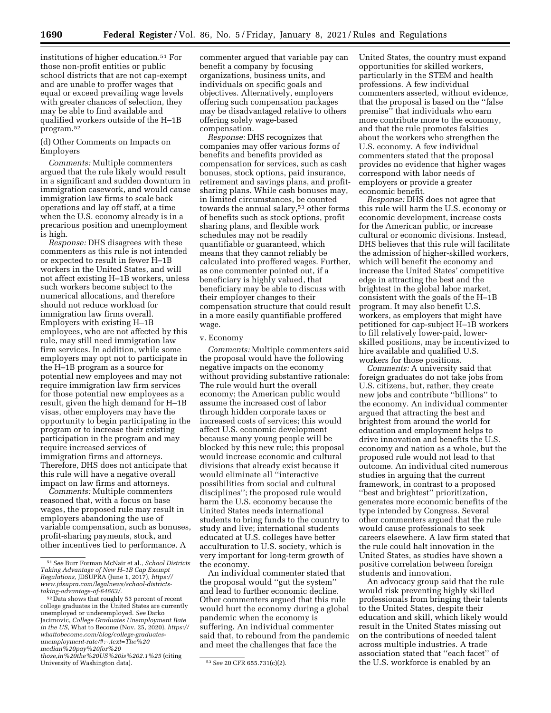institutions of higher education.51 For those non-profit entities or public school districts that are not cap-exempt and are unable to proffer wages that equal or exceed prevailing wage levels with greater chances of selection, they may be able to find available and qualified workers outside of the H–1B program.52

(d) Other Comments on Impacts on Employers

*Comments:* Multiple commenters argued that the rule likely would result in a significant and sudden downturn in immigration casework, and would cause immigration law firms to scale back operations and lay off staff, at a time when the U.S. economy already is in a precarious position and unemployment is high.

*Response:* DHS disagrees with these commenters as this rule is not intended or expected to result in fewer H–1B workers in the United States, and will not affect existing H–1B workers, unless such workers become subject to the numerical allocations, and therefore should not reduce workload for immigration law firms overall. Employers with existing H–1B employees, who are not affected by this rule, may still need immigration law firm services. In addition, while some employers may opt not to participate in the H–1B program as a source for potential new employees and may not require immigration law firm services for those potential new employees as a result, given the high demand for H–1B visas, other employers may have the opportunity to begin participating in the program or to increase their existing participation in the program and may require increased services of immigration firms and attorneys. Therefore, DHS does not anticipate that this rule will have a negative overall impact on law firms and attorneys.

*Comments:* Multiple commenters reasoned that, with a focus on base wages, the proposed rule may result in employers abandoning the use of variable compensation, such as bonuses, profit-sharing payments, stock, and other incentives tied to performance. A

commenter argued that variable pay can benefit a company by focusing organizations, business units, and individuals on specific goals and objectives. Alternatively, employers offering such compensation packages may be disadvantaged relative to others offering solely wage-based compensation.

*Response:* DHS recognizes that companies may offer various forms of benefits and benefits provided as compensation for services, such as cash bonuses, stock options, paid insurance, retirement and savings plans, and profitsharing plans. While cash bonuses may, in limited circumstances, be counted towards the annual salary,<sup>53</sup> other forms of benefits such as stock options, profit sharing plans, and flexible work schedules may not be readily quantifiable or guaranteed, which means that they cannot reliably be calculated into proffered wages. Further, as one commenter pointed out, if a beneficiary is highly valued, that beneficiary may be able to discuss with their employer changes to their compensation structure that could result in a more easily quantifiable proffered wage.

#### v. Economy

*Comments:* Multiple commenters said the proposal would have the following negative impacts on the economy without providing substantive rationale: The rule would hurt the overall economy; the American public would assume the increased cost of labor through hidden corporate taxes or increased costs of services; this would affect U.S. economic development because many young people will be blocked by this new rule; this proposal would increase economic and cultural divisions that already exist because it would eliminate all ''interactive possibilities from social and cultural disciplines''; the proposed rule would harm the U.S. economy because the United States needs international students to bring funds to the country to study and live; international students educated at U.S. colleges have better acculturation to U.S. society, which is very important for long-term growth of the economy.

An individual commenter stated that the proposal would ''gut the system'' and lead to further economic decline. Other commenters argued that this rule would hurt the economy during a global pandemic when the economy is suffering. An individual commenter said that, to rebound from the pandemic and meet the challenges that face the

United States, the country must expand opportunities for skilled workers, particularly in the STEM and health professions. A few individual commenters asserted, without evidence, that the proposal is based on the ''false premise'' that individuals who earn more contribute more to the economy, and that the rule promotes falsities about the workers who strengthen the U.S. economy. A few individual commenters stated that the proposal provides no evidence that higher wages correspond with labor needs of employers or provide a greater economic benefit.

*Response:* DHS does not agree that this rule will harm the U.S. economy or economic development, increase costs for the American public, or increase cultural or economic divisions. Instead, DHS believes that this rule will facilitate the admission of higher-skilled workers, which will benefit the economy and increase the United States' competitive edge in attracting the best and the brightest in the global labor market, consistent with the goals of the H–1B program. It may also benefit U.S. workers, as employers that might have petitioned for cap-subject H–1B workers to fill relatively lower-paid, lowerskilled positions, may be incentivized to hire available and qualified U.S. workers for those positions.

*Comments:* A university said that foreign graduates do not take jobs from U.S. citizens, but, rather, they create new jobs and contribute ''billions'' to the economy. An individual commenter argued that attracting the best and brightest from around the world for education and employment helps to drive innovation and benefits the U.S. economy and nation as a whole, but the proposed rule would not lead to that outcome. An individual cited numerous studies in arguing that the current framework, in contrast to a proposed ''best and brightest'' prioritization, generates more economic benefits of the type intended by Congress. Several other commenters argued that the rule would cause professionals to seek careers elsewhere. A law firm stated that the rule could halt innovation in the United States, as studies have shown a positive correlation between foreign students and innovation.

An advocacy group said that the rule would risk preventing highly skilled professionals from bringing their talents to the United States, despite their education and skill, which likely would result in the United States missing out on the contributions of needed talent across multiple industries. A trade association stated that ''each facet'' of the U.S. workforce is enabled by an

<sup>51</sup>*See* Burr Forman McNair et al., *School Districts Taking Advantage of New H–1B Cap Exempt Regulations,* JDSUPRA (June 1, 2017), *[https://](https://www.jdsupra.com/legalnews/school-districts-taking-advantage-of-64663/) [www.jdsupra.com/legalnews/school-districts](https://www.jdsupra.com/legalnews/school-districts-taking-advantage-of-64663/)[taking-advantage-of-64663/.](https://www.jdsupra.com/legalnews/school-districts-taking-advantage-of-64663/)* 

<sup>52</sup> Data shows that roughly 53 percent of recent college graduates in the United States are currently unemployed or underemployed. *See* Darko Jacimovic, *College Graduates Unemployment Rate in the US,* What to Become (Nov. 25, 2020), *[https://](https://whattobecome.com/blog/college-graduates-unemployment-rate/#:%E2%88%BC:text=The%20median%20pay%20for%20those,in%20the%20US%20is%202.1%25)  [whattobecome.com/blog/college-graduates](https://whattobecome.com/blog/college-graduates-unemployment-rate/#:%E2%88%BC:text=The%20median%20pay%20for%20those,in%20the%20US%20is%202.1%25)[unemployment-rate/#:](https://whattobecome.com/blog/college-graduates-unemployment-rate/#:%E2%88%BC:text=The%20median%20pay%20for%20those,in%20the%20US%20is%202.1%25)*∼*:text=The%20 [median%20pay%20for%20](https://whattobecome.com/blog/college-graduates-unemployment-rate/#:%E2%88%BC:text=The%20median%20pay%20for%20those,in%20the%20US%20is%202.1%25) [those,in%20the%20US%20is%202.1%25](https://whattobecome.com/blog/college-graduates-unemployment-rate/#:%E2%88%BC:text=The%20median%20pay%20for%20those,in%20the%20US%20is%202.1%25)* (citing

University of Washington data). 53*See* 20 CFR 655.731(c)(2).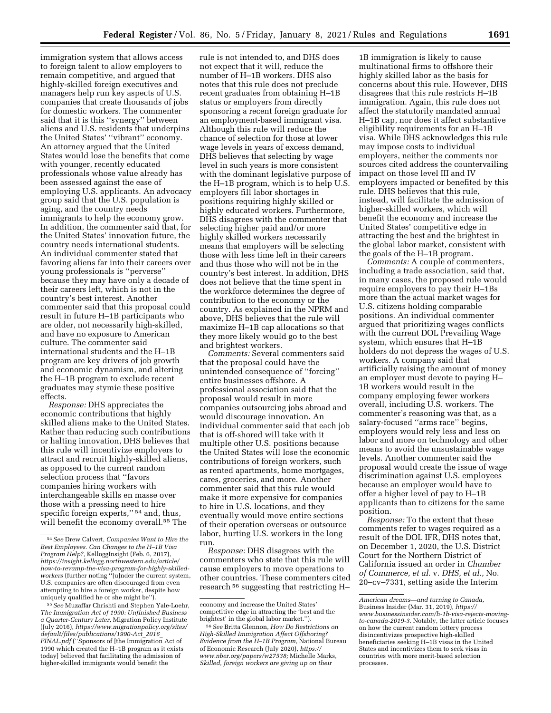immigration system that allows access to foreign talent to allow employers to remain competitive, and argued that highly-skilled foreign executives and managers help run key aspects of U.S. companies that create thousands of jobs for domestic workers. The commenter said that it is this ''synergy'' between aliens and U.S. residents that underpins the United States' ''vibrant'' economy. An attorney argued that the United States would lose the benefits that come with younger, recently educated professionals whose value already has been assessed against the ease of employing U.S. applicants. An advocacy group said that the U.S. population is aging, and the country needs immigrants to help the economy grow. In addition, the commenter said that, for the United States' innovation future, the country needs international students. An individual commenter stated that favoring aliens far into their careers over young professionals is ''perverse'' because they may have only a decade of their careers left, which is not in the country's best interest. Another commenter said that this proposal could result in future H–1B participants who are older, not necessarily high-skilled, and have no exposure to American culture. The commenter said international students and the H–1B program are key drivers of job growth and economic dynamism, and altering the H–1B program to exclude recent graduates may stymie these positive effects.

*Response:* DHS appreciates the economic contributions that highly skilled aliens make to the United States. Rather than reducing such contributions or halting innovation, DHS believes that this rule will incentivize employers to attract and recruit highly-skilled aliens, as opposed to the current random selection process that ''favors companies hiring workers with interchangeable skills en masse over those with a pressing need to hire specific foreign experts,"<sup>54</sup> and, thus, will benefit the economy overall.<sup>55</sup> The

rule is not intended to, and DHS does not expect that it will, reduce the number of H–1B workers. DHS also notes that this rule does not preclude recent graduates from obtaining H–1B status or employers from directly sponsoring a recent foreign graduate for an employment-based immigrant visa. Although this rule will reduce the chance of selection for those at lower wage levels in years of excess demand, DHS believes that selecting by wage level in such years is more consistent with the dominant legislative purpose of the H–1B program, which is to help U.S. employers fill labor shortages in positions requiring highly skilled or highly educated workers. Furthermore, DHS disagrees with the commenter that selecting higher paid and/or more highly skilled workers necessarily means that employers will be selecting those with less time left in their careers and thus those who will not be in the country's best interest. In addition, DHS does not believe that the time spent in the workforce determines the degree of contribution to the economy or the country. As explained in the NPRM and above, DHS believes that the rule will maximize H–1B cap allocations so that they more likely would go to the best and brightest workers.

*Comments:* Several commenters said that the proposal could have the unintended consequence of ''forcing'' entire businesses offshore. A professional association said that the proposal would result in more companies outsourcing jobs abroad and would discourage innovation. An individual commenter said that each job that is off-shored will take with it multiple other U.S. positions because the United States will lose the economic contributions of foreign workers, such as rented apartments, home mortgages, cares, groceries, and more. Another commenter said that this rule would make it more expensive for companies to hire in U.S. locations, and they eventually would move entire sections of their operation overseas or outsource labor, hurting U.S. workers in the long run.

*Response:* DHS disagrees with the commenters who state that this rule will cause employers to move operations to other countries. These commenters cited research 56 suggesting that restricting H–

1B immigration is likely to cause multinational firms to offshore their highly skilled labor as the basis for concerns about this rule. However, DHS disagrees that this rule restricts H–1B immigration. Again, this rule does not affect the statutorily mandated annual H–1B cap, nor does it affect substantive eligibility requirements for an H–1B visa. While DHS acknowledges this rule may impose costs to individual employers, neither the comments nor sources cited address the countervailing impact on those level III and IV employers impacted or benefited by this rule. DHS believes that this rule, instead, will facilitate the admission of higher-skilled workers, which will benefit the economy and increase the United States' competitive edge in attracting the best and the brightest in the global labor market, consistent with the goals of the H–1B program.

*Comments:* A couple of commenters, including a trade association, said that, in many cases, the proposed rule would require employers to pay their H–1Bs more than the actual market wages for U.S. citizens holding comparable positions. An individual commenter argued that prioritizing wages conflicts with the current DOL Prevailing Wage system, which ensures that H–1B holders do not depress the wages of U.S. workers. A company said that artificially raising the amount of money an employer must devote to paying H– 1B workers would result in the company employing fewer workers overall, including U.S. workers. The commenter's reasoning was that, as a salary-focused ''arms race'' begins, employers would rely less and less on labor and more on technology and other means to avoid the unsustainable wage levels. Another commenter said the proposal would create the issue of wage discrimination against U.S. employees because an employer would have to offer a higher level of pay to H–1B applicants than to citizens for the same position.

*Response:* To the extent that these comments refer to wages required as a result of the DOL IFR, DHS notes that, on December 1, 2020, the U.S. District Court for the Northern District of California issued an order in *Chamber of Commerce, et al.* v. *DHS, et al.,* No. 20–cv–7331, setting aside the Interim

<sup>54</sup>*See* Drew Calvert, *Companies Want to Hire the Best Employees. Can Changes to the H–1B Visa Program Help?,* KelloggInsight (Feb. 6, 2017), *https://insight.kellogg.northwestern.edu/article/ [how-to-revamp-the-visa-program-for-highly-skilled](https://insight.kellogg.northwestern.edu/article/how-to-revamp-the-visa-program-for-highly-skilled-workers)[workers](https://insight.kellogg.northwestern.edu/article/how-to-revamp-the-visa-program-for-highly-skilled-workers)* (further noting ''[u]nder the current system, U.S. companies are often discouraged from even attempting to hire a foreign worker, despite how uniquely qualified he or she might be'').

<sup>55</sup>*See* Muzaffar Chrishti and Stephen Yale-Loehr, *The Immigration Act of 1990: Unfinished Business a Quarter-Century Later,* Migration Policy Institute (July 2016), *[https://www.migrationpolicy.org/sites/](https://www.migrationpolicy.org/sites/default/files/publications/1990-Act_2016_FINAL.pdf) [default/files/publications/1990-Act](https://www.migrationpolicy.org/sites/default/files/publications/1990-Act_2016_FINAL.pdf)*\_*2016*\_ *[FINAL.pdf](https://www.migrationpolicy.org/sites/default/files/publications/1990-Act_2016_FINAL.pdf)* (''Sponsors of [the Immigration Act of 1990 which created the H–1B program as it exists today] believed that facilitating the admission of higher-skilled immigrants would benefit the

economy and increase the United States' competitive edge in attracting the 'best and the brightest' in the global labor market.'').

<sup>56</sup>*See* Britta Glennon, *How Do Restrictions on High-Skilled Immigration Affect Offshoring? Evidence from the H–1B Program,* National Bureau of Economic Research (July 2020), *[https://](https://www.nber.org/papers/w27538) [www.nber.org/papers/w27538;](https://www.nber.org/papers/w27538)* Michelle Marks, *Skilled, foreign workers are giving up on their* 

*American dreams—and turning to Canada,*  Business Insider (Mar. 31, 2019), *[https://](https://www.businessinsider.com/h-1b-visa-rejects-moving-to-canada-2019-3) [www.businessinsider.com/h-1b-visa-rejects-moving](https://www.businessinsider.com/h-1b-visa-rejects-moving-to-canada-2019-3)[to-canada-2019-3.](https://www.businessinsider.com/h-1b-visa-rejects-moving-to-canada-2019-3)* Notably, the latter article focuses on how the current random lottery process disincentivizes prospective high-skilled beneficiaries seeking H–1B visas in the United States and incentivizes them to seek visas in countries with more merit-based selection processes.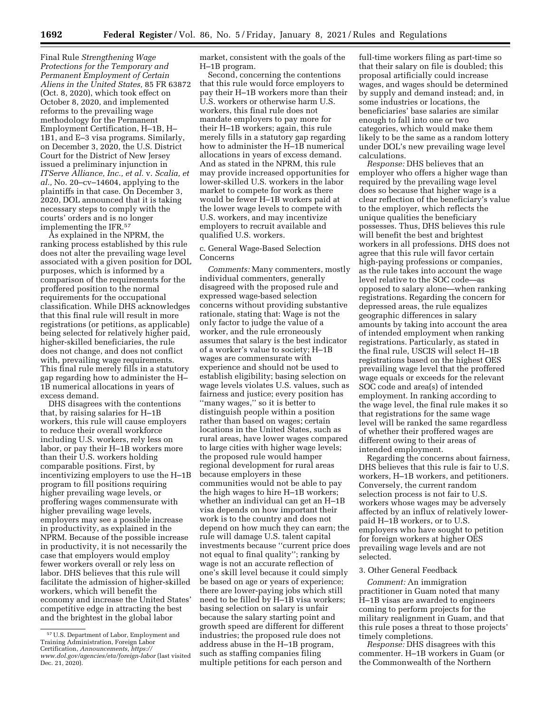Final Rule *Strengthening Wage Protections for the Temporary and Permanent Employment of Certain Aliens in the United States,* 85 FR 63872 (Oct. 8, 2020), which took effect on October 8, 2020, and implemented reforms to the prevailing wage methodology for the Permanent Employment Certification, H–1B, H– 1B1, and E–3 visa programs. Similarly, on December 3, 2020, the U.S. District Court for the District of New Jersey issued a preliminary injunction in *ITServe Alliance, Inc., et al.* v. *Scalia, et al.,* No. 20–cv–14604, applying to the plaintiffs in that case. On December 3, 2020, DOL announced that it is taking necessary steps to comply with the courts' orders and is no longer implementing the IFR.57

As explained in the NPRM, the ranking process established by this rule does not alter the prevailing wage level associated with a given position for DOL purposes, which is informed by a comparison of the requirements for the proffered position to the normal requirements for the occupational classification. While DHS acknowledges that this final rule will result in more registrations (or petitions, as applicable) being selected for relatively higher paid, higher-skilled beneficiaries, the rule does not change, and does not conflict with, prevailing wage requirements. This final rule merely fills in a statutory gap regarding how to administer the H– 1B numerical allocations in years of excess demand.

DHS disagrees with the contentions that, by raising salaries for H–1B workers, this rule will cause employers to reduce their overall workforce including U.S. workers, rely less on labor, or pay their H–1B workers more than their U.S. workers holding comparable positions. First, by incentivizing employers to use the H–1B program to fill positions requiring higher prevailing wage levels, or proffering wages commensurate with higher prevailing wage levels, employers may see a possible increase in productivity, as explained in the NPRM. Because of the possible increase in productivity, it is not necessarily the case that employers would employ fewer workers overall or rely less on labor. DHS believes that this rule will facilitate the admission of higher-skilled workers, which will benefit the economy and increase the United States' competitive edge in attracting the best and the brightest in the global labor

market, consistent with the goals of the H–1B program.

Second, concerning the contentions that this rule would force employers to pay their H–1B workers more than their U.S. workers or otherwise harm U.S. workers, this final rule does not mandate employers to pay more for their H–1B workers; again, this rule merely fills in a statutory gap regarding how to administer the H–1B numerical allocations in years of excess demand. And as stated in the NPRM, this rule may provide increased opportunities for lower-skilled U.S. workers in the labor market to compete for work as there would be fewer H–1B workers paid at the lower wage levels to compete with U.S. workers, and may incentivize employers to recruit available and qualified U.S. workers.

#### c. General Wage-Based Selection Concerns

*Comments:* Many commenters, mostly individual commenters, generally disagreed with the proposed rule and expressed wage-based selection concerns without providing substantive rationale, stating that: Wage is not the only factor to judge the value of a worker, and the rule erroneously assumes that salary is the best indicator of a worker's value to society; H–1B wages are commensurate with experience and should not be used to establish eligibility; basing selection on wage levels violates U.S. values, such as fairness and justice; every position has ''many wages,'' so it is better to distinguish people within a position rather than based on wages; certain locations in the United States, such as rural areas, have lower wages compared to large cities with higher wage levels; the proposed rule would hamper regional development for rural areas because employers in these communities would not be able to pay the high wages to hire H–1B workers; whether an individual can get an H–1B visa depends on how important their work is to the country and does not depend on how much they can earn; the rule will damage U.S. talent capital investments because ''current price does not equal to final quality''; ranking by wage is not an accurate reflection of one's skill level because it could simply be based on age or years of experience; there are lower-paying jobs which still need to be filled by H–1B visa workers; basing selection on salary is unfair because the salary starting point and growth speed are different for different industries; the proposed rule does not address abuse in the H–1B program, such as staffing companies filing multiple petitions for each person and

full-time workers filing as part-time so that their salary on file is doubled; this proposal artificially could increase wages, and wages should be determined by supply and demand instead; and, in some industries or locations, the beneficiaries' base salaries are similar enough to fall into one or two categories, which would make them likely to be the same as a random lottery under DOL's new prevailing wage level calculations.

*Response:* DHS believes that an employer who offers a higher wage than required by the prevailing wage level does so because that higher wage is a clear reflection of the beneficiary's value to the employer, which reflects the unique qualities the beneficiary possesses. Thus, DHS believes this rule will benefit the best and brightest workers in all professions. DHS does not agree that this rule will favor certain high-paying professions or companies, as the rule takes into account the wage level relative to the SOC code—as opposed to salary alone—when ranking registrations. Regarding the concern for depressed areas, the rule equalizes geographic differences in salary amounts by taking into account the area of intended employment when ranking registrations. Particularly, as stated in the final rule, USCIS will select H–1B registrations based on the highest OES prevailing wage level that the proffered wage equals or exceeds for the relevant SOC code and area(s) of intended employment. In ranking according to the wage level, the final rule makes it so that registrations for the same wage level will be ranked the same regardless of whether their proffered wages are different owing to their areas of intended employment.

Regarding the concerns about fairness, DHS believes that this rule is fair to U.S. workers, H–1B workers, and petitioners. Conversely, the current random selection process is not fair to U.S. workers whose wages may be adversely affected by an influx of relatively lowerpaid H–1B workers, or to U.S. employers who have sought to petition for foreign workers at higher OES prevailing wage levels and are not selected.

#### 3. Other General Feedback

*Comment:* An immigration practitioner in Guam noted that many H–1B visas are awarded to engineers coming to perform projects for the military realignment in Guam, and that this rule poses a threat to those projects' timely completions.

*Response:* DHS disagrees with this commenter. H–1B workers in Guam (or the Commonwealth of the Northern

<sup>57</sup>U.S. Department of Labor, Employment and Training Administration, Foreign Labor Certification, *Announcements, [https://](https://www.dol.gov/agencies/eta/foreign-labor) [www.dol.gov/agencies/eta/foreign-labor](https://www.dol.gov/agencies/eta/foreign-labor)* (last visited Dec. 21, 2020).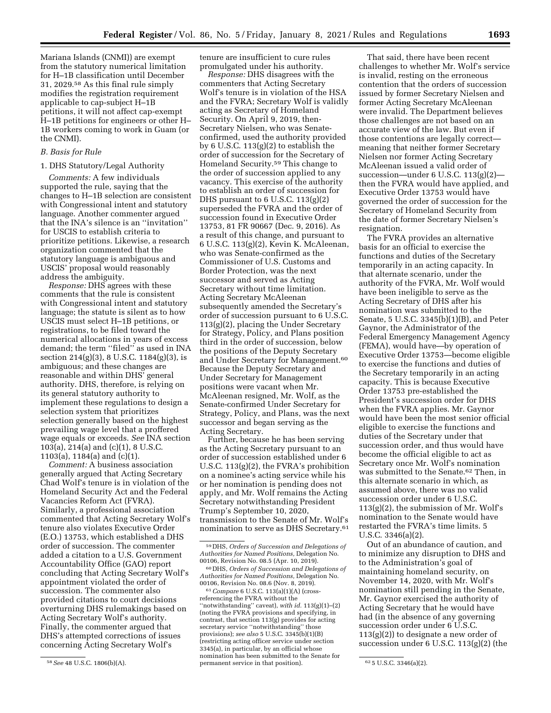Mariana Islands (CNMI)) are exempt from the statutory numerical limitation for H–1B classification until December 31, 2029.58 As this final rule simply modifies the registration requirement applicable to cap-subject H–1B petitions, it will not affect cap-exempt H–1B petitions for engineers or other H– 1B workers coming to work in Guam (or the CNMI).

## *B. Basis for Rule*

#### 1. DHS Statutory/Legal Authority

*Comments:* A few individuals supported the rule, saying that the changes to H–1B selection are consistent with Congressional intent and statutory language. Another commenter argued that the INA's silence is an ''invitation'' for USCIS to establish criteria to prioritize petitions. Likewise, a research organization commented that the statutory language is ambiguous and USCIS' proposal would reasonably address the ambiguity.

*Response:* DHS agrees with these comments that the rule is consistent with Congressional intent and statutory language; the statute is silent as to how USCIS must select H–1B petitions, or registrations, to be filed toward the numerical allocations in years of excess demand; the term ''filed'' as used in INA section 214(g)(3), 8 U.S.C. 1184(g)(3), is ambiguous; and these changes are reasonable and within DHS' general authority. DHS, therefore, is relying on its general statutory authority to implement these regulations to design a selection system that prioritizes selection generally based on the highest prevailing wage level that a proffered wage equals or exceeds. *See* INA section 103(a), 214(a) and (c)(1), 8 U.S.C. 1103(a), 1184(a) and (c)(1).

*Comment:* A business association generally argued that Acting Secretary Chad Wolf's tenure is in violation of the Homeland Security Act and the Federal Vacancies Reform Act (FVRA). Similarly, a professional association commented that Acting Secretary Wolf's tenure also violates Executive Order (E.O.) 13753, which established a DHS order of succession. The commenter added a citation to a U.S. Government Accountability Office (GAO) report concluding that Acting Secretary Wolf's appointment violated the order of succession. The commenter also provided citations to court decisions overturning DHS rulemakings based on Acting Secretary Wolf's authority. Finally, the commenter argued that DHS's attempted corrections of issues concerning Acting Secretary Wolf's

tenure are insufficient to cure rules promulgated under his authority.

*Response:* DHS disagrees with the commenters that Acting Secretary Wolf's tenure is in violation of the HSA and the FVRA; Secretary Wolf is validly acting as Secretary of Homeland Security. On April 9, 2019, then-Secretary Nielsen, who was Senateconfirmed, used the authority provided by 6 U.S.C. 113(g)(2) to establish the order of succession for the Secretary of Homeland Security.59 This change to the order of succession applied to any vacancy. This exercise of the authority to establish an order of succession for DHS pursuant to  $6$  U.S.C.  $113(g)(2)$ superseded the FVRA and the order of succession found in Executive Order 13753, 81 FR 90667 (Dec. 9, 2016). As a result of this change, and pursuant to 6 U.S.C. 113(g)(2), Kevin K. McAleenan, who was Senate-confirmed as the Commissioner of U.S. Customs and Border Protection, was the next successor and served as Acting Secretary without time limitation. Acting Secretary McAleenan subsequently amended the Secretary's order of succession pursuant to 6 U.S.C. 113(g)(2), placing the Under Secretary for Strategy, Policy, and Plans position third in the order of succession, below the positions of the Deputy Secretary and Under Secretary for Management.60 Because the Deputy Secretary and Under Secretary for Management positions were vacant when Mr. McAleenan resigned, Mr. Wolf, as the Senate-confirmed Under Secretary for Strategy, Policy, and Plans, was the next successor and began serving as the Acting Secretary.

Further, because he has been serving as the Acting Secretary pursuant to an order of succession established under 6 U.S.C. 113(g)(2), the FVRA's prohibition on a nominee's acting service while his or her nomination is pending does not apply, and Mr. Wolf remains the Acting Secretary notwithstanding President Trump's September 10, 2020, transmission to the Senate of Mr. Wolf's nomination to serve as DHS Secretary.61

61*Compare* 6 U.S.C. 113(a)(1)(A) (crossreferencing the FVRA without the ''notwithstanding'' caveat), *with id.* 113(g)(1)–(2) (noting the FVRA provisions and specifying, in contrast, that section 113(g) provides for acting secretary service ''notwithstanding'' those provisions); *see also* 5 U.S.C. 3345(b)(1)(B) (restricting acting officer service under section 3345(a), in particular, by an official whose nomination has been submitted to the Senate for permanent service in that position). 62 5 U.S.C. 3346(a)(2).

That said, there have been recent challenges to whether Mr. Wolf's service is invalid, resting on the erroneous contention that the orders of succession issued by former Secretary Nielsen and former Acting Secretary McAleenan were invalid. The Department believes those challenges are not based on an accurate view of the law. But even if those contentions are legally correct meaning that neither former Secretary Nielsen nor former Acting Secretary McAleenan issued a valid order of succession—under 6 U.S.C. 113(g)(2) then the FVRA would have applied, and Executive Order 13753 would have governed the order of succession for the Secretary of Homeland Security from the date of former Secretary Nielsen's resignation.

The FVRA provides an alternative basis for an official to exercise the functions and duties of the Secretary temporarily in an acting capacity. In that alternate scenario, under the authority of the FVRA, Mr. Wolf would have been ineligible to serve as the Acting Secretary of DHS after his nomination was submitted to the Senate, 5 U.S.C. 3345(b)(1)(B), and Peter Gaynor, the Administrator of the Federal Emergency Management Agency (FEMA), would have—by operation of Executive Order 13753—become eligible to exercise the functions and duties of the Secretary temporarily in an acting capacity. This is because Executive Order 13753 pre-established the President's succession order for DHS when the FVRA applies. Mr. Gaynor would have been the most senior official eligible to exercise the functions and duties of the Secretary under that succession order, and thus would have become the official eligible to act as Secretary once Mr. Wolf's nomination was submitted to the Senate.<sup>62</sup> Then, in this alternate scenario in which, as assumed above, there was no valid succession order under 6 U.S.C.  $113(g)(2)$ , the submission of Mr. Wolf's nomination to the Senate would have restarted the FVRA's time limits. 5 U.S.C. 3346(a)(2).

Out of an abundance of caution, and to minimize any disruption to DHS and to the Administration's goal of maintaining homeland security, on November 14, 2020, with Mr. Wolf's nomination still pending in the Senate, Mr. Gaynor exercised the authority of Acting Secretary that he would have had (in the absence of any governing succession order under 6 U.S.C.  $113(g)(2)$  to designate a new order of succession under 6 U.S.C. 113(g)(2) (the

<sup>58</sup>*See* 48 U.S.C. 1806(b)(A).

<sup>59</sup> DHS, *Orders of Succession and Delegations of Authorities for Named Positions,* Delegation No. 00106, Revision No. 08.5 (Apr. 10, 2019).

<sup>60</sup> DHS, *Orders of Succession and Delegations of Authorities for Named Positions,* Delegation No. 00106, Revision No. 08.6 (Nov. 8, 2019).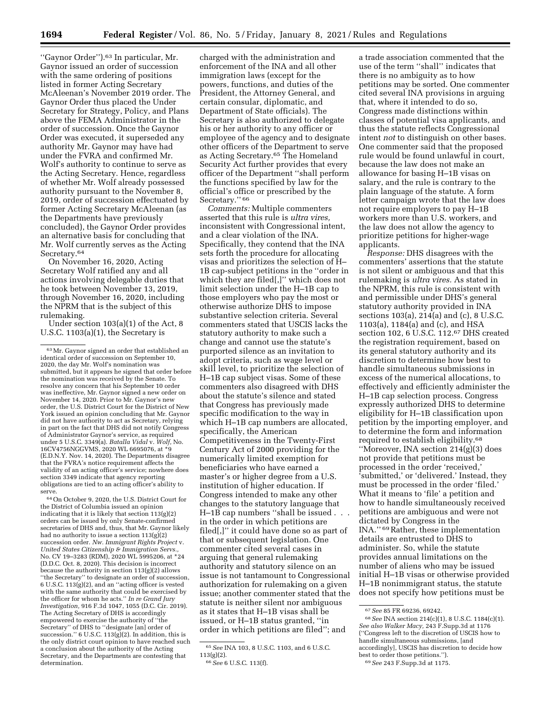''Gaynor Order'').63 In particular, Mr. Gaynor issued an order of succession with the same ordering of positions listed in former Acting Secretary McAleenan's November 2019 order. The Gaynor Order thus placed the Under Secretary for Strategy, Policy, and Plans above the FEMA Administrator in the order of succession. Once the Gaynor Order was executed, it superseded any authority Mr. Gaynor may have had under the FVRA and confirmed Mr. Wolf's authority to continue to serve as the Acting Secretary. Hence, regardless of whether Mr. Wolf already possessed authority pursuant to the November 8, 2019, order of succession effectuated by former Acting Secretary McAleenan (as the Departments have previously concluded), the Gaynor Order provides an alternative basis for concluding that Mr. Wolf currently serves as the Acting Secretary.<sup>64</sup>

On November 16, 2020, Acting Secretary Wolf ratified any and all actions involving delegable duties that he took between November 13, 2019, through November 16, 2020, including the NPRM that is the subject of this rulemaking.

Under section 103(a)(1) of the Act, 8 U.S.C. 1103(a)(1), the Secretary is

64On October 9, 2020, the U.S. District Court for the District of Columbia issued an opinion indicating that it is likely that section  $113(g)(2)$ orders can be issued by only Senate-confirmed secretaries of DHS and, thus, that Mr. Gaynor likely had no authority to issue a section  $113(g)(2)$ succession order. *Nw. Immigrant Rights Project* v. *United States Citizenship & Immigration Servs.,*  No. CV 19–3283 (RDM), 2020 WL 5995206, at \*24 (D.D.C. Oct. 8, 2020). This decision is incorrect because the authority in section 113(g)(2) allows ''the Secretary'' to designate an order of succession, 6 U.S.C. 113(g)(2), and an ''acting officer is vested with the same authority that could be exercised by the officer for whom he acts.'' *In re Grand Jury Investigation,* 916 F.3d 1047, 1055 (D.C. Cir. 2019). The Acting Secretary of DHS is accordingly empowered to exercise the authority of ''the Secretary'' of DHS to ''designate [an] order of succession.'' 6 U.S.C. 113(g)(2). In addition, this is the only district court opinion to have reached such a conclusion about the authority of the Acting Secretary, and the Departments are contesting that determination.

charged with the administration and enforcement of the INA and all other immigration laws (except for the powers, functions, and duties of the President, the Attorney General, and certain consular, diplomatic, and Department of State officials). The Secretary is also authorized to delegate his or her authority to any officer or employee of the agency and to designate other officers of the Department to serve as Acting Secretary.65 The Homeland Security Act further provides that every officer of the Department ''shall perform the functions specified by law for the official's office or prescribed by the Secretary." 66

*Comments:* Multiple commenters asserted that this rule is *ultra vires,*  inconsistent with Congressional intent, and a clear violation of the INA. Specifically, they contend that the INA sets forth the procedure for allocating visas and prioritizes the selection of H– 1B cap-subject petitions in the ''order in which they are filed[,]'' which does not limit selection under the H–1B cap to those employers who pay the most or otherwise authorize DHS to impose substantive selection criteria. Several commenters stated that USCIS lacks the statutory authority to make such a change and cannot use the statute's purported silence as an invitation to adopt criteria, such as wage level or skill level, to prioritize the selection of H–1B cap subject visas. Some of these commenters also disagreed with DHS about the statute's silence and stated that Congress has previously made specific modification to the way in which H–1B cap numbers are allocated, specifically, the American Competitiveness in the Twenty-First Century Act of 2000 providing for the numerically limited exemption for beneficiaries who have earned a master's or higher degree from a U.S. institution of higher education. If Congress intended to make any other changes to the statutory language that H–1B cap numbers ''shall be issued . . . in the order in which petitions are filed[,]'' it could have done so as part of that or subsequent legislation. One commenter cited several cases in arguing that general rulemaking authority and statutory silence on an issue is not tantamount to Congressional authorization for rulemaking on a given issue; another commenter stated that the statute is neither silent nor ambiguous as it states that H–1B visas shall be issued, or H–1B status granted, ''in order in which petitions are filed''; and

a trade association commented that the use of the term ''shall'' indicates that there is no ambiguity as to how petitions may be sorted. One commenter cited several INA provisions in arguing that, where it intended to do so, Congress made distinctions within classes of potential visa applicants, and thus the statute reflects Congressional intent *not* to distinguish on other bases. One commenter said that the proposed rule would be found unlawful in court, because the law does not make an allowance for basing H–1B visas on salary, and the rule is contrary to the plain language of the statute. A form letter campaign wrote that the law does not require employers to pay H–1B workers more than U.S. workers, and the law does not allow the agency to prioritize petitions for higher-wage applicants.

*Response:* DHS disagrees with the commenters' assertions that the statute is not silent or ambiguous and that this rulemaking is *ultra vires.* As stated in the NPRM, this rule is consistent with and permissible under DHS's general statutory authority provided in INA sections 103(a), 214(a) and (c), 8 U.S.C. 1103(a), 1184(a) and (c), and HSA section 102, 6 U.S.C. 112.67 DHS created the registration requirement, based on its general statutory authority and its discretion to determine how best to handle simultaneous submissions in excess of the numerical allocations, to effectively and efficiently administer the H–1B cap selection process. Congress expressly authorized DHS to determine eligibility for H–1B classification upon petition by the importing employer, and to determine the form and information required to establish eligibility.68 ''Moreover, INA section 214(g)(3) does not provide that petitions must be processed in the order 'received,' 'submitted,' or 'delivered.' Instead, they must be processed in the order 'filed.' What it means to 'file' a petition and how to handle simultaneously received petitions are ambiguous and were not dictated by Congress in the INA.'' 69Rather, these implementation details are entrusted to DHS to administer. So, while the statute provides annual limitations on the number of aliens who may be issued initial H–1B visas or otherwise provided H–1B nonimmigrant status, the statute does not specify how petitions must be

 $^{63}\rm{Mr}.$  Gaynor signed an order that established an identical order of succession on September 10, 2020, the day Mr. Wolf's nomination was submitted, but it appears he signed that order before the nomination was received by the Senate. To resolve any concern that his September 10 order was ineffective, Mr. Gaynor signed a new order on November 14, 2020. Prior to Mr. Gaynor's new order, the U.S. District Court for the District of New York issued an opinion concluding that Mr. Gaynor did not have authority to act as Secretary, relying in part on the fact that DHS did not notify Congress of Administrator Gaynor's service, as required under 5 U.S.C. 3349(a). *Batalla Vidal* v. *Wolf,* No. 16CV4756NGGVMS, 2020 WL 6695076, at \*9 (E.D.N.Y. Nov. 14, 2020). The Departments disagree that the FVRA's notice requirement affects the validity of an acting officer's service; nowhere does section 3349 indicate that agency reporting obligations are tied to an acting officer's ability to serve.

<sup>65</sup>*See* INA 103, 8 U.S.C. 1103, and 6 U.S.C. 113(g)(2).

<sup>66</sup>*See* 6 U.S.C. 113(f).

<sup>67</sup>*See* 85 FR 69236, 69242.

<sup>68</sup>*See* INA section 214(c)(1), 8 U.S.C. 1184(c)(1). *See also Walker Macy,* 243 F.Supp.3d at 1176 (''Congress left to the discretion of USCIS how to handle simultaneous submissions, [and accordingly], USCIS has discretion to decide how best to order those petitions.'').

<sup>69</sup>*See* 243 F.Supp.3d at 1175.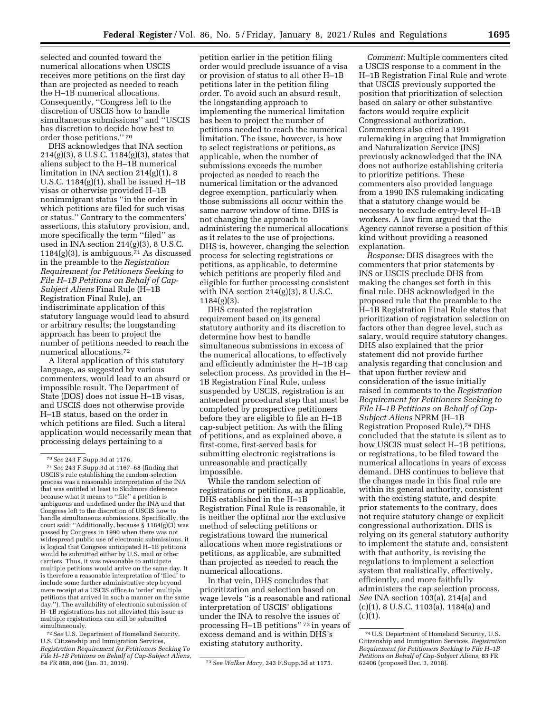selected and counted toward the numerical allocations when USCIS receives more petitions on the first day than are projected as needed to reach the H–1B numerical allocations. Consequently, ''Congress left to the discretion of USCIS how to handle simultaneous submissions'' and ''USCIS

order those petitions.'' 70 DHS acknowledges that INA section 214(g)(3), 8 U.S.C. 1184(g)(3), states that aliens subject to the H–1B numerical limitation in INA section 214(g)(1), 8 U.S.C. 1184(g)(1), shall be issued H–1B visas or otherwise provided H–1B nonimmigrant status ''in the order in which petitions are filed for such visas or status.'' Contrary to the commenters' assertions, this statutory provision, and, more specifically the term ''filed'' as used in INA section  $214(g)(3)$ , 8 U.S.C.  $1184(g)(3)$ , is ambiguous.<sup>71</sup> As discussed in the preamble to the *Registration Requirement for Petitioners Seeking to File H–1B Petitions on Behalf of Cap-Subject Aliens* Final Rule (H–1B Registration Final Rule), an indiscriminate application of this statutory language would lead to absurd or arbitrary results; the longstanding approach has been to project the number of petitions needed to reach the numerical allocations.72

has discretion to decide how best to

A literal application of this statutory language, as suggested by various commenters, would lead to an absurd or impossible result. The Department of State (DOS) does not issue H–1B visas, and USCIS does not otherwise provide H–1B status, based on the order in which petitions are filed. Such a literal application would necessarily mean that processing delays pertaining to a

72*See* U.S. Department of Homeland Security, U.S. Citizenship and Immigration Services, *Registration Requirement for Petitioners Seeking To File H–1B Petitions on Behalf of Cap-Subject Aliens,* 

petition earlier in the petition filing order would preclude issuance of a visa or provision of status to all other H–1B petitions later in the petition filing order. To avoid such an absurd result, the longstanding approach to implementing the numerical limitation has been to project the number of petitions needed to reach the numerical limitation. The issue, however, is how to select registrations or petitions, as applicable, when the number of submissions exceeds the number projected as needed to reach the numerical limitation or the advanced degree exemption, particularly when those submissions all occur within the same narrow window of time. DHS is not changing the approach to administering the numerical allocations as it relates to the use of projections. DHS is, however, changing the selection process for selecting registrations or petitions, as applicable, to determine which petitions are properly filed and eligible for further processing consistent with INA section  $214(g)(3)$ , 8 U.S.C.  $1184(g)(3)$ .

DHS created the registration requirement based on its general statutory authority and its discretion to determine how best to handle simultaneous submissions in excess of the numerical allocations, to effectively and efficiently administer the H–1B cap selection process. As provided in the H– 1B Registration Final Rule, unless suspended by USCIS, registration is an antecedent procedural step that must be completed by prospective petitioners before they are eligible to file an H–1B cap-subject petition. As with the filing of petitions, and as explained above, a first-come, first-served basis for submitting electronic registrations is unreasonable and practically impossible.

While the random selection of registrations or petitions, as applicable, DHS established in the H–1B Registration Final Rule is reasonable, it is neither the optimal nor the exclusive method of selecting petitions or registrations toward the numerical allocations when more registrations or petitions, as applicable, are submitted than projected as needed to reach the numerical allocations.

In that vein, DHS concludes that prioritization and selection based on wage levels ''is a reasonable and rational interpretation of USCIS' obligations under the INA to resolve the issues of processing H–1B petitions'' 73 in years of excess demand and is within DHS's existing statutory authority.

*Comment:* Multiple commenters cited a USCIS response to a comment in the H–1B Registration Final Rule and wrote that USCIS previously supported the position that prioritization of selection based on salary or other substantive factors would require explicit Congressional authorization. Commenters also cited a 1991 rulemaking in arguing that Immigration and Naturalization Service (INS) previously acknowledged that the INA does not authorize establishing criteria to prioritize petitions. These commenters also provided language from a 1990 INS rulemaking indicating that a statutory change would be necessary to exclude entry-level H–1B workers. A law firm argued that the Agency cannot reverse a position of this kind without providing a reasoned explanation.

*Response:* DHS disagrees with the commenters that prior statements by INS or USCIS preclude DHS from making the changes set forth in this final rule. DHS acknowledged in the proposed rule that the preamble to the H–1B Registration Final Rule states that prioritization of registration selection on factors other than degree level, such as salary, would require statutory changes. DHS also explained that the prior statement did not provide further analysis regarding that conclusion and that upon further review and consideration of the issue initially raised in comments to the *Registration Requirement for Petitioners Seeking to File H–1B Petitions on Behalf of Cap-Subject Aliens* NPRM (H–1B Registration Proposed Rule),74 DHS concluded that the statute is silent as to how USCIS must select H–1B petitions, or registrations, to be filed toward the numerical allocations in years of excess demand. DHS continues to believe that the changes made in this final rule are within its general authority, consistent with the existing statute, and despite prior statements to the contrary, does not require statutory change or explicit congressional authorization. DHS is relying on its general statutory authority to implement the statute and, consistent with that authority, is revising the regulations to implement a selection system that realistically, effectively, efficiently, and more faithfully administers the cap selection process. *See* INA section 103(a), 214(a) and (c)(1), 8 U.S.C. 1103(a), 1184(a) and  $(c)(1)$ .

<sup>70</sup>*See* 243 F.Supp.3d at 1176.

<sup>71</sup>*See* 243 F.Supp.3d at 1167–68 (finding that USCIS's rule establishing the random-selection process was a reasonable interpretation of the INA that was entitled at least to Skidmore deference because what it means to ''file'' a petition is ambiguous and undefined under the INA and that Congress left to the discretion of USCIS how to handle simultaneous submissions. Specifically, the court said: ''Additionally, because § 1184(g)(3) was passed by Congress in 1990 when there was not widespread public use of electronic submissions, it is logical that Congress anticipated H–1B petitions would be submitted either by U.S. mail or other carriers. Thus, it was reasonable to anticipate multiple petitions would arrive on the same day. It is therefore a reasonable interpretation of 'filed' to include some further administrative step beyond mere receipt at a USCIS office to 'order' multiple petitions that arrived in such a manner on the same day.''). The availability of electronic submission of H–1B registrations has not alleviated this issue as multiple registrations can still be submitted simultaneously.

<sup>84</sup> FR 888, 896 (Jan. 31, 2019). 73*See Walker Macy,* 243 F.Supp.3d at 1175.

<sup>74</sup>U.S. Department of Homeland Security, U.S. Citizenship and Immigration Services, *Registration Requirement for Petitioners Seeking to File H–1B Petitions on Behalf of Cap-Subject Aliens,* 83 FR 62406 (proposed Dec. 3, 2018).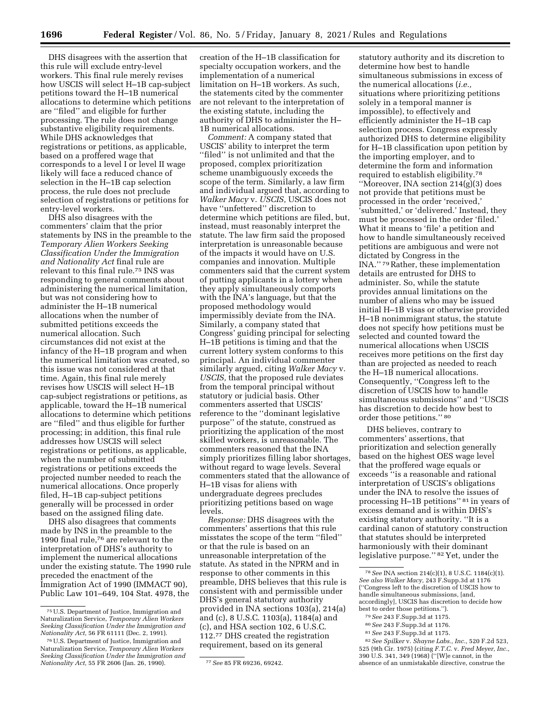DHS disagrees with the assertion that this rule will exclude entry-level workers. This final rule merely revises how USCIS will select H–1B cap-subject petitions toward the H–1B numerical allocations to determine which petitions are ''filed'' and eligible for further processing. The rule does not change substantive eligibility requirements. While DHS acknowledges that registrations or petitions, as applicable, based on a proffered wage that corresponds to a level I or level II wage likely will face a reduced chance of selection in the H–1B cap selection process, the rule does not preclude selection of registrations or petitions for entry-level workers.

DHS also disagrees with the commenters' claim that the prior statements by INS in the preamble to the *Temporary Alien Workers Seeking Classification Under the Immigration and Nationality Act* final rule are relevant to this final rule.75 INS was responding to general comments about administering the numerical limitation, but was not considering how to administer the H–1B numerical allocations when the number of submitted petitions exceeds the numerical allocation. Such circumstances did not exist at the infancy of the H–1B program and when the numerical limitation was created, so this issue was not considered at that time. Again, this final rule merely revises how USCIS will select H–1B cap-subject registrations or petitions, as applicable, toward the H–1B numerical allocations to determine which petitions are ''filed'' and thus eligible for further processing; in addition, this final rule addresses how USCIS will select registrations or petitions, as applicable, when the number of submitted registrations or petitions exceeds the projected number needed to reach the numerical allocations. Once properly filed, H–1B cap-subject petitions generally will be processed in order based on the assigned filing date.

DHS also disagrees that comments made by INS in the preamble to the 1990 final rule,76 are relevant to the interpretation of DHS's authority to implement the numerical allocations under the existing statute. The 1990 rule preceded the enactment of the Immigration Act of 1990 (IMMACT 90), Public Law 101–649, 104 Stat. 4978, the

creation of the H–1B classification for specialty occupation workers, and the implementation of a numerical limitation on H–1B workers. As such, the statements cited by the commenter are not relevant to the interpretation of the existing statute, including the authority of DHS to administer the H– 1B numerical allocations.

*Comment:* A company stated that USCIS' ability to interpret the term ''filed'' is not unlimited and that the proposed, complex prioritization scheme unambiguously exceeds the scope of the term. Similarly, a law firm and individual argued that, according to *Walker Macy* v. *USCIS,* USCIS does not have ''unfettered'' discretion to determine which petitions are filed, but, instead, must reasonably interpret the statute. The law firm said the proposed interpretation is unreasonable because of the impacts it would have on U.S. companies and innovation. Multiple commenters said that the current system of putting applicants in a lottery when they apply simultaneously comports with the INA's language, but that the proposed methodology would impermissibly deviate from the INA. Similarly, a company stated that Congress' guiding principal for selecting H–1B petitions is timing and that the current lottery system conforms to this principal. An individual commenter similarly argued, citing *Walker Macy* v. *USCIS,* that the proposed rule deviates from the temporal principal without statutory or judicial basis. Other commenters asserted that USCIS' reference to the ''dominant legislative purpose'' of the statute, construed as prioritizing the application of the most skilled workers, is unreasonable. The commenters reasoned that the INA simply prioritizes filling labor shortages, without regard to wage levels. Several commenters stated that the allowance of H–1B visas for aliens with undergraduate degrees precludes prioritizing petitions based on wage levels.

*Response:* DHS disagrees with the commenters' assertions that this rule misstates the scope of the term ''filed'' or that the rule is based on an unreasonable interpretation of the statute. As stated in the NPRM and in response to other comments in this preamble, DHS believes that this rule is consistent with and permissible under DHS's general statutory authority provided in INA sections 103(a), 214(a) and (c), 8 U.S.C. 1103(a), 1184(a) and (c), and HSA section 102, 6 U.S.C. 112.77 DHS created the registration requirement, based on its general

statutory authority and its discretion to determine how best to handle simultaneous submissions in excess of the numerical allocations (*i.e.,*  situations where prioritizing petitions solely in a temporal manner is impossible), to effectively and efficiently administer the H–1B cap selection process. Congress expressly authorized DHS to determine eligibility for H–1B classification upon petition by the importing employer, and to determine the form and information required to establish eligibility.78 ''Moreover, INA section 214(g)(3) does not provide that petitions must be processed in the order 'received,' 'submitted,' or 'delivered.' Instead, they must be processed in the order 'filed.' What it means to 'file' a petition and how to handle simultaneously received petitions are ambiguous and were not dictated by Congress in the INA.'' 79Rather, these implementation details are entrusted for DHS to administer. So, while the statute provides annual limitations on the number of aliens who may be issued initial H–1B visas or otherwise provided H–1B nonimmigrant status, the statute does not specify how petitions must be selected and counted toward the numerical allocations when USCIS receives more petitions on the first day than are projected as needed to reach the H–1B numerical allocations. Consequently, ''Congress left to the discretion of USCIS how to handle simultaneous submissions'' and ''USCIS has discretion to decide how best to order those petitions.'' 80

DHS believes, contrary to commenters' assertions, that prioritization and selection generally based on the highest OES wage level that the proffered wage equals or exceeds ''is a reasonable and rational interpretation of USCIS's obligations under the INA to resolve the issues of processing H–1B petitions'' 81 in years of excess demand and is within DHS's existing statutory authority. ''It is a cardinal canon of statutory construction that statutes should be interpreted harmoniously with their dominant legislative purpose.'' 82 Yet, under the

<sup>75</sup>U.S. Department of Justice, Immigration and Naturalization Service, *Temporary Alien Workers Seeking Classification Under the Immigration and Nationality Act,* 56 FR 61111 (Dec. 2, 1991).

<sup>76</sup>U.S. Department of Justice, Immigration and Naturalization Service, *Temporary Alien Workers Seeking Classification Under the Immigration and Nationality Act,* 55 FR 2606 (Jan. 26, 1990). 77*See* 85 FR 69236, 69242.

<sup>78</sup>*See* INA section 214(c)(1), 8 U.S.C. 1184(c)(1). *See also Walker Macy,* 243 F.Supp.3d at 1176 (''Congress left to the discretion of USCIS how to handle simultaneous submissions, [and, accordingly], USCIS has discretion to decide how best to order those petitions.'').

<sup>79</sup>*See* 243 F.Supp.3d at 1175.

<sup>80</sup>*See* 243 F.Supp.3d at 1176.

<sup>81</sup>*See* 243 F.Supp.3d at 1175.

<sup>82</sup>*See Spilker* v. *Shayne Labs., Inc.,* 520 F.2d 523, 525 (9th Cir. 1975) (citing *F.T.C.* v. *Fred Meyer, Inc.,*  390 U.S. 341, 349 (1968) (''[W]e cannot, in the absence of an unmistakable directive, construe the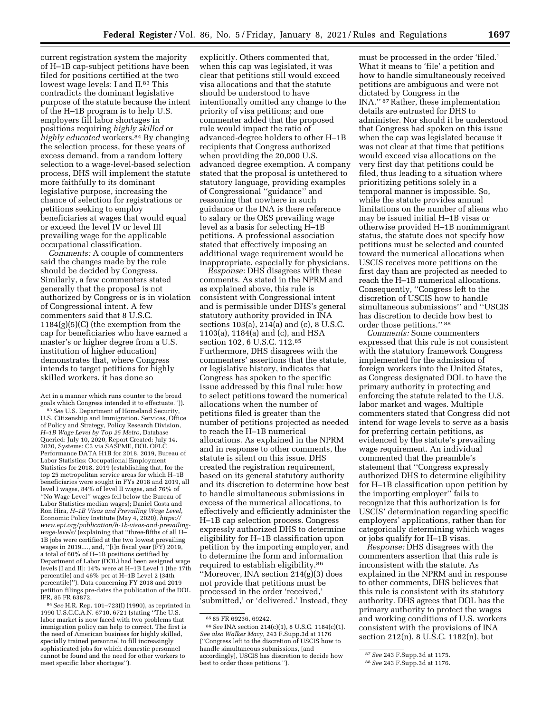current registration system the majority of H–1B cap-subject petitions have been filed for positions certified at the two lowest wage levels: I and II.<sup>83</sup> This contradicts the dominant legislative purpose of the statute because the intent of the H–1B program is to help U.S. employers fill labor shortages in positions requiring *highly skilled* or *highly educated* workers.84 By changing the selection process, for these years of excess demand, from a random lottery selection to a wage-level-based selection process, DHS will implement the statute more faithfully to its dominant legislative purpose, increasing the chance of selection for registrations or petitions seeking to employ beneficiaries at wages that would equal or exceed the level IV or level III prevailing wage for the applicable occupational classification.

*Comments:* A couple of commenters said the changes made by the rule should be decided by Congress. Similarly, a few commenters stated generally that the proposal is not authorized by Congress or is in violation of Congressional intent. A few commenters said that 8 U.S.C. 1184(g)(5)(C) (the exemption from the cap for beneficiaries who have earned a master's or higher degree from a U.S. institution of higher education) demonstrates that, where Congress intends to target petitions for highly skilled workers, it has done so

Act in a manner which runs counter to the broad goals which Congress intended it to effectuate.'')).

83*See* U.S. Department of Homeland Security, U.S. Citizenship and Immigration. Services, Office of Policy and Strategy, Policy Research Division, *H–1B Wage Level by Top 25 Metro,* Database Queried: July 10, 2020, Report Created: July 14, 2020, Systems: C3 via SASPME, DOL OFLC Performance DATA H1B for 2018, 2019, Bureau of Labor Statistics: Occupational Employment Statistics for 2018, 2019 (establishing that, for the top 25 metropolitan service areas for which H–1B beneficiaries were sought in FYs 2018 and 2019, all level I wages, 84% of level II wages, and 76% of ''No Wage Level'' wages fell below the Bureau of Labor Statistics median wages); Daniel Costa and Ron Hira, *H–1B Visas and Prevailing Wage Level,*  Economic Policy Institute (May 4, 2020), *[https://](https://www.epi.org/publication/h-1b-visas-and-prevailing-wage-levels/) [www.epi.org/publication/h-1b-visas-and-prevailing](https://www.epi.org/publication/h-1b-visas-and-prevailing-wage-levels/)[wage-levels/](https://www.epi.org/publication/h-1b-visas-and-prevailing-wage-levels/)* (explaining that ''three-fifths of all H– 1B jobs were certified at the two lowest prevailing wages in 2019...., and, ''[i]n fiscal year (FY) 2019, a total of 60% of H–1B positions certified by Department of Labor (DOL) had been assigned wage levels [I and II]: 14% were at H–1B Level 1 (the 17th percentile) and 46% per at H–1B Level 2 (34th percentile)''). Data concerning FY 2018 and 2019 petition filings pre-dates the publication of the DOL IFR, 85 FR 63872.

84*See* H.R. Rep. 101–723(I) (1990), as reprinted in 1990 U.S.C.C.A.N. 6710, 6721 (stating ''The U.S. labor market is now faced with two problems that immigration policy can help to correct. The first is the need of American business for highly skilled, specially trained personnel to fill increasingly sophisticated jobs for which domestic personnel cannot be found and the need for other workers to meet specific labor shortages'').

explicitly. Others commented that, when this cap was legislated, it was clear that petitions still would exceed visa allocations and that the statute should be understood to have intentionally omitted any change to the priority of visa petitions; and one commenter added that the proposed rule would impact the ratio of advanced-degree holders to other H–1B recipients that Congress authorized when providing the 20,000 U.S. advanced degree exemption. A company stated that the proposal is untethered to statutory language, providing examples of Congressional ''guidance'' and reasoning that nowhere in such guidance or the INA is there reference to salary or the OES prevailing wage level as a basis for selecting H–1B petitions. A professional association stated that effectively imposing an additional wage requirement would be inappropriate, especially for physicians.

*Response:* DHS disagrees with these comments. As stated in the NPRM and as explained above, this rule is consistent with Congressional intent and is permissible under DHS's general statutory authority provided in INA sections 103(a), 214(a) and (c), 8 U.S.C. 1103(a), 1184(a) and (c), and HSA section 102, 6 U.S.C. 112.85 Furthermore, DHS disagrees with the commenters' assertions that the statute, or legislative history, indicates that Congress has spoken to the specific issue addressed by this final rule: how to select petitions toward the numerical allocations when the number of petitions filed is greater than the number of petitions projected as needed to reach the H–1B numerical allocations. As explained in the NPRM and in response to other comments, the statute is silent on this issue. DHS created the registration requirement, based on its general statutory authority and its discretion to determine how best to handle simultaneous submissions in excess of the numerical allocations, to effectively and efficiently administer the H–1B cap selection process. Congress expressly authorized DHS to determine eligibility for H–1B classification upon petition by the importing employer, and to determine the form and information required to establish eligibility.86 ''Moreover, INA section 214(g)(3) does not provide that petitions must be processed in the order 'received,' 'submitted,' or 'delivered.' Instead, they

must be processed in the order 'filed.' What it means to 'file' a petition and how to handle simultaneously received petitions are ambiguous and were not dictated by Congress in the INA."<sup>87</sup>Rather, these implementation details are entrusted for DHS to administer. Nor should it be understood that Congress had spoken on this issue when the cap was legislated because it was not clear at that time that petitions would exceed visa allocations on the very first day that petitions could be filed, thus leading to a situation where prioritizing petitions solely in a temporal manner is impossible. So, while the statute provides annual limitations on the number of aliens who may be issued initial H–1B visas or otherwise provided H–1B nonimmigrant status, the statute does not specify how petitions must be selected and counted toward the numerical allocations when USCIS receives more petitions on the first day than are projected as needed to reach the H–1B numerical allocations. Consequently, ''Congress left to the discretion of USCIS how to handle simultaneous submissions'' and ''USCIS has discretion to decide how best to order those petitions.'' 88

*Comments:* Some commenters expressed that this rule is not consistent with the statutory framework Congress implemented for the admission of foreign workers into the United States, as Congress designated DOL to have the primary authority in protecting and enforcing the statute related to the U.S. labor market and wages. Multiple commenters stated that Congress did not intend for wage levels to serve as a basis for preferring certain petitions, as evidenced by the statute's prevailing wage requirement. An individual commented that the preamble's statement that ''Congress expressly authorized DHS to determine eligibility for H–1B classification upon petition by the importing employer'' fails to recognize that this authorization is for USCIS' determination regarding specific employers' applications, rather than for categorically determining which wages or jobs qualify for H–1B visas.

*Response:* DHS disagrees with the commenters assertion that this rule is inconsistent with the statute. As explained in the NPRM and in response to other comments, DHS believes that this rule is consistent with its statutory authority. DHS agrees that DOL has the primary authority to protect the wages and working conditions of U.S. workers consistent with the provisions of INA section 212(n), 8 U.S.C. 1182(n), but

<sup>85</sup> 85 FR 69236, 69242.

<sup>86</sup>*See* INA section 214(c)(1), 8 U.S.C. 1184(c)(1). *See also Walker Macy,* 243 F.Supp.3d at 1176 (''Congress left to the discretion of USCIS how to handle simultaneous submissions, [and accordingly], USCIS has discretion to decide how best to order those petitions.'').

<sup>87</sup>*See* 243 F.Supp.3d at 1175.

<sup>88</sup>*See* 243 F.Supp.3d at 1176.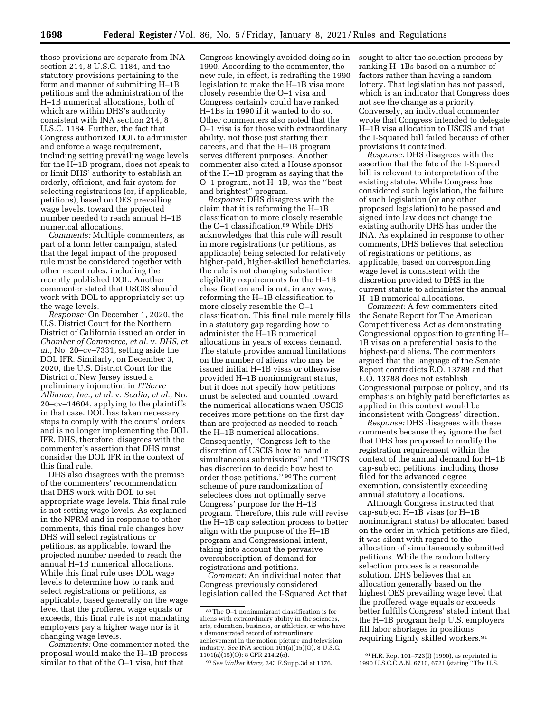those provisions are separate from INA section 214, 8 U.S.C. 1184, and the statutory provisions pertaining to the form and manner of submitting H–1B petitions and the administration of the H–1B numerical allocations, both of which are within DHS's authority consistent with INA section 214, 8 U.S.C. 1184. Further, the fact that Congress authorized DOL to administer and enforce a wage requirement, including setting prevailing wage levels for the H–1B program, does not speak to or limit DHS' authority to establish an orderly, efficient, and fair system for selecting registrations (or, if applicable, petitions), based on OES prevailing wage levels, toward the projected number needed to reach annual H–1B numerical allocations.

*Comments:* Multiple commenters, as part of a form letter campaign, stated that the legal impact of the proposed rule must be considered together with other recent rules, including the recently published DOL. Another commenter stated that USCIS should work with DOL to appropriately set up the wage levels.

*Response:* On December 1, 2020, the U.S. District Court for the Northern District of California issued an order in *Chamber of Commerce, et al.* v. *DHS, et al.,* No. 20–cv–7331, setting aside the DOL IFR. Similarly, on December 3, 2020, the U.S. District Court for the District of New Jersey issued a preliminary injunction in *ITServe Alliance, Inc., et al.* v. *Scalia, et al.,* No. 20–cv–14604, applying to the plaintiffs in that case. DOL has taken necessary steps to comply with the courts' orders and is no longer implementing the DOL IFR. DHS, therefore, disagrees with the commenter's assertion that DHS must consider the DOL IFR in the context of this final rule.

DHS also disagrees with the premise of the commenters' recommendation that DHS work with DOL to set appropriate wage levels. This final rule is not setting wage levels. As explained in the NPRM and in response to other comments, this final rule changes how DHS will select registrations or petitions, as applicable, toward the projected number needed to reach the annual H–1B numerical allocations. While this final rule uses DOL wage levels to determine how to rank and select registrations or petitions, as applicable, based generally on the wage level that the proffered wage equals or exceeds, this final rule is not mandating employers pay a higher wage nor is it changing wage levels.

*Comments:* One commenter noted the proposal would make the H–1B process similar to that of the O–1 visa, but that

Congress knowingly avoided doing so in 1990. According to the commenter, the new rule, in effect, is redrafting the 1990 legislation to make the H–1B visa more closely resemble the O–1 visa and Congress certainly could have ranked H–1Bs in 1990 if it wanted to do so. Other commenters also noted that the O–1 visa is for those with extraordinary ability, not those just starting their careers, and that the H–1B program serves different purposes. Another commenter also cited a House sponsor of the H–1B program as saying that the O–1 program, not H–1B, was the ''best and brightest'' program.

*Response:* DHS disagrees with the claim that it is reforming the H–1B classification to more closely resemble the O-1 classification.<sup>89</sup> While DHS acknowledges that this rule will result in more registrations (or petitions, as applicable) being selected for relatively higher-paid, higher-skilled beneficiaries, the rule is not changing substantive eligibility requirements for the H–1B classification and is not, in any way, reforming the H–1B classification to more closely resemble the O–1 classification. This final rule merely fills in a statutory gap regarding how to administer the H–1B numerical allocations in years of excess demand. The statute provides annual limitations on the number of aliens who may be issued initial H–1B visas or otherwise provided H–1B nonimmigrant status, but it does not specify how petitions must be selected and counted toward the numerical allocations when USCIS receives more petitions on the first day than are projected as needed to reach the H–1B numerical allocations. Consequently, ''Congress left to the discretion of USCIS how to handle simultaneous submissions'' and ''USCIS has discretion to decide how best to order those petitions.'' 90The current scheme of pure randomization of selectees does not optimally serve Congress' purpose for the H–1B program. Therefore, this rule will revise the H–1B cap selection process to better align with the purpose of the H–1B program and Congressional intent, taking into account the pervasive oversubscription of demand for registrations and petitions.

*Comment:* An individual noted that Congress previously considered legislation called the I-Squared Act that sought to alter the selection process by ranking H–1Bs based on a number of factors rather than having a random lottery. That legislation has not passed, which is an indicator that Congress does not see the change as a priority. Conversely, an individual commenter wrote that Congress intended to delegate H–1B visa allocation to USCIS and that the I-Squared bill failed because of other provisions it contained.

*Response:* DHS disagrees with the assertion that the fate of the I-Squared bill is relevant to interpretation of the existing statute. While Congress has considered such legislation, the failure of such legislation (or any other proposed legislation) to be passed and signed into law does not change the existing authority DHS has under the INA. As explained in response to other comments, DHS believes that selection of registrations or petitions, as applicable, based on corresponding wage level is consistent with the discretion provided to DHS in the current statute to administer the annual H–1B numerical allocations.

*Comment:* A few commenters cited the Senate Report for The American Competitiveness Act as demonstrating Congressional opposition to granting H– 1B visas on a preferential basis to the highest-paid aliens. The commenters argued that the language of the Senate Report contradicts E.O. 13788 and that E.O. 13788 does not establish Congressional purpose or policy, and its emphasis on highly paid beneficiaries as applied in this context would be inconsistent with Congress' direction.

*Response:* DHS disagrees with these comments because they ignore the fact that DHS has proposed to modify the registration requirement within the context of the annual demand for H–1B cap-subject petitions, including those filed for the advanced degree exemption, consistently exceeding annual statutory allocations.

Although Congress instructed that cap-subject H–1B visas (or H–1B nonimmigrant status) be allocated based on the order in which petitions are filed, it was silent with regard to the allocation of simultaneously submitted petitions. While the random lottery selection process is a reasonable solution, DHS believes that an allocation generally based on the highest OES prevailing wage level that the proffered wage equals or exceeds better fulfills Congress' stated intent that the H–1B program help U.S. employers fill labor shortages in positions requiring highly skilled workers.91

<sup>89</sup>The O–1 nonimmigrant classification is for aliens with extraordinary ability in the sciences, arts, education, business, or athletics, or who have a demonstrated record of extraordinary achievement in the motion picture and television industry. *See* INA section 101(a)(15)(O), 8 U.S.C. 1101(a)(15)(O); 8 CFR 214.2(o).

<sup>90</sup>*See Walker Macy,* 243 F.Supp.3d at 1176.

<sup>91</sup>H.R. Rep. 101–723(I) (1990), as reprinted in 1990 U.S.C.C.A.N. 6710, 6721 (stating ''The U.S.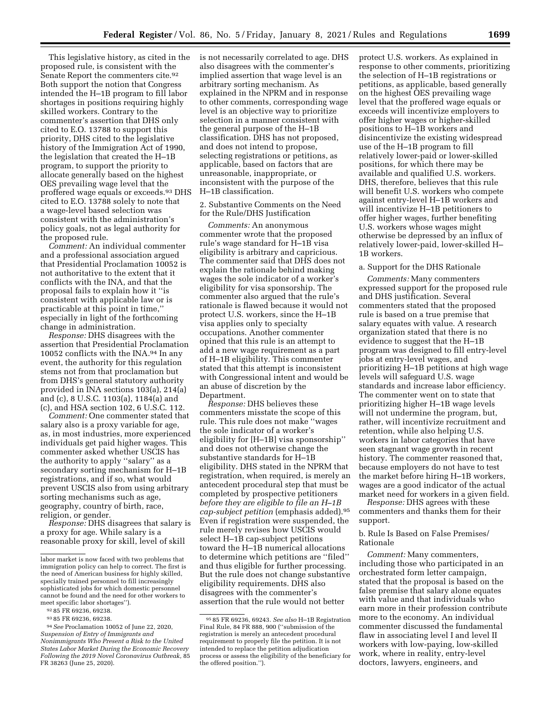This legislative history, as cited in the proposed rule, is consistent with the Senate Report the commenters cite.92 Both support the notion that Congress intended the H–1B program to fill labor shortages in positions requiring highly skilled workers. Contrary to the commenter's assertion that DHS only cited to E.O. 13788 to support this priority, DHS cited to the legislative history of the Immigration Act of 1990, the legislation that created the H–1B program, to support the priority to allocate generally based on the highest OES prevailing wage level that the proffered wage equals or exceeds.93 DHS cited to E.O. 13788 solely to note that a wage-level based selection was consistent with the administration's policy goals, not as legal authority for the proposed rule.

*Comment:* An individual commenter and a professional association argued that Presidential Proclamation 10052 is not authoritative to the extent that it conflicts with the INA, and that the proposal fails to explain how it ''is consistent with applicable law or is practicable at this point in time,'' especially in light of the forthcoming change in administration.

*Response:* DHS disagrees with the assertion that Presidential Proclamation 10052 conflicts with the INA.94 In any event, the authority for this regulation stems not from that proclamation but from DHS's general statutory authority provided in INA sections 103(a), 214(a) and (c), 8 U.S.C. 1103(a), 1184(a) and (c), and HSA section 102, 6 U.S.C. 112.

*Comment:* One commenter stated that salary also is a proxy variable for age, as, in most industries, more experienced individuals get paid higher wages. This commenter asked whether USCIS has the authority to apply ''salary'' as a secondary sorting mechanism for H–1B registrations, and if so, what would prevent USCIS also from using arbitrary sorting mechanisms such as age, geography, country of birth, race, religion, or gender.

*Response:* DHS disagrees that salary is a proxy for age. While salary is a reasonable proxy for skill, level of skill

is not necessarily correlated to age. DHS also disagrees with the commenter's implied assertion that wage level is an arbitrary sorting mechanism. As explained in the NPRM and in response to other comments, corresponding wage level is an objective way to prioritize selection in a manner consistent with the general purpose of the H–1B classification. DHS has not proposed, and does not intend to propose, selecting registrations or petitions, as applicable, based on factors that are unreasonable, inappropriate, or inconsistent with the purpose of the H–1B classification.

2. Substantive Comments on the Need for the Rule/DHS Justification

*Comments:* An anonymous commenter wrote that the proposed rule's wage standard for H–1B visa eligibility is arbitrary and capricious. The commenter said that DHS does not explain the rationale behind making wages the sole indicator of a worker's eligibility for visa sponsorship. The commenter also argued that the rule's rationale is flawed because it would not protect U.S. workers, since the H–1B visa applies only to specialty occupations. Another commenter opined that this rule is an attempt to add a new wage requirement as a part of H–1B eligibility. This commenter stated that this attempt is inconsistent with Congressional intent and would be an abuse of discretion by the Department.

*Response:* DHS believes these commenters misstate the scope of this rule. This rule does not make ''wages the sole indicator of a worker's eligibility for [H–1B] visa sponsorship'' and does not otherwise change the substantive standards for H–1B eligibility. DHS stated in the NPRM that registration, when required, is merely an antecedent procedural step that must be completed by prospective petitioners *before they are eligible to file an H–1B cap-subject petition* (emphasis added).95 Even if registration were suspended, the rule merely revises how USCIS would select H–1B cap-subject petitions toward the H–1B numerical allocations to determine which petitions are ''filed'' and thus eligible for further processing. But the rule does not change substantive eligibility requirements. DHS also disagrees with the commenter's assertion that the rule would not better

protect U.S. workers. As explained in response to other comments, prioritizing the selection of H–1B registrations or petitions, as applicable, based generally on the highest OES prevailing wage level that the proffered wage equals or exceeds will incentivize employers to offer higher wages or higher-skilled positions to H–1B workers and disincentivize the existing widespread use of the H–1B program to fill relatively lower-paid or lower-skilled positions, for which there may be available and qualified U.S. workers. DHS, therefore, believes that this rule will benefit U.S. workers who compete against entry-level H–1B workers and will incentivize H–1B petitioners to offer higher wages, further benefiting U.S. workers whose wages might otherwise be depressed by an influx of relatively lower-paid, lower-skilled H– 1B workers.

#### a. Support for the DHS Rationale

*Comments:* Many commenters expressed support for the proposed rule and DHS justification. Several commenters stated that the proposed rule is based on a true premise that salary equates with value. A research organization stated that there is no evidence to suggest that the H–1B program was designed to fill entry-level jobs at entry-level wages, and prioritizing H–1B petitions at high wage levels will safeguard U.S. wage standards and increase labor efficiency. The commenter went on to state that prioritizing higher H–1B wage levels will not undermine the program, but, rather, will incentivize recruitment and retention, while also helping U.S. workers in labor categories that have seen stagnant wage growth in recent history. The commenter reasoned that, because employers do not have to test the market before hiring H–1B workers, wages are a good indicator of the actual market need for workers in a given field.

*Response:* DHS agrees with these commenters and thanks them for their support.

# b. Rule Is Based on False Premises/ Rationale

*Comment:* Many commenters, including those who participated in an orchestrated form letter campaign, stated that the proposal is based on the false premise that salary alone equates with value and that individuals who earn more in their profession contribute more to the economy. An individual commenter discussed the fundamental flaw in associating level I and level II workers with low-paying, low-skilled work, where in reality, entry-level doctors, lawyers, engineers, and

labor market is now faced with two problems that immigration policy can help to correct. The first is the need of American business for highly skilled, specially trained personnel to fill increasingly sophisticated jobs for which domestic personnel cannot be found and the need for other workers to meet specific labor shortages'').

<sup>92</sup> 85 FR 69236, 69238.

<sup>93</sup> 85 FR 69236, 69238.

<sup>94</sup>*See* Proclamation 10052 of June 22, 2020, *Suspension of Entry of Immigrants and Nonimmigrants Who Present a Risk to the United States Labor Market During the Economic Recovery Following the 2019 Novel Coronavirus Outbreak,* 85 FR 38263 (June 25, 2020).

<sup>95</sup> 85 FR 69236, 69243. *See also* H–1B Registration Final Rule, 84 FR 888, 900 (''submission of the registration is merely an antecedent procedural requirement to properly file the petition. It is not intended to replace the petition adjudication process or assess the eligibility of the beneficiary for the offered position.'').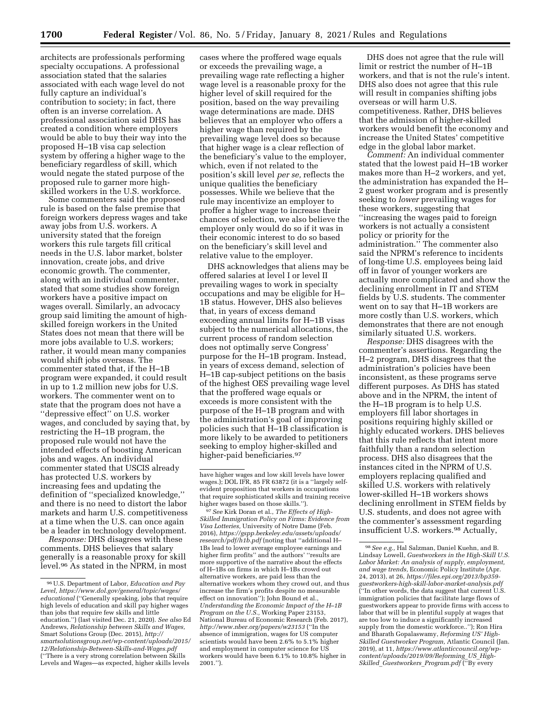architects are professionals performing specialty occupations. A professional association stated that the salaries associated with each wage level do not fully capture an individual's contribution to society; in fact, there often is an inverse correlation. A professional association said DHS has created a condition where employers would be able to buy their way into the proposed H–1B visa cap selection system by offering a higher wage to the beneficiary regardless of skill, which would negate the stated purpose of the proposed rule to garner more highskilled workers in the U.S. workforce.

Some commenters said the proposed rule is based on the false premise that foreign workers depress wages and take away jobs from U.S. workers. A university stated that the foreign workers this rule targets fill critical needs in the U.S. labor market, bolster innovation, create jobs, and drive economic growth. The commenter, along with an individual commenter, stated that some studies show foreign workers have a positive impact on wages overall. Similarly, an advocacy group said limiting the amount of highskilled foreign workers in the United States does not mean that there will be more jobs available to U.S. workers; rather, it would mean many companies would shift jobs overseas. The commenter stated that, if the H–1B program were expanded, it could result in up to 1.2 million new jobs for U.S. workers. The commenter went on to state that the program does not have a ''depressive effect'' on U.S. worker wages, and concluded by saying that, by restricting the H–1B program, the proposed rule would not have the intended effects of boosting American jobs and wages. An individual commenter stated that USCIS already has protected U.S. workers by increasing fees and updating the definition of ''specialized knowledge,'' and there is no need to distort the labor markets and harm U.S. competitiveness at a time when the U.S. can once again be a leader in technology development.

*Response:* DHS disagrees with these comments. DHS believes that salary generally is a reasonable proxy for skill level.96 As stated in the NPRM, in most

cases where the proffered wage equals or exceeds the prevailing wage, a prevailing wage rate reflecting a higher wage level is a reasonable proxy for the higher level of skill required for the position, based on the way prevailing wage determinations are made. DHS believes that an employer who offers a higher wage than required by the prevailing wage level does so because that higher wage is a clear reflection of the beneficiary's value to the employer, which, even if not related to the position's skill level *per se,* reflects the unique qualities the beneficiary possesses. While we believe that the rule may incentivize an employer to proffer a higher wage to increase their chances of selection, we also believe the employer only would do so if it was in their economic interest to do so based on the beneficiary's skill level and relative value to the employer.

DHS acknowledges that aliens may be offered salaries at level I or level II prevailing wages to work in specialty occupations and may be eligible for H– 1B status. However, DHS also believes that, in years of excess demand exceeding annual limits for H–1B visas subject to the numerical allocations, the current process of random selection does not optimally serve Congress' purpose for the H–1B program. Instead, in years of excess demand, selection of H–1B cap-subject petitions on the basis of the highest OES prevailing wage level that the proffered wage equals or exceeds is more consistent with the purpose of the H–1B program and with the administration's goal of improving policies such that H–1B classification is more likely to be awarded to petitioners seeking to employ higher-skilled and higher-paid beneficiaries.<sup>97</sup>

97*See* Kirk Doran et al., *The Effects of High-Skilled Immigration Policy on Firms: Evidence from Visa Lotteries,* University of Notre Dame (Feb. 2016), *[https://gspp.berkeley.edu/assets/uploads/](https://gspp.berkeley.edu/assets/uploads/research/pdf/h1b.pdf)  [research/pdf/h1b.pdf](https://gspp.berkeley.edu/assets/uploads/research/pdf/h1b.pdf)* (noting that ''additional H– 1Bs lead to lower average employee earnings and higher firm profits'' and the authors' ''results are more supportive of the narrative about the effects of H–1Bs on firms in which H–1Bs crowd out alternative workers, are paid less than the alternative workers whom they crowd out, and thus increase the firm's profits despite no measurable effect on innovation''); John Bound et al., *Understanding the Economic Impact of the H–1B Program on the U.S.,* Working Paper 23153, National Bureau of Economic Research (Feb. 2017), *<http://www.nber.org/papers/w23153>*(''In the absence of immigration, wages for US computer scientists would have been 2.6% to 5.1% higher and employment in computer science for US workers would have been 6.1% to 10.8% higher in 2001.'').

DHS does not agree that the rule will limit or restrict the number of H–1B workers, and that is not the rule's intent. DHS also does not agree that this rule will result in companies shifting jobs overseas or will harm U.S. competitiveness. Rather, DHS believes that the admission of higher-skilled workers would benefit the economy and increase the United States' competitive edge in the global labor market.

*Comment:* An individual commenter stated that the lowest paid H–1B worker makes more than H–2 workers, and yet, the administration has expanded the H– 2 guest worker program and is presently seeking to *lower* prevailing wages for these workers, suggesting that ''increasing the wages paid to foreign workers is not actually a consistent policy or priority for the administration.'' The commenter also said the NPRM's reference to incidents of long-time U.S. employees being laid off in favor of younger workers are actually more complicated and show the declining enrollment in IT and STEM fields by U.S. students. The commenter went on to say that H–1B workers are more costly than U.S. workers, which demonstrates that there are not enough similarly situated U.S. workers.

*Response:* DHS disagrees with the commenter's assertions. Regarding the H–2 program, DHS disagrees that the administration's policies have been inconsistent, as these programs serve different purposes. As DHS has stated above and in the NPRM, the intent of the H–1B program is to help U.S. employers fill labor shortages in positions requiring highly skilled or highly educated workers. DHS believes that this rule reflects that intent more faithfully than a random selection process. DHS also disagrees that the instances cited in the NPRM of U.S. employers replacing qualified and skilled U.S. workers with relatively lower-skilled H–1B workers shows declining enrollment in STEM fields by U.S. students, and does not agree with the commenter's assessment regarding insufficient U.S. workers.<sup>98</sup> Actually,

<sup>96</sup>U.S. Department of Labor, *Education and Pay Level, [https://www.dol.gov/general/topic/wages/](https://www.dol.gov/general/topic/wages/educational)  [educational](https://www.dol.gov/general/topic/wages/educational)* (''Generally speaking, jobs that require high levels of education and skill pay higher wages than jobs that require few skills and little education.'') (last visited Dec. 21, 2020). *See also* Ed Andrews, *Relationship between Skills and Wages,*  Smart Solutions Group (Dec. 2015), *[http://](http://smartsolutionsgroup.net/wp-content/uploads/2015/12/Relationship-Between-Skills-and-Wages.pdf) [smartsolutionsgroup.net/wp-content/uploads/2015/](http://smartsolutionsgroup.net/wp-content/uploads/2015/12/Relationship-Between-Skills-and-Wages.pdf)  [12/Relationship-Between-Skills-and-Wages.pdf](http://smartsolutionsgroup.net/wp-content/uploads/2015/12/Relationship-Between-Skills-and-Wages.pdf)*  (''There is a very strong correlation between Skills Levels and Wages—as expected, higher skills levels

have higher wages and low skill levels have lower wages.); DOL IFR, 85 FR 63872 (it is a ''largely selfevident proposition that workers in occupations that require sophisticated skills and training receive higher wages based on those skills.'').

<sup>98</sup>*See e.g.,* Hal Salzman, Daniel Kuehn, and B. Lindsay Lowell, *Guestworkers in the High-Skill U.S. Labor Market: An analysis of supply, employment, and wage trends,* Economic Policy Institute (Apr. 24, 2013), at 26, *[https://files.epi.org/2013/bp359](https://files.epi.org/2013/bp359-guestworkers-high-skill-labor-market-analysis.pdf) [guestworkers-high-skill-labor-market-analysis.pdf](https://files.epi.org/2013/bp359-guestworkers-high-skill-labor-market-analysis.pdf)*  (''In other words, the data suggest that current U.S. immigration policies that facilitate large flows of guestworkers appear to provide firms with access to labor that will be in plentiful supply at wages that are too low to induce a significantly increased supply from the domestic workforce..''); Ron Hira and Bharath Gopalaswamy, *Reforming US' High-Skilled Guestworker Program,* Atlantic Council (Jan. 2019), at 11, *[https://www.atlanticcouncil.org/wp](https://www.atlanticcouncil.org/wp-content/uploads/2019/09/Reforming_US_High-Skilled_Guestworkers_Program.pdf)[content/uploads/2019/09/Reforming](https://www.atlanticcouncil.org/wp-content/uploads/2019/09/Reforming_US_High-Skilled_Guestworkers_Program.pdf)*\_*US*\_*High-Skilled*\_*[Guestworkers](https://www.atlanticcouncil.org/wp-content/uploads/2019/09/Reforming_US_High-Skilled_Guestworkers_Program.pdf)*\_*Program.pdf* (''By every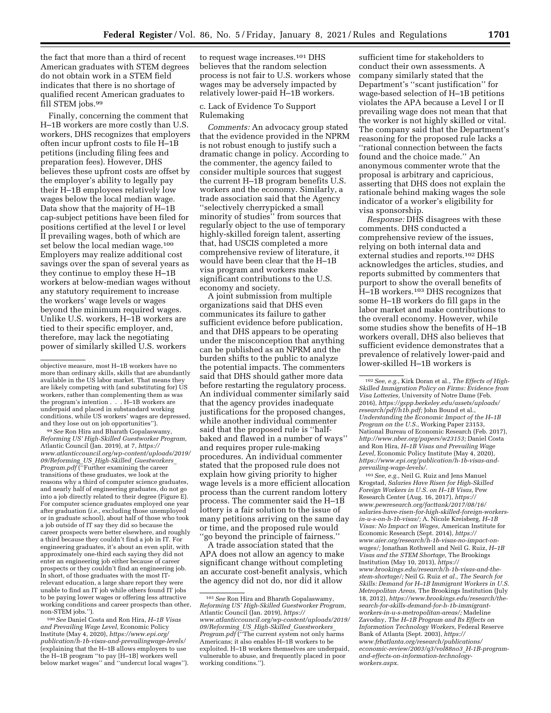the fact that more than a third of recent American graduates with STEM degrees do not obtain work in a STEM field indicates that there is no shortage of qualified recent American graduates to fill STEM jobs.99

Finally, concerning the comment that H–1B workers are more costly than U.S. workers, DHS recognizes that employers often incur upfront costs to file H–1B petitions (including filing fees and preparation fees). However, DHS believes these upfront costs are offset by the employer's ability to legally pay their H–1B employees relatively low wages below the local median wage. Data show that the majority of H–1B cap-subject petitions have been filed for positions certified at the level I or level II prevailing wages, both of which are set below the local median wage.100 Employers may realize additional cost savings over the span of several years as they continue to employ these H–1B workers at below-median wages without any statutory requirement to increase the workers' wage levels or wages beyond the minimum required wages. Unlike U.S. workers, H–1B workers are tied to their specific employer, and, therefore, may lack the negotiating power of similarly skilled U.S. workers

99*See* Ron Hira and Bharath Gopalaswamy, *Reforming US' High-Skilled Guestworker Program,*  Atlantic Council (Jan. 2019), at 7, *[https://](https://www.atlanticcouncil.org/wp-content/uploads/2019/09/Reforming_US_High-Skilled_Guestworkers_Program.pdf) [www.atlanticcouncil.org/wp-content/uploads/2019/](https://www.atlanticcouncil.org/wp-content/uploads/2019/09/Reforming_US_High-Skilled_Guestworkers_Program.pdf)  [09/Reforming](https://www.atlanticcouncil.org/wp-content/uploads/2019/09/Reforming_US_High-Skilled_Guestworkers_Program.pdf)*\_*US*\_*High-Skilled*\_*Guestworkers*\_ *[Program.pdf](https://www.atlanticcouncil.org/wp-content/uploads/2019/09/Reforming_US_High-Skilled_Guestworkers_Program.pdf)* (''Further examining the career transitions of these graduates, we look at the reasons why a third of computer science graduates, and nearly half of engineering graduates, do not go into a job directly related to their degree (Figure E). For computer science graduates employed one year after graduation (*i.e.,* excluding those unemployed or in graduate school), about half of those who took a job outside of IT say they did so because the career prospects were better elsewhere, and roughly a third because they couldn't find a job in IT. For engineering graduates, it's about an even split, with approximately one-third each saying they did not enter an engineering job either because of career prospects or they couldn't find an engineering job. In short, of those graduates with the most ITrelevant education, a large share report they were unable to find an IT job while others found IT jobs to be paying lower wages or offering less attractive working conditions and career prospects than other, non-STEM jobs.'').

100*See* Daniel Costa and Ron Hira, *H–1B Visas and Prevailing Wage Level,* Economic Policy Institute (May 4, 2020), *[https://www.epi.org/](https://www.epi.org/publication/h-1b-visas-and-prevailingwage-levels/)  [publication/h-1b-visas-and-prevailingwage-levels/](https://www.epi.org/publication/h-1b-visas-and-prevailingwage-levels/)*  (explaining that the H–1B allows employers to use the H–1B program ''to pay [H–1B] workers well below market wages'' and ''undercut local wages'').

to request wage increases.101 DHS believes that the random selection process is not fair to U.S. workers whose wages may be adversely impacted by relatively lower-paid H–1B workers.

## c. Lack of Evidence To Support Rulemaking

*Comments:* An advocacy group stated that the evidence provided in the NPRM is not robust enough to justify such a dramatic change in policy. According to the commenter, the agency failed to consider multiple sources that suggest the current H–1B program benefits U.S. workers and the economy. Similarly, a trade association said that the Agency ''selectively cherrypicked a small minority of studies'' from sources that regularly object to the use of temporary highly-skilled foreign talent, asserting that, had USCIS completed a more comprehensive review of literature, it would have been clear that the H–1B visa program and workers make significant contributions to the U.S. economy and society.

A joint submission from multiple organizations said that DHS even communicates its failure to gather sufficient evidence before publication, and that DHS appears to be operating under the misconception that anything can be published as an NPRM and the burden shifts to the public to analyze the potential impacts. The commenters said that DHS should gather more data before restarting the regulatory process. An individual commenter similarly said that the agency provides inadequate justifications for the proposed changes, while another individual commenter said that the proposed rule is ''halfbaked and flawed in a number of ways'' and requires proper rule-making procedures. An individual commenter stated that the proposed rule does not explain how giving priority to higher wage levels is a more efficient allocation process than the current random lottery process. The commenter said the H–1B lottery is a fair solution to the issue of many petitions arriving on the same day or time, and the proposed rule would ''go beyond the principle of fairness.''

A trade association stated that the APA does not allow an agency to make significant change without completing an accurate cost-benefit analysis, which the agency did not do, nor did it allow

sufficient time for stakeholders to conduct their own assessments. A company similarly stated that the Department's ''scant justification'' for wage-based selection of H–1B petitions violates the APA because a Level I or II prevailing wage does not mean that that the worker is not highly skilled or vital. The company said that the Department's reasoning for the proposed rule lacks a ''rational connection between the facts found and the choice made.'' An anonymous commenter wrote that the proposal is arbitrary and capricious, asserting that DHS does not explain the rationale behind making wages the sole indicator of a worker's eligibility for visa sponsorship.

*Response:* DHS disagrees with these comments. DHS conducted a comprehensive review of the issues, relying on both internal data and external studies and reports.102 DHS acknowledges the articles, studies, and reports submitted by commenters that purport to show the overall benefits of H–1B workers.103 DHS recognizes that some H–1B workers do fill gaps in the labor market and make contributions to the overall economy. However, while some studies show the benefits of H–1B workers overall, DHS also believes that sufficient evidence demonstrates that a prevalence of relatively lower-paid and lower-skilled H–1B workers is

103*See, e.g.,* Neil G. Ruiz and Jens Manuel Krogstad, *Salaries Have Risen for High-Skilled Foreign Workers in U.S. on H–1B Visas,* Pew Research Center (Aug. 16, 2017), *[https://](https://www.pewresearch.org/facttank/2017/08/16/salaries-have-risen-for-high-skilled-foreign-workers-in-u-s-on-h-1b-visas/) [www.pewresearch.org/facttank/2017/08/16/](https://www.pewresearch.org/facttank/2017/08/16/salaries-have-risen-for-high-skilled-foreign-workers-in-u-s-on-h-1b-visas/) [salaries-have-risen-for-high-skilled-foreign-workers](https://www.pewresearch.org/facttank/2017/08/16/salaries-have-risen-for-high-skilled-foreign-workers-in-u-s-on-h-1b-visas/)[in-u-s-on-h-1b-visas/;](https://www.pewresearch.org/facttank/2017/08/16/salaries-have-risen-for-high-skilled-foreign-workers-in-u-s-on-h-1b-visas/)* A. Nicole Kreisberg, *H–1B Visas: No Impact on Wages,* American Institute for Economic Research (Sept. 2014), *[https://](https://www.aier.org/research/h-1b-visas-no-impact-on-wages/) [www.aier.org/research/h-1b-visas-no-impact-on](https://www.aier.org/research/h-1b-visas-no-impact-on-wages/)[wages/;](https://www.aier.org/research/h-1b-visas-no-impact-on-wages/)* Jonathan Rothwell and Neil G. Ruiz, *H–1B Visas and the STEM Shortage,* The Brookings Institution (May 10, 2013), *[https://](https://www.brookings.edu/research/h-1b-visas-and-the-stem-shortage/) [www.brookings.edu/research/h-1b-visas-and-the](https://www.brookings.edu/research/h-1b-visas-and-the-stem-shortage/)[stem-shortage/;](https://www.brookings.edu/research/h-1b-visas-and-the-stem-shortage/)* Neil G. Ruiz *et al., The Search for Skills: Demand for H–1B Immigrant Workers in U.S. Metropolitan Areas,* The Brookings Institution (July 18, 2012), *[https://www.brookings.edu/research/the](https://www.brookings.edu/research/the-search-for-skills-demand-for-h-1b-immigrant-workers-in-u-s-metropolitan-areas/)[search-for-skills-demand-for-h-1b-immigrant](https://www.brookings.edu/research/the-search-for-skills-demand-for-h-1b-immigrant-workers-in-u-s-metropolitan-areas/)[workers-in-u-s-metropolitan-areas/;](https://www.brookings.edu/research/the-search-for-skills-demand-for-h-1b-immigrant-workers-in-u-s-metropolitan-areas/)* Madeline Zavodny, *The H–1B Program and Its Effects on Information Technology Workers,* Federal Reserve Bank of Atlanta (Sept. 2003), *[https://](https://www.frbatlanta.org/research/publications/economic-review/2003/q3/vol88no3_H-1B-program-and-effects-on-information-technology-workers.aspx) [www.frbatlanta.org/research/publications/](https://www.frbatlanta.org/research/publications/economic-review/2003/q3/vol88no3_H-1B-program-and-effects-on-information-technology-workers.aspx)  [economic-review/2003/q3/vol88no3](https://www.frbatlanta.org/research/publications/economic-review/2003/q3/vol88no3_H-1B-program-and-effects-on-information-technology-workers.aspx)*\_*H-1B-program[and-effects-on-information-technology](https://www.frbatlanta.org/research/publications/economic-review/2003/q3/vol88no3_H-1B-program-and-effects-on-information-technology-workers.aspx)[workers.aspx.](https://www.frbatlanta.org/research/publications/economic-review/2003/q3/vol88no3_H-1B-program-and-effects-on-information-technology-workers.aspx)* 

objective measure, most H–1B workers have no more than ordinary skills, skills that are abundantly available in the US labor market. That means they are likely competing with (and substituting for) US workers, rather than complementing them as was the program's intention . . . H–1B workers are underpaid and placed in substandard working conditions, while US workers' wages are depressed, and they lose out on job opportunities'').

<sup>101</sup>*See* Ron Hira and Bharath Gopalaswamy, *Reforming US' High-Skilled Guestworker Program,*  Atlantic Council (Jan. 2019), *[https://](https://www.atlanticcouncil.org/wp-content/uploads/2019/09/Reforming_US_High-Skilled_Guestworkers_Program.pdf) [www.atlanticcouncil.org/wp-content/uploads/2019/](https://www.atlanticcouncil.org/wp-content/uploads/2019/09/Reforming_US_High-Skilled_Guestworkers_Program.pdf)  [09/Reforming](https://www.atlanticcouncil.org/wp-content/uploads/2019/09/Reforming_US_High-Skilled_Guestworkers_Program.pdf)*\_*US*\_*High-Skilled*\_*Guestworkers*\_ *[Program.pdf](https://www.atlanticcouncil.org/wp-content/uploads/2019/09/Reforming_US_High-Skilled_Guestworkers_Program.pdf)* (''The current system not only harms Americans; it also enables H–1B workers to be exploited. H–1B workers themselves are underpaid, vulnerable to abuse, and frequently placed in poor working conditions.'').

<sup>102</sup>*See, e.g.,* Kirk Doran et al., *The Effects of High-Skilled Immigration Policy on Firms: Evidence from Visa Lotteries,* University of Notre Dame (Feb. 2016), *[https://gspp.berkeley.edu/assets/uploads/](https://gspp.berkeley.edu/assets/uploads/research/pdf/h1b.pdf)  [research/pdf/h1b.pdf;](https://gspp.berkeley.edu/assets/uploads/research/pdf/h1b.pdf)* John Bound et al., *Understanding the Economic Impact of the H–1B Program on the U.S.,* Working Paper 23153, National Bureau of Economic Research (Feb. 2017), *[http://www.nber.org/papers/w23153;](http://www.nber.org/papers/w23153)* Daniel Costa and Ron Hira, *H–1B Visas and Prevailing Wage Level,* Economic Policy Institute (May 4, 2020), *[https://www.epi.org/publication/h-1b-visas-and](https://www.epi.org/publication/h-1b-visas-and-prevailing-wage-levels/)[prevailing-wage-levels/.](https://www.epi.org/publication/h-1b-visas-and-prevailing-wage-levels/)*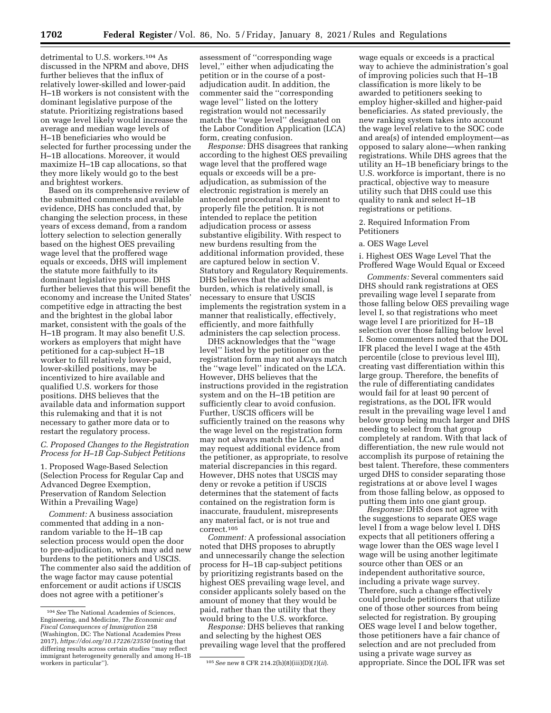detrimental to U.S. workers.104 As discussed in the NPRM and above, DHS further believes that the influx of relatively lower-skilled and lower-paid H–1B workers is not consistent with the dominant legislative purpose of the statute. Prioritizing registrations based on wage level likely would increase the average and median wage levels of H–1B beneficiaries who would be selected for further processing under the H–1B allocations. Moreover, it would maximize H–1B cap allocations, so that they more likely would go to the best and brightest workers.

Based on its comprehensive review of the submitted comments and available evidence, DHS has concluded that, by changing the selection process, in these years of excess demand, from a random lottery selection to selection generally based on the highest OES prevailing wage level that the proffered wage equals or exceeds, DHS will implement the statute more faithfully to its dominant legislative purpose. DHS further believes that this will benefit the economy and increase the United States' competitive edge in attracting the best and the brightest in the global labor market, consistent with the goals of the H–1B program. It may also benefit U.S. workers as employers that might have petitioned for a cap-subject H–1B worker to fill relatively lower-paid, lower-skilled positions, may be incentivized to hire available and qualified U.S. workers for those positions. DHS believes that the available data and information support this rulemaking and that it is not necessary to gather more data or to restart the regulatory process.

# *C. Proposed Changes to the Registration Process for H–1B Cap-Subject Petitions*

1. Proposed Wage-Based Selection (Selection Process for Regular Cap and Advanced Degree Exemption, Preservation of Random Selection Within a Prevailing Wage)

*Comment:* A business association commented that adding in a nonrandom variable to the H–1B cap selection process would open the door to pre-adjudication, which may add new burdens to the petitioners and USCIS. The commenter also said the addition of the wage factor may cause potential enforcement or audit actions if USCIS does not agree with a petitioner's

assessment of ''corresponding wage level,'' either when adjudicating the petition or in the course of a postadjudication audit. In addition, the commenter said the ''corresponding wage level'' listed on the lottery registration would not necessarily match the ''wage level'' designated on the Labor Condition Application (LCA) form, creating confusion.

*Response:* DHS disagrees that ranking according to the highest OES prevailing wage level that the proffered wage equals or exceeds will be a preadjudication, as submission of the electronic registration is merely an antecedent procedural requirement to properly file the petition. It is not intended to replace the petition adjudication process or assess substantive eligibility. With respect to new burdens resulting from the additional information provided, these are captured below in section V. Statutory and Regulatory Requirements. DHS believes that the additional burden, which is relatively small, is necessary to ensure that USCIS implements the registration system in a manner that realistically, effectively, efficiently, and more faithfully administers the cap selection process.

DHS acknowledges that the ''wage level'' listed by the petitioner on the registration form may not always match the ''wage level'' indicated on the LCA. However, DHS believes that the instructions provided in the registration system and on the H–1B petition are sufficiently clear to avoid confusion. Further, USCIS officers will be sufficiently trained on the reasons why the wage level on the registration form may not always match the LCA, and may request additional evidence from the petitioner, as appropriate, to resolve material discrepancies in this regard. However, DHS notes that USCIS may deny or revoke a petition if USCIS determines that the statement of facts contained on the registration form is inaccurate, fraudulent, misrepresents any material fact, or is not true and correct.105

*Comment:* A professional association noted that DHS proposes to abruptly and unnecessarily change the selection process for H–1B cap-subject petitions by prioritizing registrants based on the highest OES prevailing wage level, and consider applicants solely based on the amount of money that they would be paid, rather than the utility that they would bring to the U.S. workforce.

*Response:* DHS believes that ranking and selecting by the highest OES prevailing wage level that the proffered

wage equals or exceeds is a practical way to achieve the administration's goal of improving policies such that H–1B classification is more likely to be awarded to petitioners seeking to employ higher-skilled and higher-paid beneficiaries. As stated previously, the new ranking system takes into account the wage level relative to the SOC code and area(s) of intended employment—as opposed to salary alone—when ranking registrations. While DHS agrees that the utility an H–1B beneficiary brings to the U.S. workforce is important, there is no practical, objective way to measure utility such that DHS could use this quality to rank and select H–1B registrations or petitions.

2. Required Information From Petitioners

## a. OES Wage Level

i. Highest OES Wage Level That the Proffered Wage Would Equal or Exceed

*Comments:* Several commenters said DHS should rank registrations at OES prevailing wage level I separate from those falling below OES prevailing wage level I, so that registrations who meet wage level I are prioritized for H–1B selection over those falling below level I. Some commenters noted that the DOL IFR placed the level I wage at the 45th percentile (close to previous level III), creating vast differentiation within this large group. Therefore, the benefits of the rule of differentiating candidates would fail for at least 90 percent of registrations, as the DOL IFR would result in the prevailing wage level I and below group being much larger and DHS needing to select from that group completely at random. With that lack of differentiation, the new rule would not accomplish its purpose of retaining the best talent. Therefore, these commenters urged DHS to consider separating those registrations at or above level I wages from those falling below, as opposed to putting them into one giant group.

*Response:* DHS does not agree with the suggestions to separate OES wage level I from a wage below level I. DHS expects that all petitioners offering a wage lower than the OES wage level I wage will be using another legitimate source other than OES or an independent authoritative source, including a private wage survey. Therefore, such a change effectively could preclude petitioners that utilize one of those other sources from being selected for registration. By grouping OES wage level I and below together, those petitioners have a fair chance of selection and are not precluded from using a private wage survey as appropriate. Since the DOL IFR was set

<sup>104</sup>*See* The National Academies of Sciences, Engineering, and Medicine, *The Economic and Fiscal Consequences of Immigration* 258 (Washington, DC: The National Academies Press 2017), *<https://doi.org/10.17226/23550>* (noting that differing results across certain studies ''may reflect immigrant heterogeneity generally and among H–1B

<sup>105</sup> See new 8 CFR 214.2(h)(8)(iii)(D)(1)(ii).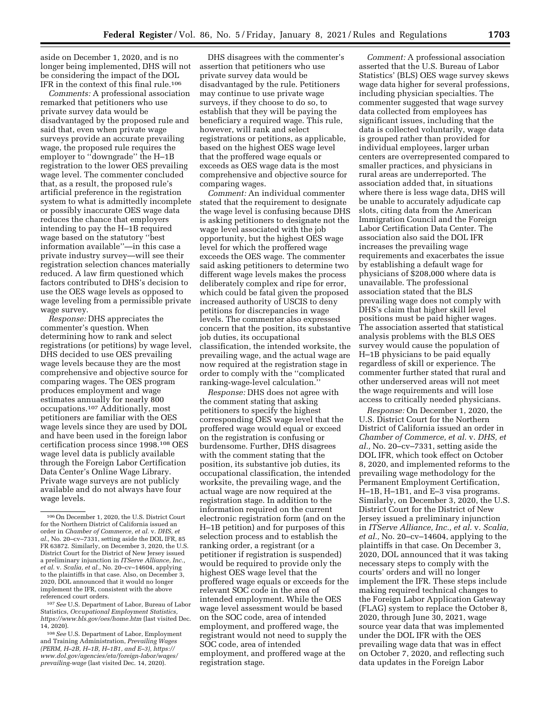aside on December 1, 2020, and is no longer being implemented, DHS will not be considering the impact of the DOL IFR in the context of this final rule.106

*Comments:* A professional association remarked that petitioners who use private survey data would be disadvantaged by the proposed rule and said that, even when private wage surveys provide an accurate prevailing wage, the proposed rule requires the employer to ''downgrade'' the H–1B registration to the lower OES prevailing wage level. The commenter concluded that, as a result, the proposed rule's artificial preference in the registration system to what is admittedly incomplete or possibly inaccurate OES wage data reduces the chance that employers intending to pay the H–1B required wage based on the statutory ''best information available''—in this case a private industry survey—will see their registration selection chances materially reduced. A law firm questioned which factors contributed to DHS's decision to use the OES wage levels as opposed to wage leveling from a permissible private wage survey.

*Response:* DHS appreciates the commenter's question. When determining how to rank and select registrations (or petitions) by wage level, DHS decided to use OES prevailing wage levels because they are the most comprehensive and objective source for comparing wages. The OES program produces employment and wage estimates annually for nearly 800 occupations.107 Additionally, most petitioners are familiar with the OES wage levels since they are used by DOL and have been used in the foreign labor certification process since 1998.108 OES wage level data is publicly available through the Foreign Labor Certification Data Center's Online Wage Library. Private wage surveys are not publicly available and do not always have four wage levels.

107*See* U.S. Department of Labor, Bureau of Labor Statistics, *Occupational Employment Statistics, <https://www.bls.gov/oes/home.htm>* (last visited Dec. 14, 2020).

DHS disagrees with the commenter's assertion that petitioners who use private survey data would be disadvantaged by the rule. Petitioners may continue to use private wage surveys, if they choose to do so, to establish that they will be paying the beneficiary a required wage. This rule, however, will rank and select registrations or petitions, as applicable, based on the highest OES wage level that the proffered wage equals or exceeds as OES wage data is the most comprehensive and objective source for comparing wages.

*Comment:* An individual commenter stated that the requirement to designate the wage level is confusing because DHS is asking petitioners to designate not the wage level associated with the job opportunity, but the highest OES wage level for which the proffered wage exceeds the OES wage. The commenter said asking petitioners to determine two different wage levels makes the process deliberately complex and ripe for error, which could be fatal given the proposed increased authority of USCIS to deny petitions for discrepancies in wage levels. The commenter also expressed concern that the position, its substantive job duties, its occupational classification, the intended worksite, the prevailing wage, and the actual wage are now required at the registration stage in order to comply with the ''complicated ranking-wage-level calculation.''

*Response:* DHS does not agree with the comment stating that asking petitioners to specify the highest corresponding OES wage level that the proffered wage would equal or exceed on the registration is confusing or burdensome. Further, DHS disagrees with the comment stating that the position, its substantive job duties, its occupational classification, the intended worksite, the prevailing wage, and the actual wage are now required at the registration stage. In addition to the information required on the current electronic registration form (and on the H–1B petition) and for purposes of this selection process and to establish the ranking order, a registrant (or a petitioner if registration is suspended) would be required to provide only the highest OES wage level that the proffered wage equals or exceeds for the relevant SOC code in the area of intended employment. While the OES wage level assessment would be based on the SOC code, area of intended employment, and proffered wage, the registrant would not need to supply the SOC code, area of intended employment, and proffered wage at the registration stage.

*Comment:* A professional association asserted that the U.S. Bureau of Labor Statistics' (BLS) OES wage survey skews wage data higher for several professions, including physician specialties. The commenter suggested that wage survey data collected from employees has significant issues, including that the data is collected voluntarily, wage data is grouped rather than provided for individual employees, larger urban centers are overrepresented compared to smaller practices, and physicians in rural areas are underreported. The association added that, in situations where there is less wage data, DHS will be unable to accurately adjudicate cap slots, citing data from the American Immigration Council and the Foreign Labor Certification Data Center. The association also said the DOL IFR increases the prevailing wage requirements and exacerbates the issue by establishing a default wage for physicians of \$208,000 where data is unavailable. The professional association stated that the BLS prevailing wage does not comply with DHS's claim that higher skill level positions must be paid higher wages. The association asserted that statistical analysis problems with the BLS OES survey would cause the population of H–1B physicians to be paid equally regardless of skill or experience. The commenter further stated that rural and other underserved areas will not meet the wage requirements and will lose access to critically needed physicians.

*Response:* On December 1, 2020, the U.S. District Court for the Northern District of California issued an order in *Chamber of Commerce, et al.* v. *DHS, et al.,* No. 20–cv–7331, setting aside the DOL IFR, which took effect on October 8, 2020, and implemented reforms to the prevailing wage methodology for the Permanent Employment Certification, H–1B, H–1B1, and E–3 visa programs. Similarly, on December 3, 2020, the U.S. District Court for the District of New Jersey issued a preliminary injunction in *ITServe Alliance, Inc., et al.* v. *Scalia, et al.,* No. 20–cv–14604, applying to the plaintiffs in that case. On December 3, 2020, DOL announced that it was taking necessary steps to comply with the courts' orders and will no longer implement the IFR. These steps include making required technical changes to the Foreign Labor Application Gateway (FLAG) system to replace the October 8, 2020, through June 30, 2021, wage source year data that was implemented under the DOL IFR with the OES prevailing wage data that was in effect on October 7, 2020, and reflecting such data updates in the Foreign Labor

<sup>106</sup>On December 1, 2020, the U.S. District Court for the Northern District of California issued an order in *Chamber of Commerce, et al.* v. *DHS, et al.,* No. 20–cv–7331, setting aside the DOL IFR, 85 FR 63872. Similarly, on December 3, 2020, the U.S. District Court for the District of New Jersey issued a preliminary injunction in *ITServe Alliance, Inc., et al.* v. *Scalia, et al.,* No. 20–cv–14604, applying to the plaintiffs in that case. Also, on December 3, 2020, DOL announced that it would no longer implement the IFR, consistent with the above referenced court orders.

<sup>108</sup>*See* U.S. Department of Labor, Employment and Training Administration, *Prevailing Wages (PERM, H–2B, H–1B, H–1B1, and E–3), [https://](https://www.dol.gov/agencies/eta/foreign-labor/wages/prevailing-wage) [www.dol.gov/agencies/eta/foreign-labor/wages/](https://www.dol.gov/agencies/eta/foreign-labor/wages/prevailing-wage)  [prevailing-wage](https://www.dol.gov/agencies/eta/foreign-labor/wages/prevailing-wage)* (last visited Dec. 14, 2020).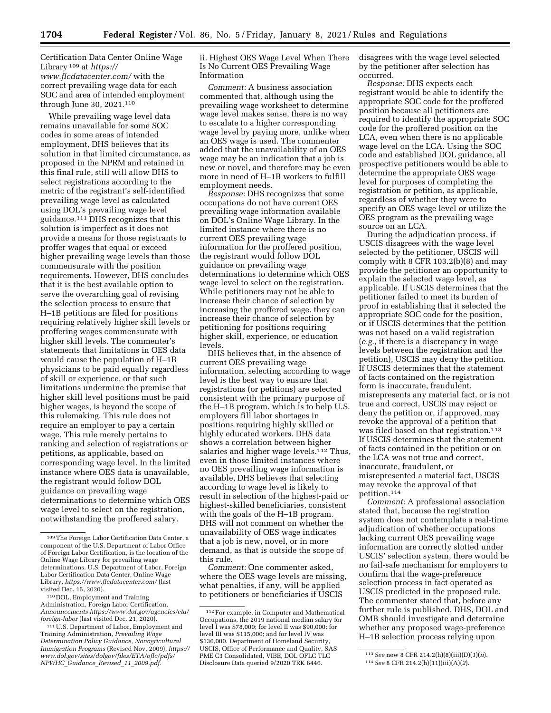Certification Data Center Online Wage Library 109 at *[https://](https://www.flcdatacenter.com/) [www.flcdatacenter.com/](https://www.flcdatacenter.com/)* with the correct prevailing wage data for each SOC and area of intended employment through June 30, 2021.110

While prevailing wage level data remains unavailable for some SOC codes in some areas of intended employment, DHS believes that its solution in that limited circumstance, as proposed in the NPRM and retained in this final rule, still will allow DHS to select registrations according to the metric of the registrant's self-identified prevailing wage level as calculated using DOL's prevailing wage level guidance.111 DHS recognizes that this solution is imperfect as it does not provide a means for those registrants to proffer wages that equal or exceed higher prevailing wage levels than those commensurate with the position requirements. However, DHS concludes that it is the best available option to serve the overarching goal of revising the selection process to ensure that H–1B petitions are filed for positions requiring relatively higher skill levels or proffering wages commensurate with higher skill levels. The commenter's statements that limitations in OES data would cause the population of H–1B physicians to be paid equally regardless of skill or experience, or that such limitations undermine the premise that higher skill level positions must be paid higher wages, is beyond the scope of this rulemaking. This rule does not require an employer to pay a certain wage. This rule merely pertains to ranking and selection of registrations or petitions, as applicable, based on corresponding wage level. In the limited instance where OES data is unavailable, the registrant would follow DOL guidance on prevailing wage determinations to determine which OES wage level to select on the registration, notwithstanding the proffered salary.

ii. Highest OES Wage Level When There Is No Current OES Prevailing Wage Information

*Comment:* A business association commented that, although using the prevailing wage worksheet to determine wage level makes sense, there is no way to escalate to a higher corresponding wage level by paying more, unlike when an OES wage is used. The commenter added that the unavailability of an OES wage may be an indication that a job is new or novel, and therefore may be even more in need of H–1B workers to fulfill employment needs.

*Response:* DHS recognizes that some occupations do not have current OES prevailing wage information available on DOL's Online Wage Library. In the limited instance where there is no current OES prevailing wage information for the proffered position, the registrant would follow DOL guidance on prevailing wage determinations to determine which OES wage level to select on the registration. While petitioners may not be able to increase their chance of selection by increasing the proffered wage, they can increase their chance of selection by petitioning for positions requiring higher skill, experience, or education levels.

DHS believes that, in the absence of current OES prevailing wage information, selecting according to wage level is the best way to ensure that registrations (or petitions) are selected consistent with the primary purpose of the H–1B program, which is to help U.S. employers fill labor shortages in positions requiring highly skilled or highly educated workers. DHS data shows a correlation between higher salaries and higher wage levels.<sup>112</sup> Thus, even in those limited instances where no OES prevailing wage information is available, DHS believes that selecting according to wage level is likely to result in selection of the highest-paid or highest-skilled beneficiaries, consistent with the goals of the H–1B program. DHS will not comment on whether the unavailability of OES wage indicates that a job is new, novel, or in more demand, as that is outside the scope of this rule.

*Comment:* One commenter asked, where the OES wage levels are missing, what penalties, if any, will be applied to petitioners or beneficiaries if USCIS

disagrees with the wage level selected by the petitioner after selection has occurred.

*Response:* DHS expects each registrant would be able to identify the appropriate SOC code for the proffered position because all petitioners are required to identify the appropriate SOC code for the proffered position on the LCA, even when there is no applicable wage level on the LCA. Using the SOC code and established DOL guidance, all prospective petitioners would be able to determine the appropriate OES wage level for purposes of completing the registration or petition, as applicable, regardless of whether they were to specify an OES wage level or utilize the OES program as the prevailing wage source on an LCA.

During the adjudication process, if USCIS disagrees with the wage level selected by the petitioner, USCIS will comply with  $8$  CFR 103.2(b)(8) and may provide the petitioner an opportunity to explain the selected wage level, as applicable. If USCIS determines that the petitioner failed to meet its burden of proof in establishing that it selected the appropriate SOC code for the position, or if USCIS determines that the petition was not based on a valid registration (*e.g.,* if there is a discrepancy in wage levels between the registration and the petition), USCIS may deny the petition. If USCIS determines that the statement of facts contained on the registration form is inaccurate, fraudulent, misrepresents any material fact, or is not true and correct, USCIS may reject or deny the petition or, if approved, may revoke the approval of a petition that was filed based on that registration.<sup>113</sup> If USCIS determines that the statement of facts contained in the petition or on the LCA was not true and correct, inaccurate, fraudulent, or misrepresented a material fact, USCIS may revoke the approval of that petition.114

*Comment:* A professional association stated that, because the registration system does not contemplate a real-time adjudication of whether occupations lacking current OES prevailing wage information are correctly slotted under USCIS' selection system, there would be no fail-safe mechanism for employers to confirm that the wage-preference selection process in fact operated as USCIS predicted in the proposed rule. The commenter stated that, before any further rule is published, DHS, DOL and OMB should investigate and determine whether any proposed wage-preference H–1B selection process relying upon

<sup>109</sup>The Foreign Labor Certification Data Center, a component of the U.S. Department of Labor Office of Foreign Labor Certification, is the location of the Online Wage Library for prevailing wage determinations. U.S. Department of Labor, Foreign Labor Certification Data Center, Online Wage Library, *<https://www.flcdatacenter.com/>* (last visited Dec. 15, 2020).

<sup>110</sup> DOL, Employment and Training Administration, Foreign Labor Certification, *Announcements [https://www.dol.gov/agencies/eta/](https://www.dol.gov/agencies/eta/foreign-labor) [foreign-labor](https://www.dol.gov/agencies/eta/foreign-labor)* (last visited Dec. 21, 2020).

<sup>111</sup>U.S. Department of Labor, Employment and Training Administration, *Prevailing Wage Determination Policy Guidance, Nonagricultural Immigration Programs* (Revised Nov. 2009), *[https://](https://www.dol.gov/sites/dolgov/files/ETA/oflc/pdfs/NPWHC_Guidance_Revised_11_2009.pdf) [www.dol.gov/sites/dolgov/files/ETA/oflc/pdfs/](https://www.dol.gov/sites/dolgov/files/ETA/oflc/pdfs/NPWHC_Guidance_Revised_11_2009.pdf) NPWHC*\_*[Guidance](https://www.dol.gov/sites/dolgov/files/ETA/oflc/pdfs/NPWHC_Guidance_Revised_11_2009.pdf)*\_*Revised*\_*11*\_*2009.pdf.* 

<sup>112</sup>For example, in Computer and Mathematical Occupations, the 2019 national median salary for level I was \$78,000; for level II was \$90,000; for level III was \$115,000; and for level IV was \$136,000. Department of Homeland Security, USCIS, Office of Performance and Quality, SAS PME C3 Consolidated, VIBE, DOL OFLC TLC Disclosure Data queried 9/2020 TRK 6446.

<sup>113</sup>*See* new 8 CFR 214.2(h)(8)(iii)(D)(*1*)(*ii*). 114*See* 8 CFR 214.2(h)(11)(iii)(A)(*2*).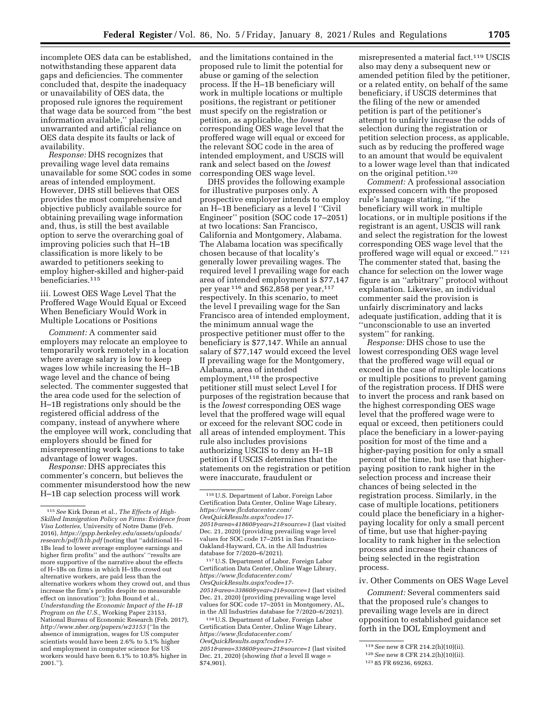incomplete OES data can be established, notwithstanding these apparent data gaps and deficiencies. The commenter concluded that, despite the inadequacy or unavailability of OES data, the proposed rule ignores the requirement that wage data be sourced from ''the best information available,'' placing unwarranted and artificial reliance on OES data despite its faults or lack of availability.

*Response:* DHS recognizes that prevailing wage level data remains unavailable for some SOC codes in some areas of intended employment. However, DHS still believes that OES provides the most comprehensive and objective publicly available source for obtaining prevailing wage information and, thus, is still the best available option to serve the overarching goal of improving policies such that H–1B classification is more likely to be awarded to petitioners seeking to employ higher-skilled and higher-paid beneficiaries.115

iii. Lowest OES Wage Level That the Proffered Wage Would Equal or Exceed When Beneficiary Would Work in Multiple Locations or Positions

*Comment:* A commenter said employers may relocate an employee to temporarily work remotely in a location where average salary is low to keep wages low while increasing the H–1B wage level and the chance of being selected. The commenter suggested that the area code used for the selection of H–1B registrations only should be the registered official address of the company, instead of anywhere where the employee will work, concluding that employers should be fined for misrepresenting work locations to take advantage of lower wages.

*Response:* DHS appreciates this commenter's concern, but believes the commenter misunderstood how the new H–1B cap selection process will work

and the limitations contained in the proposed rule to limit the potential for abuse or gaming of the selection process. If the H–1B beneficiary will work in multiple locations or multiple positions, the registrant or petitioner must specify on the registration or petition, as applicable, the *lowest*  corresponding OES wage level that the proffered wage will equal or exceed for the relevant SOC code in the area of intended employment, and USCIS will rank and select based on the *lowest*  corresponding OES wage level.

DHS provides the following example for illustrative purposes only. A prospective employer intends to employ an H–1B beneficiary as a level I ''Civil Engineer'' position (SOC code 17–2051) at two locations: San Francisco, California and Montgomery, Alabama. The Alabama location was specifically chosen because of that locality's generally lower prevailing wages. The required level I prevailing wage for each area of intended employment is \$77,147 per year  $116$  and \$62,858 per year,  $117$ respectively. In this scenario, to meet the level I prevailing wage for the San Francisco area of intended employment, the minimum annual wage the prospective petitioner must offer to the beneficiary is \$77,147. While an annual salary of \$77,147 would exceed the level II prevailing wage for the Montgomery, Alabama, area of intended employment,118 the prospective petitioner still must select Level I for purposes of the registration because that is the *lowest* corresponding OES wage level that the proffered wage will equal or exceed for the relevant SOC code in all areas of intended employment. This rule also includes provisions authorizing USCIS to deny an H–1B petition if USCIS determines that the statements on the registration or petition were inaccurate, fraudulent or

117U.S. Department of Labor, Foreign Labor Certification Data Center, Online Wage Library, *[https://www.flcdatacenter.com/](https://www.flcdatacenter.com/OesQuickResults.aspx?code=17-2051&area=33860&year=21&source=1) [OesQuickResults.aspx?code=17-](https://www.flcdatacenter.com/OesQuickResults.aspx?code=17-2051&area=33860&year=21&source=1) [2051&area=33860&year=21&source=1](https://www.flcdatacenter.com/OesQuickResults.aspx?code=17-2051&area=33860&year=21&source=1)* (last visited Dec. 21, 2020) (providing prevailing wage level values for SOC code 17–2051 in Montgomery, AL, in the All Industries database for 7/2020–6/2021).

118U.S. Department of Labor, Foreign Labor Certification Data Center, Online Wage Library, *[https://www.flcdatacenter.com/](https://www.flcdatacenter.com/OesQuickResults.aspx?code=17-2051&area=33860&year=21&source=1) [OesQuickResults.aspx?code=17-](https://www.flcdatacenter.com/OesQuickResults.aspx?code=17-2051&area=33860&year=21&source=1) [2051&area=33860&year=21&source=1](https://www.flcdatacenter.com/OesQuickResults.aspx?code=17-2051&area=33860&year=21&source=1)* (last visited Dec. 21, 2020) (showing *that a* level II wage = \$74,901).

misrepresented a material fact.119 USCIS also may deny a subsequent new or amended petition filed by the petitioner, or a related entity, on behalf of the same beneficiary, if USCIS determines that the filing of the new or amended petition is part of the petitioner's attempt to unfairly increase the odds of selection during the registration or petition selection process, as applicable, such as by reducing the proffered wage to an amount that would be equivalent to a lower wage level than that indicated on the original petition.120

*Comment:* A professional association expressed concern with the proposed rule's language stating, ''if the beneficiary will work in multiple locations, or in multiple positions if the registrant is an agent, USCIS will rank and select the registration for the lowest corresponding OES wage level that the proffered wage will equal or exceed.'' 121 The commenter stated that, basing the chance for selection on the lower wage figure is an ''arbitrary'' protocol without explanation. Likewise, an individual commenter said the provision is unfairly discriminatory and lacks adequate justification, adding that it is ''unconscionable to use an inverted system'' for ranking.

*Response:* DHS chose to use the lowest corresponding OES wage level that the proffered wage will equal or exceed in the case of multiple locations or multiple positions to prevent gaming of the registration process. If DHS were to invert the process and rank based on the highest corresponding OES wage level that the proffered wage were to equal or exceed, then petitioners could place the beneficiary in a lower-paying position for most of the time and a higher-paying position for only a small percent of the time, but use that higherpaying position to rank higher in the selection process and increase their chances of being selected in the registration process. Similarly, in the case of multiple locations, petitioners could place the beneficiary in a higherpaying locality for only a small percent of time, but use that higher-paying locality to rank higher in the selection process and increase their chances of being selected in the registration process.

#### iv. Other Comments on OES Wage Level

*Comment:* Several commenters said that the proposed rule's changes to prevailing wage levels are in direct opposition to established guidance set forth in the DOL Employment and

<sup>115</sup>*See* Kirk Doran et al., *The Effects of High-Skilled Immigration Policy on Firms: Evidence from Visa Lotteries,* University of Notre Dame (Feb. 2016), *[https://gspp.berkeley.edu/assets/uploads/](https://gspp.berkeley.edu/assets/uploads/research/pdf/h1b.pdf)  [research/pdf/h1b.pdf](https://gspp.berkeley.edu/assets/uploads/research/pdf/h1b.pdf)* (noting that ''additional H– 1Bs lead to lower average employee earnings and higher firm profits'' and the authors' ''results are more supportive of the narrative about the effects of H–1Bs on firms in which H–1Bs crowd out alternative workers, are paid less than the alternative workers whom they crowd out, and thus increase the firm's profits despite no measurable effect on innovation''); John Bound et al., *Understanding the Economic Impact of the H–1B Program on the U.S.,* Working Paper 23153, National Bureau of Economic Research (Feb. 2017), *<http://www.nber.org/papers/w23153>*(''In the absence of immigration, wages for US computer scientists would have been 2.6% to 5.1% higher and employment in computer science for US workers would have been 6.1% to 10.8% higher in 2001.'').

<sup>116</sup>U.S. Department of Labor, Foreign Labor Certification Data Center, Online Wage Library, *[https://www.flcdatacenter.com/](https://www.flcdatacenter.com/OesQuickResults.aspx?code=17-2051&area=41860&year=21&source=1) [OesQuickResults.aspx?code=17-](https://www.flcdatacenter.com/OesQuickResults.aspx?code=17-2051&area=41860&year=21&source=1) [2051&area=41860&year=21&source=1](https://www.flcdatacenter.com/OesQuickResults.aspx?code=17-2051&area=41860&year=21&source=1)* (last visited Dec. 21, 2020) (providing prevailing wage level values for SOC code 17–2051 in San Francisco-Oakland-Hayward, CA, in the All Industries database for 7/2020–6/2021).

<sup>119</sup>*See* new 8 CFR 214.2(h)(10)(ii).

<sup>120</sup>*See* new 8 CFR 214.2(h)(10)(ii).

<sup>121</sup> 85 FR 69236, 69263.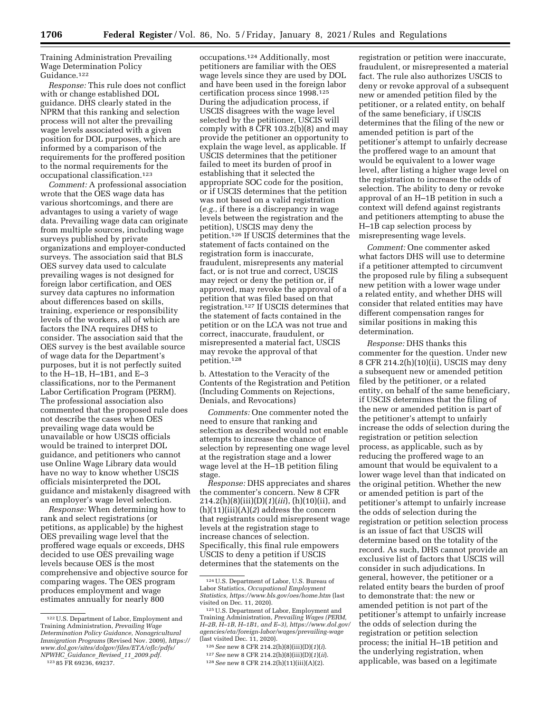Training Administration Prevailing Wage Determination Policy Guidance.122

*Response:* This rule does not conflict with or change established DOL guidance. DHS clearly stated in the NPRM that this ranking and selection process will not alter the prevailing wage levels associated with a given position for DOL purposes, which are informed by a comparison of the requirements for the proffered position to the normal requirements for the occupational classification.123

*Comment:* A professional association wrote that the OES wage data has various shortcomings, and there are advantages to using a variety of wage data. Prevailing wage data can originate from multiple sources, including wage surveys published by private organizations and employer-conducted surveys. The association said that BLS OES survey data used to calculate prevailing wages is not designed for foreign labor certification, and OES survey data captures no information about differences based on skills, training, experience or responsibility levels of the workers, all of which are factors the INA requires DHS to consider. The association said that the OES survey is the best available source of wage data for the Department's purposes, but it is not perfectly suited to the H–1B, H–1B1, and E–3 classifications, nor to the Permanent Labor Certification Program (PERM). The professional association also commented that the proposed rule does not describe the cases when OES prevailing wage data would be unavailable or how USCIS officials would be trained to interpret DOL guidance, and petitioners who cannot use Online Wage Library data would have no way to know whether USCIS officials misinterpreted the DOL guidance and mistakenly disagreed with an employer's wage level selection.

*Response:* When determining how to rank and select registrations (or petitions, as applicable) by the highest OES prevailing wage level that the proffered wage equals or exceeds, DHS decided to use OES prevailing wage levels because OES is the most comprehensive and objective source for comparing wages. The OES program produces employment and wage estimates annually for nearly 800

occupations.124 Additionally, most petitioners are familiar with the OES wage levels since they are used by DOL and have been used in the foreign labor certification process since 1998.125 During the adjudication process, if USCIS disagrees with the wage level selected by the petitioner, USCIS will comply with 8 CFR 103.2(b)(8) and may provide the petitioner an opportunity to explain the wage level, as applicable. If USCIS determines that the petitioner failed to meet its burden of proof in establishing that it selected the appropriate SOC code for the position, or if USCIS determines that the petition was not based on a valid registration (*e.g.,* if there is a discrepancy in wage levels between the registration and the petition), USCIS may deny the petition.126 If USCIS determines that the statement of facts contained on the registration form is inaccurate, fraudulent, misrepresents any material fact, or is not true and correct, USCIS may reject or deny the petition or, if approved, may revoke the approval of a petition that was filed based on that registration.127 If USCIS determines that the statement of facts contained in the petition or on the LCA was not true and correct, inaccurate, fraudulent, or misrepresented a material fact, USCIS may revoke the approval of that petition.128

b. Attestation to the Veracity of the Contents of the Registration and Petition (Including Comments on Rejections, Denials, and Revocations)

*Comments:* One commenter noted the need to ensure that ranking and selection as described would not enable attempts to increase the chance of selection by representing one wage level at the registration stage and a lower wage level at the H–1B petition filing stage.

*Response:* DHS appreciates and shares the commenter's concern. New 8 CFR 214.2(h)(8)(iii)(D)(*1*)(*iii*), (h)(10)(ii), and (h)(11)(iii)(A)(*2*) address the concern that registrants could misrepresent wage levels at the registration stage to increase chances of selection. Specifically, this final rule empowers USCIS to deny a petition if USCIS determines that the statements on the

registration or petition were inaccurate, fraudulent, or misrepresented a material fact. The rule also authorizes USCIS to deny or revoke approval of a subsequent new or amended petition filed by the petitioner, or a related entity, on behalf of the same beneficiary, if USCIS determines that the filing of the new or amended petition is part of the petitioner's attempt to unfairly decrease the proffered wage to an amount that would be equivalent to a lower wage level, after listing a higher wage level on the registration to increase the odds of selection. The ability to deny or revoke approval of an H–1B petition in such a context will defend against registrants and petitioners attempting to abuse the H–1B cap selection process by misrepresenting wage levels.

*Comment:* One commenter asked what factors DHS will use to determine if a petitioner attempted to circumvent the proposed rule by filing a subsequent new petition with a lower wage under a related entity, and whether DHS will consider that related entities may have different compensation ranges for similar positions in making this determination.

*Response:* DHS thanks this commenter for the question. Under new 8 CFR 214.2(h)(10)(ii), USCIS may deny a subsequent new or amended petition filed by the petitioner, or a related entity, on behalf of the same beneficiary, if USCIS determines that the filing of the new or amended petition is part of the petitioner's attempt to unfairly increase the odds of selection during the registration or petition selection process, as applicable, such as by reducing the proffered wage to an amount that would be equivalent to a lower wage level than that indicated on the original petition. Whether the new or amended petition is part of the petitioner's attempt to unfairly increase the odds of selection during the registration or petition selection process is an issue of fact that USCIS will determine based on the totality of the record. As such, DHS cannot provide an exclusive list of factors that USCIS will consider in such adjudications. In general, however, the petitioner or a related entity bears the burden of proof to demonstrate that: the new or amended petition is not part of the petitioner's attempt to unfairly increase the odds of selection during the registration or petition selection process; the initial H–1B petition and the underlying registration, when applicable, was based on a legitimate

<sup>122</sup>U.S. Department of Labor, Employment and Training Administration, *Prevailing Wage Determination Policy Guidance, Nonagricultural Immigration Programs* (Revised Nov. 2009), *[https://](https://www.dol.gov/sites/dolgov/files/ETA/oflc/pdfs/NPWHC_Guidance_Revised_11_2009.pdf) [www.dol.gov/sites/dolgov/files/ETA/oflc/pdfs/](https://www.dol.gov/sites/dolgov/files/ETA/oflc/pdfs/NPWHC_Guidance_Revised_11_2009.pdf) NPWHC*\_*[Guidance](https://www.dol.gov/sites/dolgov/files/ETA/oflc/pdfs/NPWHC_Guidance_Revised_11_2009.pdf)*\_*Revised*\_*11*\_*2009.pdf.* 

<sup>123</sup> 85 FR 69236, 69237.

<sup>124</sup>U.S. Department of Labor, U.S. Bureau of Labor Statistics, *Occupational Employment Statistics,<https://www.bls.gov/oes/home.htm>*(last visited on Dec. 11, 2020).

<sup>125</sup>U.S. Department of Labor, Employment and Training Administration, *Prevailing Wages (PERM, H–2B, H–1B, H–1B1, and E–3), [https://www.dol.gov/](https://www.dol.gov/agencies/eta/foreign-labor/wages/prevailing-wage)  [agencies/eta/foreign-labor/wages/prevailing-wage](https://www.dol.gov/agencies/eta/foreign-labor/wages/prevailing-wage)*  (last visited Dec. 11, 2020).

<sup>126</sup>*See* new 8 CFR 214.2(h)(8)(iii)(D)(*1*)(*i*).

<sup>127</sup>*See* new 8 CFR 214.2(h)(8)(iii)(D)(*1*)(*ii*).

<sup>128</sup>*See* new 8 CFR 214.2(h)(11)(iii)(A)(2).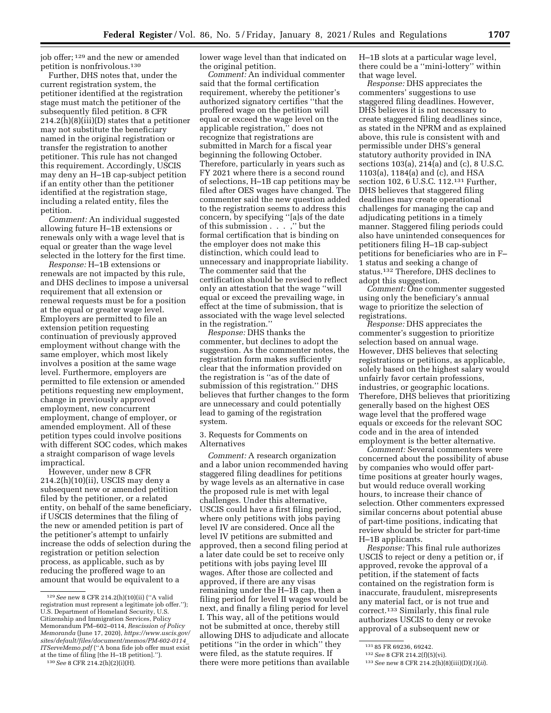job offer; 129 and the new or amended petition is nonfrivolous.130

Further, DHS notes that, under the current registration system, the petitioner identified at the registration stage must match the petitioner of the subsequently filed petition. 8 CFR 214.2(h)(8)(iii)(D) states that a petitioner may not substitute the beneficiary named in the original registration or transfer the registration to another petitioner. This rule has not changed this requirement. Accordingly, USCIS may deny an H–1B cap-subject petition if an entity other than the petitioner identified at the registration stage, including a related entity, files the petition.

*Comment:* An individual suggested allowing future H–1B extensions or renewals only with a wage level that is equal or greater than the wage level selected in the lottery for the first time.

*Response:* H–1B extensions or renewals are not impacted by this rule, and DHS declines to impose a universal requirement that all extension or renewal requests must be for a position at the equal or greater wage level. Employers are permitted to file an extension petition requesting continuation of previously approved employment without change with the same employer, which most likely involves a position at the same wage level. Furthermore, employers are permitted to file extension or amended petitions requesting new employment, change in previously approved employment, new concurrent employment, change of employer, or amended employment. All of these petition types could involve positions with different SOC codes, which makes a straight comparison of wage levels impractical.

However, under new 8 CFR 214.2(h)(10)(ii), USCIS may deny a subsequent new or amended petition filed by the petitioner, or a related entity, on behalf of the same beneficiary, if USCIS determines that the filing of the new or amended petition is part of the petitioner's attempt to unfairly increase the odds of selection during the registration or petition selection process, as applicable, such as by reducing the proffered wage to an amount that would be equivalent to a

lower wage level than that indicated on the original petition.

*Comment:* An individual commenter said that the formal certification requirement, whereby the petitioner's authorized signatory certifies ''that the proffered wage on the petition will equal or exceed the wage level on the applicable registration,'' does not recognize that registrations are submitted in March for a fiscal year beginning the following October. Therefore, particularly in years such as FY 2021 where there is a second round of selections, H–1B cap petitions may be filed after OES wages have changed. The commenter said the new question added to the registration seems to address this concern, by specifying ''[a]s of the date of this submission . . . ,'' but the formal certification that is binding on the employer does not make this distinction, which could lead to unnecessary and inappropriate liability. The commenter said that the certification should be revised to reflect only an attestation that the wage ''will equal or exceed the prevailing wage, in effect at the time of submission, that is associated with the wage level selected in the registration.''

*Response:* DHS thanks the commenter, but declines to adopt the suggestion. As the commenter notes, the registration form makes sufficiently clear that the information provided on the registration is ''as of the date of submission of this registration.'' DHS believes that further changes to the form are unnecessary and could potentially lead to gaming of the registration system.

## 3. Requests for Comments on Alternatives

*Comment:* A research organization and a labor union recommended having staggered filing deadlines for petitions by wage levels as an alternative in case the proposed rule is met with legal challenges. Under this alternative, USCIS could have a first filing period, where only petitions with jobs paying level IV are considered. Once all the level IV petitions are submitted and approved, then a second filing period at a later date could be set to receive only petitions with jobs paying level III wages. After those are collected and approved, if there are any visas remaining under the H–1B cap, then a filing period for level II wages would be next, and finally a filing period for level I. This way, all of the petitions would not be submitted at once, thereby still allowing DHS to adjudicate and allocate petitions ''in the order in which'' they were filed, as the statute requires. If there were more petitions than available

H–1B slots at a particular wage level, there could be a ''mini-lottery'' within that wage level.

*Response:* DHS appreciates the commenters' suggestions to use staggered filing deadlines. However, DHS believes it is not necessary to create staggered filing deadlines since, as stated in the NPRM and as explained above, this rule is consistent with and permissible under DHS's general statutory authority provided in INA sections 103(a), 214(a) and (c), 8 U.S.C. 1103(a), 1184(a) and (c), and HSA section 102, 6 U.S.C. 112.131 Further, DHS believes that staggered filing deadlines may create operational challenges for managing the cap and adjudicating petitions in a timely manner. Staggered filing periods could also have unintended consequences for petitioners filing H–1B cap-subject petitions for beneficiaries who are in F– 1 status and seeking a change of status.132 Therefore, DHS declines to adopt this suggestion.

*Comment:* One commenter suggested using only the beneficiary's annual wage to prioritize the selection of registrations.

*Response:* DHS appreciates the commenter's suggestion to prioritize selection based on annual wage. However, DHS believes that selecting registrations or petitions, as applicable, solely based on the highest salary would unfairly favor certain professions, industries, or geographic locations. Therefore, DHS believes that prioritizing generally based on the highest OES wage level that the proffered wage equals or exceeds for the relevant SOC code and in the area of intended employment is the better alternative.

*Comment:* Several commenters were concerned about the possibility of abuse by companies who would offer parttime positions at greater hourly wages, but would reduce overall working hours, to increase their chance of selection. Other commenters expressed similar concerns about potential abuse of part-time positions, indicating that review should be stricter for part-time H–1B applicants.

*Response:* This final rule authorizes USCIS to reject or deny a petition or, if approved, revoke the approval of a petition, if the statement of facts contained on the registration form is inaccurate, fraudulent, misrepresents any material fact, or is not true and correct.133 Similarly, this final rule authorizes USCIS to deny or revoke approval of a subsequent new or

<sup>129</sup>*See* new 8 CFR 214.2(h)(10)(ii) (''A valid registration must represent a legitimate job offer.''); U.S. Department of Homeland Security, U.S. Citizenship and Immigration Services, Policy Memorandum PM–602–0114, *Rescission of Policy Memoranda* (June 17, 2020), *[https://www.uscis.gov/](https://www.uscis.gov/sites/default/files/document/memos/PM-602-0114_ITServeMemo.pdf) [sites/default/files/document/memos/PM-602-0114](https://www.uscis.gov/sites/default/files/document/memos/PM-602-0114_ITServeMemo.pdf)*\_ *[ITServeMemo.pdf](https://www.uscis.gov/sites/default/files/document/memos/PM-602-0114_ITServeMemo.pdf)* (''A bona fide job offer must exist at the time of filing [the H–1B petition].'').

<sup>130</sup>*See* 8 CFR 214.2(h)(2)(i)(H).

<sup>131</sup> 85 FR 69236, 69242.

<sup>132</sup>*See* 8 CFR 214.2(f)(5)(vi).

<sup>133</sup>*See* new 8 CFR 214.2(h)(8)(iii)(D)(*1*)(*ii*).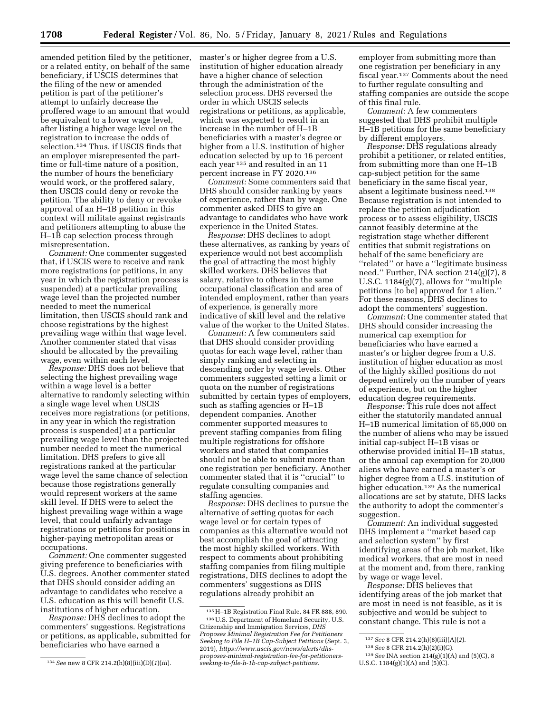amended petition filed by the petitioner, or a related entity, on behalf of the same beneficiary, if USCIS determines that the filing of the new or amended petition is part of the petitioner's attempt to unfairly decrease the proffered wage to an amount that would be equivalent to a lower wage level, after listing a higher wage level on the registration to increase the odds of selection.134 Thus, if USCIS finds that an employer misrepresented the parttime or full-time nature of a position, the number of hours the beneficiary would work, or the proffered salary, then USCIS could deny or revoke the petition. The ability to deny or revoke approval of an H–1B petition in this context will militate against registrants and petitioners attempting to abuse the H–1B cap selection process through misrepresentation.

*Comment:* One commenter suggested that, if USCIS were to receive and rank more registrations (or petitions, in any year in which the registration process is suspended) at a particular prevailing wage level than the projected number needed to meet the numerical limitation, then USCIS should rank and choose registrations by the highest prevailing wage within that wage level. Another commenter stated that visas should be allocated by the prevailing wage, even within each level.

*Response:* DHS does not believe that selecting the highest prevailing wage within a wage level is a better alternative to randomly selecting within a single wage level when USCIS receives more registrations (or petitions, in any year in which the registration process is suspended) at a particular prevailing wage level than the projected number needed to meet the numerical limitation. DHS prefers to give all registrations ranked at the particular wage level the same chance of selection because those registrations generally would represent workers at the same skill level. If DHS were to select the highest prevailing wage within a wage level, that could unfairly advantage registrations or petitions for positions in higher-paying metropolitan areas or occupations.

*Comment:* One commenter suggested giving preference to beneficiaries with U.S. degrees. Another commenter stated that DHS should consider adding an advantage to candidates who receive a U.S. education as this will benefit U.S. institutions of higher education.

*Response:* DHS declines to adopt the commenters' suggestions. Registrations or petitions, as applicable, submitted for beneficiaries who have earned a

master's or higher degree from a U.S. institution of higher education already have a higher chance of selection through the administration of the selection process. DHS reversed the order in which USCIS selects registrations or petitions, as applicable, which was expected to result in an increase in the number of H–1B beneficiaries with a master's degree or higher from a U.S. institution of higher education selected by up to 16 percent each year 135 and resulted in an 11 percent increase in FY 2020.136

*Comment:* Some commenters said that DHS should consider ranking by years of experience, rather than by wage. One commenter asked DHS to give an advantage to candidates who have work experience in the United States.

*Response:* DHS declines to adopt these alternatives, as ranking by years of experience would not best accomplish the goal of attracting the most highly skilled workers. DHS believes that salary, relative to others in the same occupational classification and area of intended employment, rather than years of experience, is generally more indicative of skill level and the relative value of the worker to the United States.

*Comment:* A few commenters said that DHS should consider providing quotas for each wage level, rather than simply ranking and selecting in descending order by wage levels. Other commenters suggested setting a limit or quota on the number of registrations submitted by certain types of employers, such as staffing agencies or H–1B dependent companies. Another commenter supported measures to prevent staffing companies from filing multiple registrations for offshore workers and stated that companies should not be able to submit more than one registration per beneficiary. Another commenter stated that it is ''crucial'' to regulate consulting companies and staffing agencies.

*Response:* DHS declines to pursue the alternative of setting quotas for each wage level or for certain types of companies as this alternative would not best accomplish the goal of attracting the most highly skilled workers. With respect to comments about prohibiting staffing companies from filing multiple registrations, DHS declines to adopt the commenters' suggestions as DHS regulations already prohibit an

employer from submitting more than one registration per beneficiary in any fiscal year.137 Comments about the need to further regulate consulting and staffing companies are outside the scope of this final rule.

*Comment:* A few commenters suggested that DHS prohibit multiple H–1B petitions for the same beneficiary by different employers.

*Response:* DHS regulations already prohibit a petitioner, or related entities, from submitting more than one H–1B cap-subject petition for the same beneficiary in the same fiscal year, absent a legitimate business need.138 Because registration is not intended to replace the petition adjudication process or to assess eligibility, USCIS cannot feasibly determine at the registration stage whether different entities that submit registrations on behalf of the same beneficiary are ''related'' or have a ''legitimate business need.'' Further, INA section 214(g)(7), 8 U.S.C. 1184(g)(7), allows for ''multiple petitions [to be] approved for 1 alien.'' For these reasons, DHS declines to adopt the commenters' suggestion.

*Comment:* One commenter stated that DHS should consider increasing the numerical cap exemption for beneficiaries who have earned a master's or higher degree from a U.S. institution of higher education as most of the highly skilled positions do not depend entirely on the number of years of experience, but on the higher education degree requirements.

*Response:* This rule does not affect either the statutorily mandated annual H–1B numerical limitation of 65,000 on the number of aliens who may be issued initial cap-subject H–1B visas or otherwise provided initial H–1B status, or the annual cap exemption for 20,000 aliens who have earned a master's or higher degree from a U.S. institution of higher education.<sup>139</sup> As the numerical allocations are set by statute, DHS lacks the authority to adopt the commenter's suggestion.

*Comment:* An individual suggested DHS implement a ''market based cap and selection system'' by first identifying areas of the job market, like medical workers, that are most in need at the moment and, from there, ranking by wage or wage level.

*Response:* DHS believes that identifying areas of the job market that are most in need is not feasible, as it is subjective and would be subject to constant change. This rule is not a

U.S.C.  $1184(g)(1)(A)$  and  $(5)(C)$ .

<sup>134</sup>*See* new 8 CFR 214.2(h)(8)(iii)(D)(*1*)(*iii*).

<sup>135</sup>H–1B Registration Final Rule, 84 FR 888, 890. 136U.S. Department of Homeland Security, U.S. Citizenship and Immigration Services, *DHS Proposes Minimal Registration Fee for Petitioners Seeking to File H–1B Cap-Subject Petitions* (Sept. 3, 2019), *[https://www.uscis.gov/news/alerts/dhs](https://www.uscis.gov/news/alerts/dhs-proposes-minimal-registration-fee-for-petitioners-seeking-to-file-h-1b-cap-subject-petitions)[proposes-minimal-registration-fee-for-petitioners](https://www.uscis.gov/news/alerts/dhs-proposes-minimal-registration-fee-for-petitioners-seeking-to-file-h-1b-cap-subject-petitions)[seeking-to-file-h-1b-cap-subject-petitions](https://www.uscis.gov/news/alerts/dhs-proposes-minimal-registration-fee-for-petitioners-seeking-to-file-h-1b-cap-subject-petitions).* 

<sup>137</sup>*See* 8 CFR 214.2(h)(8)(iii)(A)(*2*).

<sup>138</sup>*See* 8 CFR 214.2(h)(2)(i)(G).

<sup>139</sup>*See* INA section 214(g)(1)(A) and (5)(C), 8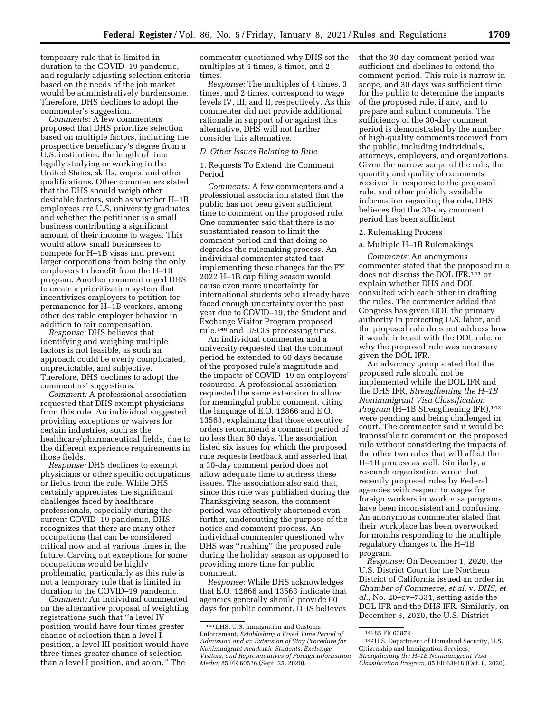temporary rule that is limited in duration to the COVID–19 pandemic, and regularly adjusting selection criteria based on the needs of the job market would be administratively burdensome. Therefore, DHS declines to adopt the commenter's suggestion.

*Comments:* A few commenters proposed that DHS prioritize selection based on multiple factors, including the prospective beneficiary's degree from a U.S. institution, the length of time legally studying or working in the United States, skills, wages, and other qualifications. Other commenters stated that the DHS should weigh other desirable factors, such as whether H–1B employees are U.S. university graduates and whether the petitioner is a small business contributing a significant amount of their income to wages. This would allow small businesses to compete for H–1B visas and prevent larger corporations from being the only employers to benefit from the H–1B program. Another comment urged DHS to create a prioritization system that incentivizes employers to petition for permanence for H–1B workers, among other desirable employer behavior in addition to fair compensation.

*Response:* DHS believes that identifying and weighing multiple factors is not feasible, as such an approach could be overly complicated, unpredictable, and subjective. Therefore, DHS declines to adopt the commenters' suggestions.

*Comment:* A professional association requested that DHS exempt physicians from this rule. An individual suggested providing exceptions or waivers for certain industries, such as the healthcare/pharmaceutical fields, due to the different experience requirements in those fields.

*Response:* DHS declines to exempt physicians or other specific occupations or fields from the rule. While DHS certainly appreciates the significant challenges faced by healthcare professionals, especially during the current COVID–19 pandemic, DHS recognizes that there are many other occupations that can be considered critical now and at various times in the future. Carving out exceptions for some occupations would be highly problematic, particularly as this rule is not a temporary rule that is limited in duration to the COVID–19 pandemic.

*Comment:* An individual commented on the alternative proposal of weighting registrations such that ''a level IV position would have four times greater chance of selection than a level I position, a level III position would have three times greater chance of selection than a level I position, and so on.'' The

commenter questioned why DHS set the multiples at 4 times, 3 times, and 2 times.

*Response:* The multiples of 4 times, 3 times, and 2 times, correspond to wage levels IV, III, and II, respectively. As this commenter did not provide additional rationale in support of or against this alternative, DHS will not further consider this alternative.

## *D. Other Issues Relating to Rule*

1. Requests To Extend the Comment Period

*Comments:* A few commenters and a professional association stated that the public has not been given sufficient time to comment on the proposed rule. One commenter said that there is no substantiated reason to limit the comment period and that doing so degrades the rulemaking process. An individual commenter stated that implementing these changes for the FY 2022 H–1B cap filing season would cause even more uncertainty for international students who already have faced enough uncertainty over the past year due to COVID–19, the Student and Exchange Visitor Program proposed rule,140 and USCIS processing times.

An individual commenter and a university requested that the comment period be extended to 60 days because of the proposed rule's magnitude and the impacts of COVID–19 on employers' resources. A professional association requested the same extension to allow for meaningful public comment, citing the language of E.O. 12866 and E.O. 13563, explaining that those executive orders recommend a comment period of no less than 60 days. The association listed six issues for which the proposed rule requests feedback and asserted that a 30-day comment period does not allow adequate time to address these issues. The association also said that, since this rule was published during the Thanksgiving season, the comment period was effectively shortened even further, undercutting the purpose of the notice and comment process. An individual commenter questioned why DHS was ''rushing'' the proposed rule during the holiday season as opposed to providing more time for public comment.

*Response:* While DHS acknowledges that E.O. 12866 and 13563 indicate that agencies generally should provide 60 days for public comment, DHS believes

that the 30-day comment period was sufficient and declines to extend the comment period. This rule is narrow in scope, and 30 days was sufficient time for the public to determine the impacts of the proposed rule, if any, and to prepare and submit comments. The sufficiency of the 30-day comment period is demonstrated by the number of high-quality comments received from the public, including individuals, attorneys, employers, and organizations. Given the narrow scope of the rule, the quantity and quality of comments received in response to the proposed rule, and other publicly available information regarding the rule, DHS believes that the 30-day comment period has been sufficient.

#### 2. Rulemaking Process

#### a. Multiple H–1B Rulemakings

*Comments:* An anonymous commenter stated that the proposed rule does not discuss the DOL IFR,141 or explain whether DHS and DOL consulted with each other in drafting the rules. The commenter added that Congress has given DOL the primary authority in protecting U.S. labor, and the proposed rule does not address how it would interact with the DOL rule, or why the proposed rule was necessary given the DOL IFR.

An advocacy group stated that the proposed rule should not be implemented while the DOL IFR and the DHS IFR, *Strengthening the H–1B Nonimmigrant Visa Classification Program* (H-1B Strengthening IFR),<sup>142</sup> were pending and being challenged in court. The commenter said it would be impossible to comment on the proposed rule without considering the impacts of the other two rules that will affect the H–1B process as well. Similarly, a research organization wrote that recently proposed rules by Federal agencies with respect to wages for foreign workers in work visa programs have been inconsistent and confusing. An anonymous commenter stated that their workplace has been overworked for months responding to the multiple regulatory changes to the H–1B program.

*Response:* On December 1, 2020, the U.S. District Court for the Northern District of California issued an order in *Chamber of Commerce, et al.* v. *DHS, et al.,* No. 20–cv–7331, setting aside the DOL IFR and the DHS IFR. Similarly, on December 3, 2020, the U.S. District

<sup>140</sup> DHS, U.S. Immigration and Customs Enforcement, *Establishing a Fixed Time Period of Admission and an Extension of Stay Procedure for Nonimmigrant Academic Students, Exchange Visitors, and Representatives of Foreign Information Media,* 85 FR 60526 (Sept. 25, 2020).

<sup>141</sup> 85 FR 63872.

<sup>142</sup>U.S. Department of Homeland Security, U.S. Citizenship and Immigration Services, *Strengthening the H–1B Nonimmigrant Visa Classification Program,* 85 FR 63918 (Oct. 8, 2020).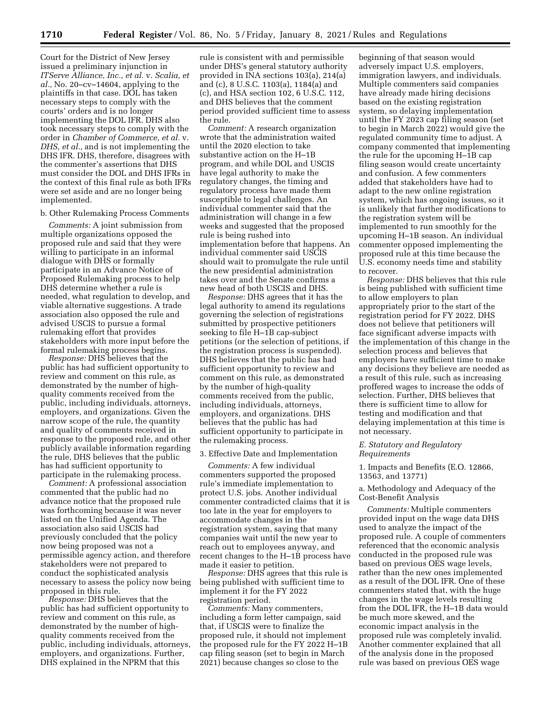Court for the District of New Jersey issued a preliminary injunction in *ITServe Alliance, Inc., et al.* v. *Scalia, et al.,* No. 20–cv–14604, applying to the plaintiffs in that case. DOL has taken necessary steps to comply with the courts' orders and is no longer implementing the DOL IFR. DHS also took necessary steps to comply with the order in *Chamber of Commerce, et al.* v. *DHS, et al.,* and is not implementing the DHS IFR. DHS, therefore, disagrees with the commenter's assertions that DHS must consider the DOL and DHS IFRs in the context of this final rule as both IFRs were set aside and are no longer being implemented.

#### b. Other Rulemaking Process Comments

*Comments:* A joint submission from multiple organizations opposed the proposed rule and said that they were willing to participate in an informal dialogue with DHS or formally participate in an Advance Notice of Proposed Rulemaking process to help DHS determine whether a rule is needed, what regulation to develop, and viable alternative suggestions. A trade association also opposed the rule and advised USCIS to pursue a formal rulemaking effort that provides stakeholders with more input before the formal rulemaking process begins.

*Response:* DHS believes that the public has had sufficient opportunity to review and comment on this rule, as demonstrated by the number of highquality comments received from the public, including individuals, attorneys, employers, and organizations. Given the narrow scope of the rule, the quantity and quality of comments received in response to the proposed rule, and other publicly available information regarding the rule, DHS believes that the public has had sufficient opportunity to participate in the rulemaking process.

*Comment:* A professional association commented that the public had no advance notice that the proposed rule was forthcoming because it was never listed on the Unified Agenda. The association also said USCIS had previously concluded that the policy now being proposed was not a permissible agency action, and therefore stakeholders were not prepared to conduct the sophisticated analysis necessary to assess the policy now being proposed in this rule.

*Response:* DHS believes that the public has had sufficient opportunity to review and comment on this rule, as demonstrated by the number of highquality comments received from the public, including individuals, attorneys, employers, and organizations. Further, DHS explained in the NPRM that this

rule is consistent with and permissible under DHS's general statutory authority provided in INA sections 103(a), 214(a) and (c), 8 U.S.C. 1103(a), 1184(a) and (c), and HSA section 102, 6 U.S.C. 112, and DHS believes that the comment period provided sufficient time to assess the rule.

*Comment:* A research organization wrote that the administration waited until the 2020 election to take substantive action on the H–1B program, and while DOL and USCIS have legal authority to make the regulatory changes, the timing and regulatory process have made them susceptible to legal challenges. An individual commenter said that the administration will change in a few weeks and suggested that the proposed rule is being rushed into implementation before that happens. An individual commenter said USCIS should wait to promulgate the rule until the new presidential administration takes over and the Senate confirms a new head of both USCIS and DHS.

*Response:* DHS agrees that it has the legal authority to amend its regulations governing the selection of registrations submitted by prospective petitioners seeking to file H–1B cap-subject petitions (or the selection of petitions, if the registration process is suspended). DHS believes that the public has had sufficient opportunity to review and comment on this rule, as demonstrated by the number of high-quality comments received from the public, including individuals, attorneys, employers, and organizations. DHS believes that the public has had sufficient opportunity to participate in the rulemaking process.

#### 3. Effective Date and Implementation

*Comments:* A few individual commenters supported the proposed rule's immediate implementation to protect U.S. jobs. Another individual commenter contradicted claims that it is too late in the year for employers to accommodate changes in the registration system, saying that many companies wait until the new year to reach out to employees anyway, and recent changes to the H–1B process have made it easier to petition.

*Response:* DHS agrees that this rule is being published with sufficient time to implement it for the FY 2022 registration period.

*Comments:* Many commenters, including a form letter campaign, said that, if USCIS were to finalize the proposed rule, it should not implement the proposed rule for the FY 2022 H–1B cap filing season (set to begin in March 2021) because changes so close to the

beginning of that season would adversely impact U.S. employers, immigration lawyers, and individuals. Multiple commenters said companies have already made hiring decisions based on the existing registration system, so delaying implementation until the FY 2023 cap filing season (set to begin in March 2022) would give the regulated community time to adjust. A company commented that implementing the rule for the upcoming H–1B cap filing season would create uncertainty and confusion. A few commenters added that stakeholders have had to adapt to the new online registration system, which has ongoing issues, so it is unlikely that further modifications to the registration system will be implemented to run smoothly for the upcoming H–1B season. An individual commenter opposed implementing the proposed rule at this time because the U.S. economy needs time and stability to recover.

*Response:* DHS believes that this rule is being published with sufficient time to allow employers to plan appropriately prior to the start of the registration period for FY 2022. DHS does not believe that petitioners will face significant adverse impacts with the implementation of this change in the selection process and believes that employers have sufficient time to make any decisions they believe are needed as a result of this rule, such as increasing proffered wages to increase the odds of selection. Further, DHS believes that there is sufficient time to allow for testing and modification and that delaying implementation at this time is not necessary.

## *E. Statutory and Regulatory Requirements*

1. Impacts and Benefits (E.O. 12866, 13563, and 13771)

## a. Methodology and Adequacy of the Cost-Benefit Analysis

*Comments:* Multiple commenters provided input on the wage data DHS used to analyze the impact of the proposed rule. A couple of commenters referenced that the economic analysis conducted in the proposed rule was based on previous OES wage levels, rather than the new ones implemented as a result of the DOL IFR. One of these commenters stated that, with the huge changes in the wage levels resulting from the DOL IFR, the H–1B data would be much more skewed, and the economic impact analysis in the proposed rule was completely invalid. Another commenter explained that all of the analysis done in the proposed rule was based on previous OES wage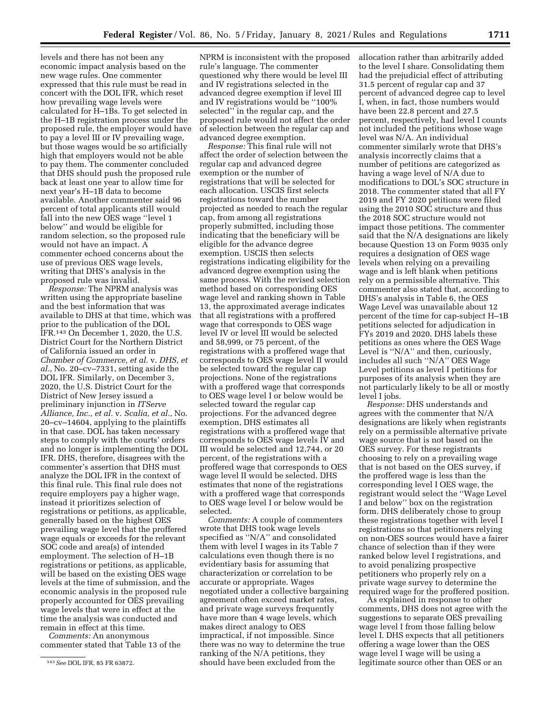levels and there has not been any economic impact analysis based on the new wage rules. One commenter expressed that this rule must be read in concert with the DOL IFR, which reset how prevailing wage levels were calculated for H–1Bs. To get selected in the H–1B registration process under the proposed rule, the employer would have to pay a level III or IV prevailing wage, but those wages would be so artificially high that employers would not be able to pay them. The commenter concluded that DHS should push the proposed rule back at least one year to allow time for next year's H–1B data to become available. Another commenter said 96 percent of total applicants still would fall into the new OES wage ''level 1 below'' and would be eligible for random selection, so the proposed rule would not have an impact. A commenter echoed concerns about the use of previous OES wage levels, writing that DHS's analysis in the proposed rule was invalid.

*Response:* The NPRM analysis was written using the appropriate baseline and the best information that was available to DHS at that time, which was prior to the publication of the DOL IFR.143 On December 1, 2020, the U.S. District Court for the Northern District of California issued an order in *Chamber of Commerce, et al.* v. *DHS, et al.,* No. 20–cv–7331, setting aside the DOL IFR. Similarly, on December 3, 2020, the U.S. District Court for the District of New Jersey issued a preliminary injunction in *ITServe Alliance, Inc., et al.* v. *Scalia, et al.,* No. 20–cv–14604, applying to the plaintiffs in that case. DOL has taken necessary steps to comply with the courts' orders and no longer is implementing the DOL IFR. DHS, therefore, disagrees with the commenter's assertion that DHS must analyze the DOL IFR in the context of this final rule. This final rule does not require employers pay a higher wage, instead it prioritizes selection of registrations or petitions, as applicable, generally based on the highest OES prevailing wage level that the proffered wage equals or exceeds for the relevant SOC code and area(s) of intended employment. The selection of H–1B registrations or petitions, as applicable, will be based on the existing OES wage levels at the time of submission, and the economic analysis in the proposed rule properly accounted for OES prevailing wage levels that were in effect at the time the analysis was conducted and remain in effect at this time.

*Comments:* An anonymous commenter stated that Table 13 of the

NPRM is inconsistent with the proposed rule's language. The commenter questioned why there would be level III and IV registrations selected in the advanced degree exemption if level III and IV registrations would be ''100% selected'' in the regular cap, and the proposed rule would not affect the order of selection between the regular cap and advanced degree exemption.

*Response:* This final rule will not affect the order of selection between the regular cap and advanced degree exemption or the number of registrations that will be selected for each allocation. USCIS first selects registrations toward the number projected as needed to reach the regular cap, from among all registrations properly submitted, including those indicating that the beneficiary will be eligible for the advance degree exemption. USCIS then selects registrations indicating eligibility for the advanced degree exemption using the same process. With the revised selection method based on corresponding OES wage level and ranking shown in Table 13, the approximated average indicates that all registrations with a proffered wage that corresponds to OES wage level IV or level III would be selected and 58,999, or 75 percent, of the registrations with a proffered wage that corresponds to OES wage level II would be selected toward the regular cap projections. None of the registrations with a proffered wage that corresponds to OES wage level I or below would be selected toward the regular cap projections. For the advanced degree exemption, DHS estimates all registrations with a proffered wage that corresponds to OES wage levels IV and III would be selected and 12,744, or 20 percent, of the registrations with a proffered wage that corresponds to OES wage level II would be selected. DHS estimates that none of the registrations with a proffered wage that corresponds to OES wage level I or below would be selected.

*Comments:* A couple of commenters wrote that DHS took wage levels specified as ''N/A'' and consolidated them with level I wages in its Table 7 calculations even though there is no evidentiary basis for assuming that characterization or correlation to be accurate or appropriate. Wages negotiated under a collective bargaining agreement often exceed market rates, and private wage surveys frequently have more than 4 wage levels, which makes direct analogy to OES impractical, if not impossible. Since there was no way to determine the true ranking of the N/A petitions, they should have been excluded from the

allocation rather than arbitrarily added to the level I share. Consolidating them had the prejudicial effect of attributing 31.5 percent of regular cap and 37 percent of advanced degree cap to level I, when, in fact, those numbers would have been 22.8 percent and 27.5 percent, respectively, had level I counts not included the petitions whose wage level was N/A. An individual commenter similarly wrote that DHS's analysis incorrectly claims that a number of petitions are categorized as having a wage level of N/A due to modifications to DOL's SOC structure in 2018. The commenter stated that all FY 2019 and FY 2020 petitions were filed using the 2010 SOC structure and thus the 2018 SOC structure would not impact those petitions. The commenter said that the N/A designations are likely because Question 13 on Form 9035 only requires a designation of OES wage levels when relying on a prevailing wage and is left blank when petitions rely on a permissible alternative. This commenter also stated that, according to DHS's analysis in Table 6, the OES Wage Level was unavailable about 12 percent of the time for cap-subject H–1B petitions selected for adjudication in FYs 2019 and 2020. DHS labels these petitions as ones where the OES Wage Level is "N/A" and then, curiously, includes all such ''N/A'' OES Wage Level petitions as level I petitions for purposes of its analysis when they are not particularly likely to be all or mostly level I jobs.

*Response:* DHS understands and agrees with the commenter that N/A designations are likely when registrants rely on a permissible alternative private wage source that is not based on the OES survey. For these registrants choosing to rely on a prevailing wage that is not based on the OES survey, if the proffered wage is less than the corresponding level I OES wage, the registrant would select the ''Wage Level I and below'' box on the registration form. DHS deliberately chose to group these registrations together with level I registrations so that petitioners relying on non-OES sources would have a fairer chance of selection than if they were ranked below level I registrations, and to avoid penalizing prospective petitioners who properly rely on a private wage survey to determine the required wage for the proffered position.

As explained in response to other comments, DHS does not agree with the suggestions to separate OES prevailing wage level I from those falling below level I. DHS expects that all petitioners offering a wage lower than the OES wage level I wage will be using a legitimate source other than OES or an

<sup>143</sup>*See* DOL IFR, 85 FR 63872.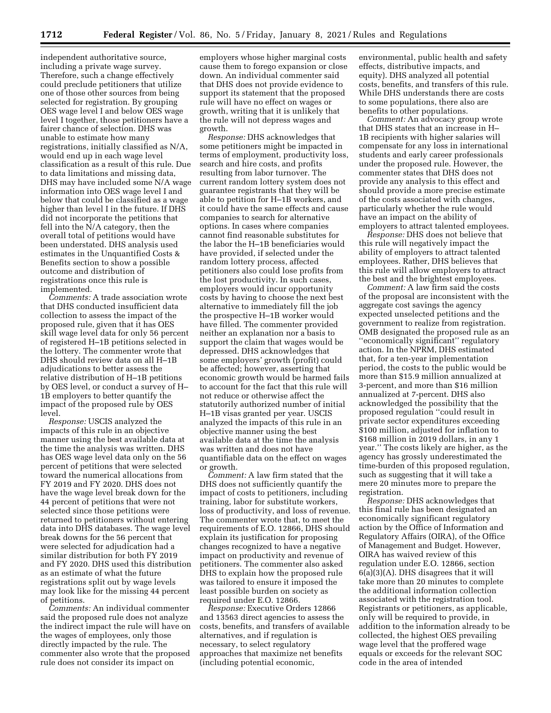independent authoritative source, including a private wage survey. Therefore, such a change effectively could preclude petitioners that utilize one of those other sources from being selected for registration. By grouping OES wage level I and below OES wage level I together, those petitioners have a fairer chance of selection. DHS was unable to estimate how many registrations, initially classified as N/A, would end up in each wage level classification as a result of this rule. Due to data limitations and missing data, DHS may have included some N/A wage information into OES wage level I and below that could be classified as a wage higher than level I in the future. If DHS did not incorporate the petitions that fell into the N/A category, then the overall total of petitions would have been understated. DHS analysis used estimates in the Unquantified Costs & Benefits section to show a possible outcome and distribution of registrations once this rule is implemented.

*Comments:* A trade association wrote that DHS conducted insufficient data collection to assess the impact of the proposed rule, given that it has OES skill wage level data for only 56 percent of registered H–1B petitions selected in the lottery. The commenter wrote that DHS should review data on all H–1B adjudications to better assess the relative distribution of H–1B petitions by OES level, or conduct a survey of H– 1B employers to better quantify the impact of the proposed rule by OES level.

*Response:* USCIS analyzed the impacts of this rule in an objective manner using the best available data at the time the analysis was written. DHS has OES wage level data only on the 56 percent of petitions that were selected toward the numerical allocations from FY 2019 and FY 2020. DHS does not have the wage level break down for the 44 percent of petitions that were not selected since those petitions were returned to petitioners without entering data into DHS databases. The wage level break downs for the 56 percent that were selected for adjudication had a similar distribution for both FY 2019 and FY 2020. DHS used this distribution as an estimate of what the future registrations split out by wage levels may look like for the missing 44 percent of petitions.

*Comments:* An individual commenter said the proposed rule does not analyze the indirect impact the rule will have on the wages of employees, only those directly impacted by the rule. The commenter also wrote that the proposed rule does not consider its impact on

employers whose higher marginal costs cause them to forego expansion or close down. An individual commenter said that DHS does not provide evidence to support its statement that the proposed rule will have no effect on wages or growth, writing that it is unlikely that the rule will not depress wages and growth.

*Response:* DHS acknowledges that some petitioners might be impacted in terms of employment, productivity loss, search and hire costs, and profits resulting from labor turnover. The current random lottery system does not guarantee registrants that they will be able to petition for H–1B workers, and it could have the same effects and cause companies to search for alternative options. In cases where companies cannot find reasonable substitutes for the labor the H–1B beneficiaries would have provided, if selected under the random lottery process, affected petitioners also could lose profits from the lost productivity. In such cases, employers would incur opportunity costs by having to choose the next best alternative to immediately fill the job the prospective H–1B worker would have filled. The commenter provided neither an explanation nor a basis to support the claim that wages would be depressed. DHS acknowledges that some employers' growth (profit) could be affected; however, asserting that economic growth would be harmed fails to account for the fact that this rule will not reduce or otherwise affect the statutorily authorized number of initial H–1B visas granted per year. USCIS analyzed the impacts of this rule in an objective manner using the best available data at the time the analysis was written and does not have quantifiable data on the effect on wages or growth.

*Comment:* A law firm stated that the DHS does not sufficiently quantify the impact of costs to petitioners, including training, labor for substitute workers, loss of productivity, and loss of revenue. The commenter wrote that, to meet the requirements of E.O. 12866, DHS should explain its justification for proposing changes recognized to have a negative impact on productivity and revenue of petitioners. The commenter also asked DHS to explain how the proposed rule was tailored to ensure it imposed the least possible burden on society as required under E.O. 12866.

*Response:* Executive Orders 12866 and 13563 direct agencies to assess the costs, benefits, and transfers of available alternatives, and if regulation is necessary, to select regulatory approaches that maximize net benefits (including potential economic,

environmental, public health and safety effects, distributive impacts, and equity). DHS analyzed all potential costs, benefits, and transfers of this rule. While DHS understands there are costs to some populations, there also are benefits to other populations.

*Comment:* An advocacy group wrote that DHS states that an increase in H– 1B recipients with higher salaries will compensate for any loss in international students and early career professionals under the proposed rule. However, the commenter states that DHS does not provide any analysis to this effect and should provide a more precise estimate of the costs associated with changes, particularly whether the rule would have an impact on the ability of employers to attract talented employees.

*Response:* DHS does not believe that this rule will negatively impact the ability of employers to attract talented employees. Rather, DHS believes that this rule will allow employers to attract the best and the brightest employees.

*Comment:* A law firm said the costs of the proposal are inconsistent with the aggregate cost savings the agency expected unselected petitions and the government to realize from registration. OMB designated the proposed rule as an ''economically significant'' regulatory action. In the NPRM, DHS estimated that, for a ten-year implementation period, the costs to the public would be more than \$15.9 million annualized at 3-percent, and more than \$16 million annualized at 7-percent. DHS also acknowledged the possibility that the proposed regulation ''could result in private sector expenditures exceeding \$100 million, adjusted for inflation to \$168 million in 2019 dollars, in any 1 year.'' The costs likely are higher, as the agency has grossly underestimated the time-burden of this proposed regulation, such as suggesting that it will take a mere 20 minutes more to prepare the registration.

*Response:* DHS acknowledges that this final rule has been designated an economically significant regulatory action by the Office of Information and Regulatory Affairs (OIRA), of the Office of Management and Budget. However, OIRA has waived review of this regulation under E.O. 12866, section 6(a)(3)(A). DHS disagrees that it will take more than 20 minutes to complete the additional information collection associated with the registration tool. Registrants or petitioners, as applicable, only will be required to provide, in addition to the information already to be collected, the highest OES prevailing wage level that the proffered wage equals or exceeds for the relevant SOC code in the area of intended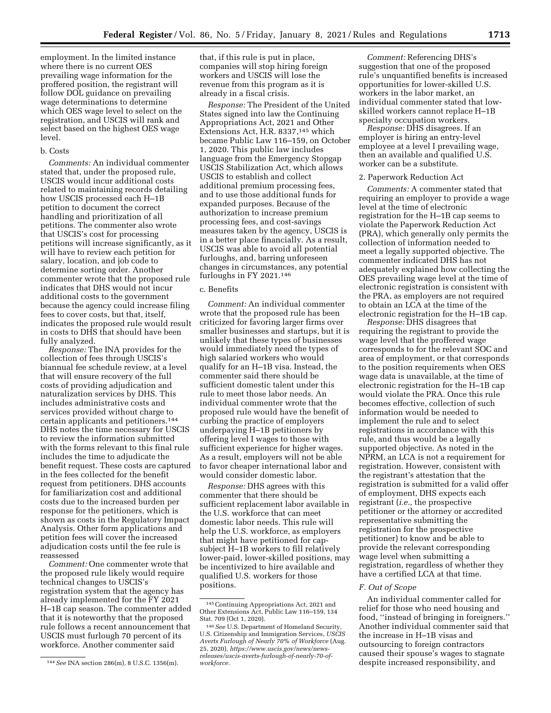employment. In the limited instance where there is no current OES prevailing wage information for the proffered position, the registrant will follow DOL guidance on prevailing wage determinations to determine which OES wage level to select on the registration, and USCIS will rank and select based on the highest OES wage level.

#### b. Costs

*Comments:* An individual commenter stated that, under the proposed rule, USCIS would incur additional costs related to maintaining records detailing how USCIS processed each H–1B petition to document the correct handling and prioritization of all petitions. The commenter also wrote that USCIS's cost for processing petitions will increase significantly, as it will have to review each petition for salary, location, and job code to determine sorting order. Another commenter wrote that the proposed rule indicates that DHS would not incur additional costs to the government because the agency could increase filing fees to cover costs, but that, itself, indicates the proposed rule would result in costs to DHS that should have been fully analyzed.

*Response:* The INA provides for the collection of fees through USCIS's biannual fee schedule review, at a level that will ensure recovery of the full costs of providing adjudication and naturalization services by DHS. This includes administrative costs and services provided without charge to certain applicants and petitioners.144 DHS notes the time necessary for USCIS to review the information submitted with the forms relevant to this final rule includes the time to adjudicate the benefit request. These costs are captured in the fees collected for the benefit request from petitioners. DHS accounts for familiarization cost and additional costs due to the increased burden per response for the petitioners, which is shown as costs in the Regulatory Impact Analysis. Other form applications and petition fees will cover the increased adjudication costs until the fee rule is reassessed

*Comment:* One commenter wrote that the proposed rule likely would require technical changes to USCIS's registration system that the agency has already implemented for the FY 2021 H–1B cap season. The commenter added that it is noteworthy that the proposed rule follows a recent announcement that USCIS must furlough 70 percent of its workforce. Another commenter said

that, if this rule is put in place, companies will stop hiring foreign workers and USCIS will lose the revenue from this program as it is already in a fiscal crisis.

*Response:* The President of the United States signed into law the Continuing Appropriations Act, 2021 and Other Extensions Act, H.R. 8337,145 which became Public Law 116–159, on October 1, 2020. This public law includes language from the Emergency Stopgap USCIS Stabilization Act, which allows USCIS to establish and collect additional premium processing fees, and to use those additional funds for expanded purposes. Because of the authorization to increase premium processing fees, and cost-savings measures taken by the agency, USCIS is in a better place financially. As a result, USCIS was able to avoid all potential furloughs, and, barring unforeseen changes in circumstances, any potential furloughs in FY 2021.146

#### c. Benefits

*Comment:* An individual commenter wrote that the proposed rule has been criticized for favoring larger firms over smaller businesses and startups, but it is unlikely that these types of businesses would immediately need the types of high salaried workers who would qualify for an H–1B visa. Instead, the commenter said there should be sufficient domestic talent under this rule to meet those labor needs. An individual commenter wrote that the proposed rule would have the benefit of curbing the practice of employers underpaying H–1B petitioners by offering level I wages to those with sufficient experience for higher wages. As a result, employers will not be able to favor cheaper international labor and would consider domestic labor.

*Response:* DHS agrees with this commenter that there should be sufficient replacement labor available in the U.S. workforce that can meet domestic labor needs. This rule will help the U.S. workforce, as employers that might have petitioned for capsubject H–1B workers to fill relatively lower-paid, lower-skilled positions, may be incentivized to hire available and qualified U.S. workers for those positions.

*Comment:* Referencing DHS's suggestion that one of the proposed rule's unquantified benefits is increased opportunities for lower-skilled U.S. workers in the labor market, an individual commenter stated that lowskilled workers cannot replace H–1B specialty occupation workers.

*Response:* DHS disagrees. If an employer is hiring an entry-level employee at a level I prevailing wage, then an available and qualified U.S. worker can be a substitute.

#### 2. Paperwork Reduction Act

*Comments:* A commenter stated that requiring an employer to provide a wage level at the time of electronic registration for the H–1B cap seems to violate the Paperwork Reduction Act (PRA), which generally only permits the collection of information needed to meet a legally supported objective. The commenter indicated DHS has not adequately explained how collecting the OES prevailing wage level at the time of electronic registration is consistent with the PRA, as employers are not required to obtain an LCA at the time of the electronic registration for the H–1B cap.

*Response:* DHS disagrees that requiring the registrant to provide the wage level that the proffered wage corresponds to for the relevant SOC and area of employment, or that corresponds to the position requirements when OES wage data is unavailable, at the time of electronic registration for the H–1B cap would violate the PRA. Once this rule becomes effective, collection of such information would be needed to implement the rule and to select registrations in accordance with this rule, and thus would be a legally supported objective. As noted in the NPRM, an LCA is not a requirement for registration. However, consistent with the registrant's attestation that the registration is submitted for a valid offer of employment, DHS expects each registrant (*i.e.,* the prospective petitioner or the attorney or accredited representative submitting the registration for the prospective petitioner) to know and be able to provide the relevant corresponding wage level when submitting a registration, regardless of whether they have a certified LCA at that time.

## *F. Out of Scope*

An individual commenter called for relief for those who need housing and food, ''instead of bringing in foreigners.'' Another individual commenter said that the increase in H–1B visas and outsourcing to foreign contractors caused their spouse's wages to stagnate despite increased responsibility, and

<sup>144</sup>*See* INA section 286(m), 8 U.S.C. 1356(m).

<sup>145</sup>Continuing Appropriations Act, 2021 and Other Extensions Act, Public Law 116–159, 134 Stat. 709 (Oct 1, 2020).

<sup>146</sup>*See* U.S. Department of Homeland Security, U.S. Citizenship and Immigration Services, *USCIS Averts Furlough of Nearly 70% of Workforce* (Aug. 25, 2020), *[https://www.uscis.gov/news/news](https://www.uscis.gov/news/news-releases/uscis-averts-furlough-of-nearly-70-of-workforce)[releases/uscis-averts-furlough-of-nearly-70-of](https://www.uscis.gov/news/news-releases/uscis-averts-furlough-of-nearly-70-of-workforce)[workforce.](https://www.uscis.gov/news/news-releases/uscis-averts-furlough-of-nearly-70-of-workforce)*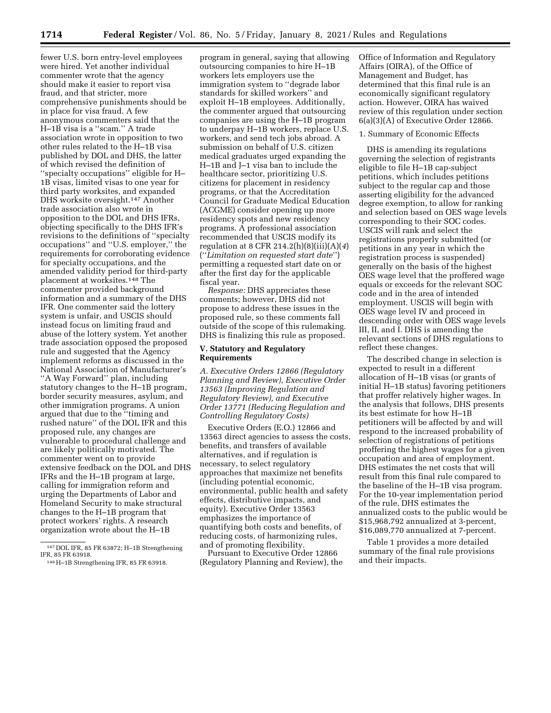fewer U.S. born entry-level employees were hired. Yet another individual commenter wrote that the agency should make it easier to report visa fraud, and that stricter, more comprehensive punishments should be in place for visa fraud. A few anonymous commenters said that the H–1B visa is a ''scam.'' A trade association wrote in opposition to two other rules related to the H–1B visa published by DOL and DHS, the latter of which revised the definition of ''specialty occupations'' eligible for H– 1B visas, limited visas to one year for third party worksites, and expanded DHS worksite oversight.147 Another trade association also wrote in opposition to the DOL and DHS IFRs, objecting specifically to the DHS IFR's revisions to the definitions of ''specialty occupations'' and ''U.S. employer,'' the requirements for corroborating evidence for specialty occupations, and the amended validity period for third-party placement at worksites.148 The commenter provided background information and a summary of the DHS IFR. One commenter said the lottery system is unfair, and USCIS should instead focus on limiting fraud and abuse of the lottery system. Yet another trade association opposed the proposed rule and suggested that the Agency implement reforms as discussed in the National Association of Manufacturer's ''A Way Forward'' plan, including statutory changes to the H–1B program, border security measures, asylum, and other immigration programs. A union argued that due to the ''timing and rushed nature'' of the DOL IFR and this proposed rule, any changes are vulnerable to procedural challenge and are likely politically motivated. The commenter went on to provide extensive feedback on the DOL and DHS IFRs and the H–1B program at large, calling for immigration reform and urging the Departments of Labor and Homeland Security to make structural changes to the H–1B program that protect workers' rights. A research organization wrote about the H–1B

program in general, saying that allowing outsourcing companies to hire H–1B workers lets employers use the immigration system to ''degrade labor standards for skilled workers'' and exploit H–1B employees. Additionally, the commenter argued that outsourcing companies are using the H–1B program to underpay H–1B workers, replace U.S. workers, and send tech jobs abroad. A submission on behalf of U.S. citizen medical graduates urged expanding the H–1B and J–1 visa ban to include the healthcare sector, prioritizing U.S. citizens for placement in residency programs, or that the Accreditation Council for Graduate Medical Education (ACGME) consider opening up more residency spots and new residency programs. A professional association recommended that USCIS modify its regulation at 8 CFR 214.2(h)(8)(iii)(A)(*4*) (''*Limitation on requested start date*'') permitting a requested start date on or after the first day for the applicable fiscal year.

*Response:* DHS appreciates these comments; however, DHS did not propose to address these issues in the proposed rule, so these comments fall outside of the scope of this rulemaking. DHS is finalizing this rule as proposed.

## **V. Statutory and Regulatory Requirements**

*A. Executive Orders 12866 (Regulatory Planning and Review), Executive Order 13563 (Improving Regulation and Regulatory Review), and Executive Order 13771 (Reducing Regulation and Controlling Regulatory Costs)* 

Executive Orders (E.O.) 12866 and 13563 direct agencies to assess the costs, benefits, and transfers of available alternatives, and if regulation is necessary, to select regulatory approaches that maximize net benefits (including potential economic, environmental, public health and safety effects, distributive impacts, and equity). Executive Order 13563 emphasizes the importance of quantifying both costs and benefits, of reducing costs, of harmonizing rules, and of promoting flexibility.

Pursuant to Executive Order 12866 (Regulatory Planning and Review), the Office of Information and Regulatory Affairs (OIRA), of the Office of Management and Budget, has determined that this final rule is an economically significant regulatory action. However, OIRA has waived review of this regulation under section 6(a)(3)(A) of Executive Order 12866.

## 1. Summary of Economic Effects

DHS is amending its regulations governing the selection of registrants eligible to file H–1B cap-subject petitions, which includes petitions subject to the regular cap and those asserting eligibility for the advanced degree exemption, to allow for ranking and selection based on OES wage levels corresponding to their SOC codes. USCIS will rank and select the registrations properly submitted (or petitions in any year in which the registration process is suspended) generally on the basis of the highest OES wage level that the proffered wage equals or exceeds for the relevant SOC code and in the area of intended employment. USCIS will begin with OES wage level IV and proceed in descending order with OES wage levels III, II, and I. DHS is amending the relevant sections of DHS regulations to reflect these changes.

The described change in selection is expected to result in a different allocation of H–1B visas (or grants of initial H–1B status) favoring petitioners that proffer relatively higher wages. In the analysis that follows, DHS presents its best estimate for how H–1B petitioners will be affected by and will respond to the increased probability of selection of registrations of petitions proffering the highest wages for a given occupation and area of employment. DHS estimates the net costs that will result from this final rule compared to the baseline of the H–1B visa program. For the 10-year implementation period of the rule, DHS estimates the annualized costs to the public would be \$15,968,792 annualized at 3-percent, \$16,089,770 annualized at 7-percent.

Table 1 provides a more detailed summary of the final rule provisions and their impacts.

<sup>147</sup> DOL IFR, 85 FR 63872; H–1B Strengthening

IFR, 85 FR 63918. 148H–1B Strengthening IFR, 85 FR 63918.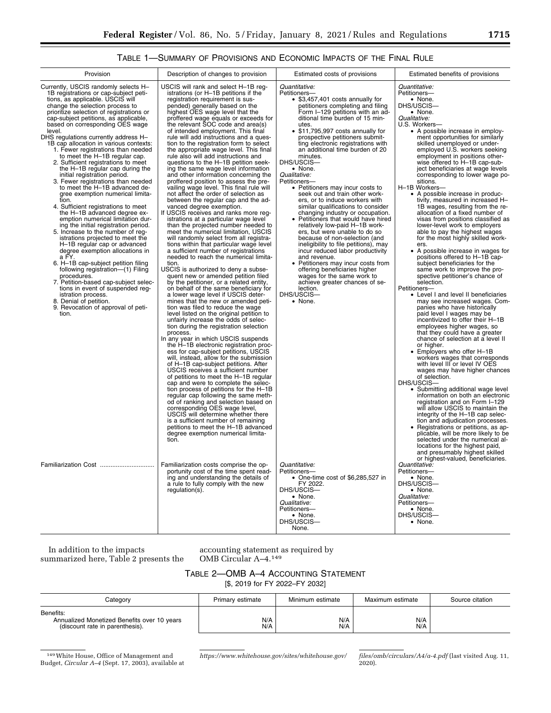# TABLE 1—SUMMARY OF PROVISIONS AND ECONOMIC IMPACTS OF THE FINAL RULE

| Provision                                                                                                                                                                                                                                                                                                                                                                                                                                                                                                                                                                                                                                                                                                                                                                                                                                                                                                                                                                                                                                                                                                                                                                                                                                                    | Description of changes to provision                                                                                                                                                                                                                                                                                                                                                                                                                                                                                                                                                                                                                                                                                                                                                                                                                                                                                                                                                                                                                                                                                                                                                                                                                                                                                                                                                                                                                                                                                                                                                                                                                                                                                                                                                                                                                                                                                                                                                                                                                                                                                                                                                                                                                   | Estimated costs of provisions                                                                                                                                                                                                                                                                                                                                                                                                                                                                                                                                                                                                                                                                                                                                                                                                                                                                                                                                                                                      | Estimated benefits of provisions                                                                                                                                                                                                                                                                                                                                                                                                                                                                                                                                                                                                                                                                                                                                                                                                                                                                                                                                                                                                                                                                                                                                                                                                                                                                                                                                                                                                                                                                                                                                                                                                                                                                                                                                                                                                                        |
|--------------------------------------------------------------------------------------------------------------------------------------------------------------------------------------------------------------------------------------------------------------------------------------------------------------------------------------------------------------------------------------------------------------------------------------------------------------------------------------------------------------------------------------------------------------------------------------------------------------------------------------------------------------------------------------------------------------------------------------------------------------------------------------------------------------------------------------------------------------------------------------------------------------------------------------------------------------------------------------------------------------------------------------------------------------------------------------------------------------------------------------------------------------------------------------------------------------------------------------------------------------|-------------------------------------------------------------------------------------------------------------------------------------------------------------------------------------------------------------------------------------------------------------------------------------------------------------------------------------------------------------------------------------------------------------------------------------------------------------------------------------------------------------------------------------------------------------------------------------------------------------------------------------------------------------------------------------------------------------------------------------------------------------------------------------------------------------------------------------------------------------------------------------------------------------------------------------------------------------------------------------------------------------------------------------------------------------------------------------------------------------------------------------------------------------------------------------------------------------------------------------------------------------------------------------------------------------------------------------------------------------------------------------------------------------------------------------------------------------------------------------------------------------------------------------------------------------------------------------------------------------------------------------------------------------------------------------------------------------------------------------------------------------------------------------------------------------------------------------------------------------------------------------------------------------------------------------------------------------------------------------------------------------------------------------------------------------------------------------------------------------------------------------------------------------------------------------------------------------------------------------------------------|--------------------------------------------------------------------------------------------------------------------------------------------------------------------------------------------------------------------------------------------------------------------------------------------------------------------------------------------------------------------------------------------------------------------------------------------------------------------------------------------------------------------------------------------------------------------------------------------------------------------------------------------------------------------------------------------------------------------------------------------------------------------------------------------------------------------------------------------------------------------------------------------------------------------------------------------------------------------------------------------------------------------|---------------------------------------------------------------------------------------------------------------------------------------------------------------------------------------------------------------------------------------------------------------------------------------------------------------------------------------------------------------------------------------------------------------------------------------------------------------------------------------------------------------------------------------------------------------------------------------------------------------------------------------------------------------------------------------------------------------------------------------------------------------------------------------------------------------------------------------------------------------------------------------------------------------------------------------------------------------------------------------------------------------------------------------------------------------------------------------------------------------------------------------------------------------------------------------------------------------------------------------------------------------------------------------------------------------------------------------------------------------------------------------------------------------------------------------------------------------------------------------------------------------------------------------------------------------------------------------------------------------------------------------------------------------------------------------------------------------------------------------------------------------------------------------------------------------------------------------------------------|
| Currently, USCIS randomly selects H-<br>1B registrations or cap-subject peti-<br>tions, as applicable. USCIS will<br>change the selection process to<br>prioritize selection of registrations or<br>cap-subject petitions, as applicable,<br>based on corresponding OES wage<br>level.<br>DHS regulations currently address H-<br>1B cap allocation in various contexts:<br>1. Fewer registrations than needed<br>to meet the H-1B regular cap.<br>2. Sufficient registrations to meet<br>the H-1B regular cap during the<br>initial registration period.<br>3. Fewer registrations than needed<br>to meet the H-1B advanced de-<br>gree exemption numerical limita-<br>tion.<br>4. Sufficient registrations to meet<br>the H-1B advanced degree ex-<br>emption numerical limitation dur-<br>ing the initial registration period.<br>5. Increase to the number of reg-<br>istrations projected to meet the<br>H-1B regular cap or advanced<br>degree exemption allocations in<br>a FY.<br>6. H-1B cap-subject petition filing<br>following registration-(1) Filing<br>procedures.<br>7. Petition-based cap-subject selec-<br>tions in event of suspended req-<br>istration process.<br>8. Denial of petition.<br>9. Revocation of approval of peti-<br>tion. | USCIS will rank and select H-1B reg-<br>istrations (or H-1B petitions if the<br>registration requirement is sus-<br>pended) generally based on the<br>highest OES wage level that the<br>proffered wage equals or exceeds for<br>the relevant SOC code and area(s)<br>of intended employment. This final<br>rule will add instructions and a ques-<br>tion to the registration form to select<br>the appropriate wage level. This final<br>rule also will add instructions and<br>questions to the H-1B petition seek-<br>ing the same wage level information<br>and other information concerning the<br>proffered position to assess the pre-<br>vailing wage level. This final rule will<br>not affect the order of selection as<br>between the regular cap and the ad-<br>vanced degree exemption.<br>If USCIS receives and ranks more reg-<br>istrations at a particular wage level<br>than the projected number needed to<br>meet the numerical limitation, USCIS<br>will randomly select from all registra-<br>tions within that particular wage level<br>a sufficient number of registrations<br>needed to reach the numerical limita-<br>tion.<br>USCIS is authorized to deny a subse-<br>quent new or amended petition filed<br>by the petitioner, or a related entity,<br>on behalf of the same beneficiary for<br>a lower wage level if USCIS deter-<br>mines that the new or amended peti-<br>tion was filed to reduce the wage<br>level listed on the original petition to<br>unfairly increase the odds of selec-<br>tion during the registration selection<br>process.<br>In any year in which USCIS suspends<br>the H-1B electronic registration proc-<br>ess for cap-subject petitions, USCIS<br>will, instead, allow for the submission<br>of H-1B cap-subject petitions. After<br>USCIS receives a sufficient number<br>of petitions to meet the H-1B regular<br>cap and were to complete the selec-<br>tion process of petitions for the H-1B<br>regular cap following the same meth-<br>od of ranking and selection based on<br>corresponding OES wage level,<br>USCIS will determine whether there<br>is a sufficient number of remaining<br>petitions to meet the H-1B advanced<br>degree exemption numerical limita-<br>tion. | Quantitative:<br>Petitioners-<br>• \$3,457,401 costs annually for<br>petitioners completing and filing<br>Form I-129 petitions with an ad-<br>ditional time burden of 15 min-<br>utes.<br>• \$11,795,997 costs annually for<br>prospective petitioners submit-<br>ting electronic registrations with<br>an additional time burden of 20<br>minutes.<br>DHS/USCIS-<br>• None.<br>Qualitative:<br>Petitioners-<br>• Petitioners may incur costs to<br>seek out and train other work-<br>ers, or to induce workers with<br>similar qualifications to consider<br>changing industry or occupation.<br>• Petitioners that would have hired<br>relatively low-paid H-1B work-<br>ers, but were unable to do so<br>because of non-selection (and<br>ineligibility to file petitions), may<br>incur reduced labor productivity<br>and revenue.<br>• Petitioners may incur costs from<br>offering beneficiaries higher<br>wages for the same work to<br>achieve greater chances of se-<br>lection.<br>DHS/USCIS-<br>• None. | Quantitative:<br>Petitioners-<br>• None.<br>DHS/USCIS-<br>• None.<br>Qualitative:<br>U.S. Workers-<br>• A possible increase in employ-<br>ment opportunities for similarly<br>skilled unemployed or under-<br>employed U.S. workers seeking<br>employment in positions other-<br>wise offered to H-1B cap-sub-<br>ject beneficiaries at wage levels<br>corresponding to lower wage po-<br>sitions.<br>H-1B Workers-<br>• A possible increase in produc-<br>tivity, measured in increased H-<br>1B wages, resulting from the re-<br>allocation of a fixed number of<br>visas from positions classified as<br>lower-level work to employers<br>able to pay the highest wages<br>for the most highly skilled work-<br>ers.<br>• A possible increase in wages for<br>positions offered to H-1B cap-<br>subject beneficiaries for the<br>same work to improve the pro-<br>spective petitioner's chance of<br>selection.<br>Petitioners-<br>• Level I and level II beneficiaries<br>may see increased wages. Com-<br>panies who have historically<br>paid level I wages may be<br>incentivized to offer their H-1B<br>employees higher wages, so<br>that they could have a greater<br>chance of selection at a level II<br>or higher.<br>• Employers who offer H-1B<br>workers wages that corresponds<br>with level III or level IV OES<br>wages may have higher chances<br>of selection.<br>DHS/USCIS-<br>• Submitting additional wage level<br>information on both an electronic<br>registration and on Form I-129<br>will allow USCIS to maintain the<br>integrity of the H-1B cap selec-<br>tion and adjudication processes.<br>• Registrations or petitions, as ap-<br>plicable, will be more likely to be<br>selected under the numerical al-<br>locations for the highest paid,<br>and presumably highest skilled<br>or highest-valued, beneficiaries. |
| Familiarization Cost                                                                                                                                                                                                                                                                                                                                                                                                                                                                                                                                                                                                                                                                                                                                                                                                                                                                                                                                                                                                                                                                                                                                                                                                                                         | Familiarization costs comprise the op-<br>portunity cost of the time spent read-<br>ing and understanding the details of<br>a rule to fully comply with the new<br>regulation(s).                                                                                                                                                                                                                                                                                                                                                                                                                                                                                                                                                                                                                                                                                                                                                                                                                                                                                                                                                                                                                                                                                                                                                                                                                                                                                                                                                                                                                                                                                                                                                                                                                                                                                                                                                                                                                                                                                                                                                                                                                                                                     | Quantitative:<br>Petitioners-<br>• One-time cost of \$6,285,527 in<br>FY 2022.<br>DHS/USCIS-<br>• None.<br>Qualitative:<br>Petitioners-<br>• None.<br>DHS/USCIS-<br>None.                                                                                                                                                                                                                                                                                                                                                                                                                                                                                                                                                                                                                                                                                                                                                                                                                                          | Quantitative:<br>Petitioners-<br>• None.<br>DHS/USCIS-<br>• None.<br>Qualitative:<br>Petitioners-<br>• None.<br>DHS/USCIS-<br>• None.                                                                                                                                                                                                                                                                                                                                                                                                                                                                                                                                                                                                                                                                                                                                                                                                                                                                                                                                                                                                                                                                                                                                                                                                                                                                                                                                                                                                                                                                                                                                                                                                                                                                                                                   |

In addition to the impacts summarized here, Table 2 presents the

accounting statement as required by OMB Circular A–4.149

# TABLE 2—OMB A–4 ACCOUNTING STATEMENT

[\$, 2019 for FY 2022–FY 2032]

| Category                                                                                    | Primary estimate | Minimum estimate | Maximum estimate | Source citation |
|---------------------------------------------------------------------------------------------|------------------|------------------|------------------|-----------------|
| Benefits:<br>Annualized Monetized Benefits over 10 years<br>(discount rate in parenthesis). | N/A<br>N/A       | N/A<br>N/A       | N/A<br>N/A       |                 |

<sup>149</sup>White House, Office of Management and Budget, *Circular A–4* (Sept. 17, 2003), available at

*[https://www.whitehouse.gov/sites/whitehouse.gov/](https://www.whitehouse.gov/sites/whitehouse.gov/files/omb/circulars/A4/a-4.pdf) [files/omb/circulars/A4/a-4.pdf](https://www.whitehouse.gov/sites/whitehouse.gov/files/omb/circulars/A4/a-4.pdf)* (last visited Aug. 11, 2020).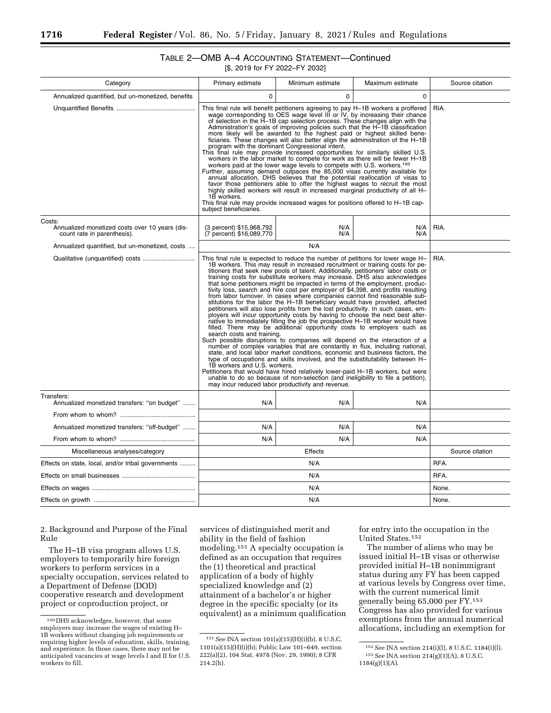# TABLE 2—OMB A–4 ACCOUNTING STATEMENT—Continued

| [\$, 2019 for FY 2022–FY 2032] |  |
|--------------------------------|--|
|--------------------------------|--|

| Category                                                                                | Primary estimate                                                                                                                                                                                                                                                                                                                                                                                                                                                                                                                                                                                                                                                                                                                                                                                                                                                                                                                                                                                                                                                                                                                                                                                                                                                                                                                                                                                                                                                                                                                                                                                                           | Minimum estimate | Maximum estimate | Source citation |
|-----------------------------------------------------------------------------------------|----------------------------------------------------------------------------------------------------------------------------------------------------------------------------------------------------------------------------------------------------------------------------------------------------------------------------------------------------------------------------------------------------------------------------------------------------------------------------------------------------------------------------------------------------------------------------------------------------------------------------------------------------------------------------------------------------------------------------------------------------------------------------------------------------------------------------------------------------------------------------------------------------------------------------------------------------------------------------------------------------------------------------------------------------------------------------------------------------------------------------------------------------------------------------------------------------------------------------------------------------------------------------------------------------------------------------------------------------------------------------------------------------------------------------------------------------------------------------------------------------------------------------------------------------------------------------------------------------------------------------|------------------|------------------|-----------------|
| Annualized quantified, but un-monetized, benefits                                       | $\Omega$                                                                                                                                                                                                                                                                                                                                                                                                                                                                                                                                                                                                                                                                                                                                                                                                                                                                                                                                                                                                                                                                                                                                                                                                                                                                                                                                                                                                                                                                                                                                                                                                                   | $\Omega$         | $\Omega$         |                 |
|                                                                                         | This final rule will benefit petitioners agreeing to pay H-1B workers a proffered wage corresponding to OES wage level III or IV, by increasing their chance<br>of selection in the H-1B cap selection process. These changes align with the<br>Administration's goals of improving policies such that the H-1B classification<br>more likely will be awarded to the highest paid or highest skilled bene-<br>ficiaries. These changes will also better align the administration of the H-1B<br>program with the dominant Congressional intent.<br>This final rule may provide increased opportunities for similarly skilled U.S.<br>workers in the labor market to compete for work as there will be fewer H-1B<br>workers paid at the lower wage levels to compete with U.S. workers. <sup>150</sup><br>Further, assuming demand outpaces the 85,000 visas currently available for<br>annual allocation. DHS believes that the potential reallocation of visas to<br>favor those petitioners able to offer the highest wages to recruit the most<br>highly skilled workers will result in increased marginal productivity of all H-<br>1B workers.<br>This final rule may provide increased wages for positions offered to H-1B cap-<br>subject beneficiaries.                                                                                                                                                                                                                                                                                                                                                           | RIA.             |                  |                 |
| Costs:<br>Annualized monetized costs over 10 years (dis-<br>count rate in parenthesis). | (3 percent) \$15,968,792<br>(7 percent) \$16,089,770                                                                                                                                                                                                                                                                                                                                                                                                                                                                                                                                                                                                                                                                                                                                                                                                                                                                                                                                                                                                                                                                                                                                                                                                                                                                                                                                                                                                                                                                                                                                                                       | N/A<br>N/A       | N/A<br>N/A       | RIA.            |
| Annualized quantified, but un-monetized, costs                                          |                                                                                                                                                                                                                                                                                                                                                                                                                                                                                                                                                                                                                                                                                                                                                                                                                                                                                                                                                                                                                                                                                                                                                                                                                                                                                                                                                                                                                                                                                                                                                                                                                            | N/A              |                  |                 |
|                                                                                         | This final rule is expected to reduce the number of petitions for lower wage H-<br>1B workers. This may result in increased recruitment or training costs for pe-<br>titioners that seek new pools of talent. Additionally, petitioners' labor costs or<br>training costs for substitute workers may increase. DHS also acknowledges<br>that some petitioners might be impacted in terms of the employment, produc-<br>tivity loss, search and hire cost per employer of \$4,398, and profits resulting<br>from labor turnover. In cases where companies cannot find reasonable sub-<br>stitutions for the labor the H-1B beneficiary would have provided, affected<br>petitioners will also lose profits from the lost productivity. In such cases, em-<br>ployers will incur opportunity costs by having to choose the next best alter-<br>native to immediately filling the job the prospective H-1B worker would have<br>filled. There may be additional opportunity costs to employers such as<br>search costs and training.<br>Such possible disruptions to companies will depend on the interaction of a<br>number of complex variables that are constantly in flux, including national,<br>state, and local labor market conditions, economic and business factors, the<br>type of occupations and skills involved, and the substitutability between H-<br>1B workers and U.S. workers.<br>Petitioners that would have hired relatively lower-paid H-1B workers, but were<br>unable to do so because of non-selection (and ineligibility to file a petition),<br>may incur reduced labor productivity and revenue. | RIA.             |                  |                 |
| Transfers:<br>Annualized monetized transfers: "on budget"                               | N/A                                                                                                                                                                                                                                                                                                                                                                                                                                                                                                                                                                                                                                                                                                                                                                                                                                                                                                                                                                                                                                                                                                                                                                                                                                                                                                                                                                                                                                                                                                                                                                                                                        | N/A              | N/A              |                 |
|                                                                                         |                                                                                                                                                                                                                                                                                                                                                                                                                                                                                                                                                                                                                                                                                                                                                                                                                                                                                                                                                                                                                                                                                                                                                                                                                                                                                                                                                                                                                                                                                                                                                                                                                            |                  |                  |                 |
| Annualized monetized transfers: "off-budget"                                            | N/A                                                                                                                                                                                                                                                                                                                                                                                                                                                                                                                                                                                                                                                                                                                                                                                                                                                                                                                                                                                                                                                                                                                                                                                                                                                                                                                                                                                                                                                                                                                                                                                                                        | N/A              | N/A              |                 |
|                                                                                         | N/A                                                                                                                                                                                                                                                                                                                                                                                                                                                                                                                                                                                                                                                                                                                                                                                                                                                                                                                                                                                                                                                                                                                                                                                                                                                                                                                                                                                                                                                                                                                                                                                                                        | N/A              | N/A              |                 |
| Miscellaneous analyses/category                                                         |                                                                                                                                                                                                                                                                                                                                                                                                                                                                                                                                                                                                                                                                                                                                                                                                                                                                                                                                                                                                                                                                                                                                                                                                                                                                                                                                                                                                                                                                                                                                                                                                                            | Source citation  |                  |                 |
| Effects on state, local, and/or tribal governments                                      |                                                                                                                                                                                                                                                                                                                                                                                                                                                                                                                                                                                                                                                                                                                                                                                                                                                                                                                                                                                                                                                                                                                                                                                                                                                                                                                                                                                                                                                                                                                                                                                                                            | RFA.             |                  |                 |
|                                                                                         |                                                                                                                                                                                                                                                                                                                                                                                                                                                                                                                                                                                                                                                                                                                                                                                                                                                                                                                                                                                                                                                                                                                                                                                                                                                                                                                                                                                                                                                                                                                                                                                                                            | RFA.             |                  |                 |
|                                                                                         |                                                                                                                                                                                                                                                                                                                                                                                                                                                                                                                                                                                                                                                                                                                                                                                                                                                                                                                                                                                                                                                                                                                                                                                                                                                                                                                                                                                                                                                                                                                                                                                                                            | N/A              |                  | None.           |
|                                                                                         |                                                                                                                                                                                                                                                                                                                                                                                                                                                                                                                                                                                                                                                                                                                                                                                                                                                                                                                                                                                                                                                                                                                                                                                                                                                                                                                                                                                                                                                                                                                                                                                                                            | None.            |                  |                 |

2. Background and Purpose of the Final Rule

The H–1B visa program allows U.S. employers to temporarily hire foreign workers to perform services in a specialty occupation, services related to a Department of Defense (DOD) cooperative research and development project or coproduction project, or

services of distinguished merit and ability in the field of fashion modeling.151 A specialty occupation is defined as an occupation that requires the (1) theoretical and practical application of a body of highly specialized knowledge and (2) attainment of a bachelor's or higher degree in the specific specialty (or its equivalent) as a minimum qualification for entry into the occupation in the United States.152

The number of aliens who may be issued initial H–1B visas or otherwise provided initial H–1B nonimmigrant status during any FY has been capped at various levels by Congress over time, with the current numerical limit generally being 65,000 per FY.153 Congress has also provided for various exemptions from the annual numerical allocations, including an exemption for

<sup>150</sup> DHS acknowledges, however, that some employers may increase the wages of existing H– 1B workers without changing job requirements or requiring higher levels of education, skills, training, and experience. In those cases, there may not be anticipated vacancies at wage levels I and II for U.S. workers to fill.

<sup>151</sup>*See* INA section 101(a)(15)(H)(i)(b), 8 U.S.C. 1101(a)(15)(H)(i)(b); Public Law 101–649, section 222(a)(2), 104 Stat. 4978 (Nov. 29, 1990); 8 CFR 214.2(h).

<sup>152</sup>*See* INA section 214(i)(l), 8 U.S.C. 1184(i)(l). 153*See* INA section 214(g)(1)(A), 8 U.S.C. 1184(g)(1)(A).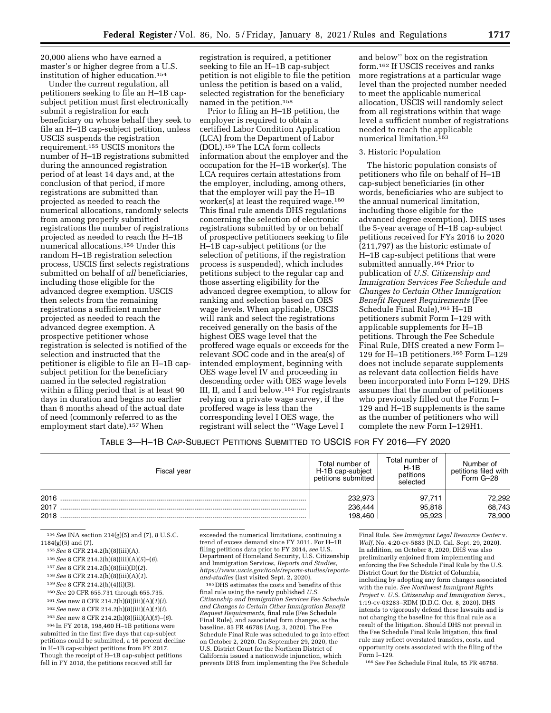20,000 aliens who have earned a master's or higher degree from a U.S. institution of higher education.154

Under the current regulation, all petitioners seeking to file an H–1B capsubject petition must first electronically submit a registration for each beneficiary on whose behalf they seek to file an H–1B cap-subject petition, unless USCIS suspends the registration requirement.155 USCIS monitors the number of H–1B registrations submitted during the announced registration period of at least 14 days and, at the conclusion of that period, if more registrations are submitted than projected as needed to reach the numerical allocations, randomly selects from among properly submitted registrations the number of registrations projected as needed to reach the H–1B numerical allocations.156 Under this random H–1B registration selection process, USCIS first selects registrations submitted on behalf of *all* beneficiaries, including those eligible for the advanced degree exemption. USCIS then selects from the remaining registrations a sufficient number projected as needed to reach the advanced degree exemption. A prospective petitioner whose registration is selected is notified of the selection and instructed that the petitioner is eligible to file an H–1B capsubject petition for the beneficiary named in the selected registration within a filing period that is at least 90 days in duration and begins no earlier than 6 months ahead of the actual date of need (commonly referred to as the employment start date).<sup>157</sup> When

registration is required, a petitioner seeking to file an H–1B cap-subject petition is not eligible to file the petition unless the petition is based on a valid, selected registration for the beneficiary named in the petition.158

Prior to filing an H–1B petition, the employer is required to obtain a certified Labor Condition Application (LCA) from the Department of Labor (DOL).159 The LCA form collects information about the employer and the occupation for the H–1B worker(s). The LCA requires certain attestations from the employer, including, among others, that the employer will pay the H–1B worker(s) at least the required wage.160 This final rule amends DHS regulations concerning the selection of electronic registrations submitted by or on behalf of prospective petitioners seeking to file H–1B cap-subject petitions (or the selection of petitions, if the registration process is suspended), which includes petitions subject to the regular cap and those asserting eligibility for the advanced degree exemption, to allow for ranking and selection based on OES wage levels. When applicable, USCIS will rank and select the registrations received generally on the basis of the highest OES wage level that the proffered wage equals or exceeds for the relevant SOC code and in the area(s) of intended employment, beginning with OES wage level IV and proceeding in descending order with OES wage levels III, II, and I and below.<sup>161</sup> For registrants relying on a private wage survey, if the proffered wage is less than the corresponding level I OES wage, the registrant will select the ''Wage Level I

and below'' box on the registration form.162 If USCIS receives and ranks more registrations at a particular wage level than the projected number needed to meet the applicable numerical allocation, USCIS will randomly select from all registrations within that wage level a sufficient number of registrations needed to reach the applicable numerical limitation.<sup>163</sup>

## 3. Historic Population

The historic population consists of petitioners who file on behalf of H–1B cap-subject beneficiaries (in other words, beneficiaries who are subject to the annual numerical limitation, including those eligible for the advanced degree exemption). DHS uses the 5-year average of H–1B cap-subject petitions received for FYs 2016 to 2020 (211,797) as the historic estimate of H–1B cap-subject petitions that were submitted annually.<sup>164</sup> Prior to publication of *U.S. Citizenship and Immigration Services Fee Schedule and Changes to Certain Other Immigration Benefit Request Requirements* (Fee Schedule Final Rule),<sup>165</sup> H-1B petitioners submit Form I–129 with applicable supplements for H–1B petitions. Through the Fee Schedule Final Rule, DHS created a new Form I– 129 for H–1B petitioners.166 Form I–129 does not include separate supplements as relevant data collection fields have been incorporated into Form I–129. DHS assumes that the number of petitioners who previously filled out the Form I– 129 and H–1B supplements is the same as the number of petitioners who will complete the new Form I–129H1.

## TABLE 3—H–1B CAP-SUBJECT PETITIONS SUBMITTED TO USCIS FOR FY 2016—FY 2020

| Fiscal year          | Total number of<br>H-1B cap-subject<br>petitions submitted | Total number of<br>$H-1B$<br>petitions<br>selected | Number of<br>petitions filed with<br>Form G-28 |
|----------------------|------------------------------------------------------------|----------------------------------------------------|------------------------------------------------|
| 2016<br>2017<br>2018 | 232.973<br>236,444<br>198.460                              | 97.711<br>95,818<br>95.923                         | 72,292<br>68,743<br>78,900                     |

154*See* INA section 214(g)(5) and (7), 8 U.S.C. 1184(g)(5) and (7).

155*See* 8 CFR 214.2(h)(8)(iii)(A).

- 156*See* 8 CFR 214.2(h)(8)(iii)(A)(*5*)–(*6*).
- 157*See* 8 CFR 214.2(h)(8)(iii)(D)(*2*).
- 158*See* 8 CFR 214.2(h)(8)(iii)(A)(*1*).
- 159*See* 8 CFR 214.2(h)(4)(i)(B).
- 160*See* 20 CFR 655.731 through 655.735.

161*See* new 8 CFR 214.2(h)(8)(iii)(A)(*1*)(*i*).

162*See* new 8 CFR 214.2(h)(8)(iii)(A)(*1*)(*i*).

163*See* new 8 CFR 214.2(h)(8)(iii)(A)(*5*)–(*6*).

164 In FY 2018, 198,460 H–1B petitions were submitted in the first five days that cap-subject petitions could be submitted, a 16 percent decline in H–1B cap-subject petitions from FY 2017. Though the receipt of H–1B cap-subject petitions fell in FY 2018, the petitions received still far

exceeded the numerical limitations, continuing a trend of excess demand since FY 2011. For H–1B filing petitions data prior to FY 2014, *see* U.S. Department of Homeland Security, U.S. Citizenship and Immigration Services, *Reports and Studies, [https://www.uscis.gov/tools/reports-studies/reports-](https://www.uscis.gov/tools/reports-studies/reports-and-studies)*

<sup>165</sup> DHS estimates the costs and benefits of this final rule using the newly published *U.S. Citizenship and Immigration Services Fee Schedule and Changes to Certain Other Immigration Benefit Request Requirements,* final rule (Fee Schedule Final Rule), and associated form changes, as the baseline. 85 FR 46788 (Aug. 3, 2020). The Fee Schedule Final Rule was scheduled to go into effect on October 2, 2020. On September 29, 2020, the U.S. District Court for the Northern District of California issued a nationwide injunction, which prevents DHS from implementing the Fee Schedule

Final Rule. *See Immigrant Legal Resource Center* v. *Wolf,* No. 4:20-cv-5883 (N.D. Cal. Sept. 29, 2020). In addition, on October 8, 2020, DHS was also preliminarily enjoined from implementing and enforcing the Fee Schedule Final Rule by the U.S. District Court for the District of Columbia, including by adopting any form changes associated with the rule. *See Northwest Immigrant Rights Project* v. *U.S. Citizenship and Immigration Servs.,*  1:19-cv-03283–RDM (D.D.C. Oct. 8, 2020). DHS intends to vigorously defend these lawsuits and is not changing the baseline for this final rule as a result of the litigation. Should DHS not prevail in the Fee Schedule Final Rule litigation, this final rule may reflect overstated transfers, costs, and opportunity costs associated with the filing of the Form I–129.

166*See* Fee Schedule Final Rule, 85 FR 46788.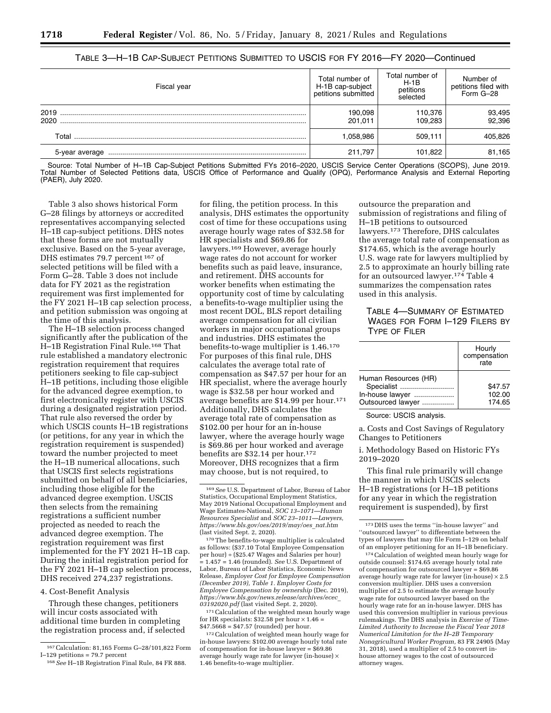| 8 | r ede: |
|---|--------|
|   |        |

| Fiscal year    | Total number of<br>H-1B cap-subject<br>petitions submitted | Total number of<br>$H-1B$<br>petitions<br>selected | Number of<br>petitions filed with<br>Form G-28 |  |
|----------------|------------------------------------------------------------|----------------------------------------------------|------------------------------------------------|--|
| 2019<br>2020   | 190,098<br>201.011                                         | 110,376<br>109.283                                 | 93,495<br>92,396                               |  |
| Total          | .058.986                                                   | 509.111                                            | 405.826                                        |  |
| 5-vear average | 211.797                                                    | 101,822                                            | 81,165                                         |  |

## TABLE 3—H–1B CAP-SUBJECT PETITIONS SUBMITTED TO USCIS FOR FY 2016—FY 2020—Continued

Source: Total Number of H–1B Cap-Subject Petitions Submitted FYs 2016–2020, USCIS Service Center Operations (SCOPS), June 2019. Total Number of Selected Petitions data, USCIS Office of Performance and Qualify (OPQ), Performance Analysis and External Reporting (PAER), July 2020.

Table 3 also shows historical Form G–28 filings by attorneys or accredited representatives accompanying selected H–1B cap-subject petitions. DHS notes that these forms are not mutually exclusive. Based on the 5-year average, DHS estimates 79.7 percent 167 of selected petitions will be filed with a Form G–28. Table 3 does not include data for FY 2021 as the registration requirement was first implemented for the FY 2021 H–1B cap selection process, and petition submission was ongoing at the time of this analysis.

The H–1B selection process changed significantly after the publication of the H–1B Registration Final Rule.168 That rule established a mandatory electronic registration requirement that requires petitioners seeking to file cap-subject H–1B petitions, including those eligible for the advanced degree exemption, to first electronically register with USCIS during a designated registration period. That rule also reversed the order by which USCIS counts H–1B registrations (or petitions, for any year in which the registration requirement is suspended) toward the number projected to meet the H–1B numerical allocations, such that USCIS first selects registrations submitted on behalf of all beneficiaries, including those eligible for the advanced degree exemption. USCIS then selects from the remaining registrations a sufficient number projected as needed to reach the advanced degree exemption. The registration requirement was first implemented for the FY 2021 H–1B cap. During the initial registration period for the FY 2021 H–1B cap selection process, DHS received 274,237 registrations.

#### 4. Cost-Benefit Analysis

Through these changes, petitioners will incur costs associated with additional time burden in completing the registration process and, if selected

for filing, the petition process. In this analysis, DHS estimates the opportunity cost of time for these occupations using average hourly wage rates of \$32.58 for HR specialists and \$69.86 for lawyers.169 However, average hourly wage rates do not account for worker benefits such as paid leave, insurance, and retirement. DHS accounts for worker benefits when estimating the opportunity cost of time by calculating a benefits-to-wage multiplier using the most recent DOL, BLS report detailing average compensation for all civilian workers in major occupational groups and industries. DHS estimates the benefits-to-wage multiplier is 1.46.170 For purposes of this final rule, DHS calculates the average total rate of compensation as \$47.57 per hour for an HR specialist, where the average hourly wage is \$32.58 per hour worked and average benefits are \$14.99 per hour.171 Additionally, DHS calculates the average total rate of compensation as \$102.00 per hour for an in-house lawyer, where the average hourly wage is \$69.86 per hour worked and average benefits are \$32.14 per hour.<sup>172</sup> Moreover, DHS recognizes that a firm may choose, but is not required, to

170The benefits-to-wage multiplier is calculated as follows: (\$37.10 Total Employee Compensation per hour) ÷ (\$25.47 Wages and Salaries per hour) = 1.457 = 1.46 (rounded). *See* U.S. Department of Labor, Bureau of Labor Statistics, Economic News Release, *Employer Cost for Employee Compensation (December 2019), Table 1. Employer Costs for Employee Compensation by ownership* (Dec. 2019), *[https://www.bls.gov/news.release/archives/ecec](https://www.bls.gov/news.release/archives/ecec_03192020.pdf)*\_ *[03192020.pdf](https://www.bls.gov/news.release/archives/ecec_03192020.pdf)* (last visited Sept. 2, 2020).

171Calculation of the weighted mean hourly wage for HR specialists: \$32.58 per hour  $\times$  1.46 = \$47.5668 = \$47.57 (rounded) per hour.

172Calculation of weighted mean hourly wage for in-house lawyers: \$102.00 average hourly total rate of compensation for in-house lawyer = \$69.86 average hourly wage rate for lawyer (in-house) × 1.46 benefits-to-wage multiplier.

outsource the preparation and submission of registrations and filing of H–1B petitions to outsourced lawyers.173 Therefore, DHS calculates the average total rate of compensation as \$174.65, which is the average hourly U.S. wage rate for lawyers multiplied by 2.5 to approximate an hourly billing rate for an outsourced lawyer.174 Table 4 summarizes the compensation rates used in this analysis.

TABLE 4—SUMMARY OF ESTIMATED WAGES FOR FORM I–129 FILERS BY TYPE OF FILER

|                      | Hourly<br>compensation<br>rate |
|----------------------|--------------------------------|
| Human Resources (HR) |                                |
| Specialist           | \$47.57                        |
| In-house lawyer      | 102.00                         |
| Outsourced lawyer    | 174.65                         |

Source: USCIS analysis.

a. Costs and Cost Savings of Regulatory Changes to Petitioners

i. Methodology Based on Historic FYs 2019–2020

This final rule primarily will change the manner in which USCIS selects H–1B registrations (or H–1B petitions for any year in which the registration requirement is suspended), by first

174Calculation of weighted mean hourly wage for outside counsel: \$174.65 average hourly total rate of compensation for outsourced lawyer = \$69.86 average hourly wage rate for lawyer (in-house)  $\times 2.5$ conversion multiplier. DHS uses a conversion multiplier of 2.5 to estimate the average hourly wage rate for outsourced lawyer based on the hourly wage rate for an in-house lawyer. DHS has used this conversion multiplier in various previous rulemakings. The DHS analysis in *Exercise of Time-Limited Authority to Increase the Fiscal Year 2018 Numerical Limitation for the H–2B Temporary Nonagricultural Worker Program,* 83 FR 24905 (May 31, 2018), used a multiplier of 2.5 to convert inhouse attorney wages to the cost of outsourced attorney wages.

<sup>&</sup>lt;sup>167</sup> Calculation: 81,165 Forms G-28/101,822 Form I-129 petitions = 79.7 percent

<sup>&</sup>lt;sup>168</sup> See H-1B Registration Final Rule, 84 FR 888.

<sup>169</sup>*See* U.S. Department of Labor, Bureau of Labor Statistics, Occupational Employment Statistics, May 2019 National Occupational Employment and Wage Estimates-National, *SOC 13–1071—Human Resources Specialist* and *SOC 23–1011—Lawyers, [https://www.bls.gov/oes/2019/may/oes](https://www.bls.gov/oes/2019/may/oes_nat.htm)*\_*nat.htm*  (last visited Sept. 2, 2020).

<sup>173</sup> DHS uses the terms ''in-house lawyer'' and ''outsourced lawyer'' to differentiate between the types of lawyers that may file Form I–129 on behalf of an employer petitioning for an H–1B beneficiary.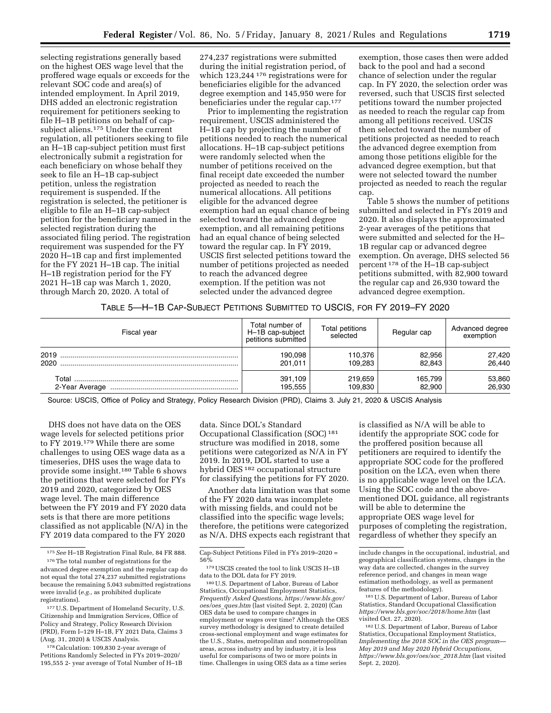selecting registrations generally based on the highest OES wage level that the proffered wage equals or exceeds for the relevant SOC code and area(s) of intended employment. In April 2019, DHS added an electronic registration requirement for petitioners seeking to file H–1B petitions on behalf of capsubject aliens.175 Under the current regulation, all petitioners seeking to file an H–1B cap-subject petition must first electronically submit a registration for each beneficiary on whose behalf they seek to file an H–1B cap-subject petition, unless the registration requirement is suspended. If the registration is selected, the petitioner is eligible to file an H–1B cap-subject petition for the beneficiary named in the selected registration during the associated filing period. The registration requirement was suspended for the FY 2020 H–1B cap and first implemented for the FY 2021 H–1B cap. The initial H–1B registration period for the FY 2021 H–1B cap was March 1, 2020, through March 20, 2020. A total of

274,237 registrations were submitted during the initial registration period, of which 123,244 176 registrations were for beneficiaries eligible for the advanced degree exemption and 145,950 were for beneficiaries under the regular cap.177

Prior to implementing the registration requirement, USCIS administered the H–1B cap by projecting the number of petitions needed to reach the numerical allocations. H–1B cap-subject petitions were randomly selected when the number of petitions received on the final receipt date exceeded the number projected as needed to reach the numerical allocations. All petitions eligible for the advanced degree exemption had an equal chance of being selected toward the advanced degree exemption, and all remaining petitions had an equal chance of being selected toward the regular cap. In FY 2019, USCIS first selected petitions toward the number of petitions projected as needed to reach the advanced degree exemption. If the petition was not selected under the advanced degree

exemption, those cases then were added back to the pool and had a second chance of selection under the regular cap. In FY 2020, the selection order was reversed, such that USCIS first selected petitions toward the number projected as needed to reach the regular cap from among all petitions received. USCIS then selected toward the number of petitions projected as needed to reach the advanced degree exemption from among those petitions eligible for the advanced degree exemption, but that were not selected toward the number projected as needed to reach the regular cap.

Table 5 shows the number of petitions submitted and selected in FYs 2019 and 2020. It also displays the approximated 2-year averages of the petitions that were submitted and selected for the H– 1B regular cap or advanced degree exemption. On average, DHS selected 56 percent 178 of the H–1B cap-subject petitions submitted, with 82,900 toward the regular cap and 26,930 toward the advanced degree exemption.

# TABLE 5—H–1B CAP-SUBJECT PETITIONS SUBMITTED TO USCIS, FOR FY 2019–FY 2020

| Fiscal year  | Total number of<br>H-1B cap-subject<br>petitions submitted | Total petitions<br>selected | Regular cap       | Advanced degree<br>exemption |
|--------------|------------------------------------------------------------|-----------------------------|-------------------|------------------------------|
| 2019<br>2020 | 190.098<br>201.011                                         | 110,376<br>109.283          | 82,956<br>82.843  | 27,420<br>26,440             |
|              | 391,109<br>195.555                                         | 219,659<br>109,830          | 165,799<br>82,900 | 53,860<br>26,930             |

Source: USCIS, Office of Policy and Strategy, Policy Research Division (PRD), Claims 3. July 21, 2020 & USCIS Analysis

DHS does not have data on the OES wage levels for selected petitions prior to FY 2019.179 While there are some challenges to using OES wage data as a timeseries, DHS uses the wage data to provide some insight.180 Table 6 shows the petitions that were selected for FYs 2019 and 2020, categorized by OES wage level. The main difference between the FY 2019 and FY 2020 data sets is that there are more petitions classified as not applicable (N/A) in the FY 2019 data compared to the FY 2020

177U.S. Department of Homeland Security, U.S. Citizenship and Immigration Services, Office of Policy and Strategy, Policy Research Division (PRD), Form I–129 H–1B, FY 2021 Data, Claims 3 (Aug. 31, 2020) & USCIS Analysis.

178Calculation: 109,830 2-year average of Petitions Randomly Selected in FYs 2019–2020/ 195,555 2- year average of Total Number of H–1B

data. Since DOL's Standard Occupational Classification (SOC) 181 structure was modified in 2018, some petitions were categorized as N/A in FY 2019. In 2019, DOL started to use a hybrid OES 182 occupational structure for classifying the petitions for FY 2020.

Another data limitation was that some of the FY 2020 data was incomplete with missing fields, and could not be classified into the specific wage levels; therefore, the petitions were categorized as N/A. DHS expects each registrant that

180U.S. Department of Labor, Bureau of Labor Statistics, Occupational Employment Statistics, *Frequently Asked Questions, [https://www.bls.gov/](https://www.bls.gov/oes/oes_ques.htm)  oes/oes*\_*[ques.htm](https://www.bls.gov/oes/oes_ques.htm)* (last visited Sept. 2, 2020) (Can OES data be used to compare changes in employment or wages over time? Although the OES survey methodology is designed to create detailed cross-sectional employment and wage estimates for the U.S., States, metropolitan and nonmetropolitan areas, across industry and by industry, it is less useful for comparisons of two or more points in time. Challenges in using OES data as a time series

is classified as N/A will be able to identify the appropriate SOC code for the proffered position because all petitioners are required to identify the appropriate SOC code for the proffered position on the LCA, even when there is no applicable wage level on the LCA. Using the SOC code and the abovementioned DOL guidance, all registrants will be able to determine the appropriate OES wage level for purposes of completing the registration, regardless of whether they specify an

181U.S. Department of Labor, Bureau of Labor Statistics, Standard Occupational Classification *<https://www.bls.gov/soc/2018/home.htm>*(last visited Oct. 27, 2020).

<sup>175</sup>*See* H–1B Registration Final Rule, 84 FR 888.

<sup>&</sup>lt;sup>176</sup>The total number of registrations for the advanced degree exemption and the regular cap do not equal the total 274,237 submitted registrations because the remaining 5,043 submitted registrations were invalid (*e.g.,* as prohibited duplicate registrations).

Cap-Subject Petitions Filed in FYs 2019–2020 = 56%

<sup>179</sup>USCIS created the tool to link USCIS H–1B data to the DOL data for FY 2019.

include changes in the occupational, industrial, and geographical classification systems, changes in the way data are collected, changes in the survey reference period, and changes in mean wage estimation methodology, as well as permanent features of the methodology).

<sup>182</sup>U.S. Department of Labor, Bureau of Labor Statistics, Occupational Employment Statistics, *Implementing the 2018 SOC in the OES program— May 2019 and May 2020 Hybrid Occupations, [https://www.bls.gov/oes/soc](https://www.bls.gov/oes/soc_2018.htm)*\_*2018.htm* (last visited Sept. 2, 2020).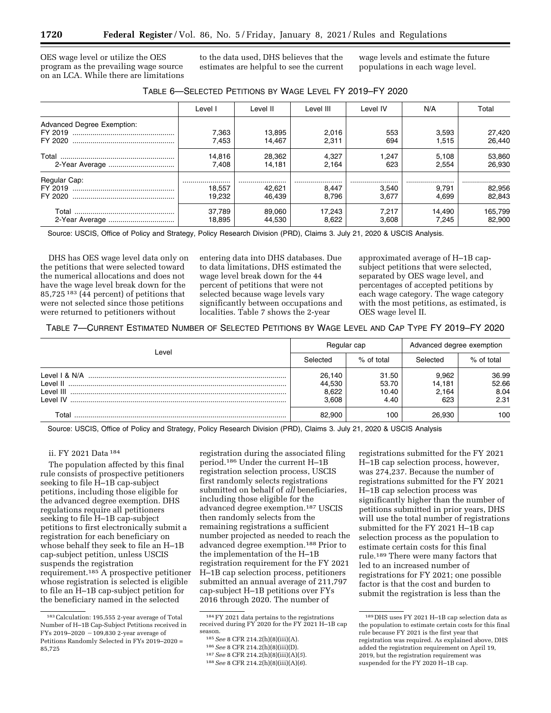OES wage level or utilize the OES program as the prevailing wage source on an LCA. While there are limitations to the data used, DHS believes that the estimates are helpful to see the current wage levels and estimate the future populations in each wage level.

| TABLE 6-SELECTED PETITIONS BY WAGE LEVEL FY 2019-FY 2020 |  |  |  |
|----------------------------------------------------------|--|--|--|
|----------------------------------------------------------|--|--|--|

|                            | Level I | Level II | Level III | Level IV | N/A    | Total   |
|----------------------------|---------|----------|-----------|----------|--------|---------|
| Advanced Degree Exemption: |         |          |           |          |        |         |
|                            | 7.363   | 13,895   | 2,016     | 553      | 3,593  | 27,420  |
|                            | 7.453   | 14.467   | 2.311     | 694      | 1.515  | 26,440  |
|                            | 14.816  | 28.362   | 4.327     | 1.247    | 5.108  | 53,860  |
|                            | 7.408   | 14,181   | 2.164     | 623      | 2.554  | 26.930  |
| Regular Cap:               |         |          |           |          |        |         |
|                            | 18.557  | 42.621   | 8.447     | 3.540    | 9.791  | 82,956  |
|                            | 19.232  | 46.439   | 8.796     | 3.677    | 4.699  | 82,843  |
|                            | 37.789  | 89.060   | 17.243    | 7.217    | 14.490 | 165,799 |
|                            | 18.895  | 44.530   | 8.622     | 3.608    | 7.245  | 82,900  |

Source: USCIS, Office of Policy and Strategy, Policy Research Division (PRD), Claims 3. July 21, 2020 & USCIS Analysis.

DHS has OES wage level data only on the petitions that were selected toward the numerical allocations and does not have the wage level break down for the 85,725 183 (44 percent) of petitions that were not selected since those petitions were returned to petitioners without

entering data into DHS databases. Due to data limitations, DHS estimated the wage level break down for the 44 percent of petitions that were not selected because wage levels vary significantly between occupations and localities. Table 7 shows the 2-year

approximated average of H–1B capsubject petitions that were selected, separated by OES wage level, and percentages of accepted petitions by each wage category. The wage category with the most petitions, as estimated, is OES wage level II.

TABLE 7—CURRENT ESTIMATED NUMBER OF SELECTED PETITIONS BY WAGE LEVEL AND CAP TYPE FY 2019–FY 2020

|                        | Regular cap                        |                                 | Advanced degree exemption       |                                |
|------------------------|------------------------------------|---------------------------------|---------------------------------|--------------------------------|
| Level                  | Selected                           | $%$ of total                    | Selected                        | % of total                     |
| Level III<br>I evel IV | 26.140<br>44,530<br>8.622<br>3.608 | 31.50<br>53.70<br>10.40<br>4.40 | 9.962<br>14,181<br>2.164<br>623 | 36.99<br>52.66<br>8.04<br>2.31 |
| Гоtal                  | 82.900                             | 100                             | 26.930                          | 100                            |

Source: USCIS, Office of Policy and Strategy, Policy Research Division (PRD), Claims 3. July 21, 2020 & USCIS Analysis

## ii. FY 2021 Data 184

The population affected by this final rule consists of prospective petitioners seeking to file H–1B cap-subject petitions, including those eligible for the advanced degree exemption. DHS regulations require all petitioners seeking to file H–1B cap-subject petitions to first electronically submit a registration for each beneficiary on whose behalf they seek to file an H–1B cap-subject petition, unless USCIS suspends the registration requirement.185 A prospective petitioner whose registration is selected is eligible to file an H–1B cap-subject petition for the beneficiary named in the selected

registration during the associated filing period.186 Under the current H–1B registration selection process, USCIS first randomly selects registrations submitted on behalf of *all* beneficiaries, including those eligible for the advanced degree exemption.187 USCIS then randomly selects from the remaining registrations a sufficient number projected as needed to reach the advanced degree exemption.188 Prior to the implementation of the H–1B registration requirement for the FY 2021 H–1B cap selection process, petitioners submitted an annual average of 211,797 cap-subject H–1B petitions over FYs 2016 through 2020. The number of

registrations submitted for the FY 2021 H–1B cap selection process, however, was 274,237. Because the number of registrations submitted for the FY 2021 H–1B cap selection process was significantly higher than the number of petitions submitted in prior years, DHS will use the total number of registrations submitted for the FY 2021 H–1B cap selection process as the population to estimate certain costs for this final rule.189 There were many factors that led to an increased number of registrations for FY 2021; one possible factor is that the cost and burden to submit the registration is less than the

<sup>183</sup>Calculation: 195,555 2-year average of Total Number of H–1B Cap-Subject Petitions received in FYs 2019–2020  $-109,830$  2-year average of Petitions Randomly Selected in FYs 2019–2020 = 85,725

<sup>184</sup>FY 2021 data pertains to the registrations received during FY 2020 for the FY 2021 H–1B cap<br>season.

season. 185*See* 8 CFR 214.2(h)(8)(iii)(A). 186*See* 8 CFR 214.2(h)(8)(iii)(D). 187*See* 8 CFR 214.2(h)(8)(iii)(A)(*5*). 188*See* 8 CFR 214.2(h)(8)(iii)(A)(*6*).

<sup>189</sup> DHS uses FY 2021 H–1B cap selection data as the population to estimate certain costs for this final rule because FY 2021 is the first year that registration was required. As explained above, DHS added the registration requirement on April 19, 2019, but the registration requirement was suspended for the FY 2020 H–1B cap.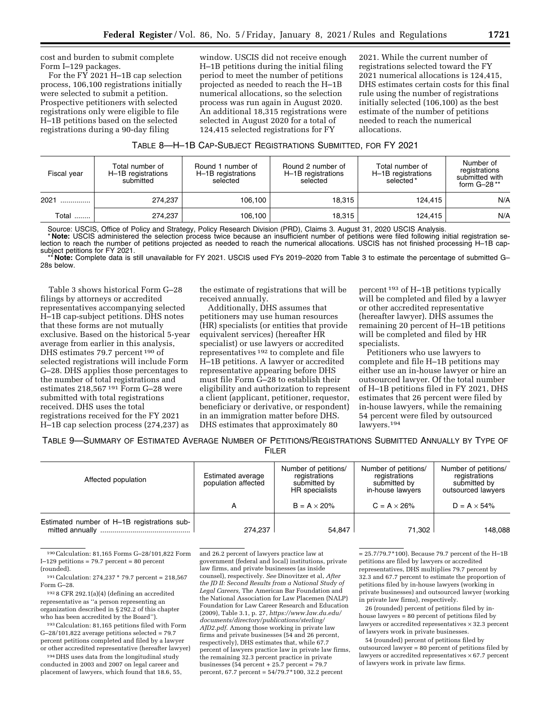cost and burden to submit complete Form I–129 packages.

For the FY 2021 H–1B cap selection process, 106,100 registrations initially were selected to submit a petition. Prospective petitioners with selected registrations only were eligible to file H–1B petitions based on the selected registrations during a 90-day filing

window. USCIS did not receive enough H–1B petitions during the initial filing period to meet the number of petitions projected as needed to reach the H–1B numerical allocations, so the selection process was run again in August 2020. An additional 18,315 registrations were selected in August 2020 for a total of 124,415 selected registrations for FY

2021. While the current number of registrations selected toward the FY 2021 numerical allocations is 124,415, DHS estimates certain costs for this final rule using the number of registrations initially selected (106,100) as the best estimate of the number of petitions needed to reach the numerical allocations.

| TABLE 8-H-1B CAP-SUBJECT REGISTRATIONS SUBMITTED, FOR FY 2021 |  |  |  |
|---------------------------------------------------------------|--|--|--|
|---------------------------------------------------------------|--|--|--|

| Fiscal year | Total number of<br>H-1B registrations<br>submitted | Round 1 number of<br>H-1B registrations<br>selected | Round 2 number of<br>H-1B registrations<br>selected | Total number of<br>H-1B registrations<br>selected* | Number of<br>registrations<br>submitted with<br>form $G-28**$ |
|-------------|----------------------------------------------------|-----------------------------------------------------|-----------------------------------------------------|----------------------------------------------------|---------------------------------------------------------------|
| 2021        | 274.237                                            | 106.100                                             | 18.315                                              | 124.415                                            | N/A                                                           |
| Total       | 274,237                                            | 106,100                                             | 18.315                                              | 124.415                                            | N/A                                                           |

Source: USCIS, Office of Policy and Strategy, Policy Research Division (PRD), Claims 3. August 31, 2020 USCIS Analysis.

\* **Note:** USCIS administered the selection process twice because an insufficient number of petitions were filed following initial registration selection to reach the number of petitions projected as needed to reach the numerical allocations. USCIS has not finished processing H–1B capsubject petitions for FY 2021.

\*\* **Note:** Complete data is still unavailable for FY 2021. USCIS used FYs 2019–2020 from Table 3 to estimate the percentage of submitted G– 28s below.

Table 3 shows historical Form G–28 filings by attorneys or accredited representatives accompanying selected H–1B cap-subject petitions. DHS notes that these forms are not mutually exclusive. Based on the historical 5-year average from earlier in this analysis, DHS estimates 79.7 percent<sup>190</sup> of selected registrations will include Form G–28. DHS applies those percentages to the number of total registrations and estimates 218,567 191 Form G–28 were submitted with total registrations received. DHS uses the total registrations received for the FY 2021 H–1B cap selection process (274,237) as

the estimate of registrations that will be received annually.

Additionally, DHS assumes that petitioners may use human resources (HR) specialists (or entities that provide equivalent services) (hereafter HR specialist) or use lawyers or accredited representatives 192 to complete and file H–1B petitions. A lawyer or accredited representative appearing before DHS must file Form G–28 to establish their eligibility and authorization to represent a client (applicant, petitioner, requestor, beneficiary or derivative, or respondent) in an immigration matter before DHS. DHS estimates that approximately 80

percent 193 of H–1B petitions typically will be completed and filed by a lawyer or other accredited representative (hereafter lawyer). DHS assumes the remaining 20 percent of H–1B petitions will be completed and filed by HR specialists.

Petitioners who use lawyers to complete and file H–1B petitions may either use an in-house lawyer or hire an outsourced lawyer. Of the total number of H–1B petitions filed in FY 2021, DHS estimates that 26 percent were filed by in-house lawyers, while the remaining 54 percent were filed by outsourced lawyers.194

TABLE 9—SUMMARY OF ESTIMATED AVERAGE NUMBER OF PETITIONS/REGISTRATIONS SUBMITTED ANNUALLY BY TYPE OF FILER

| Estimated average<br>Affected population<br>population affected |         | Number of petitions/<br>registrations<br>submitted by<br>HR specialists | Number of petitions/<br>registrations<br>submitted by<br>in-house lawyers | Number of petitions/<br>registrations<br>submitted by<br>outsourced lawyers |
|-----------------------------------------------------------------|---------|-------------------------------------------------------------------------|---------------------------------------------------------------------------|-----------------------------------------------------------------------------|
|                                                                 | А       | $B = A \times 20\%$                                                     | $C = A \times 26\%$                                                       | $D = A \times 54\%$                                                         |
| Estimated number of H-1B registrations sub-                     | 274,237 | 54,847                                                                  | 71.302                                                                    | 148,088                                                                     |

190Calculation: 81,165 Forms G–28/101,822 Form I $-129$  petitions = 79.7 percent = 80 percent (rounded).

191Calculation: 274,237 \* 79.7 percent = 218,567 Form G–28.

192 8 CFR 292.1(a)(4) (defining an accredited representative as ''a person representing an organization described in § 292.2 of this chapter who has been accredited by the Board'').

193Calculation: 81,165 petitions filed with Form G–28/101,822 average petitions selected = 79.7 percent petitions completed and filed by a lawyer or other accredited representative (hereafter lawyer)

194 DHS uses data from the longitudinal study conducted in 2003 and 2007 on legal career and placement of lawyers, which found that 18.6, 55, and 26.2 percent of lawyers practice law at government (federal and local) institutions, private law firms, and private businesses (as inside counsel), respectively. *See* Dinovitzer et al, *After the JD II: Second Results from a National Study of Legal Careers,* The American Bar Foundation and the National Association for Law Placemen (NALP) Foundation for Law Career Research and Education (2009), Table 3.1, p. 27, *[https://www.law.du.edu/](https://www.law.du.edu/documents/directory/publications/sterling/AJD2.pdf)  [documents/directory/publications/sterling/](https://www.law.du.edu/documents/directory/publications/sterling/AJD2.pdf)  [AJD2.pdf.](https://www.law.du.edu/documents/directory/publications/sterling/AJD2.pdf)* Among those working in private law firms and private businesses (54 and 26 percent, respectively), DHS estimates that, while 67.7 percent of lawyers practice law in private law firms, the remaining 32.3 percent practice in private businesses (54 percent + 25.7 percent = 79.7 percent, 67.7 percent = 54/79.7\*100, 32.2 percent

 $= 25.7/79.7*100$ . Because 79.7 percent of the H–1B petitions are filed by lawyers or accredited representatives, DHS multiplies 79.7 percent by 32.3 and 67.7 percent to estimate the proportion of petitions filed by in-house lawyers (working in private businesses) and outsourced lawyer (working in private law firms), respectively.

26 (rounded) percent of petitions filed by inhouse lawyers = 80 percent of petitions filed by lawyers or accredited representatives  $\times$  32.3 percent of lawyers work in private businesses.

54 (rounded) percent of petitions filed by outsourced lawyer = 80 percent of petitions filed by lawyers or accredited representatives × 67.7 percent of lawyers work in private law firms.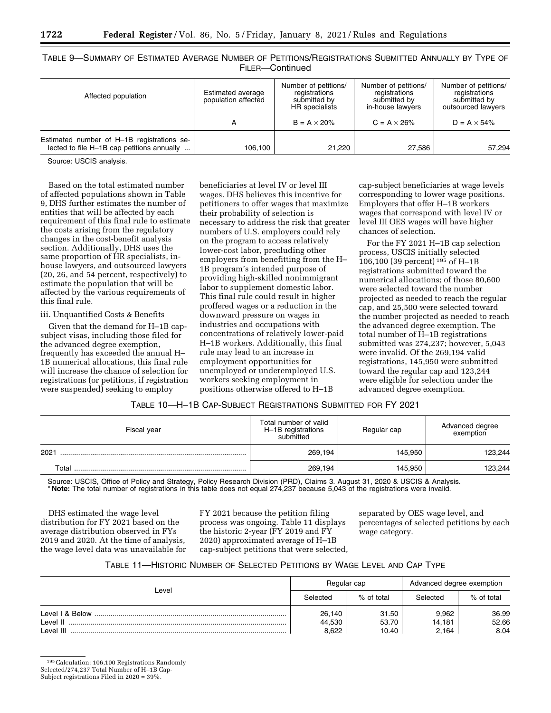| Table 9—Summary of Estimated Average Number of Petitions/Registrations Submitted Annually by Type of |                  |  |
|------------------------------------------------------------------------------------------------------|------------------|--|
|                                                                                                      | Fil FR-Continued |  |

| Affected population                                                                      | Estimated average<br>population affected | Number of petitions/<br>registrations<br>submitted by<br>HR specialists | Number of petitions/<br>registrations<br>submitted by<br>in-house lawyers | Number of petitions/<br>registrations<br>submitted by<br>outsourced lawyers |
|------------------------------------------------------------------------------------------|------------------------------------------|-------------------------------------------------------------------------|---------------------------------------------------------------------------|-----------------------------------------------------------------------------|
|                                                                                          | А                                        | $B = A \times 20\%$                                                     | $C = A \times 26\%$                                                       | $D = A \times 54\%$                                                         |
| Estimated number of H-1B registrations se-<br>lected to file H-1B cap petitions annually | 106,100                                  | 21.220                                                                  | 27,586                                                                    | 57,294                                                                      |

Source: USCIS analysis.

Based on the total estimated number of affected populations shown in Table 9, DHS further estimates the number of entities that will be affected by each requirement of this final rule to estimate the costs arising from the regulatory changes in the cost-benefit analysis section. Additionally, DHS uses the same proportion of HR specialists, inhouse lawyers, and outsourced lawyers (20, 26, and 54 percent, respectively) to estimate the population that will be affected by the various requirements of this final rule.

#### iii. Unquantified Costs & Benefits

Given that the demand for H–1B capsubject visas, including those filed for the advanced degree exemption, frequently has exceeded the annual H– 1B numerical allocations, this final rule will increase the chance of selection for registrations (or petitions, if registration were suspended) seeking to employ

beneficiaries at level IV or level III wages. DHS believes this incentive for petitioners to offer wages that maximize their probability of selection is necessary to address the risk that greater numbers of U.S. employers could rely on the program to access relatively lower-cost labor, precluding other employers from benefitting from the H– 1B program's intended purpose of providing high-skilled nonimmigrant labor to supplement domestic labor. This final rule could result in higher proffered wages or a reduction in the downward pressure on wages in industries and occupations with concentrations of relatively lower-paid H–1B workers. Additionally, this final rule may lead to an increase in employment opportunities for unemployed or underemployed U.S. workers seeking employment in positions otherwise offered to H–1B

cap-subject beneficiaries at wage levels corresponding to lower wage positions. Employers that offer H–1B workers wages that correspond with level IV or level III OES wages will have higher chances of selection.

For the FY 2021 H–1B cap selection process, USCIS initially selected 106,100 (39 percent) 195 of H–1B registrations submitted toward the numerical allocations; of those 80,600 were selected toward the number projected as needed to reach the regular cap, and 25,500 were selected toward the number projected as needed to reach the advanced degree exemption. The total number of H–1B registrations submitted was 274,237; however, 5,043 were invalid. Of the 269,194 valid registrations, 145,950 were submitted toward the regular cap and 123,244 were eligible for selection under the advanced degree exemption.

# TABLE 10—H–1B CAP-SUBJECT REGISTRATIONS SUBMITTED FOR FY 2021

| Fiscal year | Total number of valid<br>H-1B registrations<br>submitted | Regular cap | Advanced degree<br>exemption |  |
|-------------|----------------------------------------------------------|-------------|------------------------------|--|
| 2021        | 269.194                                                  | 145.950     | 123,244                      |  |
| Total       | 269.194                                                  | 145.950     | 123.244                      |  |

Source: USCIS, Office of Policy and Strategy, Policy Research Division (PRD), Claims 3. August 31, 2020 & USCIS & Analysis. \* **Note:** The total number of registrations in this table does not equal 274,237 because 5,043 of the registrations were invalid.

DHS estimated the wage level distribution for FY 2021 based on the average distribution observed in FYs 2019 and 2020. At the time of analysis, the wage level data was unavailable for FY 2021 because the petition filing process was ongoing. Table 11 displays the historic 2-year (FY 2019 and FY 2020) approximated average of H–1B cap-subject petitions that were selected, separated by OES wage level, and percentages of selected petitions by each wage category.

# TABLE 11—HISTORIC NUMBER OF SELECTED PETITIONS BY WAGE LEVEL AND CAP TYPE

| Level           | Regular cap |            | Advanced degree exemption |            |
|-----------------|-------------|------------|---------------------------|------------|
|                 | Selected    | % of total | Selected                  | % of total |
| Level I & Below | 26,140      | 31.50      | 9.962                     | 36.99      |
| l evel II       | 44,530      | 53.70      | 14.181                    | 52.66      |
| Level III       | 8.622       | 10.40      | 2.164                     | 8.04       |

<sup>195</sup>Calculation: 106,100 Registrations Randomly

Selected/274,237 Total Number of H–1B Cap-

Subject registrations Filed in 2020 = 39%.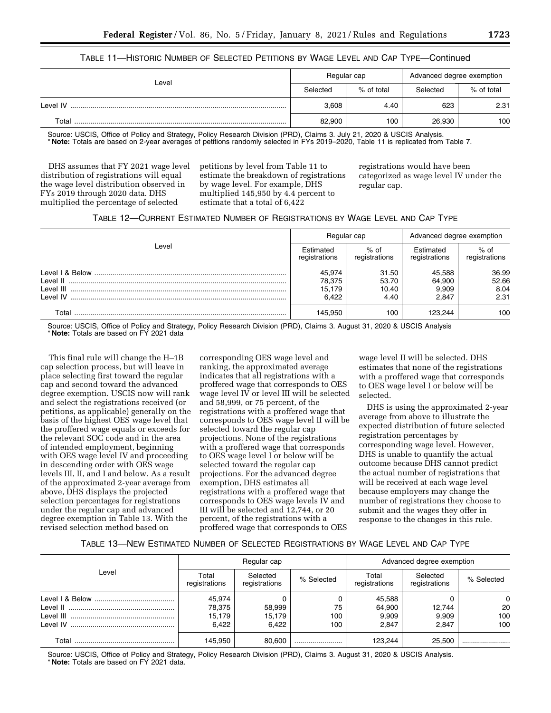## TABLE 11—HISTORIC NUMBER OF SELECTED PETITIONS BY WAGE LEVEL AND CAP TYPE—Continued

|          | Regular cap |            | Advanced degree exemption |            |  |
|----------|-------------|------------|---------------------------|------------|--|
| Level    | Selected    | % of total | Selected                  | % of total |  |
| Level IV | 3.608       | 4.40       | 623                       | 2.31       |  |
| Total    | 82,900      | 100        | 26,930                    | 100        |  |

Source: USCIS, Office of Policy and Strategy, Policy Research Division (PRD), Claims 3. July 21, 2020 & USCIS Analysis.

\* **Note:** Totals are based on 2-year averages of petitions randomly selected in FYs 2019–2020, Table 11 is replicated from Table 7.

DHS assumes that FY 2021 wage level distribution of registrations will equal the wage level distribution observed in FYs 2019 through 2020 data. DHS multiplied the percentage of selected

petitions by level from Table 11 to estimate the breakdown of registrations by wage level. For example, DHS multiplied 145,950 by 4.4 percent to estimate that a total of 6,422

registrations would have been categorized as wage level IV under the regular cap.

| TABLE 12—CURRENT ESTIMATED NUMBER OF REGISTRATIONS BY WAGE LEVEL AND CAP TYPE |  |
|-------------------------------------------------------------------------------|--|
|-------------------------------------------------------------------------------|--|

|                        | Regular cap                         |                                 | Advanced degree exemption          |                                |  |
|------------------------|-------------------------------------|---------------------------------|------------------------------------|--------------------------------|--|
| Level                  | Estimated<br>registrations          | $%$ of<br>registrations         | Estimated<br>registrations         | $%$ of<br>registrations        |  |
| I evel II<br>I evel IV | 45.974<br>78,375<br>15.179<br>6.422 | 31.50<br>53.70<br>10.40<br>4.40 | 45.588<br>64.900<br>9.909<br>2.847 | 36.99<br>52.66<br>8.04<br>2.31 |  |
| Total                  | 145.950                             | 100                             | 123.244                            | 100                            |  |

Source: USCIS, Office of Policy and Strategy, Policy Research Division (PRD), Claims 3. August 31, 2020 & USCIS Analysis \* **Note:** Totals are based on FY 2021 data

This final rule will change the H–1B cap selection process, but will leave in place selecting first toward the regular cap and second toward the advanced degree exemption. USCIS now will rank and select the registrations received (or petitions, as applicable) generally on the basis of the highest OES wage level that the proffered wage equals or exceeds for the relevant SOC code and in the area of intended employment, beginning with OES wage level IV and proceeding in descending order with OES wage levels III, II, and I and below. As a result of the approximated 2-year average from above, DHS displays the projected selection percentages for registrations under the regular cap and advanced degree exemption in Table 13. With the revised selection method based on

corresponding OES wage level and ranking, the approximated average indicates that all registrations with a proffered wage that corresponds to OES wage level IV or level III will be selected and 58,999, or 75 percent, of the registrations with a proffered wage that corresponds to OES wage level II will be selected toward the regular cap projections. None of the registrations with a proffered wage that corresponds to OES wage level I or below will be selected toward the regular cap projections. For the advanced degree exemption, DHS estimates all registrations with a proffered wage that corresponds to OES wage levels IV and III will be selected and 12,744, or 20 percent, of the registrations with a proffered wage that corresponds to OES

wage level II will be selected. DHS estimates that none of the registrations with a proffered wage that corresponds to OES wage level I or below will be selected.

DHS is using the approximated 2-year average from above to illustrate the expected distribution of future selected registration percentages by corresponding wage level. However, DHS is unable to quantify the actual outcome because DHS cannot predict the actual number of registrations that will be received at each wage level because employers may change the number of registrations they choose to submit and the wages they offer in response to the changes in this rule.

#### TABLE 13—NEW ESTIMATED NUMBER OF SELECTED REGISTRATIONS BY WAGE LEVEL AND CAP TYPE

|       | Regular cap            |                           |            | Advanced degree exemption |                           |            |
|-------|------------------------|---------------------------|------------|---------------------------|---------------------------|------------|
| Level | Total<br>registrations | Selected<br>registrations | % Selected | Total<br>registrations    | Selected<br>registrations | % Selected |
|       | 45.974                 |                           |            | 45,588                    |                           | $\Omega$   |
|       | 78,375                 | 58,999                    | 75         | 64,900                    | 12,744                    | 20         |
|       | 15,179                 | 15,179                    | 100        | 9,909                     | 9.909                     | 100        |
|       | 6.422                  | 6.422                     | 100        | 2.847                     | 2.847                     | 100        |
| Total | 145,950                | 80.600                    |            | 123.244                   | 25,500                    |            |

Source: USCIS, Office of Policy and Strategy, Policy Research Division (PRD), Claims 3. August 31, 2020 & USCIS Analysis. \* **Note:** Totals are based on FY 2021 data.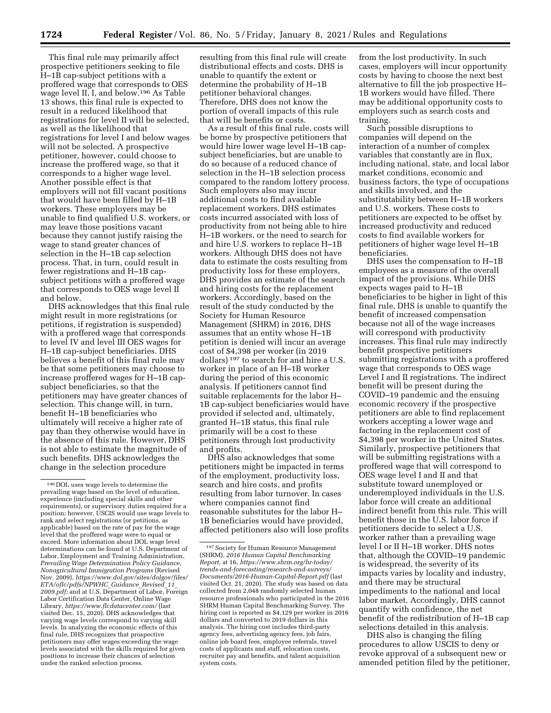This final rule may primarily affect prospective petitioners seeking to file H–1B cap-subject petitions with a proffered wage that corresponds to OES wage level II, I, and below.196 As Table 13 shows, this final rule is expected to result in a reduced likelihood that registrations for level II will be selected, as well as the likelihood that registrations for level I and below wages will not be selected. A prospective petitioner, however, could choose to increase the proffered wage, so that it corresponds to a higher wage level. Another possible effect is that employers will not fill vacant positions that would have been filled by H–1B workers. These employers may be unable to find qualified U.S. workers, or may leave those positions vacant because they cannot justify raising the wage to stand greater chances of selection in the H–1B cap selection process. That, in turn, could result in fewer registrations and H–1B capsubject petitions with a proffered wage that corresponds to OES wage level II and below.

DHS acknowledges that this final rule might result in more registrations (or petitions, if registration is suspended) with a proffered wage that corresponds to level IV and level III OES wages for H–1B cap-subject beneficiaries. DHS believes a benefit of this final rule may be that some petitioners may choose to increase proffered wages for H–1B capsubject beneficiaries, so that the petitioners may have greater chances of selection. This change will, in turn, benefit H–1B beneficiaries who ultimately will receive a higher rate of pay than they otherwise would have in the absence of this rule. However, DHS is not able to estimate the magnitude of such benefits. DHS acknowledges the change in the selection procedure

resulting from this final rule will create distributional effects and costs. DHS is unable to quantify the extent or determine the probability of H–1B petitioner behavioral changes. Therefore, DHS does not know the portion of overall impacts of this rule that will be benefits or costs.

As a result of this final rule, costs will be borne by prospective petitioners that would hire lower wage level H–1B capsubject beneficiaries, but are unable to do so because of a reduced chance of selection in the H–1B selection process compared to the random lottery process. Such employers also may incur additional costs to find available replacement workers. DHS estimates costs incurred associated with loss of productivity from not being able to hire H–1B workers, or the need to search for and hire U.S. workers to replace H–1B workers. Although DHS does not have data to estimate the costs resulting from productivity loss for these employers, DHS provides an estimate of the search and hiring costs for the replacement workers. Accordingly, based on the result of the study conducted by the Society for Human Resource Management (SHRM) in 2016, DHS assumes that an entity whose H–1B petition is denied will incur an average cost of \$4,398 per worker (in 2019 dollars) 197 to search for and hire a U.S. worker in place of an H–1B worker during the period of this economic analysis. If petitioners cannot find suitable replacements for the labor H– 1B cap-subject beneficiaries would have provided if selected and, ultimately, granted H–1B status, this final rule primarily will be a cost to these petitioners through lost productivity and profits.

DHS also acknowledges that some petitioners might be impacted in terms of the employment, productivity loss, search and hire costs, and profits resulting from labor turnover. In cases where companies cannot find reasonable substitutes for the labor H– 1B beneficiaries would have provided, affected petitioners also will lose profits from the lost productivity. In such cases, employers will incur opportunity costs by having to choose the next best alternative to fill the job prospective H– 1B workers would have filled. There may be additional opportunity costs to employers such as search costs and training.

Such possible disruptions to companies will depend on the interaction of a number of complex variables that constantly are in flux, including national, state, and local labor market conditions, economic and business factors, the type of occupations and skills involved, and the substitutability between H–1B workers and U.S. workers. These costs to petitioners are expected to be offset by increased productivity and reduced costs to find available workers for petitioners of higher wage level H–1B beneficiaries.

DHS uses the compensation to H–1B employees as a measure of the overall impact of the provisions. While DHS expects wages paid to H–1B beneficiaries to be higher in light of this final rule, DHS is unable to quantify the benefit of increased compensation because not all of the wage increases will correspond with productivity increases. This final rule may indirectly benefit prospective petitioners submitting registrations with a proffered wage that corresponds to OES wage Level I and II registrations. The indirect benefit will be present during the COVID–19 pandemic and the ensuing economic recovery if the prospective petitioners are able to find replacement workers accepting a lower wage and factoring in the replacement cost of \$4,398 per worker in the United States. Similarly, prospective petitioners that will be submitting registrations with a proffered wage that will correspond to OES wage level I and II and that substitute toward unemployed or underemployed individuals in the U.S. labor force will create an additional indirect benefit from this rule. This will benefit those in the U.S. labor force if petitioners decide to select a U.S. worker rather than a prevailing wage level I or II H–1B worker. DHS notes that, although the COVID–19 pandemic is widespread, the severity of its impacts varies by locality and industry, and there may be structural impediments to the national and local labor market. Accordingly, DHS cannot quantify with confidence, the net benefit of the redistribution of H–1B cap selections detailed in this analysis.

DHS also is changing the filing procedures to allow USCIS to deny or revoke approval of a subsequent new or amended petition filed by the petitioner,

<sup>196</sup> DOL uses wage levels to determine the prevailing wage based on the level of education, experience (including special skills and other requirements), or supervisory duties required for a position; however, USCIS would use wage levels to rank and select registrations (or petitions, as applicable) based on the rate of pay for the wage level that the proffered wage were to equal or exceed. More information about DOL wage level determinations can be found at U.S. Department of Labor, Employment and Training Administration, *Prevailing Wage Determination Policy Guidance, Nonagricultural Immigration Programs* (Revised Nov. 2009), *[https://www.dol.gov/sites/dolgov/files/](https://www.dol.gov/sites/dolgov/files/ETA/oflc/pdfs/NPWHC_Guidance_Revised_11_2009.pdf)  [ETA/oflc/pdfs/NPWHC](https://www.dol.gov/sites/dolgov/files/ETA/oflc/pdfs/NPWHC_Guidance_Revised_11_2009.pdf)*\_*Guidance*\_*Revised*\_*11*\_ *[2009.pdf;](https://www.dol.gov/sites/dolgov/files/ETA/oflc/pdfs/NPWHC_Guidance_Revised_11_2009.pdf)* and at U.S. Department of Labor, Foreign Labor Certification Data Center, Online Wage Library, *<https://www.flcdatacenter.com/>* (last visited Dec. 15, 2020). DHS acknowledges that varying wage levels correspond to varying skill levels. In analyzing the economic effects of this final rule, DHS recognizes that prospective petitioners may offer wages exceeding the wage levels associated with the skills required for given positions to increase their chances of selection under the ranked selection process.

<sup>197</sup>Society for Human Resource Management (SHRM), *2016 Human Capital Benchmarking Report,* at 16, *[https://www.shrm.org/hr-today/](https://www.shrm.org/hr-today/trends-and-forecasting/research-and-surveys/Documents/2016-Human-Capital-Report.pdf) [trends-and-forecasting/research-and-surveys/](https://www.shrm.org/hr-today/trends-and-forecasting/research-and-surveys/Documents/2016-Human-Capital-Report.pdf) [Documents/2016-Human-Capital-Report.pdf](https://www.shrm.org/hr-today/trends-and-forecasting/research-and-surveys/Documents/2016-Human-Capital-Report.pdf)* (last visited Oct. 21, 2020). The study was based on data collected from 2,048 randomly selected human resource professionals who participated in the 2016 SHRM Human Capital Benchmarking Survey. The hiring cost is reported as \$4,129 per worker in 2016 dollars and converted to 2019 dollars in this analysis. The hiring cost includes third-party agency fees, advertising agency fees, job fairs, online job board fees, employee referrals, travel costs of applicants and staff, relocation costs, recruiter pay and benefits, and talent acquisition system costs.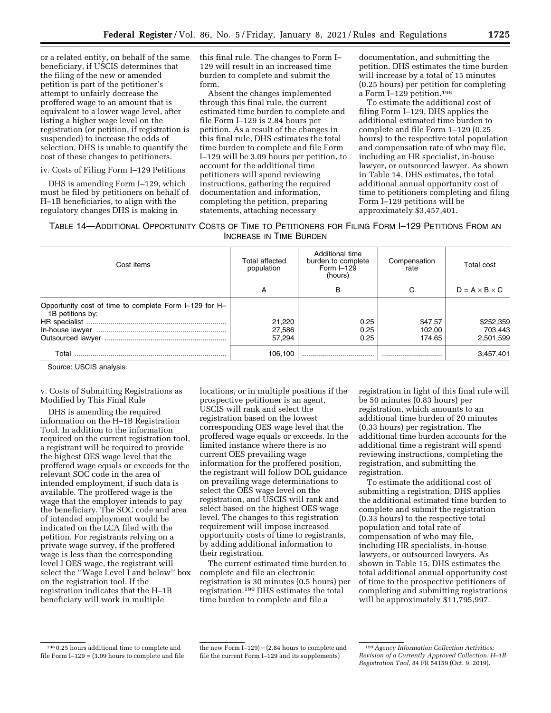or a related entity, on behalf of the same beneficiary, if USCIS determines that the filing of the new or amended petition is part of the petitioner's attempt to unfairly decrease the proffered wage to an amount that is equivalent to a lower wage level, after listing a higher wage level on the registration (or petition, if registration is suspended) to increase the odds of selection. DHS is unable to quantify the cost of these changes to petitioners.

iv. Costs of Filing Form I–129 Petitions

DHS is amending Form I–129, which must be filed by petitioners on behalf of H–1B beneficiaries, to align with the regulatory changes DHS is making in

this final rule. The changes to Form I– 129 will result in an increased time burden to complete and submit the form.

Absent the changes implemented through this final rule, the current estimated time burden to complete and file Form I–129 is 2.84 hours per petition. As a result of the changes in this final rule, DHS estimates the total time burden to complete and file Form I–129 will be 3.09 hours per petition, to account for the additional time petitioners will spend reviewing instructions, gathering the required documentation and information, completing the petition, preparing statements, attaching necessary

documentation, and submitting the petition. DHS estimates the time burden will increase by a total of 15 minutes (0.25 hours) per petition for completing a Form I–129 petition.198

To estimate the additional cost of filing Form I–129, DHS applies the additional estimated time burden to complete and file Form 1–129 (0.25 hours) to the respective total population and compensation rate of who may file, including an HR specialist, in-house lawyer, or outsourced lawyer. As shown in Table 14, DHS estimates, the total additional annual opportunity cost of time to petitioners completing and filing Form I–129 petitions will be approximately \$3,457,401.

TABLE 14—ADDITIONAL OPPORTUNITY COSTS OF TIME TO PETITIONERS FOR FILING FORM I–129 PETITIONS FROM AN INCREASE IN TIME BURDEN

| Cost items                                                                 | Total affected<br>population | Additional time<br>burden to complete<br>Form $I-129$<br>(hours) | Compensation<br>rate        | Total cost                        |  |
|----------------------------------------------------------------------------|------------------------------|------------------------------------------------------------------|-----------------------------|-----------------------------------|--|
|                                                                            | A                            | в                                                                | C                           | $D = A \times B \times C$         |  |
| Opportunity cost of time to complete Form I-129 for H-<br>1B petitions by: | 21,220<br>27,586<br>57.294   | 0.25<br>0.25<br>0.25                                             | \$47.57<br>102.00<br>174.65 | \$252,359<br>703,443<br>2,501,599 |  |
| Total                                                                      | 106.100                      |                                                                  |                             | 3,457,401                         |  |

Source: USCIS analysis.

v. Costs of Submitting Registrations as Modified by This Final Rule

DHS is amending the required information on the H–1B Registration Tool. In addition to the information required on the current registration tool, a registrant will be required to provide the highest OES wage level that the proffered wage equals or exceeds for the relevant SOC code in the area of intended employment, if such data is available. The proffered wage is the wage that the employer intends to pay the beneficiary. The SOC code and area of intended employment would be indicated on the LCA filed with the petition. For registrants relying on a private wage survey, if the proffered wage is less than the corresponding level I OES wage, the registrant will select the ''Wage Level I and below'' box on the registration tool. If the registration indicates that the H–1B beneficiary will work in multiple

locations, or in multiple positions if the prospective petitioner is an agent, USCIS will rank and select the registration based on the lowest corresponding OES wage level that the proffered wage equals or exceeds. In the limited instance where there is no current OES prevailing wage information for the proffered position, the registrant will follow DOL guidance on prevailing wage determinations to select the OES wage level on the registration, and USCIS will rank and select based on the highest OES wage level. The changes to this registration requirement will impose increased opportunity costs of time to registrants, by adding additional information to their registration.

The current estimated time burden to complete and file an electronic registration is 30 minutes (0.5 hours) per registration.199 DHS estimates the total time burden to complete and file a

registration in light of this final rule will be 50 minutes (0.83 hours) per registration, which amounts to an additional time burden of 20 minutes (0.33 hours) per registration. The additional time burden accounts for the additional time a registrant will spend reviewing instructions, completing the registration, and submitting the registration.

To estimate the additional cost of submitting a registration, DHS applies the additional estimated time burden to complete and submit the registration (0.33 hours) to the respective total population and total rate of compensation of who may file, including HR specialists, in-house lawyers, or outsourced lawyers. As shown in Table 15, DHS estimates the total additional annual opportunity cost of time to the prospective petitioners of completing and submitting registrations will be approximately \$11,795,997.

<sup>198</sup> 0.25 hours additional time to complete and file Form  $I-129 = (3.09$  hours to complete and file

the new Form  $I-129$ ) - (2.84 hours to complete and file the current Form I–129 and its supplements)

<sup>199</sup>*Agency Information Collection Activities; Revision of a Currently Approved Collection: H–1B Registration Tool,* 84 FR 54159 (Oct. 9, 2019).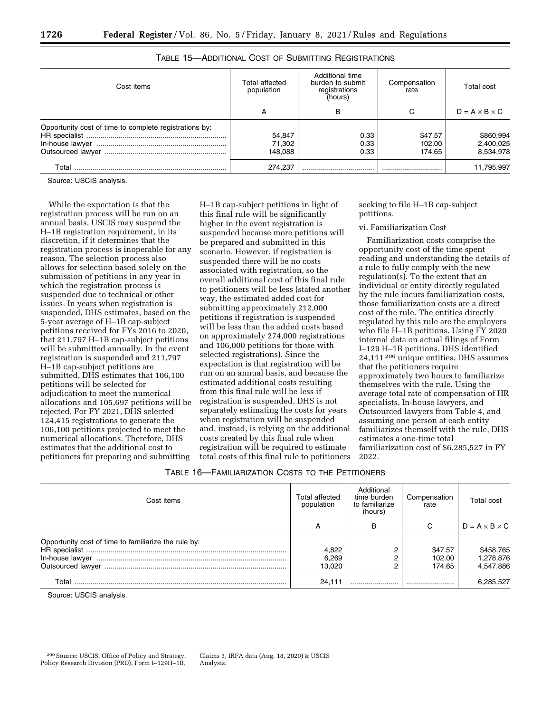| <sup>1</sup> 0 | Federal |  |
|----------------|---------|--|
|                |         |  |
|                |         |  |

| Cost items                                             | Total affected<br>population | Additional time<br>burden to submit<br>registrations<br>(hours) | Compensation<br>rate        | Total cost                          |
|--------------------------------------------------------|------------------------------|-----------------------------------------------------------------|-----------------------------|-------------------------------------|
|                                                        | A                            | в                                                               | С                           | $D = A \times B \times C$           |
| Opportunity cost of time to complete registrations by: | 54,847<br>71,302<br>148.088  | 0.33<br>0.33<br>0.33                                            | \$47.57<br>102.00<br>174.65 | \$860,994<br>2,400,025<br>8,534,978 |
| Total                                                  | 274,237                      |                                                                 |                             | 11,795,997                          |

# TABLE 15—ADDITIONAL COST OF SUBMITTING REGISTRATIONS

Source: USCIS analysis.

While the expectation is that the registration process will be run on an annual basis, USCIS may suspend the H–1B registration requirement, in its discretion, if it determines that the registration process is inoperable for any reason. The selection process also allows for selection based solely on the submission of petitions in any year in which the registration process is suspended due to technical or other issues. In years when registration is suspended, DHS estimates, based on the 5-year average of H–1B cap-subject petitions received for FYs 2016 to 2020, that 211,797 H–1B cap-subject petitions will be submitted annually. In the event registration is suspended and 211,797 H–1B cap-subject petitions are submitted, DHS estimates that 106,100 petitions will be selected for adjudication to meet the numerical allocations and 105,697 petitions will be rejected. For FY 2021, DHS selected 124,415 registrations to generate the 106,100 petitions projected to meet the numerical allocations. Therefore, DHS estimates that the additional cost to petitioners for preparing and submitting

H–1B cap-subject petitions in light of this final rule will be significantly higher in the event registration is suspended because more petitions will be prepared and submitted in this scenario. However, if registration is suspended there will be no costs associated with registration, so the overall additional cost of this final rule to petitioners will be less (stated another way, the estimated added cost for submitting approximately 212,000 petitions if registration is suspended will be less than the added costs based on approximately 274,000 registrations and 106,000 petitions for those with selected registrations). Since the expectation is that registration will be run on an annual basis, and because the estimated additional costs resulting from this final rule will be less if registration is suspended, DHS is not separately estimating the costs for years when registration will be suspended and, instead, is relying on the additional costs created by this final rule when registration will be required to estimate total costs of this final rule to petitioners

seeking to file H–1B cap-subject petitions.

## vi. Familiarization Cost

Familiarization costs comprise the opportunity cost of the time spent reading and understanding the details of a rule to fully comply with the new regulation(s). To the extent that an individual or entity directly regulated by the rule incurs familiarization costs, those familiarization costs are a direct cost of the rule. The entities directly regulated by this rule are the employers who file H–1B petitions. Using FY 2020 internal data on actual filings of Form I–129 H–1B petitions, DHS identified 24,111 200 unique entities. DHS assumes that the petitioners require approximately two hours to familiarize themselves with the rule. Using the average total rate of compensation of HR specialists, In-house lawyers, and Outsourced lawyers from Table 4, and assuming one person at each entity familiarizes themself with the rule, DHS estimates a one-time total familiarization cost of \$6,285,527 in FY 2022.

## TABLE 16—FAMILIARIZATION COSTS TO THE PETITIONERS

| Cost items                                                                | Total affected<br>population | Additional<br>time burden<br>to familiarize<br>(hours) | Compensation<br>rate        | Total cost                          |
|---------------------------------------------------------------------------|------------------------------|--------------------------------------------------------|-----------------------------|-------------------------------------|
|                                                                           | А                            | в                                                      | C                           | $D = A \times B \times C$           |
| Opportunity cost of time to familiarize the rule by:<br>Outsourced lawyer | 4.822<br>6,269<br>13.020     | ∩<br>2                                                 | \$47.57<br>102.00<br>174.65 | \$458,765<br>1,278,876<br>4,547,886 |
| Total                                                                     | 24.111                       |                                                        |                             | 6,285,527                           |

Source: USCIS analysis.

<sup>200</sup>Source: USCIS, Office of Policy and Strategy, Policy Research Division (PRD), Form I–129H–1B,

Claims 3, IRFA data (Aug. 18, 2020) & USCIS Analysis.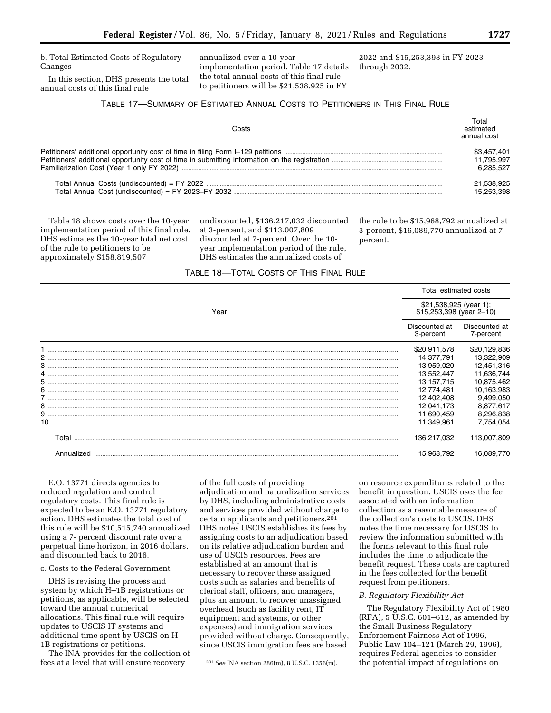b. Total Estimated Costs of Regulatory Changes

In this section, DHS presents the total annual costs of this final rule

annualized over a 10-year implementation period. Table 17 details the total annual costs of this final rule to petitioners will be \$21,538,925 in FY

2022 and \$15,253,398 in FY 2023 through 2032.

# TABLE 17—SUMMARY OF ESTIMATED ANNUAL COSTS TO PETITIONERS IN THIS FINAL RULE

| Costs | Total<br>estimated<br>annual cost |
|-------|-----------------------------------|
|       |                                   |
|       | 21.538.925<br>15,253,398          |

Table 18 shows costs over the 10-year implementation period of this final rule. DHS estimates the 10-year total net cost of the rule to petitioners to be approximately \$158,819,507

undiscounted, \$136,217,032 discounted at 3-percent, and \$113,007,809 discounted at 7-percent. Over the 10 year implementation period of the rule, DHS estimates the annualized costs of

the rule to be \$15,968,792 annualized at 3-percent, \$16,089,770 annualized at 7 percent.

# TABLE 18—TOTAL COSTS OF THIS FINAL RULE

| Year       |                            | Total estimated costs                               |  |
|------------|----------------------------|-----------------------------------------------------|--|
|            |                            | \$21,538,925 (year 1);<br>$$15,253,398$ (year 2-10) |  |
|            | Discounted at<br>3-percent | Discounted at<br>7-percent                          |  |
|            | \$20,911,578               | \$20,129,836                                        |  |
|            | 14,377,791                 | 13,322,909                                          |  |
|            | 13,959,020                 | 12,451,316                                          |  |
|            | 13,552,447                 | 11,636,744                                          |  |
|            | 13, 157, 715               | 10,875,462                                          |  |
|            | 12,774,481                 | 10,163,983                                          |  |
|            | 12,402,408                 | 9,499,050                                           |  |
|            | 12,041,173                 | 8,877,617                                           |  |
|            | 11,690,459                 | 8,296,838                                           |  |
|            | 11,349,961                 | 7,754,054                                           |  |
| Total      | 136,217,032                | 113,007,809                                         |  |
| Annualized | 15,968,792                 | 16,089,770                                          |  |

E.O. 13771 directs agencies to reduced regulation and control regulatory costs. This final rule is expected to be an E.O. 13771 regulatory action. DHS estimates the total cost of this rule will be \$10,515,740 annualized using a 7- percent discount rate over a perpetual time horizon, in 2016 dollars, and discounted back to 2016.

c. Costs to the Federal Government

DHS is revising the process and system by which H–1B registrations or petitions, as applicable, will be selected toward the annual numerical allocations. This final rule will require updates to USCIS IT systems and additional time spent by USCIS on H– 1B registrations or petitions.

The INA provides for the collection of fees at a level that will ensure recovery

of the full costs of providing adjudication and naturalization services by DHS, including administrative costs and services provided without charge to certain applicants and petitioners.201 DHS notes USCIS establishes its fees by assigning costs to an adjudication based on its relative adjudication burden and use of USCIS resources. Fees are established at an amount that is necessary to recover these assigned costs such as salaries and benefits of clerical staff, officers, and managers, plus an amount to recover unassigned overhead (such as facility rent, IT equipment and systems, or other expenses) and immigration services provided without charge. Consequently, since USCIS immigration fees are based

on resource expenditures related to the benefit in question, USCIS uses the fee associated with an information collection as a reasonable measure of the collection's costs to USCIS. DHS notes the time necessary for USCIS to review the information submitted with the forms relevant to this final rule includes the time to adjudicate the benefit request. These costs are captured in the fees collected for the benefit request from petitioners.

#### *B. Regulatory Flexibility Act*

The Regulatory Flexibility Act of 1980 (RFA), 5 U.S.C. 601–612, as amended by the Small Business Regulatory Enforcement Fairness Act of 1996, Public Law 104–121 (March 29, 1996), requires Federal agencies to consider the potential impact of regulations on

<sup>201</sup>*See* INA section 286(m), 8 U.S.C. 1356(m).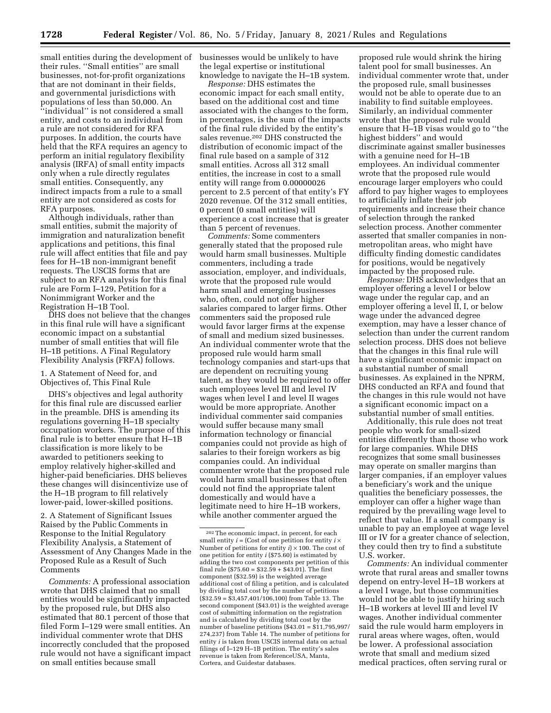small entities during the development of businesses would be unlikely to have their rules. ''Small entities'' are small businesses, not-for-profit organizations that are not dominant in their fields, and governmental jurisdictions with populations of less than 50,000. An ''individual'' is not considered a small entity, and costs to an individual from a rule are not considered for RFA purposes. In addition, the courts have held that the RFA requires an agency to perform an initial regulatory flexibility analysis (IRFA) of small entity impacts only when a rule directly regulates small entities. Consequently, any indirect impacts from a rule to a small entity are not considered as costs for RFA purposes.

Although individuals, rather than small entities, submit the majority of immigration and naturalization benefit applications and petitions, this final rule will affect entities that file and pay fees for H–1B non-immigrant benefit requests. The USCIS forms that are subject to an RFA analysis for this final rule are Form I–129, Petition for a Nonimmigrant Worker and the Registration H–1B Tool.

DHS does not believe that the changes in this final rule will have a significant economic impact on a substantial number of small entities that will file H–1B petitions. A Final Regulatory Flexibility Analysis (FRFA) follows.

1. A Statement of Need for, and Objectives of, This Final Rule

DHS's objectives and legal authority for this final rule are discussed earlier in the preamble. DHS is amending its regulations governing H–1B specialty occupation workers. The purpose of this final rule is to better ensure that H–1B classification is more likely to be awarded to petitioners seeking to employ relatively higher-skilled and higher-paid beneficiaries. DHS believes these changes will disincentivize use of the H–1B program to fill relatively lower-paid, lower-skilled positions.

2. A Statement of Significant Issues Raised by the Public Comments in Response to the Initial Regulatory Flexibility Analysis, a Statement of Assessment of Any Changes Made in the Proposed Rule as a Result of Such Comments

*Comments:* A professional association wrote that DHS claimed that no small entities would be significantly impacted by the proposed rule, but DHS also estimated that 80.1 percent of those that filed Form I–129 were small entities. An individual commenter wrote that DHS incorrectly concluded that the proposed rule would not have a significant impact on small entities because small

the legal expertise or institutional knowledge to navigate the H–1B system.

*Response:* DHS estimates the economic impact for each small entity, based on the additional cost and time associated with the changes to the form, in percentages, is the sum of the impacts of the final rule divided by the entity's sales revenue.<sup>202</sup> DHS constructed the distribution of economic impact of the final rule based on a sample of 312 small entities. Across all 312 small entities, the increase in cost to a small entity will range from 0.00000026 percent to 2.5 percent of that entity's FY 2020 revenue. Of the 312 small entities, 0 percent (0 small entities) will experience a cost increase that is greater than 5 percent of revenues.

*Comments:* Some commenters generally stated that the proposed rule would harm small businesses. Multiple commenters, including a trade association, employer, and individuals, wrote that the proposed rule would harm small and emerging businesses who, often, could not offer higher salaries compared to larger firms. Other commenters said the proposed rule would favor larger firms at the expense of small and medium sized businesses. An individual commenter wrote that the proposed rule would harm small technology companies and start-ups that are dependent on recruiting young talent, as they would be required to offer such employees level III and level IV wages when level I and level II wages would be more appropriate. Another individual commenter said companies would suffer because many small information technology or financial companies could not provide as high of salaries to their foreign workers as big companies could. An individual commenter wrote that the proposed rule would harm small businesses that often could not find the appropriate talent domestically and would have a legitimate need to hire H–1B workers, while another commenter argued the

proposed rule would shrink the hiring talent pool for small businesses. An individual commenter wrote that, under the proposed rule, small businesses would not be able to operate due to an inability to find suitable employees. Similarly, an individual commenter wrote that the proposed rule would ensure that H–1B visas would go to ''the highest bidders'' and would discriminate against smaller businesses with a genuine need for H–1B employees. An individual commenter wrote that the proposed rule would encourage larger employers who could afford to pay higher wages to employees to artificially inflate their job requirements and increase their chance of selection through the ranked selection process. Another commenter asserted that smaller companies in nonmetropolitan areas, who might have difficulty finding domestic candidates for positions, would be negatively impacted by the proposed rule.

*Response:* DHS acknowledges that an employer offering a level I or below wage under the regular cap, and an employer offering a level II, I, or below wage under the advanced degree exemption, may have a lesser chance of selection than under the current random selection process. DHS does not believe that the changes in this final rule will have a significant economic impact on a substantial number of small businesses. As explained in the NPRM, DHS conducted an RFA and found that the changes in this rule would not have a significant economic impact on a substantial number of small entities.

Additionally, this rule does not treat people who work for small-sized entities differently than those who work for large companies. While DHS recognizes that some small businesses may operate on smaller margins than larger companies, if an employer values a beneficiary's work and the unique qualities the beneficiary possesses, the employer can offer a higher wage than required by the prevailing wage level to reflect that value. If a small company is unable to pay an employee at wage level III or IV for a greater chance of selection, they could then try to find a substitute U.S. worker.

*Comments:* An individual commenter wrote that rural areas and smaller towns depend on entry-level H–1B workers at a level I wage, but those communities would not be able to justify hiring such H–1B workers at level III and level IV wages. Another individual commenter said the rule would harm employers in rural areas where wages, often, would be lower. A professional association wrote that small and medium sized medical practices, often serving rural or

<sup>202</sup>The economic impact, in percent, for each small entity  $i =$  (Cost of one petition for entity  $i \times$ Number of petitions for entity *i*) × 100. The cost of one petition for entity *i* (\$75.60) is estimated by adding the two cost components per petition of this final rule (\$75.60 =  $$32.59 + $43.01$ ). The first component (\$32.59) is the weighted average additional cost of filing a petition, and is calculated by dividing total cost by the number of petitions  $(*32.59 = $3,457,401/106,100)$  from Table 13. The second component (\$43.01) is the weighted average cost of submitting information on the registration and is calculated by dividing total cost by the number of baseline petitions  $(\$43.01 = \$11,795,997/$ 274,237) from Table 14. The number of petitions for entity *i* is taken from USCIS internal data on actual filings of I–129 H–1B petition. The entity's sales revenue is taken from ReferenceUSA, Manta, Cortera, and Guidestar databases.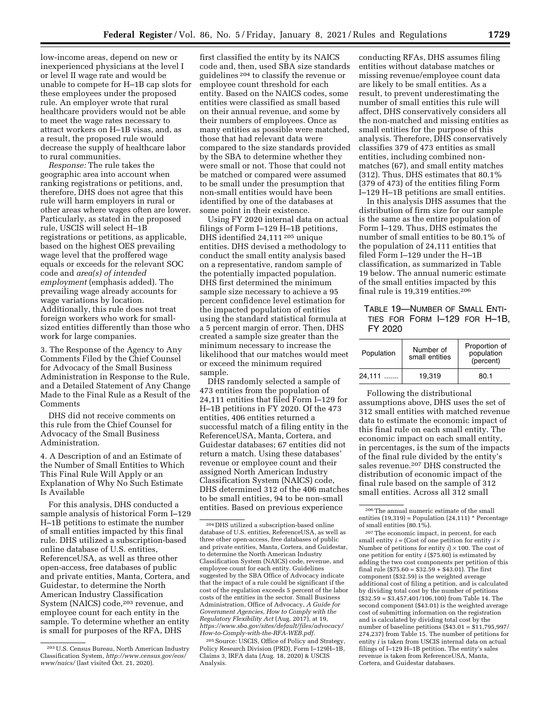low-income areas, depend on new or inexperienced physicians at the level I or level II wage rate and would be unable to compete for H–1B cap slots for these employees under the proposed rule. An employer wrote that rural healthcare providers would not be able to meet the wage rates necessary to attract workers on H–1B visas, and, as a result, the proposed rule would decrease the supply of healthcare labor to rural communities.

*Response:* The rule takes the geographic area into account when ranking registrations or petitions, and, therefore, DHS does not agree that this rule will harm employers in rural or other areas where wages often are lower. Particularly, as stated in the proposed rule, USCIS will select H–1B registrations or petitions, as applicable, based on the highest OES prevailing wage level that the proffered wage equals or exceeds for the relevant SOC code and *area(s) of intended employment* (emphasis added). The prevailing wage already accounts for wage variations by location. Additionally, this rule does not treat foreign workers who work for smallsized entities differently than those who work for large companies.

3. The Response of the Agency to Any Comments Filed by the Chief Counsel for Advocacy of the Small Business Administration in Response to the Rule, and a Detailed Statement of Any Change Made to the Final Rule as a Result of the Comments

DHS did not receive comments on this rule from the Chief Counsel for Advocacy of the Small Business Administration.

4. A Description of and an Estimate of the Number of Small Entities to Which This Final Rule Will Apply or an Explanation of Why No Such Estimate Is Available

For this analysis, DHS conducted a sample analysis of historical Form I–129 H–1B petitions to estimate the number of small entities impacted by this final rule. DHS utilized a subscription-based online database of U.S. entities, ReferenceUSA, as well as three other open-access, free databases of public and private entities, Manta, Cortera, and Guidestar, to determine the North American Industry Classification System (NAICS) code,<sup>203</sup> revenue, and employee count for each entity in the sample. To determine whether an entity is small for purposes of the RFA, DHS

first classified the entity by its NAICS code and, then, used SBA size standards guidelines 204 to classify the revenue or employee count threshold for each entity. Based on the NAICS codes, some entities were classified as small based on their annual revenue, and some by their numbers of employees. Once as many entities as possible were matched, those that had relevant data were compared to the size standards provided by the SBA to determine whether they were small or not. Those that could not be matched or compared were assumed to be small under the presumption that non-small entities would have been identified by one of the databases at some point in their existence.

Using FY 2020 internal data on actual filings of Form I–129 H–1B petitions, DHS identified 24,111 205 unique entities. DHS devised a methodology to conduct the small entity analysis based on a representative, random sample of the potentially impacted population. DHS first determined the minimum sample size necessary to achieve a 95 percent confidence level estimation for the impacted population of entities using the standard statistical formula at a 5 percent margin of error. Then, DHS created a sample size greater than the minimum necessary to increase the likelihood that our matches would meet or exceed the minimum required sample.

DHS randomly selected a sample of 473 entities from the population of 24,111 entities that filed Form I–129 for H–1B petitions in FY 2020. Of the 473 entities, 406 entities returned a successful match of a filing entity in the ReferenceUSA, Manta, Cortera, and Guidestar databases; 67 entities did not return a match. Using these databases' revenue or employee count and their assigned North American Industry Classification System (NAICS) code, DHS determined 312 of the 406 matches to be small entities, 94 to be non-small entities. Based on previous experience

205Source: USCIS, Office of Policy and Strategy, Policy Research Division (PRD), Form I–129H–1B, Claims 3, IRFA data (Aug. 18, 2020) & USCIS Analysis.

conducting RFAs, DHS assumes filing entities without database matches or missing revenue/employee count data are likely to be small entities. As a result, to prevent underestimating the number of small entities this rule will affect, DHS conservatively considers all the non-matched and missing entities as small entities for the purpose of this analysis. Therefore, DHS conservatively classifies 379 of 473 entities as small entities, including combined nonmatches (67), and small entity matches (312). Thus, DHS estimates that 80.1% (379 of 473) of the entities filing Form I–129 H–1B petitions are small entities.

In this analysis DHS assumes that the distribution of firm size for our sample is the same as the entire population of Form I–129. Thus, DHS estimates the number of small entities to be 80.1% of the population of 24,111 entities that filed Form I–129 under the H–1B classification, as summarized in Table 19 below. The annual numeric estimate of the small entities impacted by this final rule is 19,319 entities.206

TABLE 19—NUMBER OF SMALL ENTI-TIES FOR FORM I–129 FOR H–1B, FY 2020

| Population | Number of<br>small entities | Proportion of<br>population<br>(percent) |
|------------|-----------------------------|------------------------------------------|
| 24.111     | 19.319                      | 80.1                                     |

Following the distributional assumptions above, DHS uses the set of 312 small entities with matched revenue data to estimate the economic impact of this final rule on each small entity. The economic impact on each small entity, in percentages, is the sum of the impacts of the final rule divided by the entity's sales revenue.207 DHS constructed the distribution of economic impact of the final rule based on the sample of 312 small entities. Across all 312 small

207The economic impact, in percent, for each small entity  $i =$  (Cost of one petition for entity  $i \times$ Number of petitions for entity *i*) × 100. The cost of one petition for entity *i* (\$75.60) is estimated by adding the two cost components per petition of this final rule (\$75.60 =  $$32.59 + $43.01$ ). The first component (\$32.59) is the weighted average additional cost of filing a petition, and is calculated by dividing total cost by the number of petitions  $(*32.59 = $3,457,401/106,100)$  from Table 14. The second component (\$43.01) is the weighted average cost of submitting information on the registration and is calculated by dividing total cost by the number of baseline petitions (\$43.01 = \$11,795,997/ 274,237) from Table 15. The number of petitions for entity *i* is taken from USCIS internal data on actual filings of I–129 H–1B petition. The entity's sales revenue is taken from ReferenceUSA, Manta, Cortera, and Guidestar databases.

<sup>203</sup>U.S. Census Bureau, North American Industry Classification System, *[http://www.census.gov/eos/](http://www.census.gov/eos/www/naics/)  [www/naics/](http://www.census.gov/eos/www/naics/)* (last visited Oct. 21, 2020).

<sup>204</sup> DHS utilized a subscription-based online database of U.S. entities, ReferenceUSA, as well as three other open-access, free databases of public and private entities, Manta, Cortera, and Guidestar, to determine the North American Industry Classification System (NAICS) code, revenue, and employee count for each entity. Guidelines suggested by the SBA Office of Advocacy indicate that the impact of a rule could be significant if the cost of the regulation exceeds 5 percent of the labor costs of the entities in the sector. Small Business Administration, Office of Advocacy, *A Guide for Government Agencies, How to Comply with the Regulatory Flexibility Act* (Aug. 2017), at 19, *[https://www.sba.gov/sites/default/files/advocacy/](https://www.sba.gov/sites/default/files/advocacy/How-to-Comply-with-the-RFA-WEB.pdf)  [How-to-Comply-with-the-RFA-WEB.pdf.](https://www.sba.gov/sites/default/files/advocacy/How-to-Comply-with-the-RFA-WEB.pdf)* 

<sup>206</sup>The annual numeric estimate of the small entities  $(19,319)$  = Population  $(24,111)$  \* Percentage of small entities (80.1%).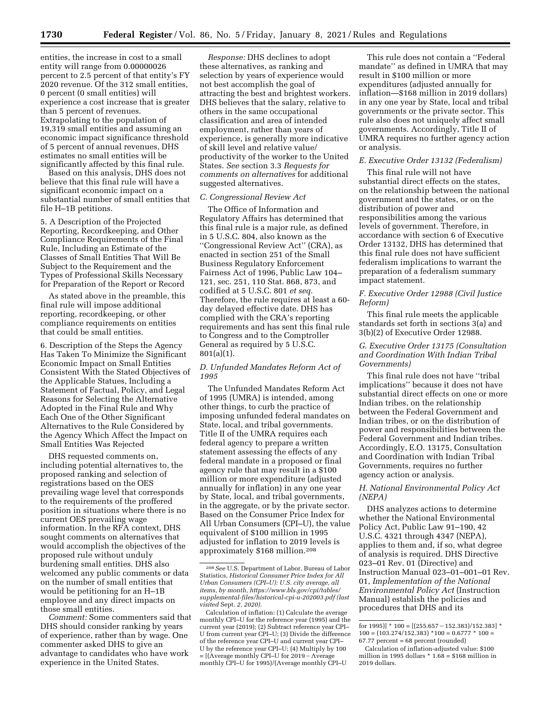entities, the increase in cost to a small entity will range from 0.00000026 percent to 2.5 percent of that entity's FY 2020 revenue. Of the 312 small entities, 0 percent (0 small entities) will experience a cost increase that is greater than 5 percent of revenues. Extrapolating to the population of 19,319 small entities and assuming an economic impact significance threshold of 5 percent of annual revenues, DHS estimates no small entities will be significantly affected by this final rule.

Based on this analysis, DHS does not believe that this final rule will have a significant economic impact on a substantial number of small entities that file H–1B petitions.

5. A Description of the Projected Reporting, Recordkeeping, and Other Compliance Requirements of the Final Rule, Including an Estimate of the Classes of Small Entities That Will Be Subject to the Requirement and the Types of Professional Skills Necessary for Preparation of the Report or Record

As stated above in the preamble, this final rule will impose additional reporting, recordkeeping, or other compliance requirements on entities that could be small entities.

6. Description of the Steps the Agency Has Taken To Minimize the Significant Economic Impact on Small Entities Consistent With the Stated Objectives of the Applicable Statues, Including a Statement of Factual, Policy, and Legal Reasons for Selecting the Alternative Adopted in the Final Rule and Why Each One of the Other Significant Alternatives to the Rule Considered by the Agency Which Affect the Impact on Small Entities Was Rejected

DHS requested comments on, including potential alternatives to, the proposed ranking and selection of registrations based on the OES prevailing wage level that corresponds to the requirements of the proffered position in situations where there is no current OES prevailing wage information. In the RFA context, DHS sought comments on alternatives that would accomplish the objectives of the proposed rule without unduly burdening small entities. DHS also welcomed any public comments or data on the number of small entities that would be petitioning for an H–1B employee and any direct impacts on those small entities.

*Comment:* Some commenters said that DHS should consider ranking by years of experience, rather than by wage. One commenter asked DHS to give an advantage to candidates who have work experience in the United States.

*Response:* DHS declines to adopt these alternatives, as ranking and selection by years of experience would not best accomplish the goal of attracting the best and brightest workers. DHS believes that the salary, relative to others in the same occupational classification and area of intended employment, rather than years of experience, is generally more indicative of skill level and relative value/ productivity of the worker to the United States. *See* section 3.3 *Requests for comments on alternatives* for additional suggested alternatives.

## *C. Congressional Review Act*

The Office of Information and Regulatory Affairs has determined that this final rule is a major rule, as defined in 5 U.S.C. 804, also known as the ''Congressional Review Act'' (CRA), as enacted in section 251 of the Small Business Regulatory Enforcement Fairness Act of 1996, Public Law 104– 121, sec. 251, 110 Stat. 868, 873, and codified at 5 U.S.C. 801 *et seq.*  Therefore, the rule requires at least a 60 day delayed effective date. DHS has complied with the CRA's reporting requirements and has sent this final rule to Congress and to the Comptroller General as required by 5 U.S.C. 801(a)(1).

## *D. Unfunded Mandates Reform Act of 1995*

The Unfunded Mandates Reform Act of 1995 (UMRA) is intended, among other things, to curb the practice of imposing unfunded federal mandates on State, local, and tribal governments. Title II of the UMRA requires each federal agency to prepare a written statement assessing the effects of any federal mandate in a proposed or final agency rule that may result in a \$100 million or more expenditure (adjusted annually for inflation) in any one year by State, local, and tribal governments, in the aggregate, or by the private sector. Based on the Consumer Price Index for All Urban Consumers (CPI–U), the value equivalent of \$100 million in 1995 adjusted for inflation to 2019 levels is approximately \$168 million.208

This rule does not contain a ''Federal mandate'' as defined in UMRA that may result in \$100 million or more expenditures (adjusted annually for inflation—\$168 million in 2019 dollars) in any one year by State, local and tribal governments or the private sector. This rule also does not uniquely affect small governments. Accordingly, Title II of UMRA requires no further agency action or analysis.

#### *E. Executive Order 13132 (Federalism)*

This final rule will not have substantial direct effects on the states, on the relationship between the national government and the states, or on the distribution of power and responsibilities among the various levels of government. Therefore, in accordance with section 6 of Executive Order 13132, DHS has determined that this final rule does not have sufficient federalism implications to warrant the preparation of a federalism summary impact statement.

## *F. Executive Order 12988 (Civil Justice Reform)*

This final rule meets the applicable standards set forth in sections 3(a) and 3(b)(2) of Executive Order 12988.

# *G. Executive Order 13175 (Consultation and Coordination With Indian Tribal Governments)*

This final rule does not have ''tribal implications'' because it does not have substantial direct effects on one or more Indian tribes, on the relationship between the Federal Government and Indian tribes, or on the distribution of power and responsibilities between the Federal Government and Indian tribes. Accordingly, E.O. 13175, Consultation and Coordination with Indian Tribal Governments, requires no further agency action or analysis.

## *H. National Environmental Policy Act (NEPA)*

DHS analyzes actions to determine whether the National Environmental Policy Act, Public Law 91–190, 42 U.S.C. 4321 through 4347 (NEPA), applies to them and, if so, what degree of analysis is required. DHS Directive 023–01 Rev. 01 (Directive) and Instruction Manual 023–01–001–01 Rev. 01, *Implementation of the National Environmental Policy Act* (Instruction Manual) establish the policies and procedures that DHS and its

<sup>208</sup>*See* U.S. Department of Labor, Bureau of Labor Statistics, *Historical Consumer Price Index for All Urban Consumers (CPI–U): U.S. city average, all items, by month, [https://www.bls.gov/cpi/tables/](https://www.bls.gov/cpi/tables/supplemental-files/historical-cpi-u-202003.pdf) [supplemental-files/historical-cpi-u-202003.pdf](https://www.bls.gov/cpi/tables/supplemental-files/historical-cpi-u-202003.pdf) (last visited* Sept. *2, 2020).* 

Calculation of inflation: (1) Calculate the average monthly CPI–U for the reference year (1995) and the current year (2019); (2) Subtract reference year CPI– U from current year CPI–U; (3) Divide the difference of the reference year CPI–U and current year CPI– U by the reference year CPI–U; (4) Multiply by 100  $=$  [(Average monthly CPI–U for 2019 – Average monthly CPI–U for 1995)/(Average monthly CPI–U

for 1995)] \* 100 = [(255.657 – 152.383)/152.383] \*  $100 = (103.274/152.383)$  \* $100 = 0.6777$  \*  $100 =$ 67.77 percent = 68 percent (rounded)

Calculation of inflation-adjusted value: \$100 million in 1995 dollars \* 1.68 = \$168 million in 2019 dollars.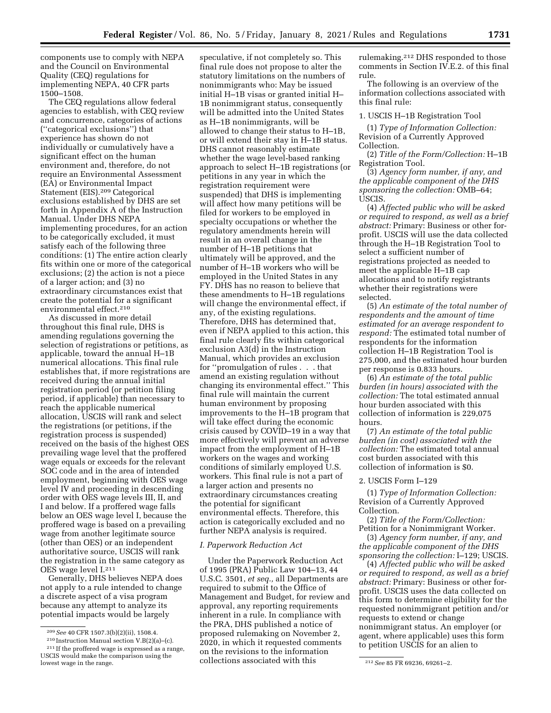components use to comply with NEPA and the Council on Environmental Quality (CEQ) regulations for implementing NEPA, 40 CFR parts 1500–1508.

The CEQ regulations allow federal agencies to establish, with CEQ review and concurrence, categories of actions (''categorical exclusions'') that experience has shown do not individually or cumulatively have a significant effect on the human environment and, therefore, do not require an Environmental Assessment (EA) or Environmental Impact Statement (EIS).209 Categorical exclusions established by DHS are set forth in Appendix A of the Instruction Manual. Under DHS NEPA implementing procedures, for an action to be categorically excluded, it must satisfy each of the following three conditions: (1) The entire action clearly fits within one or more of the categorical exclusions; (2) the action is not a piece of a larger action; and (3) no extraordinary circumstances exist that create the potential for a significant environmental effect.210

As discussed in more detail throughout this final rule, DHS is amending regulations governing the selection of registrations or petitions, as applicable, toward the annual H–1B numerical allocations. This final rule establishes that, if more registrations are received during the annual initial registration period (or petition filing period, if applicable) than necessary to reach the applicable numerical allocation, USCIS will rank and select the registrations (or petitions, if the registration process is suspended) received on the basis of the highest OES prevailing wage level that the proffered wage equals or exceeds for the relevant SOC code and in the area of intended employment, beginning with OES wage level IV and proceeding in descending order with OES wage levels III, II, and I and below. If a proffered wage falls below an OES wage level I, because the proffered wage is based on a prevailing wage from another legitimate source (other than OES) or an independent authoritative source, USCIS will rank the registration in the same category as OES wage level I.211

Generally, DHS believes NEPA does not apply to a rule intended to change a discrete aspect of a visa program because any attempt to analyze its potential impacts would be largely

210 Instruction Manual section V.B(2)(a)–(c).

speculative, if not completely so. This final rule does not propose to alter the statutory limitations on the numbers of nonimmigrants who: May be issued initial H–1B visas or granted initial H– 1B nonimmigrant status, consequently will be admitted into the United States as H–1B nonimmigrants, will be allowed to change their status to H–1B, or will extend their stay in H–1B status. DHS cannot reasonably estimate whether the wage level-based ranking approach to select H–1B registrations (or petitions in any year in which the registration requirement were suspended) that DHS is implementing will affect how many petitions will be filed for workers to be employed in specialty occupations or whether the regulatory amendments herein will result in an overall change in the number of H–1B petitions that ultimately will be approved, and the number of H–1B workers who will be employed in the United States in any FY. DHS has no reason to believe that these amendments to H–1B regulations will change the environmental effect, if any, of the existing regulations. Therefore, DHS has determined that, even if NEPA applied to this action, this final rule clearly fits within categorical exclusion A3(d) in the Instruction Manual, which provides an exclusion for ''promulgation of rules . . . that amend an existing regulation without changing its environmental effect.'' This final rule will maintain the current human environment by proposing improvements to the H–1B program that will take effect during the economic crisis caused by COVID–19 in a way that more effectively will prevent an adverse impact from the employment of H–1B workers on the wages and working conditions of similarly employed U.S. workers. This final rule is not a part of a larger action and presents no extraordinary circumstances creating the potential for significant environmental effects. Therefore, this action is categorically excluded and no further NEPA analysis is required.

#### *I. Paperwork Reduction Act*

Under the Paperwork Reduction Act of 1995 (PRA) Public Law 104–13, 44 U.S.C. 3501, *et seq.,* all Departments are required to submit to the Office of Management and Budget, for review and approval, any reporting requirements inherent in a rule. In compliance with the PRA, DHS published a notice of proposed rulemaking on November 2, 2020, in which it requested comments on the revisions to the information collections associated with this

rulemaking.212 DHS responded to those comments in Section IV.E.2. of this final rule.

The following is an overview of the information collections associated with this final rule:

#### 1. USCIS H–1B Registration Tool

(1) *Type of Information Collection:*  Revision of a Currently Approved Collection.

(2) *Title of the Form/Collection:* H–1B Registration Tool.

(3) *Agency form number, if any, and the applicable component of the DHS sponsoring the collection:* OMB–64; USCIS.

(4) *Affected public who will be asked or required to respond, as well as a brief abstract:* Primary: Business or other forprofit. USCIS will use the data collected through the H–1B Registration Tool to select a sufficient number of registrations projected as needed to meet the applicable H–1B cap allocations and to notify registrants whether their registrations were selected.

(5) *An estimate of the total number of respondents and the amount of time estimated for an average respondent to respond:* The estimated total number of respondents for the information collection H–1B Registration Tool is 275,000, and the estimated hour burden per response is 0.833 hours.

(6) *An estimate of the total public burden (in hours) associated with the collection:* The total estimated annual hour burden associated with this collection of information is 229,075 hours.

(7) *An estimate of the total public burden (in cost) associated with the collection:* The estimated total annual cost burden associated with this collection of information is \$0.

#### 2. USCIS Form I–129

(1) *Type of Information Collection:*  Revision of a Currently Approved Collection.

(2) *Title of the Form/Collection:*  Petition for a Nonimmigrant Worker.

(3) *Agency form number, if any, and the applicable component of the DHS sponsoring the collection:* I–129; USCIS.

(4) *Affected public who will be asked or required to respond, as well as a brief abstract:* Primary: Business or other forprofit. USCIS uses the data collected on this form to determine eligibility for the requested nonimmigrant petition and/or requests to extend or change nonimmigrant status. An employer (or agent, where applicable) uses this form to petition USCIS for an alien to

<sup>209</sup>*See* 40 CFR 1507.3(b)(2)(ii), 1508.4.

<sup>211</sup> If the proffered wage is expressed as a range, USCIS would make the comparison using the

lowest wage in the range. 212*See* 85 FR 69236, 69261–2.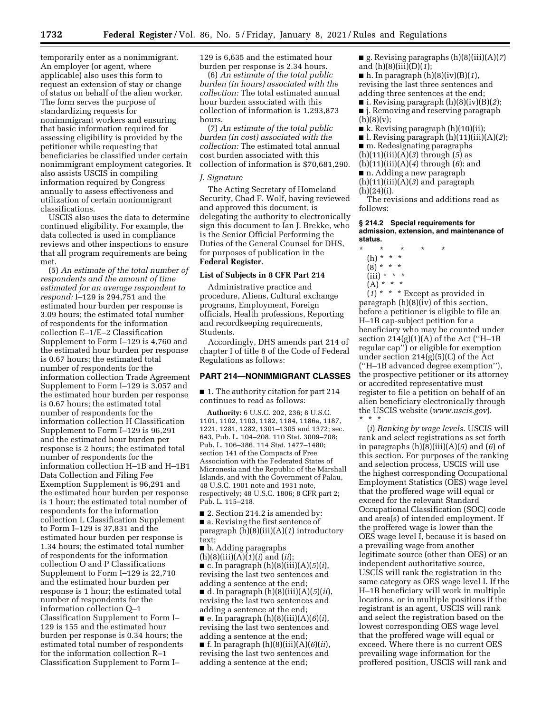temporarily enter as a nonimmigrant. An employer (or agent, where applicable) also uses this form to request an extension of stay or change of status on behalf of the alien worker. The form serves the purpose of standardizing requests for nonimmigrant workers and ensuring that basic information required for assessing eligibility is provided by the petitioner while requesting that beneficiaries be classified under certain nonimmigrant employment categories. It also assists USCIS in compiling information required by Congress annually to assess effectiveness and utilization of certain nonimmigrant classifications.

USCIS also uses the data to determine continued eligibility. For example, the data collected is used in compliance reviews and other inspections to ensure that all program requirements are being met.

(5) *An estimate of the total number of respondents and the amount of time estimated for an average respondent to respond:* I–129 is 294,751 and the estimated hour burden per response is 3.09 hours; the estimated total number of respondents for the information collection E–1/E–2 Classification Supplement to Form I–129 is 4,760 and the estimated hour burden per response is 0.67 hours; the estimated total number of respondents for the information collection Trade Agreement Supplement to Form I–129 is 3,057 and the estimated hour burden per response is 0.67 hours; the estimated total number of respondents for the information collection H Classification Supplement to Form I–129 is 96,291 and the estimated hour burden per response is 2 hours; the estimated total number of respondents for the information collection H–1B and H–1B1 Data Collection and Filing Fee Exemption Supplement is 96,291 and the estimated hour burden per response is 1 hour; the estimated total number of respondents for the information collection L Classification Supplement to Form I–129 is 37,831 and the estimated hour burden per response is 1.34 hours; the estimated total number of respondents for the information collection O and P Classifications Supplement to Form I–129 is 22,710 and the estimated hour burden per response is 1 hour; the estimated total number of respondents for the information collection Q–1 Classification Supplement to Form I– 129 is 155 and the estimated hour burden per response is 0.34 hours; the estimated total number of respondents for the information collection R–1 Classification Supplement to Form I–

129 is 6,635 and the estimated hour burden per response is 2.34 hours.

(6) *An estimate of the total public burden (in hours) associated with the collection:* The total estimated annual hour burden associated with this collection of information is 1,293,873 hours.

(7) *An estimate of the total public burden (in cost) associated with the collection:* The estimated total annual cost burden associated with this collection of information is \$70,681,290.

#### *J. Signature*

The Acting Secretary of Homeland Security, Chad F. Wolf, having reviewed and approved this document, is delegating the authority to electronically sign this document to Ian J. Brekke, who is the Senior Official Performing the Duties of the General Counsel for DHS, for purposes of publication in the **Federal Register**.

#### **List of Subjects in 8 CFR Part 214**

Administrative practice and procedure, Aliens, Cultural exchange programs, Employment, Foreign officials, Health professions, Reporting and recordkeeping requirements, Students.

Accordingly, DHS amends part 214 of chapter I of title 8 of the Code of Federal Regulations as follows:

# **PART 214—NONIMMIGRANT CLASSES**

■ 1. The authority citation for part 214 continues to read as follows:

**Authority:** 6 U.S.C. 202, 236; 8 U.S.C. 1101, 1102, 1103, 1182, 1184, 1186a, 1187, 1221, 1281, 1282, 1301–1305 and 1372; sec. 643, Pub. L. 104–208, 110 Stat. 3009–708; Pub. L. 106–386, 114 Stat. 1477–1480; section 141 of the Compacts of Free Association with the Federated States of Micronesia and the Republic of the Marshall Islands, and with the Government of Palau, 48 U.S.C. 1901 note and 1931 note, respectively; 48 U.S.C. 1806; 8 CFR part 2; Pub. L. 115–218.

■ 2. Section 214.2 is amended by: ■ a. Revising the first sentence of paragraph (h)(8)(iii)(A)(*1*) introductory text;

■ b. Adding paragraphs

(h)(8)(iii)(A)(*1*)(*i*) and (*ii*); ■ c. In paragraph (h)(8)(iii)(A)(*5*)(*i*), revising the last two sentences and

adding a sentence at the end; ■ d. In paragraph (h)(8)(iii)(A)(*5*)(*ii*), revising the last two sentences and adding a sentence at the end;

■ e. In paragraph (h)(8)(iii)(A)(*6*)(*i*), revising the last two sentences and adding a sentence at the end;

■ f. In paragraph (h)(8)(iii)(A)(*6*)(*ii*), revising the last two sentences and adding a sentence at the end;

■ g. Revising paragraphs (h)(8)(iii)(A)(*7*) and (h)(8)(iii)(D)(*1*);

■ h. In paragraph (h)(8)(iv)(B)(*1*), revising the last three sentences and adding three sentences at the end;

- i. Revising paragraph (h)(8)(iv)(B)(*2*); ■ j. Removing and reserving paragraph
- $(h)(8)(v);$
- k. Revising paragraph (h)(10)(ii);
- $\blacksquare$  l. Revising paragraph  $(h)(11)(iii)(A)(2)$ ;
- m. Redesignating paragraphs
- (h)(11)(iii)(A)(*3*) through (*5*) as
- (h)(11)(iii)(A)(*4*) through (*6*); and
- n. Adding a new paragraph
- (h)(11)(iii)(A)(*3*) and paragraph  $(h)(24)(i)$ .

The revisions and additions read as follows:

#### **§ 214.2 Special requirements for admission, extension, and maintenance of status.**

- \* \* \* \* \*
	- (h) \* \* \*  $(8) * * * *$
	- $(iii) * * * *$
	- $(A) * * * *$

(*1*) \* \* \* Except as provided in paragraph (h)(8)(iv) of this section, before a petitioner is eligible to file an H–1B cap-subject petition for a beneficiary who may be counted under section  $214(g)(1)(A)$  of the Act ("H–1B regular cap'') or eligible for exemption under section 214(g)(5)(C) of the Act (''H–1B advanced degree exemption''), the prospective petitioner or its attorney or accredited representative must register to file a petition on behalf of an alien beneficiary electronically through the USCIS website (*[www.uscis.gov](http://www.uscis.gov)*). \* \* \*

(*i*) *Ranking by wage levels.* USCIS will rank and select registrations as set forth in paragraphs (h)(8)(iii)(A)(*5*) and (*6*) of this section. For purposes of the ranking and selection process, USCIS will use the highest corresponding Occupational Employment Statistics (OES) wage level that the proffered wage will equal or exceed for the relevant Standard Occupational Classification (SOC) code and area(s) of intended employment. If the proffered wage is lower than the OES wage level I, because it is based on a prevailing wage from another legitimate source (other than OES) or an independent authoritative source, USCIS will rank the registration in the same category as OES wage level I. If the H–1B beneficiary will work in multiple locations, or in multiple positions if the registrant is an agent, USCIS will rank and select the registration based on the lowest corresponding OES wage level that the proffered wage will equal or exceed. Where there is no current OES prevailing wage information for the proffered position, USCIS will rank and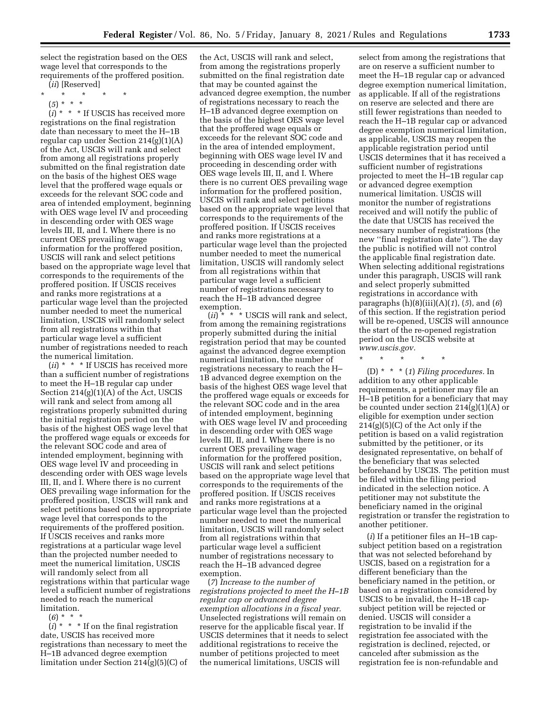select the registration based on the OES wage level that corresponds to the requirements of the proffered position.

(*ii*) [Reserved]

- \* \* \* \* \*
	- (*5*) \* \* \*

(*i*) \* \* \* If USCIS has received more registrations on the final registration date than necessary to meet the H–1B regular cap under Section  $214(g)(1)(A)$ of the Act, USCIS will rank and select from among all registrations properly submitted on the final registration date on the basis of the highest OES wage level that the proffered wage equals or exceeds for the relevant SOC code and area of intended employment, beginning with OES wage level IV and proceeding in descending order with OES wage levels III, II, and I. Where there is no current OES prevailing wage information for the proffered position, USCIS will rank and select petitions based on the appropriate wage level that corresponds to the requirements of the proffered position. If USCIS receives and ranks more registrations at a particular wage level than the projected number needed to meet the numerical limitation, USCIS will randomly select from all registrations within that particular wage level a sufficient number of registrations needed to reach the numerical limitation.

(*ii*) \* \* \* If USCIS has received more than a sufficient number of registrations to meet the H–1B regular cap under Section 214(g)(1)(A) of the Act, USCIS will rank and select from among all registrations properly submitted during the initial registration period on the basis of the highest OES wage level that the proffered wage equals or exceeds for the relevant SOC code and area of intended employment, beginning with OES wage level IV and proceeding in descending order with OES wage levels III, II, and I. Where there is no current OES prevailing wage information for the proffered position, USCIS will rank and select petitions based on the appropriate wage level that corresponds to the requirements of the proffered position. If USCIS receives and ranks more registrations at a particular wage level than the projected number needed to meet the numerical limitation, USCIS will randomly select from all registrations within that particular wage level a sufficient number of registrations needed to reach the numerical limitation.

(*6*) \* \* \*

 $(i) * * *$  If on the final registration date, USCIS has received more registrations than necessary to meet the H–1B advanced degree exemption limitation under Section 214(g)(5)(C) of

the Act, USCIS will rank and select, from among the registrations properly submitted on the final registration date that may be counted against the advanced degree exemption, the number of registrations necessary to reach the H–1B advanced degree exemption on the basis of the highest OES wage level that the proffered wage equals or exceeds for the relevant SOC code and in the area of intended employment, beginning with OES wage level IV and proceeding in descending order with OES wage levels III, II, and I. Where there is no current OES prevailing wage information for the proffered position, USCIS will rank and select petitions based on the appropriate wage level that corresponds to the requirements of the proffered position. If USCIS receives and ranks more registrations at a particular wage level than the projected number needed to meet the numerical limitation, USCIS will randomly select from all registrations within that particular wage level a sufficient number of registrations necessary to reach the H–1B advanced degree exemption.

(*ii*) \* \* \* USCIS will rank and select, from among the remaining registrations properly submitted during the initial registration period that may be counted against the advanced degree exemption numerical limitation, the number of registrations necessary to reach the H– 1B advanced degree exemption on the basis of the highest OES wage level that the proffered wage equals or exceeds for the relevant SOC code and in the area of intended employment, beginning with OES wage level IV and proceeding in descending order with OES wage levels III, II, and I. Where there is no current OES prevailing wage information for the proffered position, USCIS will rank and select petitions based on the appropriate wage level that corresponds to the requirements of the proffered position. If USCIS receives and ranks more registrations at a particular wage level than the projected number needed to meet the numerical limitation, USCIS will randomly select from all registrations within that particular wage level a sufficient number of registrations necessary to reach the H–1B advanced degree exemption.

(*7*) *Increase to the number of registrations projected to meet the H–1B regular cap or advanced degree exemption allocations in a fiscal year.*  Unselected registrations will remain on reserve for the applicable fiscal year. If USCIS determines that it needs to select additional registrations to receive the number of petitions projected to meet the numerical limitations, USCIS will

select from among the registrations that are on reserve a sufficient number to meet the H–1B regular cap or advanced degree exemption numerical limitation, as applicable. If all of the registrations on reserve are selected and there are still fewer registrations than needed to reach the H–1B regular cap or advanced degree exemption numerical limitation, as applicable, USCIS may reopen the applicable registration period until USCIS determines that it has received a sufficient number of registrations projected to meet the H–1B regular cap or advanced degree exemption numerical limitation. USCIS will monitor the number of registrations received and will notify the public of the date that USCIS has received the necessary number of registrations (the new "final registration date"). The day the public is notified will not control the applicable final registration date. When selecting additional registrations under this paragraph, USCIS will rank and select properly submitted registrations in accordance with paragraphs (h)(8)(iii)(A)(*1*), (*5*), and (*6*) of this section. If the registration period will be re-opened, USCIS will announce the start of the re-opened registration period on the USCIS website at *[www.uscis.gov.](http://www.uscis.gov)* 

\* \* \* \* \*

(D) \* \* \* (*1*) *Filing procedures.* In addition to any other applicable requirements, a petitioner may file an H–1B petition for a beneficiary that may be counted under section 214(g)(1)(A) or eligible for exemption under section 214(g)(5)(C) of the Act only if the petition is based on a valid registration submitted by the petitioner, or its designated representative, on behalf of the beneficiary that was selected beforehand by USCIS. The petition must be filed within the filing period indicated in the selection notice. A petitioner may not substitute the beneficiary named in the original registration or transfer the registration to another petitioner.

(*i*) If a petitioner files an H–1B capsubject petition based on a registration that was not selected beforehand by USCIS, based on a registration for a different beneficiary than the beneficiary named in the petition, or based on a registration considered by USCIS to be invalid, the H–1B capsubject petition will be rejected or denied. USCIS will consider a registration to be invalid if the registration fee associated with the registration is declined, rejected, or canceled after submission as the registration fee is non-refundable and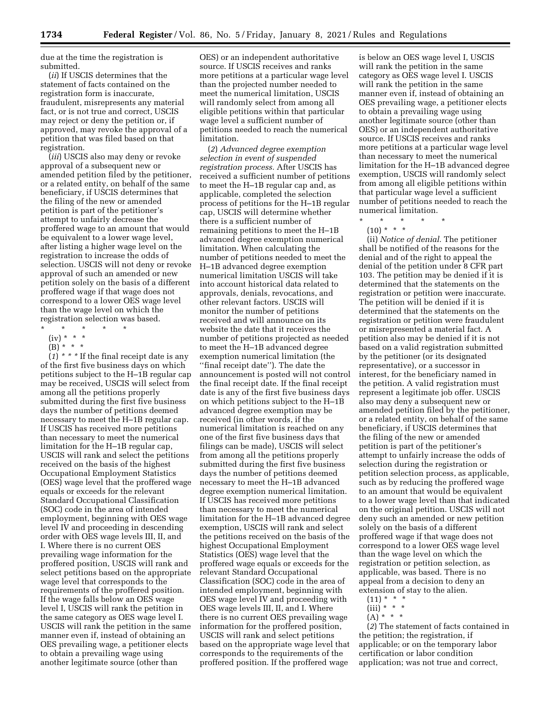due at the time the registration is submitted.

(*ii*) If USCIS determines that the statement of facts contained on the registration form is inaccurate, fraudulent, misrepresents any material fact, or is not true and correct, USCIS may reject or deny the petition or, if approved, may revoke the approval of a petition that was filed based on that registration.

(*iii*) USCIS also may deny or revoke approval of a subsequent new or amended petition filed by the petitioner, or a related entity, on behalf of the same beneficiary, if USCIS determines that the filing of the new or amended petition is part of the petitioner's attempt to unfairly decrease the proffered wage to an amount that would be equivalent to a lower wage level, after listing a higher wage level on the registration to increase the odds of selection. USCIS will not deny or revoke approval of such an amended or new petition solely on the basis of a different proffered wage if that wage does not correspond to a lower OES wage level than the wage level on which the registration selection was based.

- $\star$   $\star$   $\star$
- $(iv) * * * *$
- (B) \* \* \*

 $(1)$ <sup>\*</sup> \* <sup>\*</sup> If the final receipt date is any of the first five business days on which petitions subject to the H–1B regular cap may be received, USCIS will select from among all the petitions properly submitted during the first five business days the number of petitions deemed necessary to meet the H–1B regular cap. If USCIS has received more petitions than necessary to meet the numerical limitation for the H–1B regular cap, USCIS will rank and select the petitions received on the basis of the highest Occupational Employment Statistics (OES) wage level that the proffered wage equals or exceeds for the relevant Standard Occupational Classification (SOC) code in the area of intended employment, beginning with OES wage level IV and proceeding in descending order with OES wage levels III, II, and I. Where there is no current OES prevailing wage information for the proffered position, USCIS will rank and select petitions based on the appropriate wage level that corresponds to the requirements of the proffered position. If the wage falls below an OES wage level I, USCIS will rank the petition in the same category as OES wage level I. USCIS will rank the petition in the same manner even if, instead of obtaining an OES prevailing wage, a petitioner elects to obtain a prevailing wage using another legitimate source (other than

OES) or an independent authoritative source. If USCIS receives and ranks more petitions at a particular wage level than the projected number needed to meet the numerical limitation, USCIS will randomly select from among all eligible petitions within that particular wage level a sufficient number of petitions needed to reach the numerical limitation.

(*2*) *Advanced degree exemption selection in event of suspended registration process.* After USCIS has received a sufficient number of petitions to meet the H–1B regular cap and, as applicable, completed the selection process of petitions for the H–1B regular cap, USCIS will determine whether there is a sufficient number of remaining petitions to meet the H–1B advanced degree exemption numerical limitation. When calculating the number of petitions needed to meet the H–1B advanced degree exemption numerical limitation USCIS will take into account historical data related to approvals, denials, revocations, and other relevant factors. USCIS will monitor the number of petitions received and will announce on its website the date that it receives the number of petitions projected as needed to meet the H–1B advanced degree exemption numerical limitation (the ''final receipt date''). The date the announcement is posted will not control the final receipt date. If the final receipt date is any of the first five business days on which petitions subject to the H–1B advanced degree exemption may be received (in other words, if the numerical limitation is reached on any one of the first five business days that filings can be made), USCIS will select from among all the petitions properly submitted during the first five business days the number of petitions deemed necessary to meet the H–1B advanced degree exemption numerical limitation. If USCIS has received more petitions than necessary to meet the numerical limitation for the H–1B advanced degree exemption, USCIS will rank and select the petitions received on the basis of the highest Occupational Employment Statistics (OES) wage level that the proffered wage equals or exceeds for the relevant Standard Occupational Classification (SOC) code in the area of intended employment, beginning with OES wage level IV and proceeding with OES wage levels III, II, and I. Where there is no current OES prevailing wage information for the proffered position, USCIS will rank and select petitions based on the appropriate wage level that corresponds to the requirements of the proffered position. If the proffered wage

is below an OES wage level I, USCIS will rank the petition in the same category as OES wage level I. USCIS will rank the petition in the same manner even if, instead of obtaining an OES prevailing wage, a petitioner elects to obtain a prevailing wage using another legitimate source (other than OES) or an independent authoritative source. If USCIS receives and ranks more petitions at a particular wage level than necessary to meet the numerical limitation for the H–1B advanced degree exemption, USCIS will randomly select from among all eligible petitions within that particular wage level a sufficient number of petitions needed to reach the numerical limitation.

- \* \* \* \* \*
- $(10) * * * *$

(ii) *Notice of denial.* The petitioner shall be notified of the reasons for the denial and of the right to appeal the denial of the petition under 8 CFR part 103. The petition may be denied if it is determined that the statements on the registration or petition were inaccurate. The petition will be denied if it is determined that the statements on the registration or petition were fraudulent or misrepresented a material fact. A petition also may be denied if it is not based on a valid registration submitted by the petitioner (or its designated representative), or a successor in interest, for the beneficiary named in the petition. A valid registration must represent a legitimate job offer. USCIS also may deny a subsequent new or amended petition filed by the petitioner, or a related entity, on behalf of the same beneficiary, if USCIS determines that the filing of the new or amended petition is part of the petitioner's attempt to unfairly increase the odds of selection during the registration or petition selection process, as applicable, such as by reducing the proffered wage to an amount that would be equivalent to a lower wage level than that indicated on the original petition. USCIS will not deny such an amended or new petition solely on the basis of a different proffered wage if that wage does not correspond to a lower OES wage level than the wage level on which the registration or petition selection, as applicable, was based. There is no appeal from a decision to deny an extension of stay to the alien.

- $(11) * * * *$  $(iii) * * * *$
- $(A)$  \* \* \*

(*2*) The statement of facts contained in the petition; the registration, if applicable; or on the temporary labor certification or labor condition application; was not true and correct,